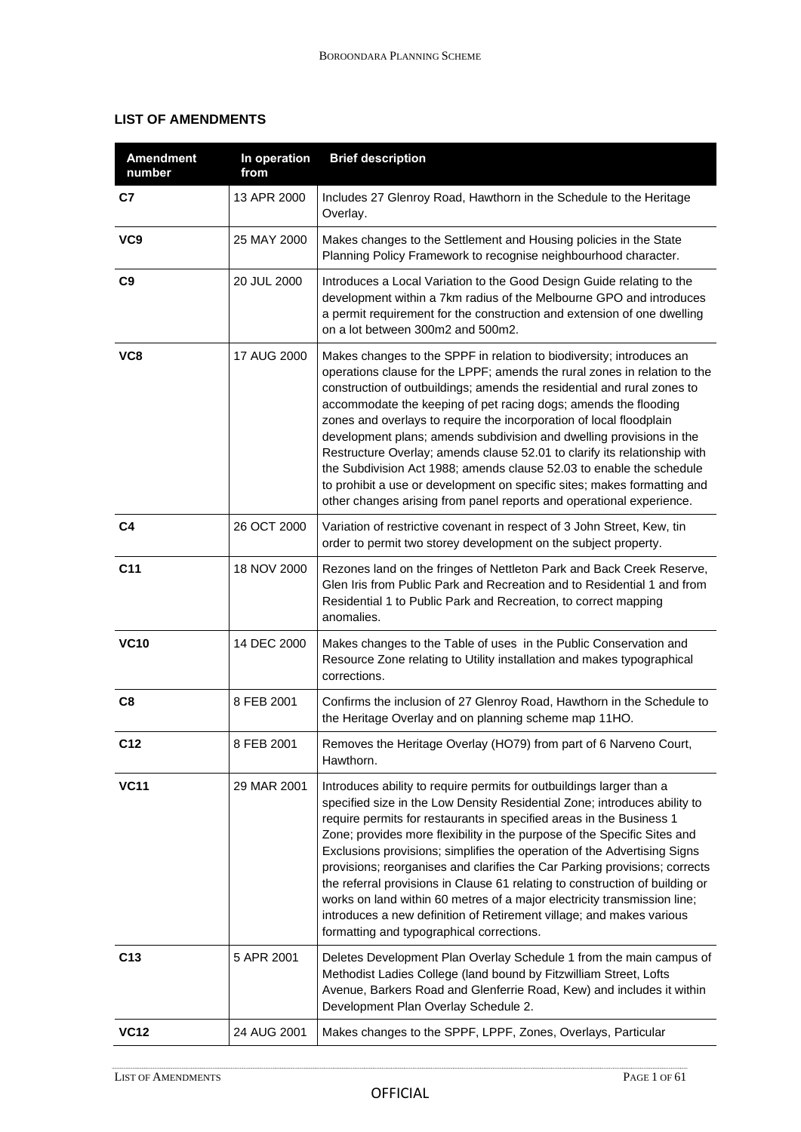## **LIST OF AMENDMENTS**

| <b>Amendment</b><br>number | In operation<br>from | <b>Brief description</b>                                                                                                                                                                                                                                                                                                                                                                                                                                                                                                                                                                                                                                                                                                                                |
|----------------------------|----------------------|---------------------------------------------------------------------------------------------------------------------------------------------------------------------------------------------------------------------------------------------------------------------------------------------------------------------------------------------------------------------------------------------------------------------------------------------------------------------------------------------------------------------------------------------------------------------------------------------------------------------------------------------------------------------------------------------------------------------------------------------------------|
| C7                         | 13 APR 2000          | Includes 27 Glenroy Road, Hawthorn in the Schedule to the Heritage<br>Overlay.                                                                                                                                                                                                                                                                                                                                                                                                                                                                                                                                                                                                                                                                          |
| VC <sub>9</sub>            | 25 MAY 2000          | Makes changes to the Settlement and Housing policies in the State<br>Planning Policy Framework to recognise neighbourhood character.                                                                                                                                                                                                                                                                                                                                                                                                                                                                                                                                                                                                                    |
| C9                         | 20 JUL 2000          | Introduces a Local Variation to the Good Design Guide relating to the<br>development within a 7km radius of the Melbourne GPO and introduces<br>a permit requirement for the construction and extension of one dwelling<br>on a lot between 300m2 and 500m2.                                                                                                                                                                                                                                                                                                                                                                                                                                                                                            |
| VC8                        | 17 AUG 2000          | Makes changes to the SPPF in relation to biodiversity; introduces an<br>operations clause for the LPPF; amends the rural zones in relation to the<br>construction of outbuildings; amends the residential and rural zones to<br>accommodate the keeping of pet racing dogs; amends the flooding<br>zones and overlays to require the incorporation of local floodplain<br>development plans; amends subdivision and dwelling provisions in the<br>Restructure Overlay; amends clause 52.01 to clarify its relationship with<br>the Subdivision Act 1988; amends clause 52.03 to enable the schedule<br>to prohibit a use or development on specific sites; makes formatting and<br>other changes arising from panel reports and operational experience. |
| C <sub>4</sub>             | 26 OCT 2000          | Variation of restrictive covenant in respect of 3 John Street, Kew, tin<br>order to permit two storey development on the subject property.                                                                                                                                                                                                                                                                                                                                                                                                                                                                                                                                                                                                              |
| C <sub>11</sub>            | 18 NOV 2000          | Rezones land on the fringes of Nettleton Park and Back Creek Reserve,<br>Glen Iris from Public Park and Recreation and to Residential 1 and from<br>Residential 1 to Public Park and Recreation, to correct mapping<br>anomalies.                                                                                                                                                                                                                                                                                                                                                                                                                                                                                                                       |
| <b>VC10</b>                | 14 DEC 2000          | Makes changes to the Table of uses in the Public Conservation and<br>Resource Zone relating to Utility installation and makes typographical<br>corrections.                                                                                                                                                                                                                                                                                                                                                                                                                                                                                                                                                                                             |
| C <sub>8</sub>             | 8 FEB 2001           | Confirms the inclusion of 27 Glenroy Road, Hawthorn in the Schedule to<br>the Heritage Overlay and on planning scheme map 11HO.                                                                                                                                                                                                                                                                                                                                                                                                                                                                                                                                                                                                                         |
| C12                        | 8 FEB 2001           | Removes the Heritage Overlay (HO79) from part of 6 Narveno Court,<br>Hawthorn.                                                                                                                                                                                                                                                                                                                                                                                                                                                                                                                                                                                                                                                                          |
| <b>VC11</b>                | 29 MAR 2001          | Introduces ability to require permits for outbuildings larger than a<br>specified size in the Low Density Residential Zone; introduces ability to<br>require permits for restaurants in specified areas in the Business 1<br>Zone; provides more flexibility in the purpose of the Specific Sites and<br>Exclusions provisions; simplifies the operation of the Advertising Signs<br>provisions; reorganises and clarifies the Car Parking provisions; corrects<br>the referral provisions in Clause 61 relating to construction of building or<br>works on land within 60 metres of a major electricity transmission line;<br>introduces a new definition of Retirement village; and makes various<br>formatting and typographical corrections.        |
| C <sub>13</sub>            | 5 APR 2001           | Deletes Development Plan Overlay Schedule 1 from the main campus of<br>Methodist Ladies College (land bound by Fitzwilliam Street, Lofts<br>Avenue, Barkers Road and Glenferrie Road, Kew) and includes it within<br>Development Plan Overlay Schedule 2.                                                                                                                                                                                                                                                                                                                                                                                                                                                                                               |
| <b>VC12</b>                | 24 AUG 2001          | Makes changes to the SPPF, LPPF, Zones, Overlays, Particular                                                                                                                                                                                                                                                                                                                                                                                                                                                                                                                                                                                                                                                                                            |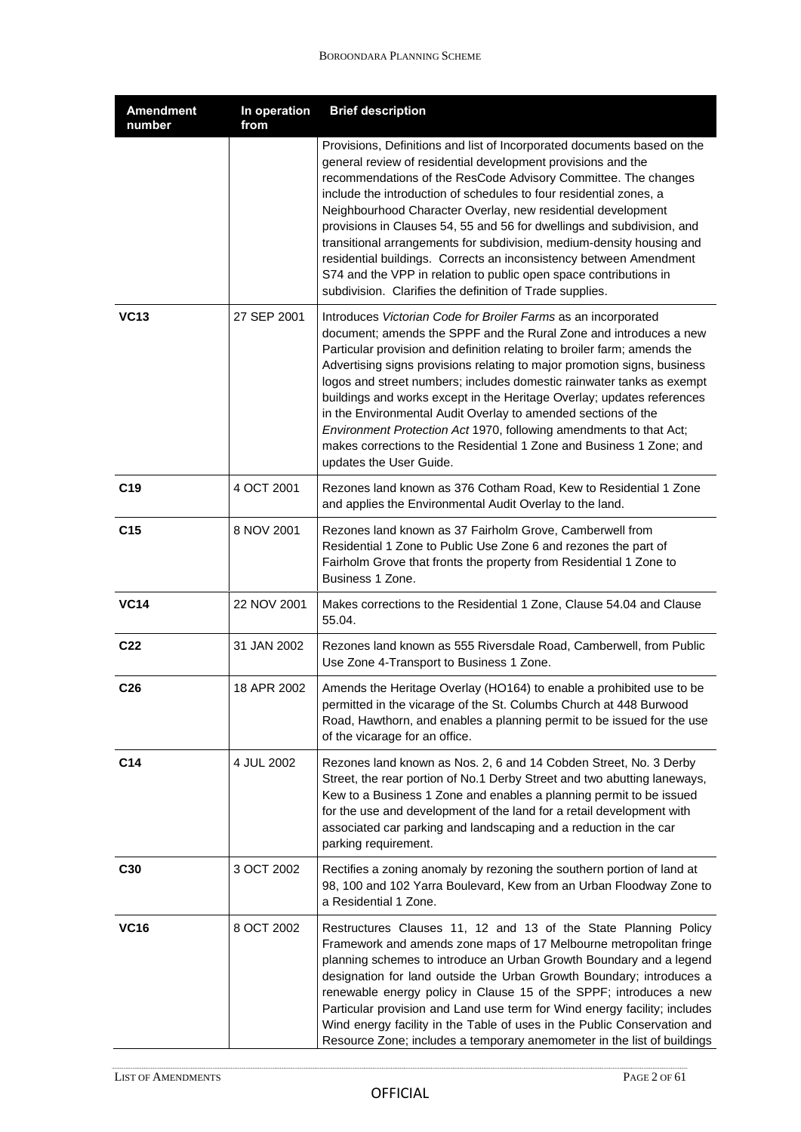| <b>Amendment</b><br>number | In operation<br>from | <b>Brief description</b>                                                                                                                                                                                                                                                                                                                                                                                                                                                                                                                                                                                                                                                                                  |
|----------------------------|----------------------|-----------------------------------------------------------------------------------------------------------------------------------------------------------------------------------------------------------------------------------------------------------------------------------------------------------------------------------------------------------------------------------------------------------------------------------------------------------------------------------------------------------------------------------------------------------------------------------------------------------------------------------------------------------------------------------------------------------|
|                            |                      | Provisions, Definitions and list of Incorporated documents based on the<br>general review of residential development provisions and the<br>recommendations of the ResCode Advisory Committee. The changes<br>include the introduction of schedules to four residential zones, a<br>Neighbourhood Character Overlay, new residential development<br>provisions in Clauses 54, 55 and 56 for dwellings and subdivision, and<br>transitional arrangements for subdivision, medium-density housing and<br>residential buildings. Corrects an inconsistency between Amendment<br>S74 and the VPP in relation to public open space contributions in<br>subdivision. Clarifies the definition of Trade supplies. |
| <b>VC13</b>                | 27 SEP 2001          | Introduces Victorian Code for Broiler Farms as an incorporated<br>document; amends the SPPF and the Rural Zone and introduces a new<br>Particular provision and definition relating to broiler farm; amends the<br>Advertising signs provisions relating to major promotion signs, business<br>logos and street numbers; includes domestic rainwater tanks as exempt<br>buildings and works except in the Heritage Overlay; updates references<br>in the Environmental Audit Overlay to amended sections of the<br>Environment Protection Act 1970, following amendments to that Act;<br>makes corrections to the Residential 1 Zone and Business 1 Zone; and<br>updates the User Guide.                  |
| C <sub>19</sub>            | 4 OCT 2001           | Rezones land known as 376 Cotham Road, Kew to Residential 1 Zone<br>and applies the Environmental Audit Overlay to the land.                                                                                                                                                                                                                                                                                                                                                                                                                                                                                                                                                                              |
| C <sub>15</sub>            | 8 NOV 2001           | Rezones land known as 37 Fairholm Grove, Camberwell from<br>Residential 1 Zone to Public Use Zone 6 and rezones the part of<br>Fairholm Grove that fronts the property from Residential 1 Zone to<br>Business 1 Zone.                                                                                                                                                                                                                                                                                                                                                                                                                                                                                     |
| <b>VC14</b>                | 22 NOV 2001          | Makes corrections to the Residential 1 Zone, Clause 54.04 and Clause<br>55.04.                                                                                                                                                                                                                                                                                                                                                                                                                                                                                                                                                                                                                            |
| C <sub>22</sub>            | 31 JAN 2002          | Rezones land known as 555 Riversdale Road, Camberwell, from Public<br>Use Zone 4-Transport to Business 1 Zone.                                                                                                                                                                                                                                                                                                                                                                                                                                                                                                                                                                                            |
| C <sub>26</sub>            | 18 APR 2002          | Amends the Heritage Overlay (HO164) to enable a prohibited use to be<br>permitted in the vicarage of the St. Columbs Church at 448 Burwood<br>Road, Hawthorn, and enables a planning permit to be issued for the use<br>of the vicarage for an office.                                                                                                                                                                                                                                                                                                                                                                                                                                                    |
| C <sub>14</sub>            | 4 JUL 2002           | Rezones land known as Nos. 2, 6 and 14 Cobden Street, No. 3 Derby<br>Street, the rear portion of No.1 Derby Street and two abutting laneways,<br>Kew to a Business 1 Zone and enables a planning permit to be issued<br>for the use and development of the land for a retail development with<br>associated car parking and landscaping and a reduction in the car<br>parking requirement.                                                                                                                                                                                                                                                                                                                |
| C <sub>30</sub>            | 3 OCT 2002           | Rectifies a zoning anomaly by rezoning the southern portion of land at<br>98, 100 and 102 Yarra Boulevard, Kew from an Urban Floodway Zone to<br>a Residential 1 Zone.                                                                                                                                                                                                                                                                                                                                                                                                                                                                                                                                    |
| <b>VC16</b>                | 8 OCT 2002           | Restructures Clauses 11, 12 and 13 of the State Planning Policy<br>Framework and amends zone maps of 17 Melbourne metropolitan fringe<br>planning schemes to introduce an Urban Growth Boundary and a legend<br>designation for land outside the Urban Growth Boundary; introduces a<br>renewable energy policy in Clause 15 of the SPPF; introduces a new<br>Particular provision and Land use term for Wind energy facility; includes<br>Wind energy facility in the Table of uses in the Public Conservation and<br>Resource Zone; includes a temporary anemometer in the list of buildings                                                                                                            |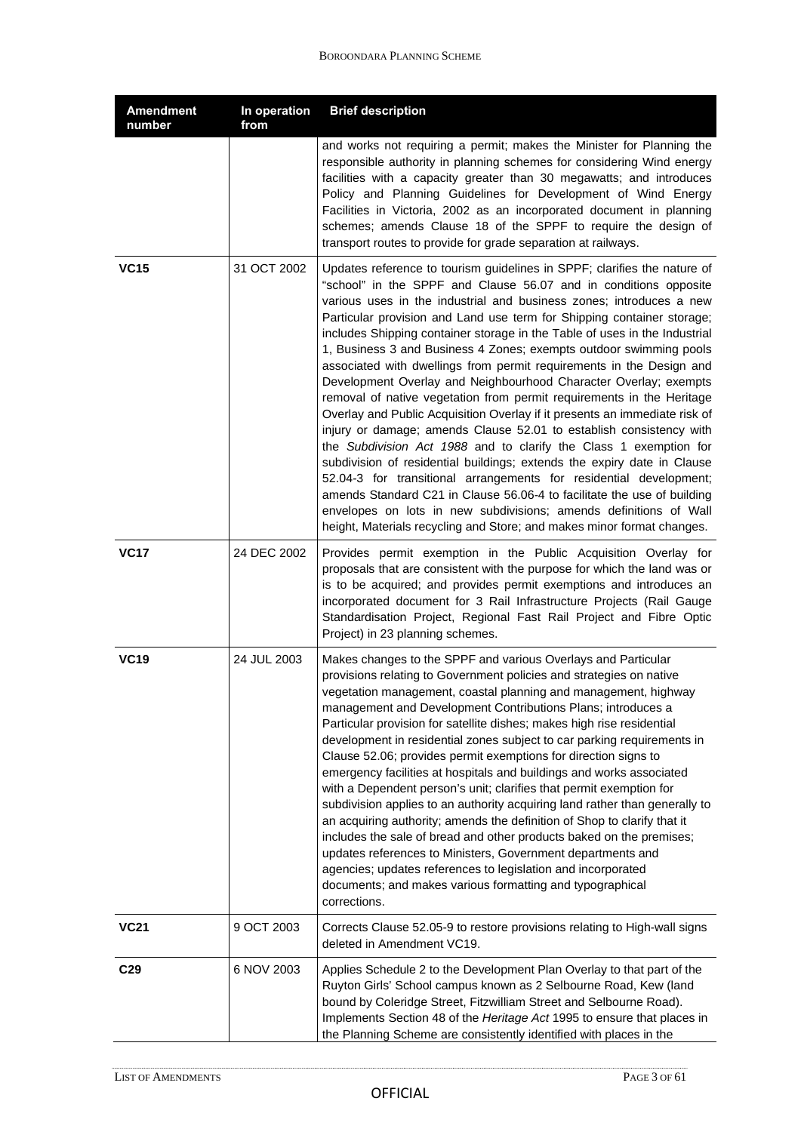| <b>Amendment</b><br>number | In operation<br>from | <b>Brief description</b>                                                                                                                                                                                                                                                                                                                                                                                                                                                                                                                                                                                                                                                                                                                                                                                                                                                                                                                                                                                                                                                                                                                                                                                                                                                    |
|----------------------------|----------------------|-----------------------------------------------------------------------------------------------------------------------------------------------------------------------------------------------------------------------------------------------------------------------------------------------------------------------------------------------------------------------------------------------------------------------------------------------------------------------------------------------------------------------------------------------------------------------------------------------------------------------------------------------------------------------------------------------------------------------------------------------------------------------------------------------------------------------------------------------------------------------------------------------------------------------------------------------------------------------------------------------------------------------------------------------------------------------------------------------------------------------------------------------------------------------------------------------------------------------------------------------------------------------------|
|                            |                      | and works not requiring a permit; makes the Minister for Planning the<br>responsible authority in planning schemes for considering Wind energy<br>facilities with a capacity greater than 30 megawatts; and introduces<br>Policy and Planning Guidelines for Development of Wind Energy<br>Facilities in Victoria, 2002 as an incorporated document in planning<br>schemes; amends Clause 18 of the SPPF to require the design of<br>transport routes to provide for grade separation at railways.                                                                                                                                                                                                                                                                                                                                                                                                                                                                                                                                                                                                                                                                                                                                                                          |
| <b>VC15</b>                | 31 OCT 2002          | Updates reference to tourism guidelines in SPPF; clarifies the nature of<br>"school" in the SPPF and Clause 56.07 and in conditions opposite<br>various uses in the industrial and business zones; introduces a new<br>Particular provision and Land use term for Shipping container storage;<br>includes Shipping container storage in the Table of uses in the Industrial<br>1, Business 3 and Business 4 Zones; exempts outdoor swimming pools<br>associated with dwellings from permit requirements in the Design and<br>Development Overlay and Neighbourhood Character Overlay; exempts<br>removal of native vegetation from permit requirements in the Heritage<br>Overlay and Public Acquisition Overlay if it presents an immediate risk of<br>injury or damage; amends Clause 52.01 to establish consistency with<br>the Subdivision Act 1988 and to clarify the Class 1 exemption for<br>subdivision of residential buildings; extends the expiry date in Clause<br>52.04-3 for transitional arrangements for residential development;<br>amends Standard C21 in Clause 56.06-4 to facilitate the use of building<br>envelopes on lots in new subdivisions; amends definitions of Wall<br>height, Materials recycling and Store; and makes minor format changes. |
| <b>VC17</b>                | 24 DEC 2002          | Provides permit exemption in the Public Acquisition Overlay for<br>proposals that are consistent with the purpose for which the land was or<br>is to be acquired; and provides permit exemptions and introduces an<br>incorporated document for 3 Rail Infrastructure Projects (Rail Gauge<br>Standardisation Project, Regional Fast Rail Project and Fibre Optic<br>Project) in 23 planning schemes.                                                                                                                                                                                                                                                                                                                                                                                                                                                                                                                                                                                                                                                                                                                                                                                                                                                                       |
| <b>VC19</b>                | 24 JUL 2003          | Makes changes to the SPPF and various Overlays and Particular<br>provisions relating to Government policies and strategies on native<br>vegetation management, coastal planning and management, highway<br>management and Development Contributions Plans; introduces a<br>Particular provision for satellite dishes; makes high rise residential<br>development in residential zones subject to car parking requirements in<br>Clause 52.06; provides permit exemptions for direction signs to<br>emergency facilities at hospitals and buildings and works associated<br>with a Dependent person's unit; clarifies that permit exemption for<br>subdivision applies to an authority acquiring land rather than generally to<br>an acquiring authority; amends the definition of Shop to clarify that it<br>includes the sale of bread and other products baked on the premises;<br>updates references to Ministers, Government departments and<br>agencies; updates references to legislation and incorporated<br>documents; and makes various formatting and typographical<br>corrections.                                                                                                                                                                               |
| <b>VC21</b>                | 9 OCT 2003           | Corrects Clause 52.05-9 to restore provisions relating to High-wall signs<br>deleted in Amendment VC19.                                                                                                                                                                                                                                                                                                                                                                                                                                                                                                                                                                                                                                                                                                                                                                                                                                                                                                                                                                                                                                                                                                                                                                     |
| C <sub>29</sub>            | 6 NOV 2003           | Applies Schedule 2 to the Development Plan Overlay to that part of the<br>Ruyton Girls' School campus known as 2 Selbourne Road, Kew (land<br>bound by Coleridge Street, Fitzwilliam Street and Selbourne Road).<br>Implements Section 48 of the Heritage Act 1995 to ensure that places in<br>the Planning Scheme are consistently identified with places in the                                                                                                                                                                                                                                                                                                                                                                                                                                                                                                                                                                                                                                                                                                                                                                                                                                                                                                           |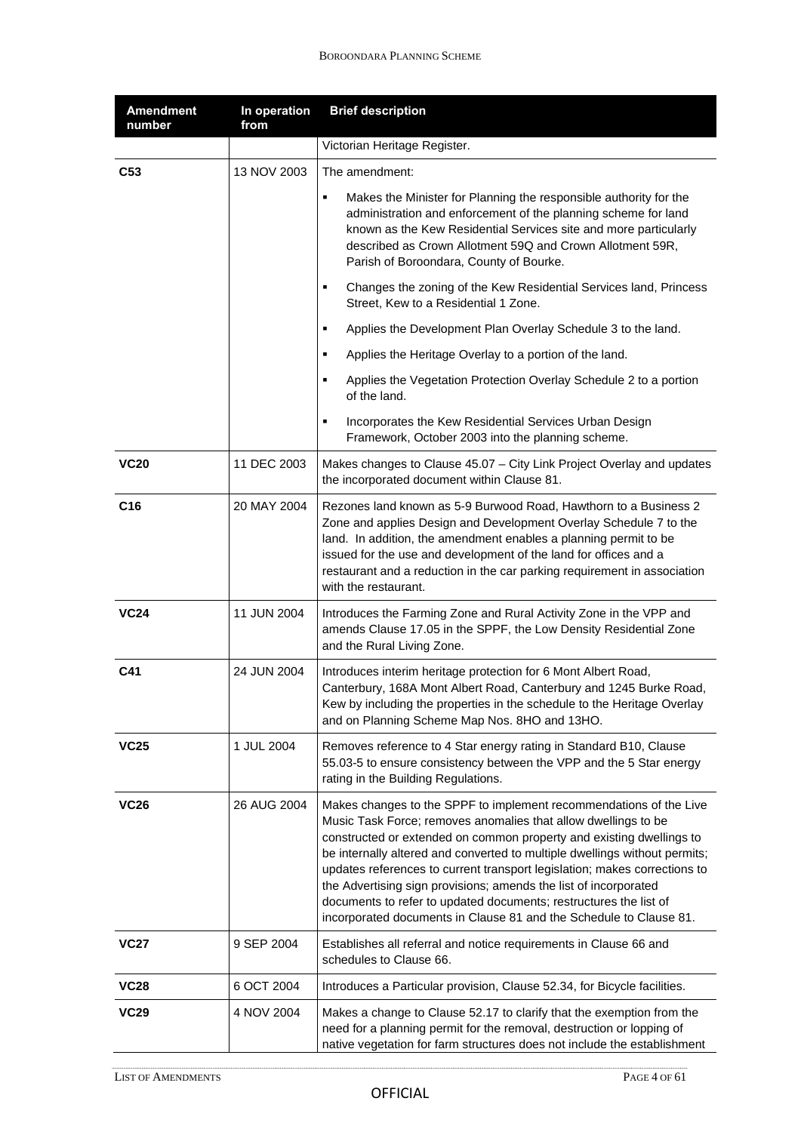| <b>Amendment</b><br>number | In operation<br>from | <b>Brief description</b>                                                                                                                                                                                                                                                                                                                                                                                                                                                                                                                                                               |
|----------------------------|----------------------|----------------------------------------------------------------------------------------------------------------------------------------------------------------------------------------------------------------------------------------------------------------------------------------------------------------------------------------------------------------------------------------------------------------------------------------------------------------------------------------------------------------------------------------------------------------------------------------|
|                            |                      | Victorian Heritage Register.                                                                                                                                                                                                                                                                                                                                                                                                                                                                                                                                                           |
| C <sub>53</sub>            | 13 NOV 2003          | The amendment:                                                                                                                                                                                                                                                                                                                                                                                                                                                                                                                                                                         |
|                            |                      | Makes the Minister for Planning the responsible authority for the<br>٠<br>administration and enforcement of the planning scheme for land<br>known as the Kew Residential Services site and more particularly<br>described as Crown Allotment 59Q and Crown Allotment 59R,<br>Parish of Boroondara, County of Bourke.                                                                                                                                                                                                                                                                   |
|                            |                      | Changes the zoning of the Kew Residential Services land, Princess<br>٠<br>Street, Kew to a Residential 1 Zone.                                                                                                                                                                                                                                                                                                                                                                                                                                                                         |
|                            |                      | Applies the Development Plan Overlay Schedule 3 to the land.<br>٠                                                                                                                                                                                                                                                                                                                                                                                                                                                                                                                      |
|                            |                      | Applies the Heritage Overlay to a portion of the land.<br>٠                                                                                                                                                                                                                                                                                                                                                                                                                                                                                                                            |
|                            |                      | Applies the Vegetation Protection Overlay Schedule 2 to a portion<br>٠<br>of the land.                                                                                                                                                                                                                                                                                                                                                                                                                                                                                                 |
|                            |                      | Incorporates the Kew Residential Services Urban Design<br>٠<br>Framework, October 2003 into the planning scheme.                                                                                                                                                                                                                                                                                                                                                                                                                                                                       |
| <b>VC20</b>                | 11 DEC 2003          | Makes changes to Clause 45.07 - City Link Project Overlay and updates<br>the incorporated document within Clause 81.                                                                                                                                                                                                                                                                                                                                                                                                                                                                   |
| C <sub>16</sub>            | 20 MAY 2004          | Rezones land known as 5-9 Burwood Road, Hawthorn to a Business 2<br>Zone and applies Design and Development Overlay Schedule 7 to the<br>land. In addition, the amendment enables a planning permit to be<br>issued for the use and development of the land for offices and a<br>restaurant and a reduction in the car parking requirement in association<br>with the restaurant.                                                                                                                                                                                                      |
| <b>VC24</b>                | 11 JUN 2004          | Introduces the Farming Zone and Rural Activity Zone in the VPP and<br>amends Clause 17.05 in the SPPF, the Low Density Residential Zone<br>and the Rural Living Zone.                                                                                                                                                                                                                                                                                                                                                                                                                  |
| C41                        | 24 JUN 2004          | Introduces interim heritage protection for 6 Mont Albert Road,<br>Canterbury, 168A Mont Albert Road, Canterbury and 1245 Burke Road,<br>Kew by including the properties in the schedule to the Heritage Overlay<br>and on Planning Scheme Map Nos. 8HO and 13HO.                                                                                                                                                                                                                                                                                                                       |
| <b>VC25</b>                | 1 JUL 2004           | Removes reference to 4 Star energy rating in Standard B10, Clause<br>55.03-5 to ensure consistency between the VPP and the 5 Star energy<br>rating in the Building Regulations.                                                                                                                                                                                                                                                                                                                                                                                                        |
| <b>VC26</b>                | 26 AUG 2004          | Makes changes to the SPPF to implement recommendations of the Live<br>Music Task Force; removes anomalies that allow dwellings to be<br>constructed or extended on common property and existing dwellings to<br>be internally altered and converted to multiple dwellings without permits;<br>updates references to current transport legislation; makes corrections to<br>the Advertising sign provisions; amends the list of incorporated<br>documents to refer to updated documents; restructures the list of<br>incorporated documents in Clause 81 and the Schedule to Clause 81. |
| <b>VC27</b>                | 9 SEP 2004           | Establishes all referral and notice requirements in Clause 66 and<br>schedules to Clause 66.                                                                                                                                                                                                                                                                                                                                                                                                                                                                                           |
| <b>VC28</b>                | 6 OCT 2004           | Introduces a Particular provision, Clause 52.34, for Bicycle facilities.                                                                                                                                                                                                                                                                                                                                                                                                                                                                                                               |
| <b>VC29</b>                | 4 NOV 2004           | Makes a change to Clause 52.17 to clarify that the exemption from the<br>need for a planning permit for the removal, destruction or lopping of<br>native vegetation for farm structures does not include the establishment                                                                                                                                                                                                                                                                                                                                                             |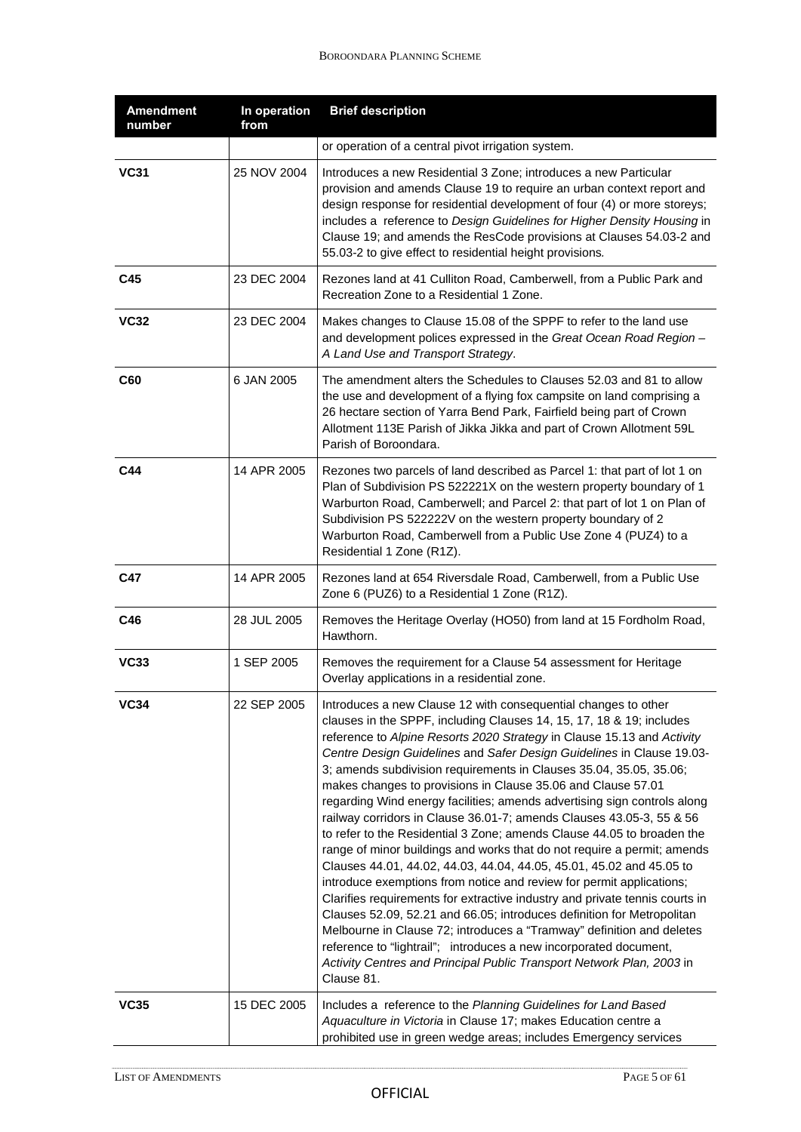| <b>Amendment</b><br>number | In operation<br>from | <b>Brief description</b>                                                                                                                                                                                                                                                                                                                                                                                                                                                                                                                                                                                                                                                                                                                                                                                                                                                                                                                                                                                                                                                                                                                                                                                                                                                               |
|----------------------------|----------------------|----------------------------------------------------------------------------------------------------------------------------------------------------------------------------------------------------------------------------------------------------------------------------------------------------------------------------------------------------------------------------------------------------------------------------------------------------------------------------------------------------------------------------------------------------------------------------------------------------------------------------------------------------------------------------------------------------------------------------------------------------------------------------------------------------------------------------------------------------------------------------------------------------------------------------------------------------------------------------------------------------------------------------------------------------------------------------------------------------------------------------------------------------------------------------------------------------------------------------------------------------------------------------------------|
|                            |                      | or operation of a central pivot irrigation system.                                                                                                                                                                                                                                                                                                                                                                                                                                                                                                                                                                                                                                                                                                                                                                                                                                                                                                                                                                                                                                                                                                                                                                                                                                     |
| <b>VC31</b>                | 25 NOV 2004          | Introduces a new Residential 3 Zone; introduces a new Particular<br>provision and amends Clause 19 to require an urban context report and<br>design response for residential development of four (4) or more storeys;<br>includes a reference to Design Guidelines for Higher Density Housing in<br>Clause 19; and amends the ResCode provisions at Clauses 54.03-2 and<br>55.03-2 to give effect to residential height provisions.                                                                                                                                                                                                                                                                                                                                                                                                                                                                                                                                                                                                                                                                                                                                                                                                                                                    |
| C45                        | 23 DEC 2004          | Rezones land at 41 Culliton Road, Camberwell, from a Public Park and<br>Recreation Zone to a Residential 1 Zone.                                                                                                                                                                                                                                                                                                                                                                                                                                                                                                                                                                                                                                                                                                                                                                                                                                                                                                                                                                                                                                                                                                                                                                       |
| <b>VC32</b>                | 23 DEC 2004          | Makes changes to Clause 15.08 of the SPPF to refer to the land use<br>and development polices expressed in the Great Ocean Road Region -<br>A Land Use and Transport Strategy.                                                                                                                                                                                                                                                                                                                                                                                                                                                                                                                                                                                                                                                                                                                                                                                                                                                                                                                                                                                                                                                                                                         |
| C60                        | 6 JAN 2005           | The amendment alters the Schedules to Clauses 52.03 and 81 to allow<br>the use and development of a flying fox campsite on land comprising a<br>26 hectare section of Yarra Bend Park, Fairfield being part of Crown<br>Allotment 113E Parish of Jikka Jikka and part of Crown Allotment 59L<br>Parish of Boroondara.                                                                                                                                                                                                                                                                                                                                                                                                                                                                                                                                                                                                                                                                                                                                                                                                                                                                                                                                                                  |
| C44                        | 14 APR 2005          | Rezones two parcels of land described as Parcel 1: that part of lot 1 on<br>Plan of Subdivision PS 522221X on the western property boundary of 1<br>Warburton Road, Camberwell; and Parcel 2: that part of lot 1 on Plan of<br>Subdivision PS 522222V on the western property boundary of 2<br>Warburton Road, Camberwell from a Public Use Zone 4 (PUZ4) to a<br>Residential 1 Zone (R1Z).                                                                                                                                                                                                                                                                                                                                                                                                                                                                                                                                                                                                                                                                                                                                                                                                                                                                                            |
| C47                        | 14 APR 2005          | Rezones land at 654 Riversdale Road, Camberwell, from a Public Use<br>Zone 6 (PUZ6) to a Residential 1 Zone (R1Z).                                                                                                                                                                                                                                                                                                                                                                                                                                                                                                                                                                                                                                                                                                                                                                                                                                                                                                                                                                                                                                                                                                                                                                     |
| C46                        | 28 JUL 2005          | Removes the Heritage Overlay (HO50) from land at 15 Fordholm Road,<br>Hawthorn.                                                                                                                                                                                                                                                                                                                                                                                                                                                                                                                                                                                                                                                                                                                                                                                                                                                                                                                                                                                                                                                                                                                                                                                                        |
| <b>VC33</b>                | 1 SEP 2005           | Removes the requirement for a Clause 54 assessment for Heritage<br>Overlay applications in a residential zone.                                                                                                                                                                                                                                                                                                                                                                                                                                                                                                                                                                                                                                                                                                                                                                                                                                                                                                                                                                                                                                                                                                                                                                         |
| VC34                       | 22 SEP 2005          | Introduces a new Clause 12 with consequential changes to other<br>clauses in the SPPF, including Clauses 14, 15, 17, 18 & 19; includes<br>reference to Alpine Resorts 2020 Strategy in Clause 15.13 and Activity<br>Centre Design Guidelines and Safer Design Guidelines in Clause 19.03-<br>3; amends subdivision requirements in Clauses 35.04, 35.05, 35.06;<br>makes changes to provisions in Clause 35.06 and Clause 57.01<br>regarding Wind energy facilities; amends advertising sign controls along<br>railway corridors in Clause 36.01-7; amends Clauses 43.05-3, 55 & 56<br>to refer to the Residential 3 Zone; amends Clause 44.05 to broaden the<br>range of minor buildings and works that do not require a permit; amends<br>Clauses 44.01, 44.02, 44.03, 44.04, 44.05, 45.01, 45.02 and 45.05 to<br>introduce exemptions from notice and review for permit applications;<br>Clarifies requirements for extractive industry and private tennis courts in<br>Clauses 52.09, 52.21 and 66.05; introduces definition for Metropolitan<br>Melbourne in Clause 72; introduces a "Tramway" definition and deletes<br>reference to "lightrail"; introduces a new incorporated document,<br>Activity Centres and Principal Public Transport Network Plan, 2003 in<br>Clause 81. |
| <b>VC35</b>                | 15 DEC 2005          | Includes a reference to the Planning Guidelines for Land Based<br>Aquaculture in Victoria in Clause 17; makes Education centre a<br>prohibited use in green wedge areas; includes Emergency services                                                                                                                                                                                                                                                                                                                                                                                                                                                                                                                                                                                                                                                                                                                                                                                                                                                                                                                                                                                                                                                                                   |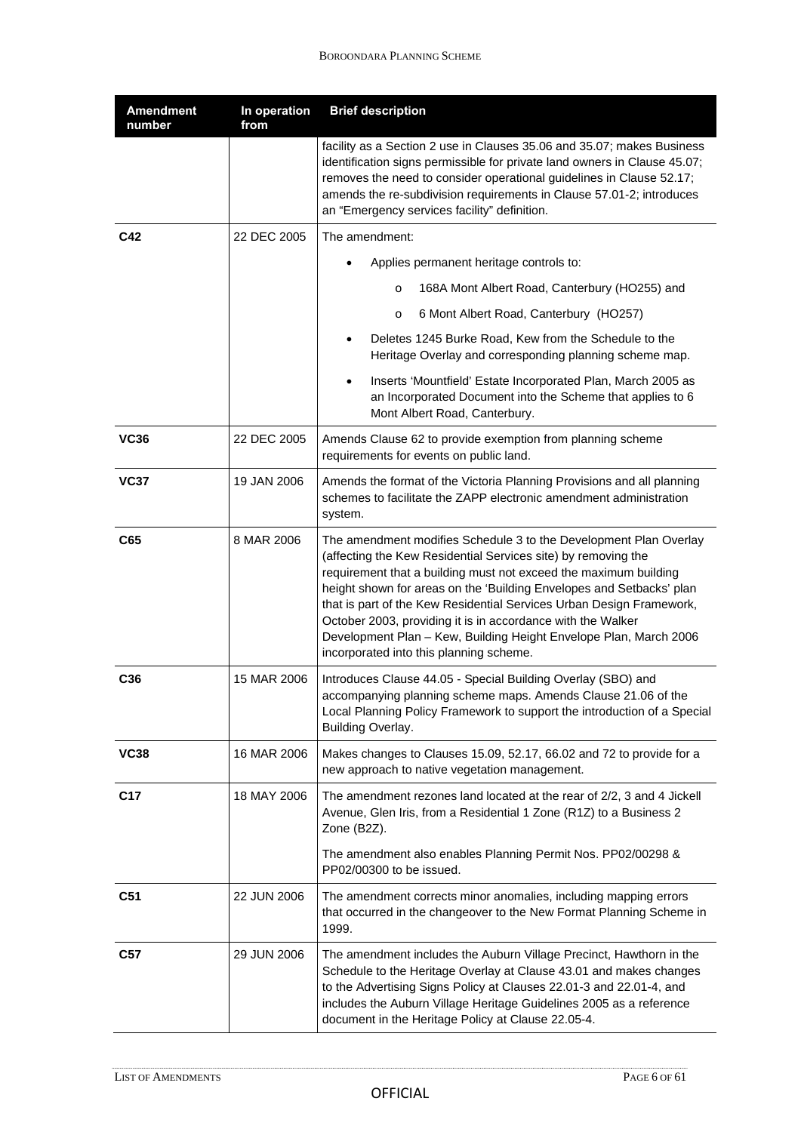| <b>Amendment</b><br>number | In operation<br>from | <b>Brief description</b>                                                                                                                                                                                                                                                                                                                                                                                                                                                                                                              |
|----------------------------|----------------------|---------------------------------------------------------------------------------------------------------------------------------------------------------------------------------------------------------------------------------------------------------------------------------------------------------------------------------------------------------------------------------------------------------------------------------------------------------------------------------------------------------------------------------------|
|                            |                      | facility as a Section 2 use in Clauses 35.06 and 35.07; makes Business<br>identification signs permissible for private land owners in Clause 45.07;<br>removes the need to consider operational guidelines in Clause 52.17;<br>amends the re-subdivision requirements in Clause 57.01-2; introduces<br>an "Emergency services facility" definition.                                                                                                                                                                                   |
| C42                        | 22 DEC 2005          | The amendment:                                                                                                                                                                                                                                                                                                                                                                                                                                                                                                                        |
|                            |                      | Applies permanent heritage controls to:                                                                                                                                                                                                                                                                                                                                                                                                                                                                                               |
|                            |                      | 168A Mont Albert Road, Canterbury (HO255) and<br>$\circ$                                                                                                                                                                                                                                                                                                                                                                                                                                                                              |
|                            |                      | 6 Mont Albert Road, Canterbury (HO257)<br>$\circ$                                                                                                                                                                                                                                                                                                                                                                                                                                                                                     |
|                            |                      | Deletes 1245 Burke Road, Kew from the Schedule to the<br>Heritage Overlay and corresponding planning scheme map.                                                                                                                                                                                                                                                                                                                                                                                                                      |
|                            |                      | Inserts 'Mountfield' Estate Incorporated Plan, March 2005 as<br>$\bullet$<br>an Incorporated Document into the Scheme that applies to 6<br>Mont Albert Road, Canterbury.                                                                                                                                                                                                                                                                                                                                                              |
| <b>VC36</b>                | 22 DEC 2005          | Amends Clause 62 to provide exemption from planning scheme<br>requirements for events on public land.                                                                                                                                                                                                                                                                                                                                                                                                                                 |
| <b>VC37</b>                | 19 JAN 2006          | Amends the format of the Victoria Planning Provisions and all planning<br>schemes to facilitate the ZAPP electronic amendment administration<br>system.                                                                                                                                                                                                                                                                                                                                                                               |
| C65                        | 8 MAR 2006           | The amendment modifies Schedule 3 to the Development Plan Overlay<br>(affecting the Kew Residential Services site) by removing the<br>requirement that a building must not exceed the maximum building<br>height shown for areas on the 'Building Envelopes and Setbacks' plan<br>that is part of the Kew Residential Services Urban Design Framework,<br>October 2003, providing it is in accordance with the Walker<br>Development Plan - Kew, Building Height Envelope Plan, March 2006<br>incorporated into this planning scheme. |
| C36                        | 15 MAR 2006          | Introduces Clause 44.05 - Special Building Overlay (SBO) and<br>accompanying planning scheme maps. Amends Clause 21.06 of the<br>Local Planning Policy Framework to support the introduction of a Special<br>Building Overlay.                                                                                                                                                                                                                                                                                                        |
| <b>VC38</b>                | 16 MAR 2006          | Makes changes to Clauses 15.09, 52.17, 66.02 and 72 to provide for a<br>new approach to native vegetation management.                                                                                                                                                                                                                                                                                                                                                                                                                 |
| C <sub>17</sub>            | 18 MAY 2006          | The amendment rezones land located at the rear of 2/2, 3 and 4 Jickell<br>Avenue, Glen Iris, from a Residential 1 Zone (R1Z) to a Business 2<br>Zone (B2Z).                                                                                                                                                                                                                                                                                                                                                                           |
|                            |                      | The amendment also enables Planning Permit Nos. PP02/00298 &<br>PP02/00300 to be issued.                                                                                                                                                                                                                                                                                                                                                                                                                                              |
| C <sub>51</sub>            | 22 JUN 2006          | The amendment corrects minor anomalies, including mapping errors<br>that occurred in the changeover to the New Format Planning Scheme in<br>1999.                                                                                                                                                                                                                                                                                                                                                                                     |
| C <sub>57</sub>            | 29 JUN 2006          | The amendment includes the Auburn Village Precinct, Hawthorn in the<br>Schedule to the Heritage Overlay at Clause 43.01 and makes changes<br>to the Advertising Signs Policy at Clauses 22.01-3 and 22.01-4, and<br>includes the Auburn Village Heritage Guidelines 2005 as a reference<br>document in the Heritage Policy at Clause 22.05-4.                                                                                                                                                                                         |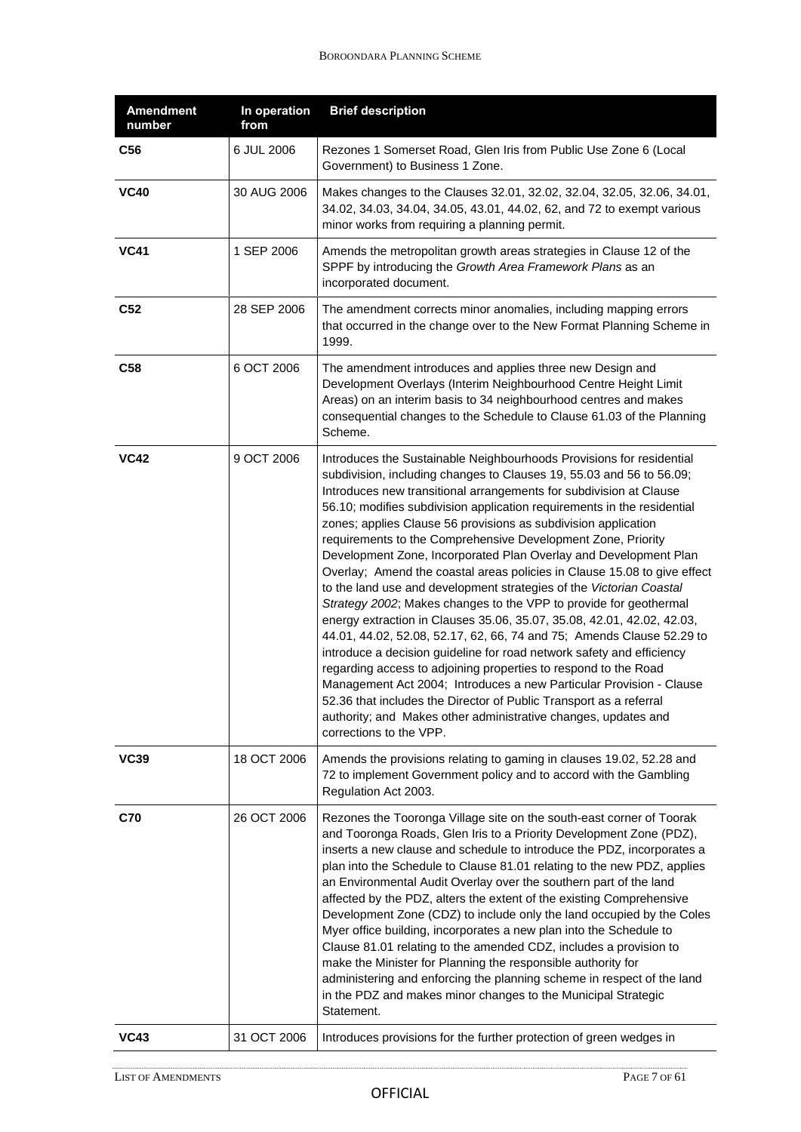| <b>Amendment</b><br>number | In operation<br>from | <b>Brief description</b>                                                                                                                                                                                                                                                                                                                                                                                                                                                                                                                                                                                                                                                                                                                                                                                                                                                                                                                                                                                                                                                                                                                                                                                                                                             |
|----------------------------|----------------------|----------------------------------------------------------------------------------------------------------------------------------------------------------------------------------------------------------------------------------------------------------------------------------------------------------------------------------------------------------------------------------------------------------------------------------------------------------------------------------------------------------------------------------------------------------------------------------------------------------------------------------------------------------------------------------------------------------------------------------------------------------------------------------------------------------------------------------------------------------------------------------------------------------------------------------------------------------------------------------------------------------------------------------------------------------------------------------------------------------------------------------------------------------------------------------------------------------------------------------------------------------------------|
| C56                        | 6 JUL 2006           | Rezones 1 Somerset Road, Glen Iris from Public Use Zone 6 (Local<br>Government) to Business 1 Zone.                                                                                                                                                                                                                                                                                                                                                                                                                                                                                                                                                                                                                                                                                                                                                                                                                                                                                                                                                                                                                                                                                                                                                                  |
| <b>VC40</b>                | 30 AUG 2006          | Makes changes to the Clauses 32.01, 32.02, 32.04, 32.05, 32.06, 34.01,<br>34.02, 34.03, 34.04, 34.05, 43.01, 44.02, 62, and 72 to exempt various<br>minor works from requiring a planning permit.                                                                                                                                                                                                                                                                                                                                                                                                                                                                                                                                                                                                                                                                                                                                                                                                                                                                                                                                                                                                                                                                    |
| <b>VC41</b>                | 1 SEP 2006           | Amends the metropolitan growth areas strategies in Clause 12 of the<br>SPPF by introducing the Growth Area Framework Plans as an<br>incorporated document.                                                                                                                                                                                                                                                                                                                                                                                                                                                                                                                                                                                                                                                                                                                                                                                                                                                                                                                                                                                                                                                                                                           |
| C52                        | 28 SEP 2006          | The amendment corrects minor anomalies, including mapping errors<br>that occurred in the change over to the New Format Planning Scheme in<br>1999.                                                                                                                                                                                                                                                                                                                                                                                                                                                                                                                                                                                                                                                                                                                                                                                                                                                                                                                                                                                                                                                                                                                   |
| C58                        | 6 OCT 2006           | The amendment introduces and applies three new Design and<br>Development Overlays (Interim Neighbourhood Centre Height Limit<br>Areas) on an interim basis to 34 neighbourhood centres and makes<br>consequential changes to the Schedule to Clause 61.03 of the Planning<br>Scheme.                                                                                                                                                                                                                                                                                                                                                                                                                                                                                                                                                                                                                                                                                                                                                                                                                                                                                                                                                                                 |
| <b>VC42</b>                | 9 OCT 2006           | Introduces the Sustainable Neighbourhoods Provisions for residential<br>subdivision, including changes to Clauses 19, 55.03 and 56 to 56.09;<br>Introduces new transitional arrangements for subdivision at Clause<br>56.10; modifies subdivision application requirements in the residential<br>zones; applies Clause 56 provisions as subdivision application<br>requirements to the Comprehensive Development Zone, Priority<br>Development Zone, Incorporated Plan Overlay and Development Plan<br>Overlay; Amend the coastal areas policies in Clause 15.08 to give effect<br>to the land use and development strategies of the Victorian Coastal<br>Strategy 2002; Makes changes to the VPP to provide for geothermal<br>energy extraction in Clauses 35.06, 35.07, 35.08, 42.01, 42.02, 42.03,<br>44.01, 44.02, 52.08, 52.17, 62, 66, 74 and 75; Amends Clause 52.29 to<br>introduce a decision guideline for road network safety and efficiency<br>regarding access to adjoining properties to respond to the Road<br>Management Act 2004; Introduces a new Particular Provision - Clause<br>52.36 that includes the Director of Public Transport as a referral<br>authority; and Makes other administrative changes, updates and<br>corrections to the VPP. |
| <b>VC39</b>                | 18 OCT 2006          | Amends the provisions relating to gaming in clauses 19.02, 52.28 and<br>72 to implement Government policy and to accord with the Gambling<br>Regulation Act 2003.                                                                                                                                                                                                                                                                                                                                                                                                                                                                                                                                                                                                                                                                                                                                                                                                                                                                                                                                                                                                                                                                                                    |
| <b>C70</b>                 | 26 OCT 2006          | Rezones the Tooronga Village site on the south-east corner of Toorak<br>and Tooronga Roads, Glen Iris to a Priority Development Zone (PDZ),<br>inserts a new clause and schedule to introduce the PDZ, incorporates a<br>plan into the Schedule to Clause 81.01 relating to the new PDZ, applies<br>an Environmental Audit Overlay over the southern part of the land<br>affected by the PDZ, alters the extent of the existing Comprehensive<br>Development Zone (CDZ) to include only the land occupied by the Coles<br>Myer office building, incorporates a new plan into the Schedule to<br>Clause 81.01 relating to the amended CDZ, includes a provision to<br>make the Minister for Planning the responsible authority for<br>administering and enforcing the planning scheme in respect of the land<br>in the PDZ and makes minor changes to the Municipal Strategic<br>Statement.                                                                                                                                                                                                                                                                                                                                                                           |
| <b>VC43</b>                | 31 OCT 2006          | Introduces provisions for the further protection of green wedges in                                                                                                                                                                                                                                                                                                                                                                                                                                                                                                                                                                                                                                                                                                                                                                                                                                                                                                                                                                                                                                                                                                                                                                                                  |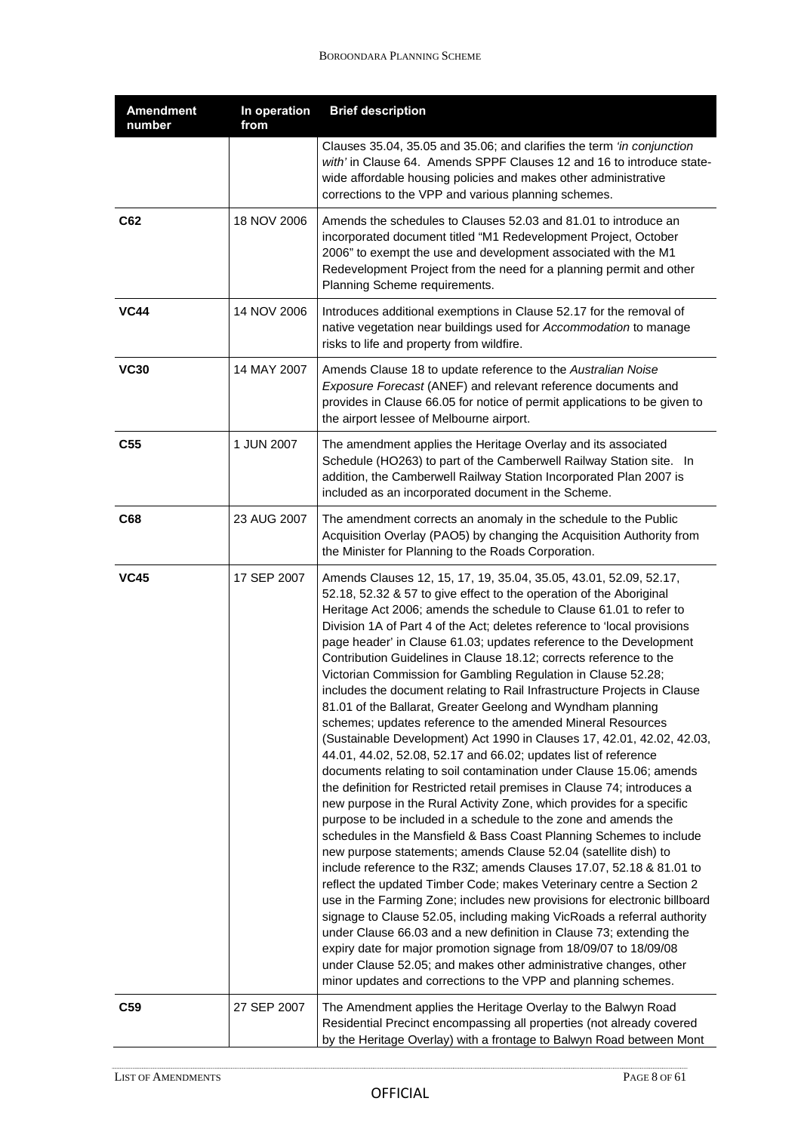| <b>Amendment</b><br>number | In operation<br>from | <b>Brief description</b>                                                                                                                                                                                                                                                                                                                                                                                                                                                                                                                                                                                                                                                                                                                                                                                                                                                                                                                                                                                                                                                                                                                                                                                                                                                                                                                                                                                                                                                                                                                                                                                                                                                                                                                                                                                                                                                                           |
|----------------------------|----------------------|----------------------------------------------------------------------------------------------------------------------------------------------------------------------------------------------------------------------------------------------------------------------------------------------------------------------------------------------------------------------------------------------------------------------------------------------------------------------------------------------------------------------------------------------------------------------------------------------------------------------------------------------------------------------------------------------------------------------------------------------------------------------------------------------------------------------------------------------------------------------------------------------------------------------------------------------------------------------------------------------------------------------------------------------------------------------------------------------------------------------------------------------------------------------------------------------------------------------------------------------------------------------------------------------------------------------------------------------------------------------------------------------------------------------------------------------------------------------------------------------------------------------------------------------------------------------------------------------------------------------------------------------------------------------------------------------------------------------------------------------------------------------------------------------------------------------------------------------------------------------------------------------------|
|                            |                      | Clauses 35.04, 35.05 and 35.06; and clarifies the term 'in conjunction<br>with' in Clause 64. Amends SPPF Clauses 12 and 16 to introduce state-<br>wide affordable housing policies and makes other administrative<br>corrections to the VPP and various planning schemes.                                                                                                                                                                                                                                                                                                                                                                                                                                                                                                                                                                                                                                                                                                                                                                                                                                                                                                                                                                                                                                                                                                                                                                                                                                                                                                                                                                                                                                                                                                                                                                                                                         |
| C62                        | 18 NOV 2006          | Amends the schedules to Clauses 52.03 and 81.01 to introduce an<br>incorporated document titled "M1 Redevelopment Project, October<br>2006" to exempt the use and development associated with the M1<br>Redevelopment Project from the need for a planning permit and other<br>Planning Scheme requirements.                                                                                                                                                                                                                                                                                                                                                                                                                                                                                                                                                                                                                                                                                                                                                                                                                                                                                                                                                                                                                                                                                                                                                                                                                                                                                                                                                                                                                                                                                                                                                                                       |
| <b>VC44</b>                | 14 NOV 2006          | Introduces additional exemptions in Clause 52.17 for the removal of<br>native vegetation near buildings used for Accommodation to manage<br>risks to life and property from wildfire.                                                                                                                                                                                                                                                                                                                                                                                                                                                                                                                                                                                                                                                                                                                                                                                                                                                                                                                                                                                                                                                                                                                                                                                                                                                                                                                                                                                                                                                                                                                                                                                                                                                                                                              |
| <b>VC30</b>                | 14 MAY 2007          | Amends Clause 18 to update reference to the Australian Noise<br>Exposure Forecast (ANEF) and relevant reference documents and<br>provides in Clause 66.05 for notice of permit applications to be given to<br>the airport lessee of Melbourne airport.                                                                                                                                                                                                                                                                                                                                                                                                                                                                                                                                                                                                                                                                                                                                                                                                                                                                                                                                                                                                                                                                                                                                                                                                                                                                                                                                                                                                                                                                                                                                                                                                                                             |
| C <sub>55</sub>            | 1 JUN 2007           | The amendment applies the Heritage Overlay and its associated<br>Schedule (HO263) to part of the Camberwell Railway Station site. In<br>addition, the Camberwell Railway Station Incorporated Plan 2007 is<br>included as an incorporated document in the Scheme.                                                                                                                                                                                                                                                                                                                                                                                                                                                                                                                                                                                                                                                                                                                                                                                                                                                                                                                                                                                                                                                                                                                                                                                                                                                                                                                                                                                                                                                                                                                                                                                                                                  |
| C68                        | 23 AUG 2007          | The amendment corrects an anomaly in the schedule to the Public<br>Acquisition Overlay (PAO5) by changing the Acquisition Authority from<br>the Minister for Planning to the Roads Corporation.                                                                                                                                                                                                                                                                                                                                                                                                                                                                                                                                                                                                                                                                                                                                                                                                                                                                                                                                                                                                                                                                                                                                                                                                                                                                                                                                                                                                                                                                                                                                                                                                                                                                                                    |
| <b>VC45</b>                | 17 SEP 2007          | Amends Clauses 12, 15, 17, 19, 35.04, 35.05, 43.01, 52.09, 52.17,<br>52.18, 52.32 & 57 to give effect to the operation of the Aboriginal<br>Heritage Act 2006; amends the schedule to Clause 61.01 to refer to<br>Division 1A of Part 4 of the Act; deletes reference to 'local provisions<br>page header' in Clause 61.03; updates reference to the Development<br>Contribution Guidelines in Clause 18.12; corrects reference to the<br>Victorian Commission for Gambling Regulation in Clause 52.28;<br>includes the document relating to Rail Infrastructure Projects in Clause<br>81.01 of the Ballarat, Greater Geelong and Wyndham planning<br>schemes; updates reference to the amended Mineral Resources<br>(Sustainable Development) Act 1990 in Clauses 17, 42.01, 42.02, 42.03,<br>44.01, 44.02, 52.08, 52.17 and 66.02; updates list of reference<br>documents relating to soil contamination under Clause 15.06; amends<br>the definition for Restricted retail premises in Clause 74; introduces a<br>new purpose in the Rural Activity Zone, which provides for a specific<br>purpose to be included in a schedule to the zone and amends the<br>schedules in the Mansfield & Bass Coast Planning Schemes to include<br>new purpose statements; amends Clause 52.04 (satellite dish) to<br>include reference to the R3Z; amends Clauses 17.07, 52.18 & 81.01 to<br>reflect the updated Timber Code; makes Veterinary centre a Section 2<br>use in the Farming Zone; includes new provisions for electronic billboard<br>signage to Clause 52.05, including making VicRoads a referral authority<br>under Clause 66.03 and a new definition in Clause 73; extending the<br>expiry date for major promotion signage from 18/09/07 to 18/09/08<br>under Clause 52.05; and makes other administrative changes, other<br>minor updates and corrections to the VPP and planning schemes. |
| C <sub>59</sub>            | 27 SEP 2007          | The Amendment applies the Heritage Overlay to the Balwyn Road<br>Residential Precinct encompassing all properties (not already covered<br>by the Heritage Overlay) with a frontage to Balwyn Road between Mont                                                                                                                                                                                                                                                                                                                                                                                                                                                                                                                                                                                                                                                                                                                                                                                                                                                                                                                                                                                                                                                                                                                                                                                                                                                                                                                                                                                                                                                                                                                                                                                                                                                                                     |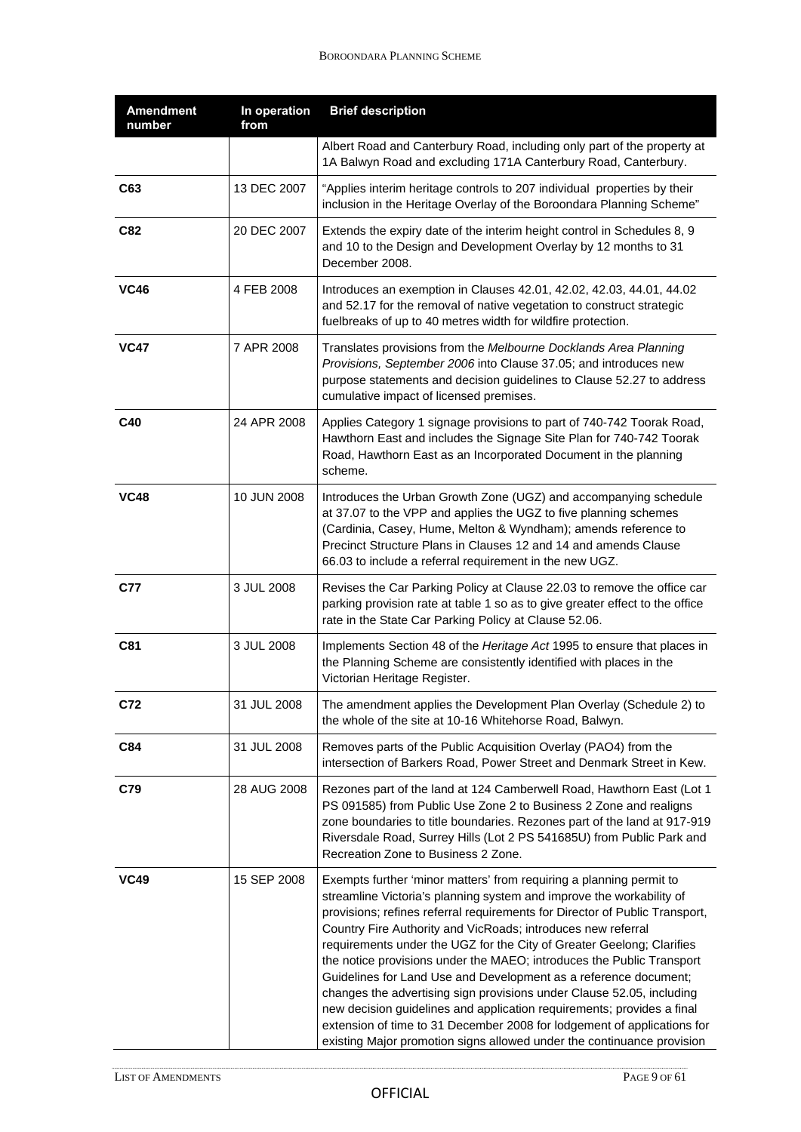| <b>Amendment</b><br>number | In operation<br>from | <b>Brief description</b>                                                                                                                                                                                                                                                                                                                                                                                                                                                                                                                                                                                                                                                                                                                                                                                                 |
|----------------------------|----------------------|--------------------------------------------------------------------------------------------------------------------------------------------------------------------------------------------------------------------------------------------------------------------------------------------------------------------------------------------------------------------------------------------------------------------------------------------------------------------------------------------------------------------------------------------------------------------------------------------------------------------------------------------------------------------------------------------------------------------------------------------------------------------------------------------------------------------------|
|                            |                      | Albert Road and Canterbury Road, including only part of the property at<br>1A Balwyn Road and excluding 171A Canterbury Road, Canterbury.                                                                                                                                                                                                                                                                                                                                                                                                                                                                                                                                                                                                                                                                                |
| C63                        | 13 DEC 2007          | "Applies interim heritage controls to 207 individual properties by their<br>inclusion in the Heritage Overlay of the Boroondara Planning Scheme"                                                                                                                                                                                                                                                                                                                                                                                                                                                                                                                                                                                                                                                                         |
| C82                        | 20 DEC 2007          | Extends the expiry date of the interim height control in Schedules 8, 9<br>and 10 to the Design and Development Overlay by 12 months to 31<br>December 2008.                                                                                                                                                                                                                                                                                                                                                                                                                                                                                                                                                                                                                                                             |
| <b>VC46</b>                | 4 FEB 2008           | Introduces an exemption in Clauses 42.01, 42.02, 42.03, 44.01, 44.02<br>and 52.17 for the removal of native vegetation to construct strategic<br>fuelbreaks of up to 40 metres width for wildfire protection.                                                                                                                                                                                                                                                                                                                                                                                                                                                                                                                                                                                                            |
| <b>VC47</b>                | 7 APR 2008           | Translates provisions from the Melbourne Docklands Area Planning<br>Provisions, September 2006 into Clause 37.05; and introduces new<br>purpose statements and decision guidelines to Clause 52.27 to address<br>cumulative impact of licensed premises.                                                                                                                                                                                                                                                                                                                                                                                                                                                                                                                                                                 |
| C40                        | 24 APR 2008          | Applies Category 1 signage provisions to part of 740-742 Toorak Road,<br>Hawthorn East and includes the Signage Site Plan for 740-742 Toorak<br>Road, Hawthorn East as an Incorporated Document in the planning<br>scheme.                                                                                                                                                                                                                                                                                                                                                                                                                                                                                                                                                                                               |
| <b>VC48</b>                | 10 JUN 2008          | Introduces the Urban Growth Zone (UGZ) and accompanying schedule<br>at 37.07 to the VPP and applies the UGZ to five planning schemes<br>(Cardinia, Casey, Hume, Melton & Wyndham); amends reference to<br>Precinct Structure Plans in Clauses 12 and 14 and amends Clause<br>66.03 to include a referral requirement in the new UGZ.                                                                                                                                                                                                                                                                                                                                                                                                                                                                                     |
| <b>C77</b>                 | 3 JUL 2008           | Revises the Car Parking Policy at Clause 22.03 to remove the office car<br>parking provision rate at table 1 so as to give greater effect to the office<br>rate in the State Car Parking Policy at Clause 52.06.                                                                                                                                                                                                                                                                                                                                                                                                                                                                                                                                                                                                         |
| C81                        | 3 JUL 2008           | Implements Section 48 of the Heritage Act 1995 to ensure that places in<br>the Planning Scheme are consistently identified with places in the<br>Victorian Heritage Register.                                                                                                                                                                                                                                                                                                                                                                                                                                                                                                                                                                                                                                            |
| C72                        | 31 JUL 2008          | The amendment applies the Development Plan Overlay (Schedule 2) to<br>the whole of the site at 10-16 Whitehorse Road, Balwyn.                                                                                                                                                                                                                                                                                                                                                                                                                                                                                                                                                                                                                                                                                            |
| C84                        | 31 JUL 2008          | Removes parts of the Public Acquisition Overlay (PAO4) from the<br>intersection of Barkers Road, Power Street and Denmark Street in Kew.                                                                                                                                                                                                                                                                                                                                                                                                                                                                                                                                                                                                                                                                                 |
| C79                        | 28 AUG 2008          | Rezones part of the land at 124 Camberwell Road, Hawthorn East (Lot 1<br>PS 091585) from Public Use Zone 2 to Business 2 Zone and realigns<br>zone boundaries to title boundaries. Rezones part of the land at 917-919<br>Riversdale Road, Surrey Hills (Lot 2 PS 541685U) from Public Park and<br>Recreation Zone to Business 2 Zone.                                                                                                                                                                                                                                                                                                                                                                                                                                                                                   |
| <b>VC49</b>                | 15 SEP 2008          | Exempts further 'minor matters' from requiring a planning permit to<br>streamline Victoria's planning system and improve the workability of<br>provisions; refines referral requirements for Director of Public Transport,<br>Country Fire Authority and VicRoads; introduces new referral<br>requirements under the UGZ for the City of Greater Geelong; Clarifies<br>the notice provisions under the MAEO; introduces the Public Transport<br>Guidelines for Land Use and Development as a reference document;<br>changes the advertising sign provisions under Clause 52.05, including<br>new decision guidelines and application requirements; provides a final<br>extension of time to 31 December 2008 for lodgement of applications for<br>existing Major promotion signs allowed under the continuance provision |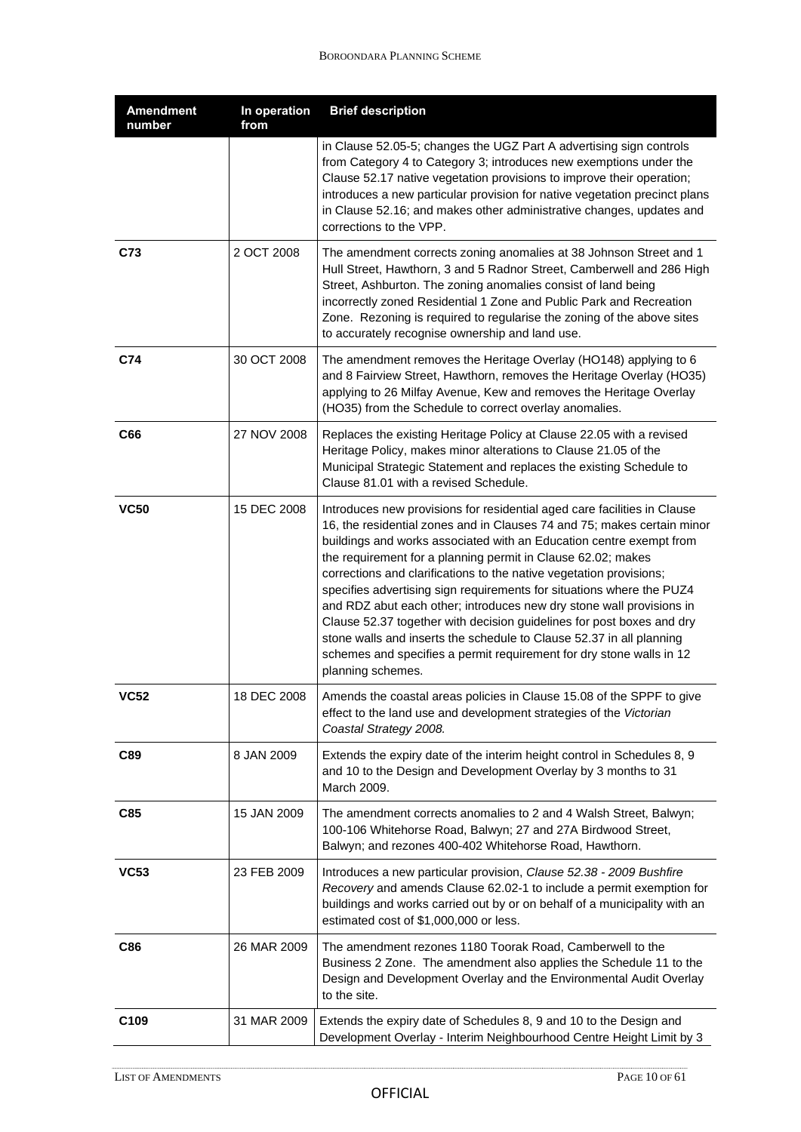| <b>Amendment</b><br>number | In operation<br>from | <b>Brief description</b>                                                                                                                                                                                                                                                                                                                                                                                                                                                                                                                                                                                                                                                                                                                                         |
|----------------------------|----------------------|------------------------------------------------------------------------------------------------------------------------------------------------------------------------------------------------------------------------------------------------------------------------------------------------------------------------------------------------------------------------------------------------------------------------------------------------------------------------------------------------------------------------------------------------------------------------------------------------------------------------------------------------------------------------------------------------------------------------------------------------------------------|
|                            |                      | in Clause 52.05-5; changes the UGZ Part A advertising sign controls<br>from Category 4 to Category 3; introduces new exemptions under the<br>Clause 52.17 native vegetation provisions to improve their operation;<br>introduces a new particular provision for native vegetation precinct plans<br>in Clause 52.16; and makes other administrative changes, updates and<br>corrections to the VPP.                                                                                                                                                                                                                                                                                                                                                              |
| C73                        | 2 OCT 2008           | The amendment corrects zoning anomalies at 38 Johnson Street and 1<br>Hull Street, Hawthorn, 3 and 5 Radnor Street, Camberwell and 286 High<br>Street, Ashburton. The zoning anomalies consist of land being<br>incorrectly zoned Residential 1 Zone and Public Park and Recreation<br>Zone. Rezoning is required to regularise the zoning of the above sites<br>to accurately recognise ownership and land use.                                                                                                                                                                                                                                                                                                                                                 |
| C74                        | 30 OCT 2008          | The amendment removes the Heritage Overlay (HO148) applying to 6<br>and 8 Fairview Street, Hawthorn, removes the Heritage Overlay (HO35)<br>applying to 26 Milfay Avenue, Kew and removes the Heritage Overlay<br>(HO35) from the Schedule to correct overlay anomalies.                                                                                                                                                                                                                                                                                                                                                                                                                                                                                         |
| C66                        | 27 NOV 2008          | Replaces the existing Heritage Policy at Clause 22.05 with a revised<br>Heritage Policy, makes minor alterations to Clause 21.05 of the<br>Municipal Strategic Statement and replaces the existing Schedule to<br>Clause 81.01 with a revised Schedule.                                                                                                                                                                                                                                                                                                                                                                                                                                                                                                          |
| <b>VC50</b>                | 15 DEC 2008          | Introduces new provisions for residential aged care facilities in Clause<br>16, the residential zones and in Clauses 74 and 75; makes certain minor<br>buildings and works associated with an Education centre exempt from<br>the requirement for a planning permit in Clause 62.02; makes<br>corrections and clarifications to the native vegetation provisions;<br>specifies advertising sign requirements for situations where the PUZ4<br>and RDZ abut each other; introduces new dry stone wall provisions in<br>Clause 52.37 together with decision guidelines for post boxes and dry<br>stone walls and inserts the schedule to Clause 52.37 in all planning<br>schemes and specifies a permit requirement for dry stone walls in 12<br>planning schemes. |
| VC52                       | 18 DEC 2008          | Amends the coastal areas policies in Clause 15.08 of the SPPF to give<br>effect to the land use and development strategies of the Victorian<br>Coastal Strategy 2008.                                                                                                                                                                                                                                                                                                                                                                                                                                                                                                                                                                                            |
| C89                        | 8 JAN 2009           | Extends the expiry date of the interim height control in Schedules 8, 9<br>and 10 to the Design and Development Overlay by 3 months to 31<br>March 2009.                                                                                                                                                                                                                                                                                                                                                                                                                                                                                                                                                                                                         |
| C85                        | 15 JAN 2009          | The amendment corrects anomalies to 2 and 4 Walsh Street, Balwyn;<br>100-106 Whitehorse Road, Balwyn; 27 and 27A Birdwood Street,<br>Balwyn; and rezones 400-402 Whitehorse Road, Hawthorn.                                                                                                                                                                                                                                                                                                                                                                                                                                                                                                                                                                      |
| <b>VC53</b>                | 23 FEB 2009          | Introduces a new particular provision, Clause 52.38 - 2009 Bushfire<br>Recovery and amends Clause 62.02-1 to include a permit exemption for<br>buildings and works carried out by or on behalf of a municipality with an<br>estimated cost of \$1,000,000 or less.                                                                                                                                                                                                                                                                                                                                                                                                                                                                                               |
| C86                        | 26 MAR 2009          | The amendment rezones 1180 Toorak Road, Camberwell to the<br>Business 2 Zone. The amendment also applies the Schedule 11 to the<br>Design and Development Overlay and the Environmental Audit Overlay<br>to the site.                                                                                                                                                                                                                                                                                                                                                                                                                                                                                                                                            |
| C <sub>109</sub>           | 31 MAR 2009          | Extends the expiry date of Schedules 8, 9 and 10 to the Design and<br>Development Overlay - Interim Neighbourhood Centre Height Limit by 3                                                                                                                                                                                                                                                                                                                                                                                                                                                                                                                                                                                                                       |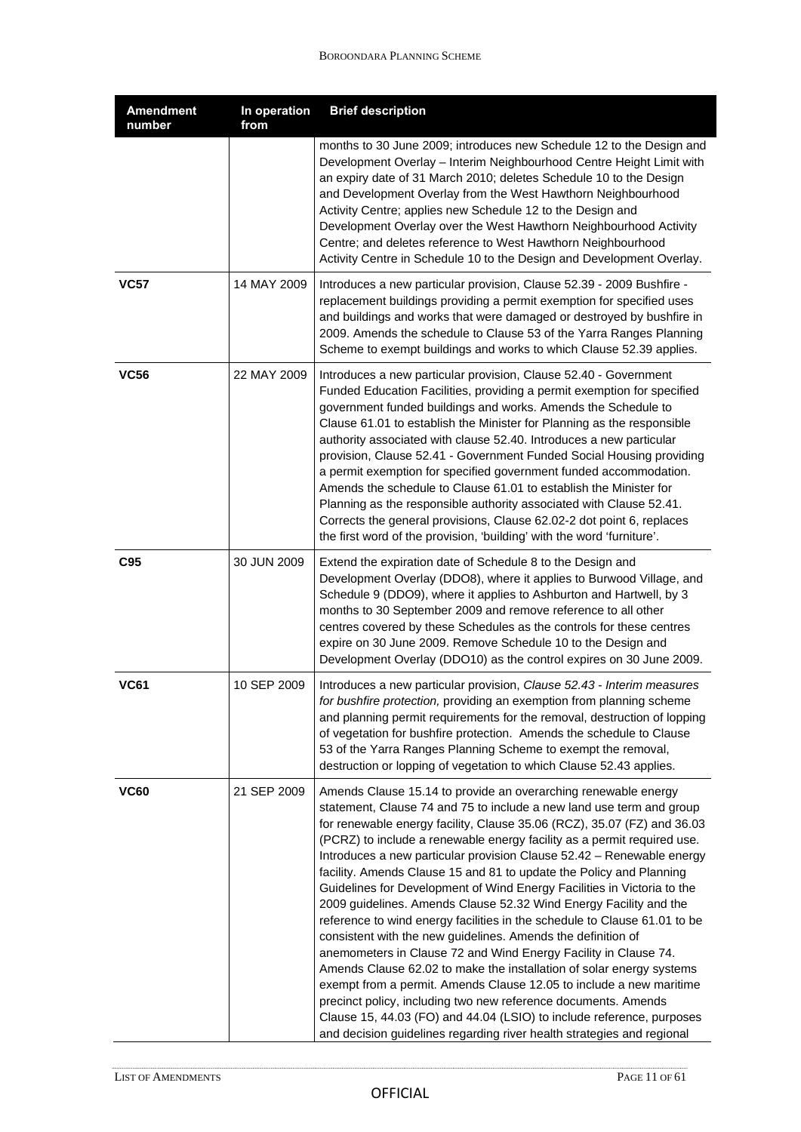| <b>Amendment</b><br>number | In operation<br>from | <b>Brief description</b>                                                                                                                                                                                                                                                                                                                                                                                                                                                                                                                                                                                                                                                                                                                                                                                                                                                                                                                                                                                                                                                                                                                                                         |
|----------------------------|----------------------|----------------------------------------------------------------------------------------------------------------------------------------------------------------------------------------------------------------------------------------------------------------------------------------------------------------------------------------------------------------------------------------------------------------------------------------------------------------------------------------------------------------------------------------------------------------------------------------------------------------------------------------------------------------------------------------------------------------------------------------------------------------------------------------------------------------------------------------------------------------------------------------------------------------------------------------------------------------------------------------------------------------------------------------------------------------------------------------------------------------------------------------------------------------------------------|
|                            |                      | months to 30 June 2009; introduces new Schedule 12 to the Design and<br>Development Overlay - Interim Neighbourhood Centre Height Limit with<br>an expiry date of 31 March 2010; deletes Schedule 10 to the Design<br>and Development Overlay from the West Hawthorn Neighbourhood<br>Activity Centre; applies new Schedule 12 to the Design and<br>Development Overlay over the West Hawthorn Neighbourhood Activity<br>Centre; and deletes reference to West Hawthorn Neighbourhood<br>Activity Centre in Schedule 10 to the Design and Development Overlay.                                                                                                                                                                                                                                                                                                                                                                                                                                                                                                                                                                                                                   |
| <b>VC57</b>                | 14 MAY 2009          | Introduces a new particular provision, Clause 52.39 - 2009 Bushfire -<br>replacement buildings providing a permit exemption for specified uses<br>and buildings and works that were damaged or destroyed by bushfire in<br>2009. Amends the schedule to Clause 53 of the Yarra Ranges Planning<br>Scheme to exempt buildings and works to which Clause 52.39 applies.                                                                                                                                                                                                                                                                                                                                                                                                                                                                                                                                                                                                                                                                                                                                                                                                            |
| <b>VC56</b>                | 22 MAY 2009          | Introduces a new particular provision, Clause 52.40 - Government<br>Funded Education Facilities, providing a permit exemption for specified<br>government funded buildings and works. Amends the Schedule to<br>Clause 61.01 to establish the Minister for Planning as the responsible<br>authority associated with clause 52.40. Introduces a new particular<br>provision, Clause 52.41 - Government Funded Social Housing providing<br>a permit exemption for specified government funded accommodation.<br>Amends the schedule to Clause 61.01 to establish the Minister for<br>Planning as the responsible authority associated with Clause 52.41.<br>Corrects the general provisions, Clause 62.02-2 dot point 6, replaces<br>the first word of the provision, 'building' with the word 'furniture'.                                                                                                                                                                                                                                                                                                                                                                        |
| C <sub>95</sub>            | 30 JUN 2009          | Extend the expiration date of Schedule 8 to the Design and<br>Development Overlay (DDO8), where it applies to Burwood Village, and<br>Schedule 9 (DDO9), where it applies to Ashburton and Hartwell, by 3<br>months to 30 September 2009 and remove reference to all other<br>centres covered by these Schedules as the controls for these centres<br>expire on 30 June 2009. Remove Schedule 10 to the Design and<br>Development Overlay (DDO10) as the control expires on 30 June 2009.                                                                                                                                                                                                                                                                                                                                                                                                                                                                                                                                                                                                                                                                                        |
| <b>VC61</b>                | 10 SEP 2009          | Introduces a new particular provision, Clause 52.43 - Interim measures<br>for bushfire protection, providing an exemption from planning scheme<br>and planning permit requirements for the removal, destruction of lopping<br>of vegetation for bushfire protection. Amends the schedule to Clause<br>53 of the Yarra Ranges Planning Scheme to exempt the removal,<br>destruction or lopping of vegetation to which Clause 52.43 applies.                                                                                                                                                                                                                                                                                                                                                                                                                                                                                                                                                                                                                                                                                                                                       |
| <b>VC60</b>                | 21 SEP 2009          | Amends Clause 15.14 to provide an overarching renewable energy<br>statement, Clause 74 and 75 to include a new land use term and group<br>for renewable energy facility, Clause 35.06 (RCZ), 35.07 (FZ) and 36.03<br>(PCRZ) to include a renewable energy facility as a permit required use.<br>Introduces a new particular provision Clause 52.42 - Renewable energy<br>facility. Amends Clause 15 and 81 to update the Policy and Planning<br>Guidelines for Development of Wind Energy Facilities in Victoria to the<br>2009 guidelines. Amends Clause 52.32 Wind Energy Facility and the<br>reference to wind energy facilities in the schedule to Clause 61.01 to be<br>consistent with the new guidelines. Amends the definition of<br>anemometers in Clause 72 and Wind Energy Facility in Clause 74.<br>Amends Clause 62.02 to make the installation of solar energy systems<br>exempt from a permit. Amends Clause 12.05 to include a new maritime<br>precinct policy, including two new reference documents. Amends<br>Clause 15, 44.03 (FO) and 44.04 (LSIO) to include reference, purposes<br>and decision guidelines regarding river health strategies and regional |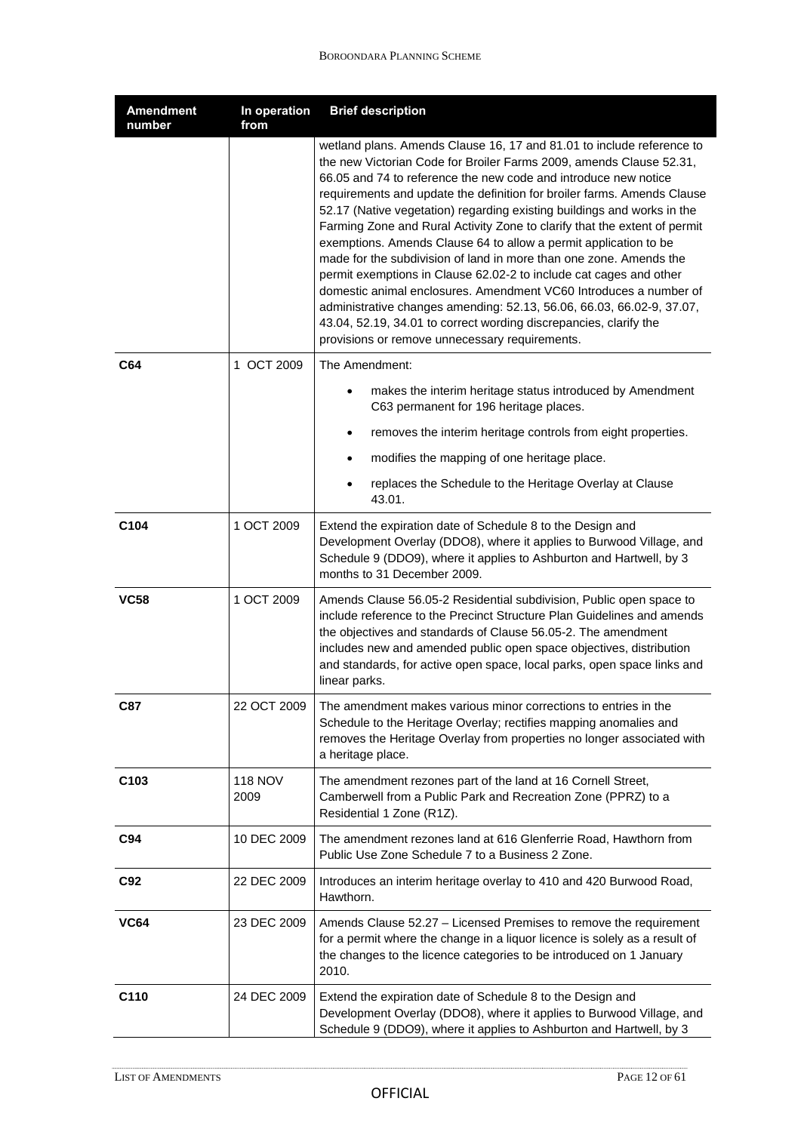| <b>Amendment</b><br>number | In operation<br>from   | <b>Brief description</b>                                                                                                                                                                                                                                                                                                                                                                                                                                                                                                                                                                                                                                                                                                                                                                                                                                                                                                                |
|----------------------------|------------------------|-----------------------------------------------------------------------------------------------------------------------------------------------------------------------------------------------------------------------------------------------------------------------------------------------------------------------------------------------------------------------------------------------------------------------------------------------------------------------------------------------------------------------------------------------------------------------------------------------------------------------------------------------------------------------------------------------------------------------------------------------------------------------------------------------------------------------------------------------------------------------------------------------------------------------------------------|
|                            |                        | wetland plans. Amends Clause 16, 17 and 81.01 to include reference to<br>the new Victorian Code for Broiler Farms 2009, amends Clause 52.31,<br>66.05 and 74 to reference the new code and introduce new notice<br>requirements and update the definition for broiler farms. Amends Clause<br>52.17 (Native vegetation) regarding existing buildings and works in the<br>Farming Zone and Rural Activity Zone to clarify that the extent of permit<br>exemptions. Amends Clause 64 to allow a permit application to be<br>made for the subdivision of land in more than one zone. Amends the<br>permit exemptions in Clause 62.02-2 to include cat cages and other<br>domestic animal enclosures. Amendment VC60 Introduces a number of<br>administrative changes amending: 52.13, 56.06, 66.03, 66.02-9, 37.07,<br>43.04, 52.19, 34.01 to correct wording discrepancies, clarify the<br>provisions or remove unnecessary requirements. |
| C64                        | 1 OCT 2009             | The Amendment:                                                                                                                                                                                                                                                                                                                                                                                                                                                                                                                                                                                                                                                                                                                                                                                                                                                                                                                          |
|                            |                        | makes the interim heritage status introduced by Amendment<br>C63 permanent for 196 heritage places.                                                                                                                                                                                                                                                                                                                                                                                                                                                                                                                                                                                                                                                                                                                                                                                                                                     |
|                            |                        | removes the interim heritage controls from eight properties.<br>$\bullet$                                                                                                                                                                                                                                                                                                                                                                                                                                                                                                                                                                                                                                                                                                                                                                                                                                                               |
|                            |                        | modifies the mapping of one heritage place.                                                                                                                                                                                                                                                                                                                                                                                                                                                                                                                                                                                                                                                                                                                                                                                                                                                                                             |
|                            |                        | replaces the Schedule to the Heritage Overlay at Clause<br>43.01.                                                                                                                                                                                                                                                                                                                                                                                                                                                                                                                                                                                                                                                                                                                                                                                                                                                                       |
| C <sub>104</sub>           | 1 OCT 2009             | Extend the expiration date of Schedule 8 to the Design and<br>Development Overlay (DDO8), where it applies to Burwood Village, and<br>Schedule 9 (DDO9), where it applies to Ashburton and Hartwell, by 3<br>months to 31 December 2009.                                                                                                                                                                                                                                                                                                                                                                                                                                                                                                                                                                                                                                                                                                |
| <b>VC58</b>                | 1 OCT 2009             | Amends Clause 56.05-2 Residential subdivision, Public open space to<br>include reference to the Precinct Structure Plan Guidelines and amends<br>the objectives and standards of Clause 56.05-2. The amendment<br>includes new and amended public open space objectives, distribution<br>and standards, for active open space, local parks, open space links and<br>linear parks.                                                                                                                                                                                                                                                                                                                                                                                                                                                                                                                                                       |
| C87                        | 22 OCT 2009            | The amendment makes various minor corrections to entries in the<br>Schedule to the Heritage Overlay; rectifies mapping anomalies and<br>removes the Heritage Overlay from properties no longer associated with<br>a heritage place.                                                                                                                                                                                                                                                                                                                                                                                                                                                                                                                                                                                                                                                                                                     |
| C <sub>103</sub>           | <b>118 NOV</b><br>2009 | The amendment rezones part of the land at 16 Cornell Street,<br>Camberwell from a Public Park and Recreation Zone (PPRZ) to a<br>Residential 1 Zone (R1Z).                                                                                                                                                                                                                                                                                                                                                                                                                                                                                                                                                                                                                                                                                                                                                                              |
| C94                        | 10 DEC 2009            | The amendment rezones land at 616 Glenferrie Road, Hawthorn from<br>Public Use Zone Schedule 7 to a Business 2 Zone.                                                                                                                                                                                                                                                                                                                                                                                                                                                                                                                                                                                                                                                                                                                                                                                                                    |
| C92                        | 22 DEC 2009            | Introduces an interim heritage overlay to 410 and 420 Burwood Road,<br>Hawthorn.                                                                                                                                                                                                                                                                                                                                                                                                                                                                                                                                                                                                                                                                                                                                                                                                                                                        |
| <b>VC64</b>                | 23 DEC 2009            | Amends Clause 52.27 - Licensed Premises to remove the requirement<br>for a permit where the change in a liquor licence is solely as a result of<br>the changes to the licence categories to be introduced on 1 January<br>2010.                                                                                                                                                                                                                                                                                                                                                                                                                                                                                                                                                                                                                                                                                                         |
| C110                       | 24 DEC 2009            | Extend the expiration date of Schedule 8 to the Design and<br>Development Overlay (DDO8), where it applies to Burwood Village, and<br>Schedule 9 (DDO9), where it applies to Ashburton and Hartwell, by 3                                                                                                                                                                                                                                                                                                                                                                                                                                                                                                                                                                                                                                                                                                                               |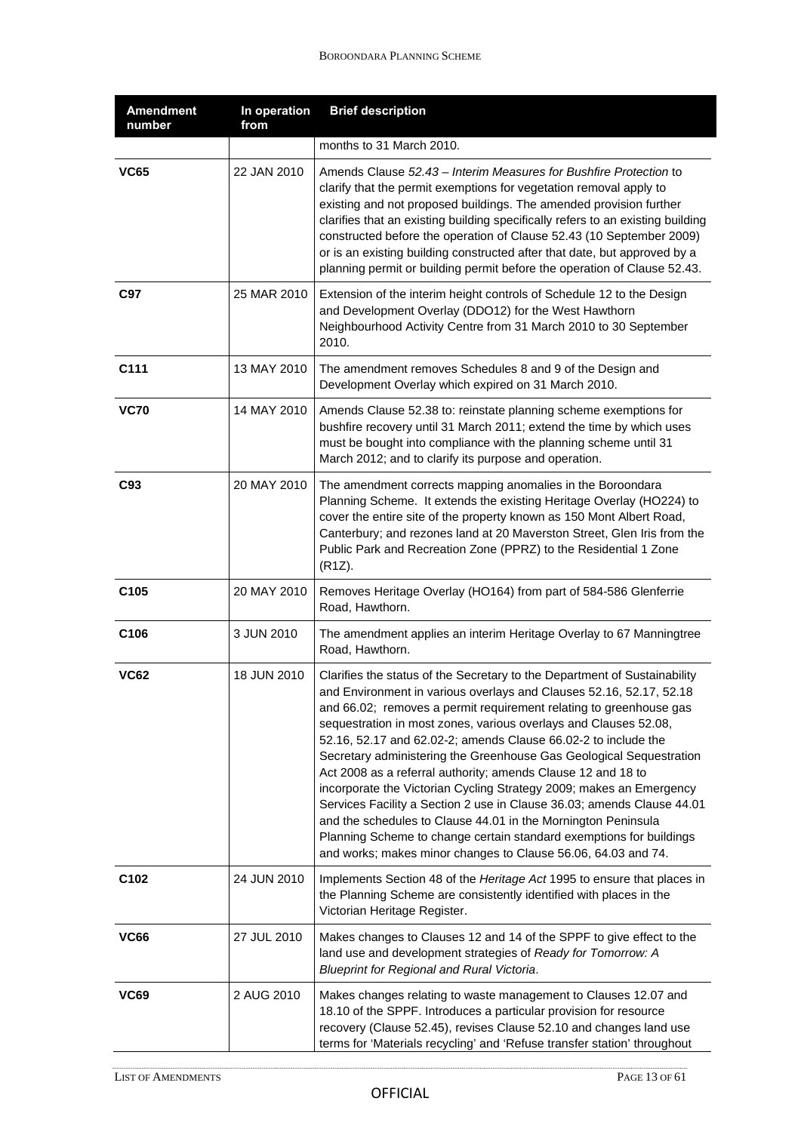| <b>Amendment</b><br>number | In operation<br>from | <b>Brief description</b>                                                                                                                                                                                                                                                                                                                                                                                                                                                                                                                                                                                                                                                                                                                                                                                                                                      |
|----------------------------|----------------------|---------------------------------------------------------------------------------------------------------------------------------------------------------------------------------------------------------------------------------------------------------------------------------------------------------------------------------------------------------------------------------------------------------------------------------------------------------------------------------------------------------------------------------------------------------------------------------------------------------------------------------------------------------------------------------------------------------------------------------------------------------------------------------------------------------------------------------------------------------------|
|                            |                      | months to 31 March 2010.                                                                                                                                                                                                                                                                                                                                                                                                                                                                                                                                                                                                                                                                                                                                                                                                                                      |
| <b>VC65</b>                | 22 JAN 2010          | Amends Clause 52.43 – Interim Measures for Bushfire Protection to<br>clarify that the permit exemptions for vegetation removal apply to<br>existing and not proposed buildings. The amended provision further<br>clarifies that an existing building specifically refers to an existing building<br>constructed before the operation of Clause 52.43 (10 September 2009)<br>or is an existing building constructed after that date, but approved by a<br>planning permit or building permit before the operation of Clause 52.43.                                                                                                                                                                                                                                                                                                                             |
| C97                        | 25 MAR 2010          | Extension of the interim height controls of Schedule 12 to the Design<br>and Development Overlay (DDO12) for the West Hawthorn<br>Neighbourhood Activity Centre from 31 March 2010 to 30 September<br>2010.                                                                                                                                                                                                                                                                                                                                                                                                                                                                                                                                                                                                                                                   |
| C111                       | 13 MAY 2010          | The amendment removes Schedules 8 and 9 of the Design and<br>Development Overlay which expired on 31 March 2010.                                                                                                                                                                                                                                                                                                                                                                                                                                                                                                                                                                                                                                                                                                                                              |
| <b>VC70</b>                | 14 MAY 2010          | Amends Clause 52.38 to: reinstate planning scheme exemptions for<br>bushfire recovery until 31 March 2011; extend the time by which uses<br>must be bought into compliance with the planning scheme until 31<br>March 2012; and to clarify its purpose and operation.                                                                                                                                                                                                                                                                                                                                                                                                                                                                                                                                                                                         |
| C93                        | 20 MAY 2010          | The amendment corrects mapping anomalies in the Boroondara<br>Planning Scheme. It extends the existing Heritage Overlay (HO224) to<br>cover the entire site of the property known as 150 Mont Albert Road,<br>Canterbury; and rezones land at 20 Maverston Street, Glen Iris from the<br>Public Park and Recreation Zone (PPRZ) to the Residential 1 Zone<br>(R1Z).                                                                                                                                                                                                                                                                                                                                                                                                                                                                                           |
| C <sub>105</sub>           | 20 MAY 2010          | Removes Heritage Overlay (HO164) from part of 584-586 Glenferrie<br>Road, Hawthorn.                                                                                                                                                                                                                                                                                                                                                                                                                                                                                                                                                                                                                                                                                                                                                                           |
| C106                       | 3 JUN 2010           | The amendment applies an interim Heritage Overlay to 67 Manningtree<br>Road, Hawthorn.                                                                                                                                                                                                                                                                                                                                                                                                                                                                                                                                                                                                                                                                                                                                                                        |
| <b>VC62</b>                | 18 JUN 2010          | Clarifies the status of the Secretary to the Department of Sustainability<br>and Environment in various overlays and Clauses 52.16, 52.17, 52.18<br>and 66.02; removes a permit requirement relating to greenhouse gas<br>sequestration in most zones, various overlays and Clauses 52.08,<br>52.16, 52.17 and 62.02-2; amends Clause 66.02-2 to include the<br>Secretary administering the Greenhouse Gas Geological Sequestration<br>Act 2008 as a referral authority; amends Clause 12 and 18 to<br>incorporate the Victorian Cycling Strategy 2009; makes an Emergency<br>Services Facility a Section 2 use in Clause 36.03; amends Clause 44.01<br>and the schedules to Clause 44.01 in the Mornington Peninsula<br>Planning Scheme to change certain standard exemptions for buildings<br>and works; makes minor changes to Clause 56.06, 64.03 and 74. |
| C <sub>102</sub>           | 24 JUN 2010          | Implements Section 48 of the Heritage Act 1995 to ensure that places in<br>the Planning Scheme are consistently identified with places in the<br>Victorian Heritage Register.                                                                                                                                                                                                                                                                                                                                                                                                                                                                                                                                                                                                                                                                                 |
| <b>VC66</b>                | 27 JUL 2010          | Makes changes to Clauses 12 and 14 of the SPPF to give effect to the<br>land use and development strategies of Ready for Tomorrow: A<br>Blueprint for Regional and Rural Victoria.                                                                                                                                                                                                                                                                                                                                                                                                                                                                                                                                                                                                                                                                            |
| <b>VC69</b>                | 2 AUG 2010           | Makes changes relating to waste management to Clauses 12.07 and<br>18.10 of the SPPF. Introduces a particular provision for resource<br>recovery (Clause 52.45), revises Clause 52.10 and changes land use<br>terms for 'Materials recycling' and 'Refuse transfer station' throughout                                                                                                                                                                                                                                                                                                                                                                                                                                                                                                                                                                        |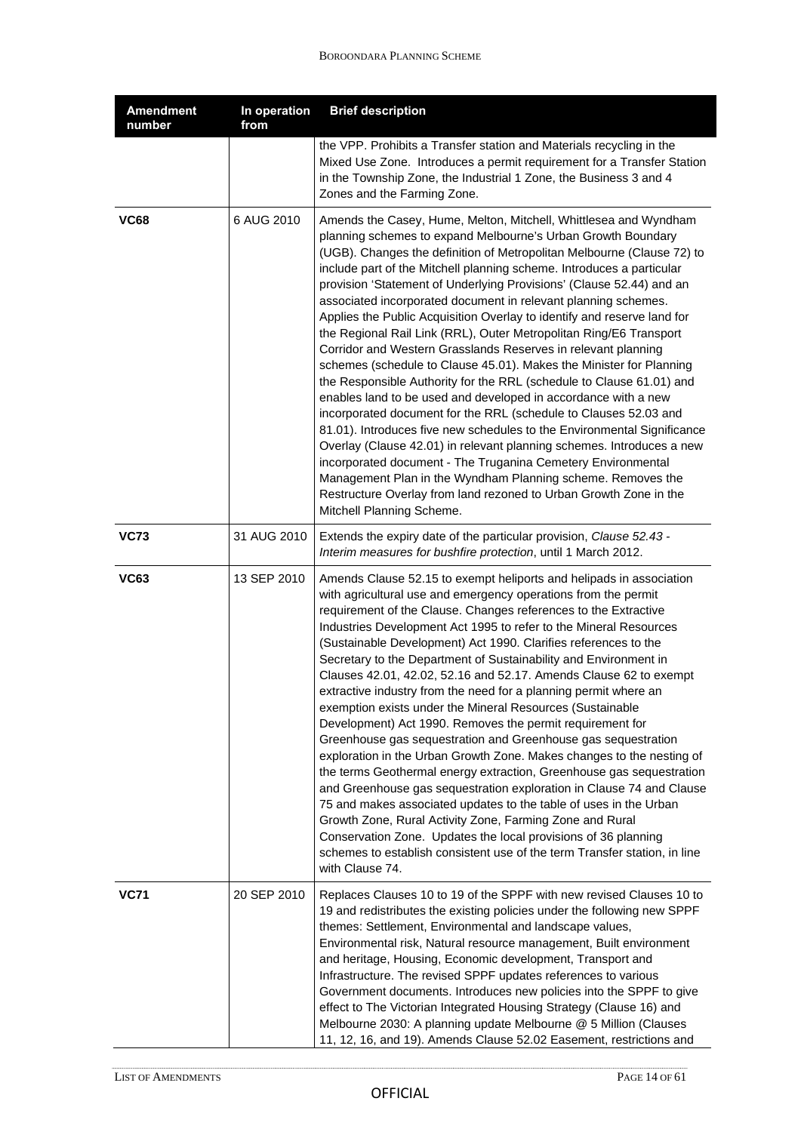| <b>Amendment</b><br>number | In operation<br>from | <b>Brief description</b>                                                                                                                                                                                                                                                                                                                                                                                                                                                                                                                                                                                                                                                                                                                                                                                                                                                                                                                                                                                                                                                                                                                                                                                                                                                                                                  |
|----------------------------|----------------------|---------------------------------------------------------------------------------------------------------------------------------------------------------------------------------------------------------------------------------------------------------------------------------------------------------------------------------------------------------------------------------------------------------------------------------------------------------------------------------------------------------------------------------------------------------------------------------------------------------------------------------------------------------------------------------------------------------------------------------------------------------------------------------------------------------------------------------------------------------------------------------------------------------------------------------------------------------------------------------------------------------------------------------------------------------------------------------------------------------------------------------------------------------------------------------------------------------------------------------------------------------------------------------------------------------------------------|
|                            |                      | the VPP. Prohibits a Transfer station and Materials recycling in the<br>Mixed Use Zone. Introduces a permit requirement for a Transfer Station<br>in the Township Zone, the Industrial 1 Zone, the Business 3 and 4<br>Zones and the Farming Zone.                                                                                                                                                                                                                                                                                                                                                                                                                                                                                                                                                                                                                                                                                                                                                                                                                                                                                                                                                                                                                                                                        |
| <b>VC68</b>                | 6 AUG 2010           | Amends the Casey, Hume, Melton, Mitchell, Whittlesea and Wyndham<br>planning schemes to expand Melbourne's Urban Growth Boundary<br>(UGB). Changes the definition of Metropolitan Melbourne (Clause 72) to<br>include part of the Mitchell planning scheme. Introduces a particular<br>provision 'Statement of Underlying Provisions' (Clause 52.44) and an<br>associated incorporated document in relevant planning schemes.<br>Applies the Public Acquisition Overlay to identify and reserve land for<br>the Regional Rail Link (RRL), Outer Metropolitan Ring/E6 Transport<br>Corridor and Western Grasslands Reserves in relevant planning<br>schemes (schedule to Clause 45.01). Makes the Minister for Planning<br>the Responsible Authority for the RRL (schedule to Clause 61.01) and<br>enables land to be used and developed in accordance with a new<br>incorporated document for the RRL (schedule to Clauses 52.03 and<br>81.01). Introduces five new schedules to the Environmental Significance<br>Overlay (Clause 42.01) in relevant planning schemes. Introduces a new<br>incorporated document - The Truganina Cemetery Environmental<br>Management Plan in the Wyndham Planning scheme. Removes the<br>Restructure Overlay from land rezoned to Urban Growth Zone in the<br>Mitchell Planning Scheme. |
| <b>VC73</b>                | 31 AUG 2010          | Extends the expiry date of the particular provision, Clause 52.43 -<br>Interim measures for bushfire protection, until 1 March 2012.                                                                                                                                                                                                                                                                                                                                                                                                                                                                                                                                                                                                                                                                                                                                                                                                                                                                                                                                                                                                                                                                                                                                                                                      |
| <b>VC63</b>                | 13 SEP 2010          | Amends Clause 52.15 to exempt heliports and helipads in association<br>with agricultural use and emergency operations from the permit<br>requirement of the Clause. Changes references to the Extractive<br>Industries Development Act 1995 to refer to the Mineral Resources<br>(Sustainable Development) Act 1990. Clarifies references to the<br>Secretary to the Department of Sustainability and Environment in<br>Clauses 42.01, 42.02, 52.16 and 52.17. Amends Clause 62 to exempt<br>extractive industry from the need for a planning permit where an<br>exemption exists under the Mineral Resources (Sustainable<br>Development) Act 1990. Removes the permit requirement for<br>Greenhouse gas sequestration and Greenhouse gas sequestration<br>exploration in the Urban Growth Zone. Makes changes to the nesting of<br>the terms Geothermal energy extraction, Greenhouse gas sequestration<br>and Greenhouse gas sequestration exploration in Clause 74 and Clause<br>75 and makes associated updates to the table of uses in the Urban<br>Growth Zone, Rural Activity Zone, Farming Zone and Rural<br>Conservation Zone. Updates the local provisions of 36 planning<br>schemes to establish consistent use of the term Transfer station, in line<br>with Clause 74.                                      |
| <b>VC71</b>                | 20 SEP 2010          | Replaces Clauses 10 to 19 of the SPPF with new revised Clauses 10 to<br>19 and redistributes the existing policies under the following new SPPF<br>themes: Settlement, Environmental and landscape values,<br>Environmental risk, Natural resource management, Built environment<br>and heritage, Housing, Economic development, Transport and<br>Infrastructure. The revised SPPF updates references to various<br>Government documents. Introduces new policies into the SPPF to give<br>effect to The Victorian Integrated Housing Strategy (Clause 16) and<br>Melbourne 2030: A planning update Melbourne @ 5 Million (Clauses<br>11, 12, 16, and 19). Amends Clause 52.02 Easement, restrictions and                                                                                                                                                                                                                                                                                                                                                                                                                                                                                                                                                                                                                 |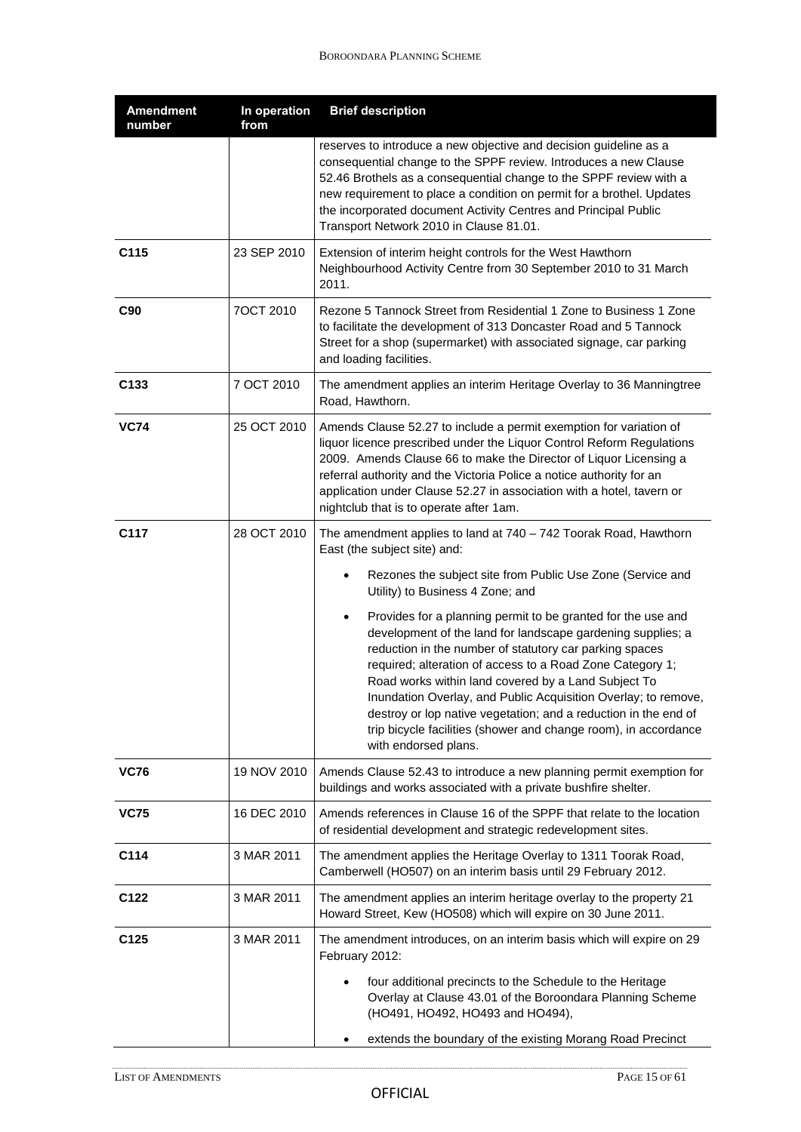| <b>Amendment</b><br>number | In operation<br>from | <b>Brief description</b>                                                                                                                                                                                                                                                                                                                                                                                                                                                                                                                                |
|----------------------------|----------------------|---------------------------------------------------------------------------------------------------------------------------------------------------------------------------------------------------------------------------------------------------------------------------------------------------------------------------------------------------------------------------------------------------------------------------------------------------------------------------------------------------------------------------------------------------------|
|                            |                      | reserves to introduce a new objective and decision guideline as a<br>consequential change to the SPPF review. Introduces a new Clause<br>52.46 Brothels as a consequential change to the SPPF review with a<br>new requirement to place a condition on permit for a brothel. Updates<br>the incorporated document Activity Centres and Principal Public<br>Transport Network 2010 in Clause 81.01.                                                                                                                                                      |
| C115                       | 23 SEP 2010          | Extension of interim height controls for the West Hawthorn<br>Neighbourhood Activity Centre from 30 September 2010 to 31 March<br>2011.                                                                                                                                                                                                                                                                                                                                                                                                                 |
| C90                        | 7OCT 2010            | Rezone 5 Tannock Street from Residential 1 Zone to Business 1 Zone<br>to facilitate the development of 313 Doncaster Road and 5 Tannock<br>Street for a shop (supermarket) with associated signage, car parking<br>and loading facilities.                                                                                                                                                                                                                                                                                                              |
| C133                       | 7 OCT 2010           | The amendment applies an interim Heritage Overlay to 36 Manningtree<br>Road, Hawthorn.                                                                                                                                                                                                                                                                                                                                                                                                                                                                  |
| <b>VC74</b>                | 25 OCT 2010          | Amends Clause 52.27 to include a permit exemption for variation of<br>liquor licence prescribed under the Liquor Control Reform Regulations<br>2009. Amends Clause 66 to make the Director of Liquor Licensing a<br>referral authority and the Victoria Police a notice authority for an<br>application under Clause 52.27 in association with a hotel, tavern or<br>nightclub that is to operate after 1am.                                                                                                                                            |
| C117                       | 28 OCT 2010          | The amendment applies to land at 740 - 742 Toorak Road, Hawthorn<br>East (the subject site) and:                                                                                                                                                                                                                                                                                                                                                                                                                                                        |
|                            |                      | Rezones the subject site from Public Use Zone (Service and<br>Utility) to Business 4 Zone; and                                                                                                                                                                                                                                                                                                                                                                                                                                                          |
|                            |                      | Provides for a planning permit to be granted for the use and<br>$\bullet$<br>development of the land for landscape gardening supplies; a<br>reduction in the number of statutory car parking spaces<br>required; alteration of access to a Road Zone Category 1;<br>Road works within land covered by a Land Subject To<br>Inundation Overlay, and Public Acquisition Overlay; to remove,<br>destroy or lop native vegetation; and a reduction in the end of<br>trip bicycle facilities (shower and change room), in accordance<br>with endorsed plans. |
| <b>VC76</b>                | 19 NOV 2010          | Amends Clause 52.43 to introduce a new planning permit exemption for<br>buildings and works associated with a private bushfire shelter.                                                                                                                                                                                                                                                                                                                                                                                                                 |
| <b>VC75</b>                | 16 DEC 2010          | Amends references in Clause 16 of the SPPF that relate to the location<br>of residential development and strategic redevelopment sites.                                                                                                                                                                                                                                                                                                                                                                                                                 |
| C114                       | 3 MAR 2011           | The amendment applies the Heritage Overlay to 1311 Toorak Road,<br>Camberwell (HO507) on an interim basis until 29 February 2012.                                                                                                                                                                                                                                                                                                                                                                                                                       |
| C122                       | 3 MAR 2011           | The amendment applies an interim heritage overlay to the property 21<br>Howard Street, Kew (HO508) which will expire on 30 June 2011.                                                                                                                                                                                                                                                                                                                                                                                                                   |
| C <sub>125</sub>           | 3 MAR 2011           | The amendment introduces, on an interim basis which will expire on 29<br>February 2012:                                                                                                                                                                                                                                                                                                                                                                                                                                                                 |
|                            |                      | four additional precincts to the Schedule to the Heritage<br>Overlay at Clause 43.01 of the Boroondara Planning Scheme<br>(HO491, HO492, HO493 and HO494),                                                                                                                                                                                                                                                                                                                                                                                              |
|                            |                      | extends the boundary of the existing Morang Road Precinct                                                                                                                                                                                                                                                                                                                                                                                                                                                                                               |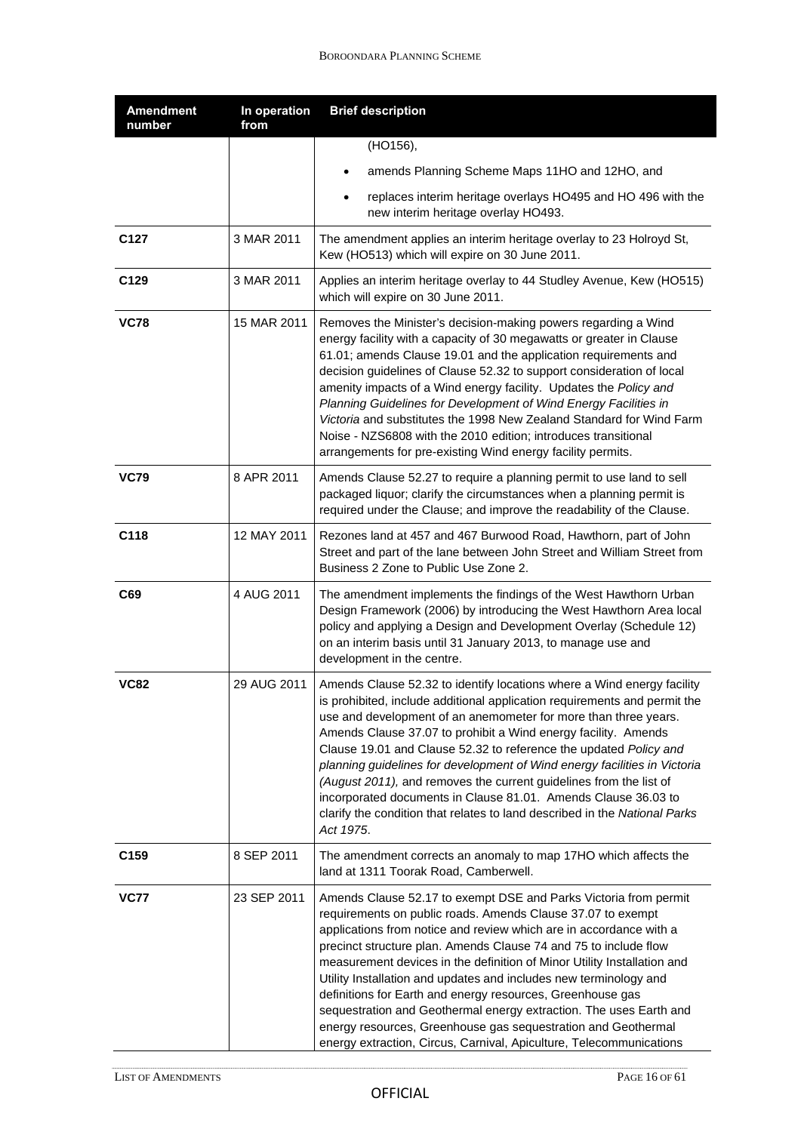| <b>Amendment</b><br>number | In operation<br>from | <b>Brief description</b>                                                                                                                                                                                                                                                                                                                                                                                                                                                                                                                                                                                                                                                                              |
|----------------------------|----------------------|-------------------------------------------------------------------------------------------------------------------------------------------------------------------------------------------------------------------------------------------------------------------------------------------------------------------------------------------------------------------------------------------------------------------------------------------------------------------------------------------------------------------------------------------------------------------------------------------------------------------------------------------------------------------------------------------------------|
|                            |                      | (HO156),                                                                                                                                                                                                                                                                                                                                                                                                                                                                                                                                                                                                                                                                                              |
|                            |                      | amends Planning Scheme Maps 11HO and 12HO, and                                                                                                                                                                                                                                                                                                                                                                                                                                                                                                                                                                                                                                                        |
|                            |                      | replaces interim heritage overlays HO495 and HO 496 with the<br>new interim heritage overlay HO493.                                                                                                                                                                                                                                                                                                                                                                                                                                                                                                                                                                                                   |
| C <sub>127</sub>           | 3 MAR 2011           | The amendment applies an interim heritage overlay to 23 Holroyd St,<br>Kew (HO513) which will expire on 30 June 2011.                                                                                                                                                                                                                                                                                                                                                                                                                                                                                                                                                                                 |
| C129                       | 3 MAR 2011           | Applies an interim heritage overlay to 44 Studley Avenue, Kew (HO515)<br>which will expire on 30 June 2011.                                                                                                                                                                                                                                                                                                                                                                                                                                                                                                                                                                                           |
| <b>VC78</b>                | 15 MAR 2011          | Removes the Minister's decision-making powers regarding a Wind<br>energy facility with a capacity of 30 megawatts or greater in Clause<br>61.01; amends Clause 19.01 and the application requirements and<br>decision guidelines of Clause 52.32 to support consideration of local<br>amenity impacts of a Wind energy facility. Updates the Policy and<br>Planning Guidelines for Development of Wind Energy Facilities in<br>Victoria and substitutes the 1998 New Zealand Standard for Wind Farm<br>Noise - NZS6808 with the 2010 edition; introduces transitional<br>arrangements for pre-existing Wind energy facility permits.                                                                  |
| <b>VC79</b>                | 8 APR 2011           | Amends Clause 52.27 to require a planning permit to use land to sell<br>packaged liquor; clarify the circumstances when a planning permit is<br>required under the Clause; and improve the readability of the Clause.                                                                                                                                                                                                                                                                                                                                                                                                                                                                                 |
| C118                       | 12 MAY 2011          | Rezones land at 457 and 467 Burwood Road, Hawthorn, part of John<br>Street and part of the lane between John Street and William Street from<br>Business 2 Zone to Public Use Zone 2.                                                                                                                                                                                                                                                                                                                                                                                                                                                                                                                  |
| C69                        | 4 AUG 2011           | The amendment implements the findings of the West Hawthorn Urban<br>Design Framework (2006) by introducing the West Hawthorn Area local<br>policy and applying a Design and Development Overlay (Schedule 12)<br>on an interim basis until 31 January 2013, to manage use and<br>development in the centre.                                                                                                                                                                                                                                                                                                                                                                                           |
| <b>VC82</b>                | 29 AUG 2011          | Amends Clause 52.32 to identify locations where a Wind energy facility<br>is prohibited, include additional application requirements and permit the<br>use and development of an anemometer for more than three years.<br>Amends Clause 37.07 to prohibit a Wind energy facility. Amends<br>Clause 19.01 and Clause 52.32 to reference the updated Policy and<br>planning guidelines for development of Wind energy facilities in Victoria<br>(August 2011), and removes the current guidelines from the list of<br>incorporated documents in Clause 81.01. Amends Clause 36.03 to<br>clarify the condition that relates to land described in the National Parks<br>Act 1975.                         |
| C <sub>159</sub>           | 8 SEP 2011           | The amendment corrects an anomaly to map 17HO which affects the<br>land at 1311 Toorak Road, Camberwell.                                                                                                                                                                                                                                                                                                                                                                                                                                                                                                                                                                                              |
| <b>VC77</b>                | 23 SEP 2011          | Amends Clause 52.17 to exempt DSE and Parks Victoria from permit<br>requirements on public roads. Amends Clause 37.07 to exempt<br>applications from notice and review which are in accordance with a<br>precinct structure plan. Amends Clause 74 and 75 to include flow<br>measurement devices in the definition of Minor Utility Installation and<br>Utility Installation and updates and includes new terminology and<br>definitions for Earth and energy resources, Greenhouse gas<br>sequestration and Geothermal energy extraction. The uses Earth and<br>energy resources, Greenhouse gas sequestration and Geothermal<br>energy extraction, Circus, Carnival, Apiculture, Telecommunications |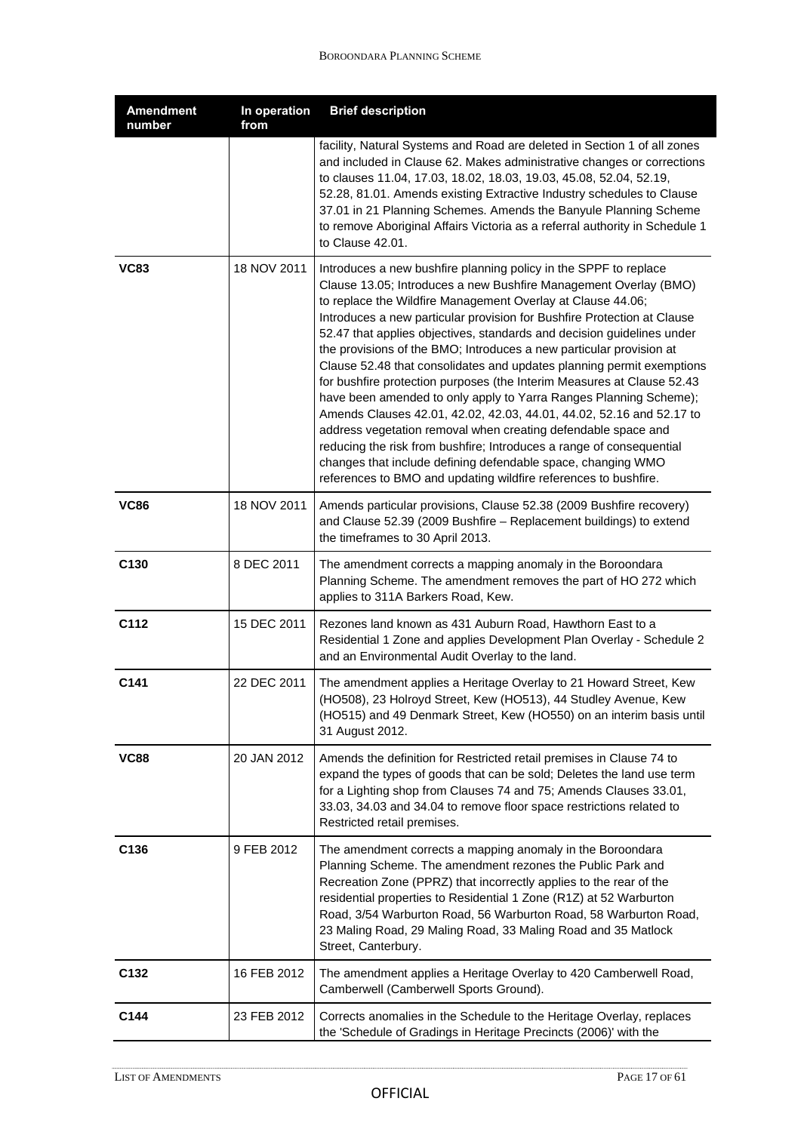| <b>Amendment</b><br>number | In operation<br>from | <b>Brief description</b>                                                                                                                                                                                                                                                                                                                                                                                                                                                                                                                                                                                                                                                                                                                                                                                                                                                                                                                                                                                    |
|----------------------------|----------------------|-------------------------------------------------------------------------------------------------------------------------------------------------------------------------------------------------------------------------------------------------------------------------------------------------------------------------------------------------------------------------------------------------------------------------------------------------------------------------------------------------------------------------------------------------------------------------------------------------------------------------------------------------------------------------------------------------------------------------------------------------------------------------------------------------------------------------------------------------------------------------------------------------------------------------------------------------------------------------------------------------------------|
|                            |                      | facility, Natural Systems and Road are deleted in Section 1 of all zones<br>and included in Clause 62. Makes administrative changes or corrections<br>to clauses 11.04, 17.03, 18.02, 18.03, 19.03, 45.08, 52.04, 52.19,<br>52.28, 81.01. Amends existing Extractive Industry schedules to Clause<br>37.01 in 21 Planning Schemes. Amends the Banyule Planning Scheme<br>to remove Aboriginal Affairs Victoria as a referral authority in Schedule 1<br>to Clause 42.01.                                                                                                                                                                                                                                                                                                                                                                                                                                                                                                                                    |
| <b>VC83</b>                | 18 NOV 2011          | Introduces a new bushfire planning policy in the SPPF to replace<br>Clause 13.05; Introduces a new Bushfire Management Overlay (BMO)<br>to replace the Wildfire Management Overlay at Clause 44.06;<br>Introduces a new particular provision for Bushfire Protection at Clause<br>52.47 that applies objectives, standards and decision guidelines under<br>the provisions of the BMO; Introduces a new particular provision at<br>Clause 52.48 that consolidates and updates planning permit exemptions<br>for bushfire protection purposes (the Interim Measures at Clause 52.43<br>have been amended to only apply to Yarra Ranges Planning Scheme);<br>Amends Clauses 42.01, 42.02, 42.03, 44.01, 44.02, 52.16 and 52.17 to<br>address vegetation removal when creating defendable space and<br>reducing the risk from bushfire; Introduces a range of consequential<br>changes that include defining defendable space, changing WMO<br>references to BMO and updating wildfire references to bushfire. |
| <b>VC86</b>                | 18 NOV 2011          | Amends particular provisions, Clause 52.38 (2009 Bushfire recovery)<br>and Clause 52.39 (2009 Bushfire - Replacement buildings) to extend<br>the timeframes to 30 April 2013.                                                                                                                                                                                                                                                                                                                                                                                                                                                                                                                                                                                                                                                                                                                                                                                                                               |
| C130                       | 8 DEC 2011           | The amendment corrects a mapping anomaly in the Boroondara<br>Planning Scheme. The amendment removes the part of HO 272 which<br>applies to 311A Barkers Road, Kew.                                                                                                                                                                                                                                                                                                                                                                                                                                                                                                                                                                                                                                                                                                                                                                                                                                         |
| C112                       | 15 DEC 2011          | Rezones land known as 431 Auburn Road, Hawthorn East to a<br>Residential 1 Zone and applies Development Plan Overlay - Schedule 2<br>and an Environmental Audit Overlay to the land.                                                                                                                                                                                                                                                                                                                                                                                                                                                                                                                                                                                                                                                                                                                                                                                                                        |
| C141                       | 22 DEC 2011          | The amendment applies a Heritage Overlay to 21 Howard Street, Kew<br>(HO508), 23 Holroyd Street, Kew (HO513), 44 Studley Avenue, Kew<br>(HO515) and 49 Denmark Street, Kew (HO550) on an interim basis until<br>31 August 2012.                                                                                                                                                                                                                                                                                                                                                                                                                                                                                                                                                                                                                                                                                                                                                                             |
| <b>VC88</b>                | 20 JAN 2012          | Amends the definition for Restricted retail premises in Clause 74 to<br>expand the types of goods that can be sold; Deletes the land use term<br>for a Lighting shop from Clauses 74 and 75; Amends Clauses 33.01,<br>33.03, 34.03 and 34.04 to remove floor space restrictions related to<br>Restricted retail premises.                                                                                                                                                                                                                                                                                                                                                                                                                                                                                                                                                                                                                                                                                   |
| C <sub>136</sub>           | 9 FEB 2012           | The amendment corrects a mapping anomaly in the Boroondara<br>Planning Scheme. The amendment rezones the Public Park and<br>Recreation Zone (PPRZ) that incorrectly applies to the rear of the<br>residential properties to Residential 1 Zone (R1Z) at 52 Warburton<br>Road, 3/54 Warburton Road, 56 Warburton Road, 58 Warburton Road,<br>23 Maling Road, 29 Maling Road, 33 Maling Road and 35 Matlock<br>Street, Canterbury.                                                                                                                                                                                                                                                                                                                                                                                                                                                                                                                                                                            |
| C <sub>132</sub>           | 16 FEB 2012          | The amendment applies a Heritage Overlay to 420 Camberwell Road,<br>Camberwell (Camberwell Sports Ground).                                                                                                                                                                                                                                                                                                                                                                                                                                                                                                                                                                                                                                                                                                                                                                                                                                                                                                  |
| C144                       | 23 FEB 2012          | Corrects anomalies in the Schedule to the Heritage Overlay, replaces<br>the 'Schedule of Gradings in Heritage Precincts (2006)' with the                                                                                                                                                                                                                                                                                                                                                                                                                                                                                                                                                                                                                                                                                                                                                                                                                                                                    |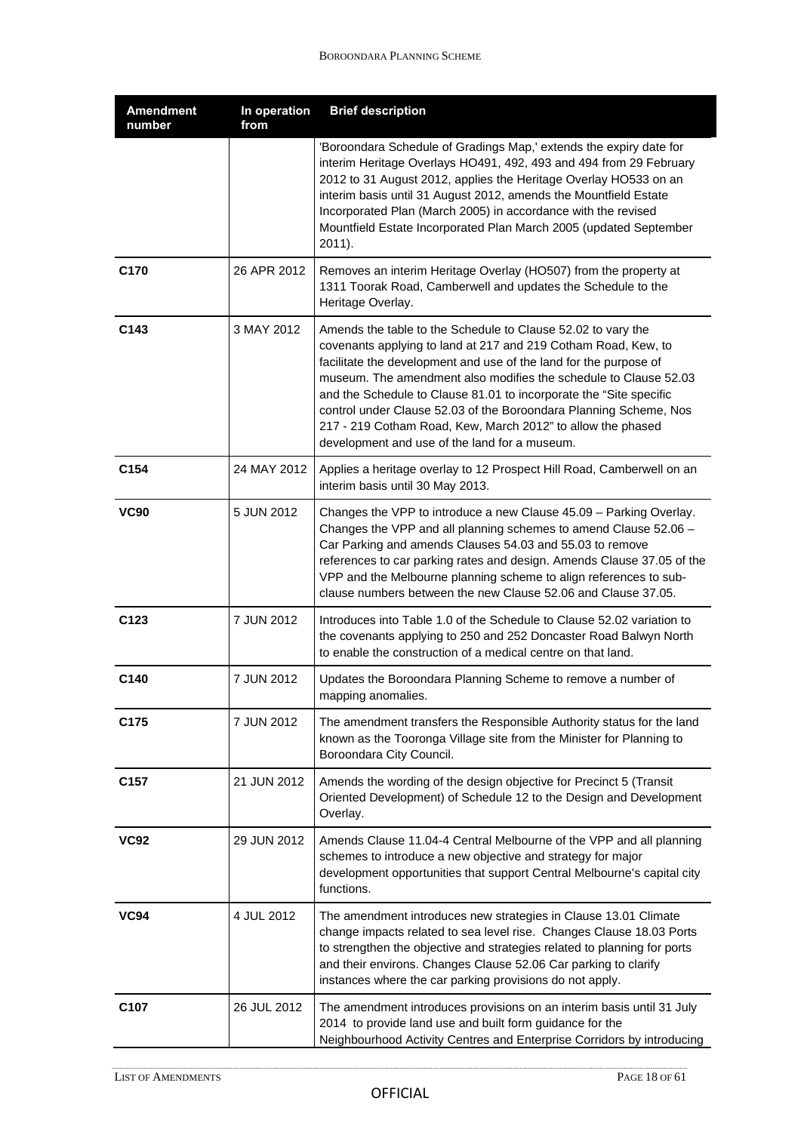| <b>Amendment</b><br>number | In operation<br>from | <b>Brief description</b>                                                                                                                                                                                                                                                                                                                                                                                                                                                                                                           |
|----------------------------|----------------------|------------------------------------------------------------------------------------------------------------------------------------------------------------------------------------------------------------------------------------------------------------------------------------------------------------------------------------------------------------------------------------------------------------------------------------------------------------------------------------------------------------------------------------|
|                            |                      | 'Boroondara Schedule of Gradings Map,' extends the expiry date for<br>interim Heritage Overlays HO491, 492, 493 and 494 from 29 February<br>2012 to 31 August 2012, applies the Heritage Overlay HO533 on an<br>interim basis until 31 August 2012, amends the Mountfield Estate<br>Incorporated Plan (March 2005) in accordance with the revised<br>Mountfield Estate Incorporated Plan March 2005 (updated September<br>$2011$ ).                                                                                                |
| C170                       | 26 APR 2012          | Removes an interim Heritage Overlay (HO507) from the property at<br>1311 Toorak Road, Camberwell and updates the Schedule to the<br>Heritage Overlay.                                                                                                                                                                                                                                                                                                                                                                              |
| C143                       | 3 MAY 2012           | Amends the table to the Schedule to Clause 52.02 to vary the<br>covenants applying to land at 217 and 219 Cotham Road, Kew, to<br>facilitate the development and use of the land for the purpose of<br>museum. The amendment also modifies the schedule to Clause 52.03<br>and the Schedule to Clause 81.01 to incorporate the "Site specific<br>control under Clause 52.03 of the Boroondara Planning Scheme, Nos<br>217 - 219 Cotham Road, Kew, March 2012" to allow the phased<br>development and use of the land for a museum. |
| C154                       | 24 MAY 2012          | Applies a heritage overlay to 12 Prospect Hill Road, Camberwell on an<br>interim basis until 30 May 2013.                                                                                                                                                                                                                                                                                                                                                                                                                          |
| <b>VC90</b>                | 5 JUN 2012           | Changes the VPP to introduce a new Clause 45.09 - Parking Overlay.<br>Changes the VPP and all planning schemes to amend Clause 52.06 -<br>Car Parking and amends Clauses 54.03 and 55.03 to remove<br>references to car parking rates and design. Amends Clause 37.05 of the<br>VPP and the Melbourne planning scheme to align references to sub-<br>clause numbers between the new Clause 52.06 and Clause 37.05.                                                                                                                 |
| C <sub>123</sub>           | 7 JUN 2012           | Introduces into Table 1.0 of the Schedule to Clause 52.02 variation to<br>the covenants applying to 250 and 252 Doncaster Road Balwyn North<br>to enable the construction of a medical centre on that land.                                                                                                                                                                                                                                                                                                                        |
| C140                       | 7 JUN 2012           | Updates the Boroondara Planning Scheme to remove a number of<br>mapping anomalies.                                                                                                                                                                                                                                                                                                                                                                                                                                                 |
| C175                       | 7 JUN 2012           | The amendment transfers the Responsible Authority status for the land<br>known as the Tooronga Village site from the Minister for Planning to<br>Boroondara City Council.                                                                                                                                                                                                                                                                                                                                                          |
| C <sub>157</sub>           | 21 JUN 2012          | Amends the wording of the design objective for Precinct 5 (Transit<br>Oriented Development) of Schedule 12 to the Design and Development<br>Overlay.                                                                                                                                                                                                                                                                                                                                                                               |
| <b>VC92</b>                | 29 JUN 2012          | Amends Clause 11.04-4 Central Melbourne of the VPP and all planning<br>schemes to introduce a new objective and strategy for major<br>development opportunities that support Central Melbourne's capital city<br>functions.                                                                                                                                                                                                                                                                                                        |
| <b>VC94</b>                | 4 JUL 2012           | The amendment introduces new strategies in Clause 13.01 Climate<br>change impacts related to sea level rise. Changes Clause 18.03 Ports<br>to strengthen the objective and strategies related to planning for ports<br>and their environs. Changes Clause 52.06 Car parking to clarify<br>instances where the car parking provisions do not apply.                                                                                                                                                                                 |
| C107                       | 26 JUL 2012          | The amendment introduces provisions on an interim basis until 31 July<br>2014 to provide land use and built form guidance for the<br>Neighbourhood Activity Centres and Enterprise Corridors by introducing                                                                                                                                                                                                                                                                                                                        |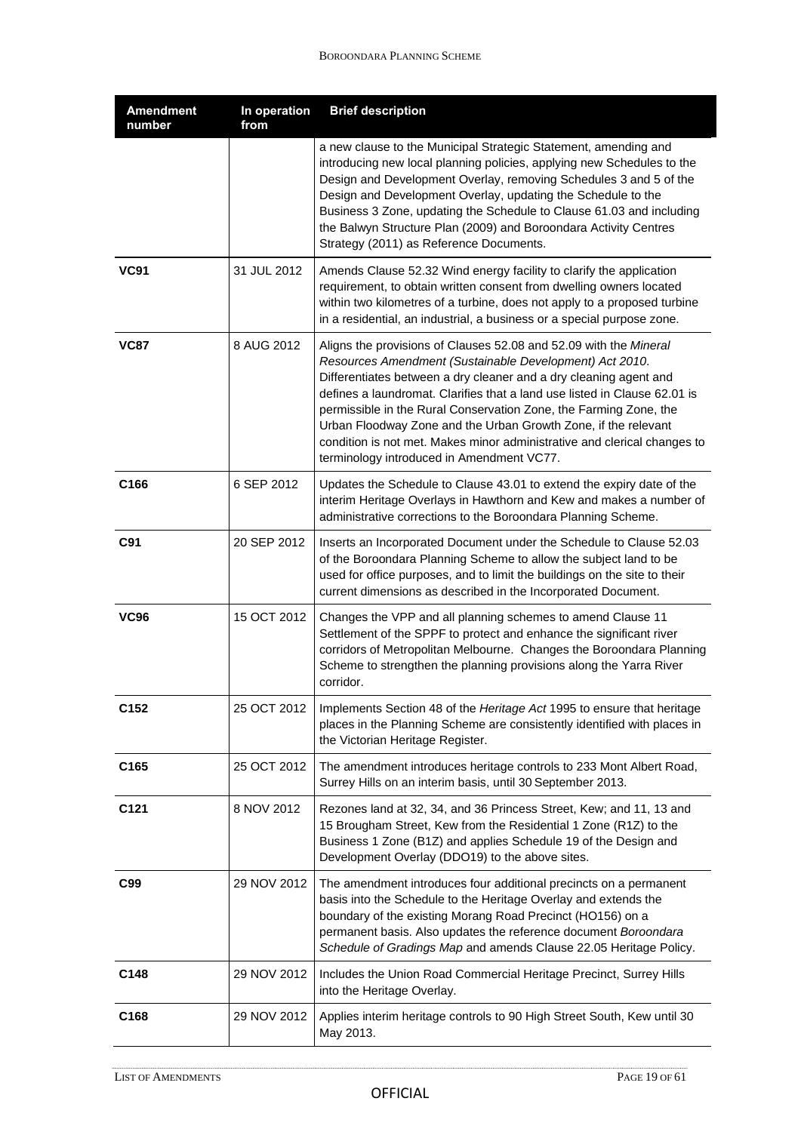| <b>Amendment</b><br>number | In operation<br>from | <b>Brief description</b>                                                                                                                                                                                                                                                                                                                                                                                                                                                                                                                       |
|----------------------------|----------------------|------------------------------------------------------------------------------------------------------------------------------------------------------------------------------------------------------------------------------------------------------------------------------------------------------------------------------------------------------------------------------------------------------------------------------------------------------------------------------------------------------------------------------------------------|
|                            |                      | a new clause to the Municipal Strategic Statement, amending and<br>introducing new local planning policies, applying new Schedules to the<br>Design and Development Overlay, removing Schedules 3 and 5 of the<br>Design and Development Overlay, updating the Schedule to the<br>Business 3 Zone, updating the Schedule to Clause 61.03 and including<br>the Balwyn Structure Plan (2009) and Boroondara Activity Centres<br>Strategy (2011) as Reference Documents.                                                                          |
| <b>VC91</b>                | 31 JUL 2012          | Amends Clause 52.32 Wind energy facility to clarify the application<br>requirement, to obtain written consent from dwelling owners located<br>within two kilometres of a turbine, does not apply to a proposed turbine<br>in a residential, an industrial, a business or a special purpose zone.                                                                                                                                                                                                                                               |
| <b>VC87</b>                | 8 AUG 2012           | Aligns the provisions of Clauses 52.08 and 52.09 with the Mineral<br>Resources Amendment (Sustainable Development) Act 2010.<br>Differentiates between a dry cleaner and a dry cleaning agent and<br>defines a laundromat. Clarifies that a land use listed in Clause 62.01 is<br>permissible in the Rural Conservation Zone, the Farming Zone, the<br>Urban Floodway Zone and the Urban Growth Zone, if the relevant<br>condition is not met. Makes minor administrative and clerical changes to<br>terminology introduced in Amendment VC77. |
| C166                       | 6 SEP 2012           | Updates the Schedule to Clause 43.01 to extend the expiry date of the<br>interim Heritage Overlays in Hawthorn and Kew and makes a number of<br>administrative corrections to the Boroondara Planning Scheme.                                                                                                                                                                                                                                                                                                                                  |
| C91                        | 20 SEP 2012          | Inserts an Incorporated Document under the Schedule to Clause 52.03<br>of the Boroondara Planning Scheme to allow the subject land to be<br>used for office purposes, and to limit the buildings on the site to their<br>current dimensions as described in the Incorporated Document.                                                                                                                                                                                                                                                         |
| <b>VC96</b>                | 15 OCT 2012          | Changes the VPP and all planning schemes to amend Clause 11<br>Settlement of the SPPF to protect and enhance the significant river<br>corridors of Metropolitan Melbourne. Changes the Boroondara Planning<br>Scheme to strengthen the planning provisions along the Yarra River<br>corridor.                                                                                                                                                                                                                                                  |
| C152                       | 25 OCT 2012          | Implements Section 48 of the Heritage Act 1995 to ensure that heritage<br>places in the Planning Scheme are consistently identified with places in<br>the Victorian Heritage Register.                                                                                                                                                                                                                                                                                                                                                         |
| C165                       | 25 OCT 2012          | The amendment introduces heritage controls to 233 Mont Albert Road,<br>Surrey Hills on an interim basis, until 30 September 2013.                                                                                                                                                                                                                                                                                                                                                                                                              |
| C <sub>121</sub>           | 8 NOV 2012           | Rezones land at 32, 34, and 36 Princess Street, Kew; and 11, 13 and<br>15 Brougham Street, Kew from the Residential 1 Zone (R1Z) to the<br>Business 1 Zone (B1Z) and applies Schedule 19 of the Design and<br>Development Overlay (DDO19) to the above sites.                                                                                                                                                                                                                                                                                  |
| C99                        | 29 NOV 2012          | The amendment introduces four additional precincts on a permanent<br>basis into the Schedule to the Heritage Overlay and extends the<br>boundary of the existing Morang Road Precinct (HO156) on a<br>permanent basis. Also updates the reference document Boroondara<br>Schedule of Gradings Map and amends Clause 22.05 Heritage Policy.                                                                                                                                                                                                     |
| C148                       | 29 NOV 2012          | Includes the Union Road Commercial Heritage Precinct, Surrey Hills<br>into the Heritage Overlay.                                                                                                                                                                                                                                                                                                                                                                                                                                               |
| C <sub>168</sub>           | 29 NOV 2012          | Applies interim heritage controls to 90 High Street South, Kew until 30<br>May 2013.                                                                                                                                                                                                                                                                                                                                                                                                                                                           |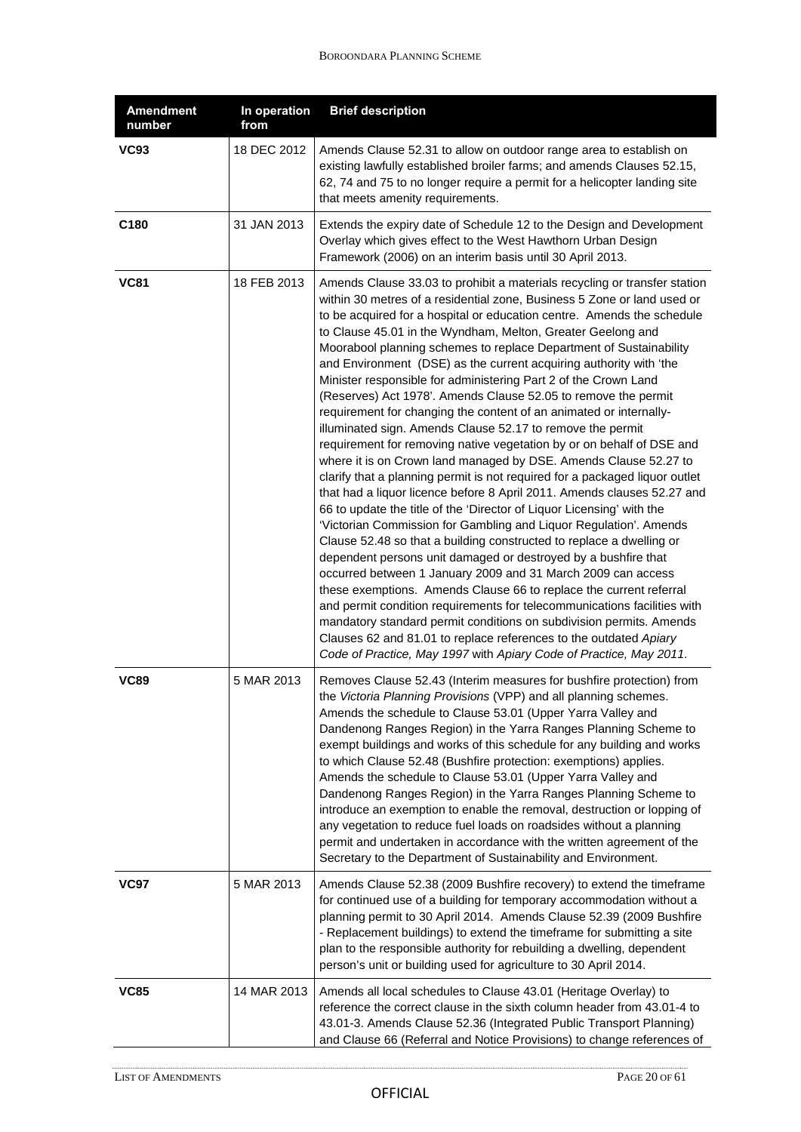| <b>Amendment</b><br>number | In operation<br>from | <b>Brief description</b>                                                                                                                                                                                                                                                                                                                                                                                                                                                                                                                                                                                                                                                                                                                                                                                                                                                                                                                                                                                                                                                                                                                                                                                                                                                                                                                                                                                                                                                                                                                                                                                                                                                                                                                              |
|----------------------------|----------------------|-------------------------------------------------------------------------------------------------------------------------------------------------------------------------------------------------------------------------------------------------------------------------------------------------------------------------------------------------------------------------------------------------------------------------------------------------------------------------------------------------------------------------------------------------------------------------------------------------------------------------------------------------------------------------------------------------------------------------------------------------------------------------------------------------------------------------------------------------------------------------------------------------------------------------------------------------------------------------------------------------------------------------------------------------------------------------------------------------------------------------------------------------------------------------------------------------------------------------------------------------------------------------------------------------------------------------------------------------------------------------------------------------------------------------------------------------------------------------------------------------------------------------------------------------------------------------------------------------------------------------------------------------------------------------------------------------------------------------------------------------------|
| <b>VC93</b>                | 18 DEC 2012          | Amends Clause 52.31 to allow on outdoor range area to establish on<br>existing lawfully established broiler farms; and amends Clauses 52.15,<br>62, 74 and 75 to no longer require a permit for a helicopter landing site<br>that meets amenity requirements.                                                                                                                                                                                                                                                                                                                                                                                                                                                                                                                                                                                                                                                                                                                                                                                                                                                                                                                                                                                                                                                                                                                                                                                                                                                                                                                                                                                                                                                                                         |
| C180                       | 31 JAN 2013          | Extends the expiry date of Schedule 12 to the Design and Development<br>Overlay which gives effect to the West Hawthorn Urban Design<br>Framework (2006) on an interim basis until 30 April 2013.                                                                                                                                                                                                                                                                                                                                                                                                                                                                                                                                                                                                                                                                                                                                                                                                                                                                                                                                                                                                                                                                                                                                                                                                                                                                                                                                                                                                                                                                                                                                                     |
| <b>VC81</b>                | 18 FEB 2013          | Amends Clause 33.03 to prohibit a materials recycling or transfer station<br>within 30 metres of a residential zone, Business 5 Zone or land used or<br>to be acquired for a hospital or education centre. Amends the schedule<br>to Clause 45.01 in the Wyndham, Melton, Greater Geelong and<br>Moorabool planning schemes to replace Department of Sustainability<br>and Environment (DSE) as the current acquiring authority with 'the<br>Minister responsible for administering Part 2 of the Crown Land<br>(Reserves) Act 1978'. Amends Clause 52.05 to remove the permit<br>requirement for changing the content of an animated or internally-<br>illuminated sign. Amends Clause 52.17 to remove the permit<br>requirement for removing native vegetation by or on behalf of DSE and<br>where it is on Crown land managed by DSE. Amends Clause 52.27 to<br>clarify that a planning permit is not required for a packaged liquor outlet<br>that had a liquor licence before 8 April 2011. Amends clauses 52.27 and<br>66 to update the title of the 'Director of Liquor Licensing' with the<br>'Victorian Commission for Gambling and Liquor Regulation'. Amends<br>Clause 52.48 so that a building constructed to replace a dwelling or<br>dependent persons unit damaged or destroyed by a bushfire that<br>occurred between 1 January 2009 and 31 March 2009 can access<br>these exemptions. Amends Clause 66 to replace the current referral<br>and permit condition requirements for telecommunications facilities with<br>mandatory standard permit conditions on subdivision permits. Amends<br>Clauses 62 and 81.01 to replace references to the outdated Apiary<br>Code of Practice, May 1997 with Apiary Code of Practice, May 2011. |
| <b>VC89</b>                | 5 MAR 2013           | Removes Clause 52.43 (Interim measures for bushfire protection) from<br>the Victoria Planning Provisions (VPP) and all planning schemes.<br>Amends the schedule to Clause 53.01 (Upper Yarra Valley and<br>Dandenong Ranges Region) in the Yarra Ranges Planning Scheme to<br>exempt buildings and works of this schedule for any building and works<br>to which Clause 52.48 (Bushfire protection: exemptions) applies.<br>Amends the schedule to Clause 53.01 (Upper Yarra Valley and<br>Dandenong Ranges Region) in the Yarra Ranges Planning Scheme to<br>introduce an exemption to enable the removal, destruction or lopping of<br>any vegetation to reduce fuel loads on roadsides without a planning<br>permit and undertaken in accordance with the written agreement of the<br>Secretary to the Department of Sustainability and Environment.                                                                                                                                                                                                                                                                                                                                                                                                                                                                                                                                                                                                                                                                                                                                                                                                                                                                                               |
| <b>VC97</b>                | 5 MAR 2013           | Amends Clause 52.38 (2009 Bushfire recovery) to extend the timeframe<br>for continued use of a building for temporary accommodation without a<br>planning permit to 30 April 2014. Amends Clause 52.39 (2009 Bushfire<br>- Replacement buildings) to extend the timeframe for submitting a site<br>plan to the responsible authority for rebuilding a dwelling, dependent<br>person's unit or building used for agriculture to 30 April 2014.                                                                                                                                                                                                                                                                                                                                                                                                                                                                                                                                                                                                                                                                                                                                                                                                                                                                                                                                                                                                                                                                                                                                                                                                                                                                                                         |
| <b>VC85</b>                | 14 MAR 2013          | Amends all local schedules to Clause 43.01 (Heritage Overlay) to<br>reference the correct clause in the sixth column header from 43.01-4 to<br>43.01-3. Amends Clause 52.36 (Integrated Public Transport Planning)<br>and Clause 66 (Referral and Notice Provisions) to change references of                                                                                                                                                                                                                                                                                                                                                                                                                                                                                                                                                                                                                                                                                                                                                                                                                                                                                                                                                                                                                                                                                                                                                                                                                                                                                                                                                                                                                                                          |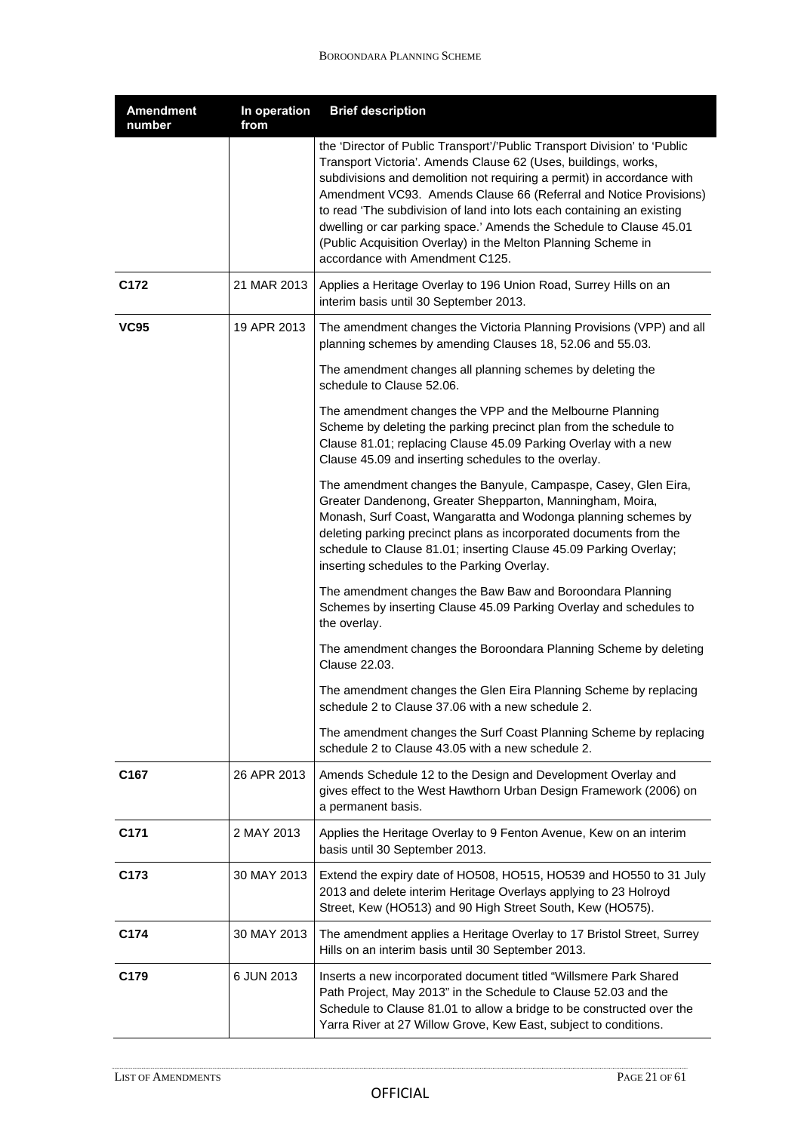| <b>Amendment</b><br>number | In operation<br>from | <b>Brief description</b>                                                                                                                                                                                                                                                                                                                                                                                                                                                                                                                        |
|----------------------------|----------------------|-------------------------------------------------------------------------------------------------------------------------------------------------------------------------------------------------------------------------------------------------------------------------------------------------------------------------------------------------------------------------------------------------------------------------------------------------------------------------------------------------------------------------------------------------|
|                            |                      | the 'Director of Public Transport'/'Public Transport Division' to 'Public<br>Transport Victoria'. Amends Clause 62 (Uses, buildings, works,<br>subdivisions and demolition not requiring a permit) in accordance with<br>Amendment VC93. Amends Clause 66 (Referral and Notice Provisions)<br>to read 'The subdivision of land into lots each containing an existing<br>dwelling or car parking space.' Amends the Schedule to Clause 45.01<br>(Public Acquisition Overlay) in the Melton Planning Scheme in<br>accordance with Amendment C125. |
| C172                       | 21 MAR 2013          | Applies a Heritage Overlay to 196 Union Road, Surrey Hills on an<br>interim basis until 30 September 2013.                                                                                                                                                                                                                                                                                                                                                                                                                                      |
| <b>VC95</b>                | 19 APR 2013          | The amendment changes the Victoria Planning Provisions (VPP) and all<br>planning schemes by amending Clauses 18, 52.06 and 55.03.                                                                                                                                                                                                                                                                                                                                                                                                               |
|                            |                      | The amendment changes all planning schemes by deleting the<br>schedule to Clause 52.06.                                                                                                                                                                                                                                                                                                                                                                                                                                                         |
|                            |                      | The amendment changes the VPP and the Melbourne Planning<br>Scheme by deleting the parking precinct plan from the schedule to<br>Clause 81.01; replacing Clause 45.09 Parking Overlay with a new<br>Clause 45.09 and inserting schedules to the overlay.                                                                                                                                                                                                                                                                                        |
|                            |                      | The amendment changes the Banyule, Campaspe, Casey, Glen Eira,<br>Greater Dandenong, Greater Shepparton, Manningham, Moira,<br>Monash, Surf Coast, Wangaratta and Wodonga planning schemes by<br>deleting parking precinct plans as incorporated documents from the<br>schedule to Clause 81.01; inserting Clause 45.09 Parking Overlay;<br>inserting schedules to the Parking Overlay.                                                                                                                                                         |
|                            |                      | The amendment changes the Baw Baw and Boroondara Planning<br>Schemes by inserting Clause 45.09 Parking Overlay and schedules to<br>the overlay.                                                                                                                                                                                                                                                                                                                                                                                                 |
|                            |                      | The amendment changes the Boroondara Planning Scheme by deleting<br>Clause 22.03.                                                                                                                                                                                                                                                                                                                                                                                                                                                               |
|                            |                      | The amendment changes the Glen Eira Planning Scheme by replacing<br>schedule 2 to Clause 37.06 with a new schedule 2.                                                                                                                                                                                                                                                                                                                                                                                                                           |
|                            |                      | The amendment changes the Surf Coast Planning Scheme by replacing<br>schedule 2 to Clause 43.05 with a new schedule 2.                                                                                                                                                                                                                                                                                                                                                                                                                          |
| C <sub>167</sub>           | 26 APR 2013          | Amends Schedule 12 to the Design and Development Overlay and<br>gives effect to the West Hawthorn Urban Design Framework (2006) on<br>a permanent basis.                                                                                                                                                                                                                                                                                                                                                                                        |
| C <sub>171</sub>           | 2 MAY 2013           | Applies the Heritage Overlay to 9 Fenton Avenue, Kew on an interim<br>basis until 30 September 2013.                                                                                                                                                                                                                                                                                                                                                                                                                                            |
| C <sub>173</sub>           | 30 MAY 2013          | Extend the expiry date of HO508, HO515, HO539 and HO550 to 31 July<br>2013 and delete interim Heritage Overlays applying to 23 Holroyd<br>Street, Kew (HO513) and 90 High Street South, Kew (HO575).                                                                                                                                                                                                                                                                                                                                            |
| C174                       | 30 MAY 2013          | The amendment applies a Heritage Overlay to 17 Bristol Street, Surrey<br>Hills on an interim basis until 30 September 2013.                                                                                                                                                                                                                                                                                                                                                                                                                     |
| C179                       | 6 JUN 2013           | Inserts a new incorporated document titled "Willsmere Park Shared<br>Path Project, May 2013" in the Schedule to Clause 52.03 and the<br>Schedule to Clause 81.01 to allow a bridge to be constructed over the<br>Yarra River at 27 Willow Grove, Kew East, subject to conditions.                                                                                                                                                                                                                                                               |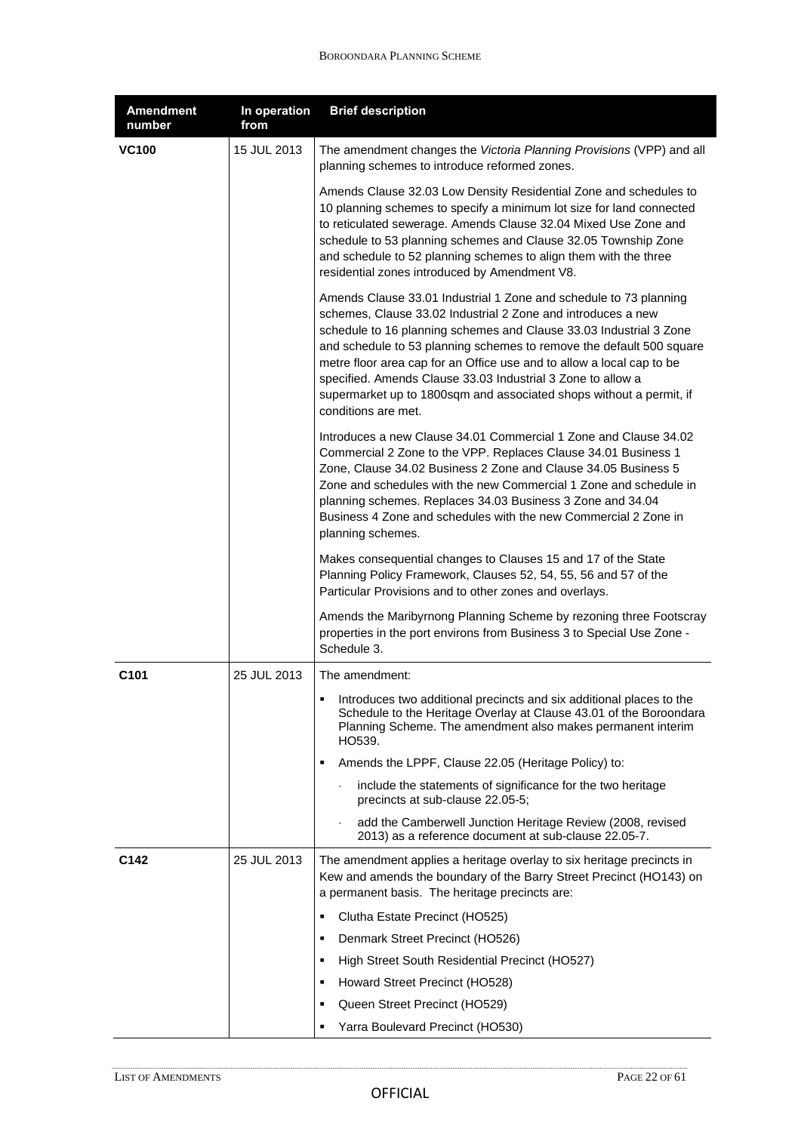| <b>Amendment</b><br>number | In operation<br>from | <b>Brief description</b>                                                                                                                                                                                                                                                                                                                                                                                                                                                                                              |
|----------------------------|----------------------|-----------------------------------------------------------------------------------------------------------------------------------------------------------------------------------------------------------------------------------------------------------------------------------------------------------------------------------------------------------------------------------------------------------------------------------------------------------------------------------------------------------------------|
| <b>VC100</b>               | 15 JUL 2013          | The amendment changes the Victoria Planning Provisions (VPP) and all<br>planning schemes to introduce reformed zones.                                                                                                                                                                                                                                                                                                                                                                                                 |
|                            |                      | Amends Clause 32.03 Low Density Residential Zone and schedules to<br>10 planning schemes to specify a minimum lot size for land connected<br>to reticulated sewerage. Amends Clause 32.04 Mixed Use Zone and<br>schedule to 53 planning schemes and Clause 32.05 Township Zone<br>and schedule to 52 planning schemes to align them with the three<br>residential zones introduced by Amendment V8.                                                                                                                   |
|                            |                      | Amends Clause 33.01 Industrial 1 Zone and schedule to 73 planning<br>schemes, Clause 33.02 Industrial 2 Zone and introduces a new<br>schedule to 16 planning schemes and Clause 33.03 Industrial 3 Zone<br>and schedule to 53 planning schemes to remove the default 500 square<br>metre floor area cap for an Office use and to allow a local cap to be<br>specified. Amends Clause 33.03 Industrial 3 Zone to allow a<br>supermarket up to 1800sqm and associated shops without a permit, if<br>conditions are met. |
|                            |                      | Introduces a new Clause 34.01 Commercial 1 Zone and Clause 34.02<br>Commercial 2 Zone to the VPP. Replaces Clause 34.01 Business 1<br>Zone, Clause 34.02 Business 2 Zone and Clause 34.05 Business 5<br>Zone and schedules with the new Commercial 1 Zone and schedule in<br>planning schemes. Replaces 34.03 Business 3 Zone and 34.04<br>Business 4 Zone and schedules with the new Commercial 2 Zone in<br>planning schemes.                                                                                       |
|                            |                      | Makes consequential changes to Clauses 15 and 17 of the State<br>Planning Policy Framework, Clauses 52, 54, 55, 56 and 57 of the<br>Particular Provisions and to other zones and overlays.                                                                                                                                                                                                                                                                                                                            |
|                            |                      | Amends the Maribyrnong Planning Scheme by rezoning three Footscray<br>properties in the port environs from Business 3 to Special Use Zone -<br>Schedule 3.                                                                                                                                                                                                                                                                                                                                                            |
| C <sub>101</sub>           | 25 JUL 2013          | The amendment:                                                                                                                                                                                                                                                                                                                                                                                                                                                                                                        |
|                            |                      | • Introduces two additional precincts and six additional places to the<br>Schedule to the Heritage Overlay at Clause 43.01 of the Boroondara<br>Planning Scheme. The amendment also makes permanent interim<br>HO539.                                                                                                                                                                                                                                                                                                 |
|                            |                      | Amends the LPPF, Clause 22.05 (Heritage Policy) to:                                                                                                                                                                                                                                                                                                                                                                                                                                                                   |
|                            |                      | include the statements of significance for the two heritage<br>$\blacksquare$<br>precincts at sub-clause 22.05-5;                                                                                                                                                                                                                                                                                                                                                                                                     |
|                            |                      | add the Camberwell Junction Heritage Review (2008, revised<br>2013) as a reference document at sub-clause 22.05-7.                                                                                                                                                                                                                                                                                                                                                                                                    |
| C142                       | 25 JUL 2013          | The amendment applies a heritage overlay to six heritage precincts in<br>Kew and amends the boundary of the Barry Street Precinct (HO143) on<br>a permanent basis. The heritage precincts are:                                                                                                                                                                                                                                                                                                                        |
|                            |                      | Clutha Estate Precinct (HO525)<br>٠                                                                                                                                                                                                                                                                                                                                                                                                                                                                                   |
|                            |                      | Denmark Street Precinct (HO526)<br>٠                                                                                                                                                                                                                                                                                                                                                                                                                                                                                  |
|                            |                      | High Street South Residential Precinct (HO527)                                                                                                                                                                                                                                                                                                                                                                                                                                                                        |
|                            |                      | Howard Street Precinct (HO528)<br>٠                                                                                                                                                                                                                                                                                                                                                                                                                                                                                   |
|                            |                      | Queen Street Precinct (HO529)                                                                                                                                                                                                                                                                                                                                                                                                                                                                                         |
|                            |                      | Yarra Boulevard Precinct (HO530)<br>٠                                                                                                                                                                                                                                                                                                                                                                                                                                                                                 |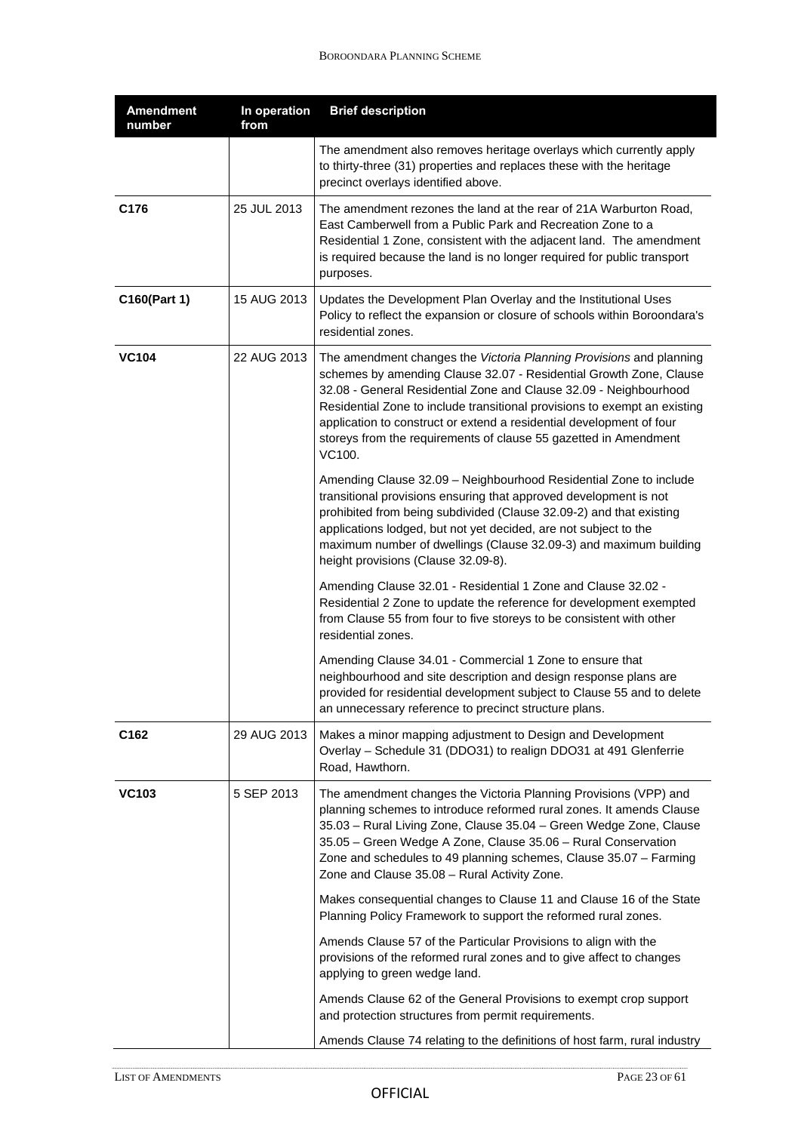| <b>Amendment</b><br>number | In operation<br>from | <b>Brief description</b>                                                                                                                                                                                                                                                                                                                                                                                                                          |
|----------------------------|----------------------|---------------------------------------------------------------------------------------------------------------------------------------------------------------------------------------------------------------------------------------------------------------------------------------------------------------------------------------------------------------------------------------------------------------------------------------------------|
|                            |                      | The amendment also removes heritage overlays which currently apply<br>to thirty-three (31) properties and replaces these with the heritage<br>precinct overlays identified above.                                                                                                                                                                                                                                                                 |
| C176                       | 25 JUL 2013          | The amendment rezones the land at the rear of 21A Warburton Road,<br>East Camberwell from a Public Park and Recreation Zone to a<br>Residential 1 Zone, consistent with the adjacent land. The amendment<br>is required because the land is no longer required for public transport<br>purposes.                                                                                                                                                  |
| C160(Part 1)               | 15 AUG 2013          | Updates the Development Plan Overlay and the Institutional Uses<br>Policy to reflect the expansion or closure of schools within Boroondara's<br>residential zones.                                                                                                                                                                                                                                                                                |
| <b>VC104</b>               | 22 AUG 2013          | The amendment changes the Victoria Planning Provisions and planning<br>schemes by amending Clause 32.07 - Residential Growth Zone, Clause<br>32.08 - General Residential Zone and Clause 32.09 - Neighbourhood<br>Residential Zone to include transitional provisions to exempt an existing<br>application to construct or extend a residential development of four<br>storeys from the requirements of clause 55 gazetted in Amendment<br>VC100. |
|                            |                      | Amending Clause 32.09 - Neighbourhood Residential Zone to include<br>transitional provisions ensuring that approved development is not<br>prohibited from being subdivided (Clause 32.09-2) and that existing<br>applications lodged, but not yet decided, are not subject to the<br>maximum number of dwellings (Clause 32.09-3) and maximum building<br>height provisions (Clause 32.09-8).                                                     |
|                            |                      | Amending Clause 32.01 - Residential 1 Zone and Clause 32.02 -<br>Residential 2 Zone to update the reference for development exempted<br>from Clause 55 from four to five storeys to be consistent with other<br>residential zones.                                                                                                                                                                                                                |
|                            |                      | Amending Clause 34.01 - Commercial 1 Zone to ensure that<br>neighbourhood and site description and design response plans are<br>provided for residential development subject to Clause 55 and to delete<br>an unnecessary reference to precinct structure plans.                                                                                                                                                                                  |
| C <sub>162</sub>           | 29 AUG 2013          | Makes a minor mapping adjustment to Design and Development<br>Overlay - Schedule 31 (DDO31) to realign DDO31 at 491 Glenferrie<br>Road, Hawthorn.                                                                                                                                                                                                                                                                                                 |
| <b>VC103</b>               | 5 SEP 2013           | The amendment changes the Victoria Planning Provisions (VPP) and<br>planning schemes to introduce reformed rural zones. It amends Clause<br>35.03 - Rural Living Zone, Clause 35.04 - Green Wedge Zone, Clause<br>35.05 - Green Wedge A Zone, Clause 35.06 - Rural Conservation<br>Zone and schedules to 49 planning schemes, Clause 35.07 - Farming<br>Zone and Clause 35.08 - Rural Activity Zone.                                              |
|                            |                      | Makes consequential changes to Clause 11 and Clause 16 of the State<br>Planning Policy Framework to support the reformed rural zones.                                                                                                                                                                                                                                                                                                             |
|                            |                      | Amends Clause 57 of the Particular Provisions to align with the<br>provisions of the reformed rural zones and to give affect to changes<br>applying to green wedge land.                                                                                                                                                                                                                                                                          |
|                            |                      | Amends Clause 62 of the General Provisions to exempt crop support<br>and protection structures from permit requirements.                                                                                                                                                                                                                                                                                                                          |
|                            |                      | Amends Clause 74 relating to the definitions of host farm, rural industry                                                                                                                                                                                                                                                                                                                                                                         |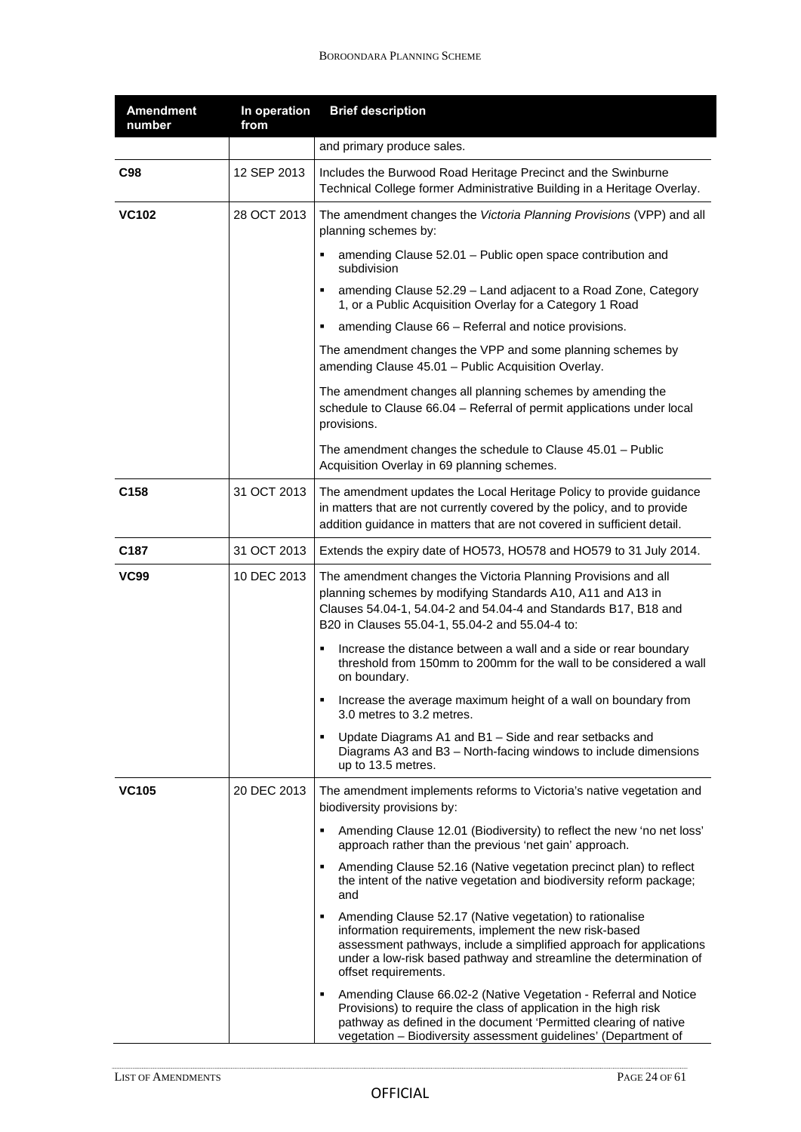| <b>Amendment</b><br>number | In operation<br>from | <b>Brief description</b>                                                                                                                                                                                                                                                                     |
|----------------------------|----------------------|----------------------------------------------------------------------------------------------------------------------------------------------------------------------------------------------------------------------------------------------------------------------------------------------|
|                            |                      | and primary produce sales.                                                                                                                                                                                                                                                                   |
| <b>C98</b>                 | 12 SEP 2013          | Includes the Burwood Road Heritage Precinct and the Swinburne<br>Technical College former Administrative Building in a Heritage Overlay.                                                                                                                                                     |
| <b>VC102</b>               | 28 OCT 2013          | The amendment changes the Victoria Planning Provisions (VPP) and all<br>planning schemes by:                                                                                                                                                                                                 |
|                            |                      | amending Clause 52.01 - Public open space contribution and<br>subdivision                                                                                                                                                                                                                    |
|                            |                      | amending Clause 52.29 - Land adjacent to a Road Zone, Category<br>1, or a Public Acquisition Overlay for a Category 1 Road                                                                                                                                                                   |
|                            |                      | amending Clause 66 - Referral and notice provisions.<br>٠                                                                                                                                                                                                                                    |
|                            |                      | The amendment changes the VPP and some planning schemes by<br>amending Clause 45.01 - Public Acquisition Overlay.                                                                                                                                                                            |
|                            |                      | The amendment changes all planning schemes by amending the<br>schedule to Clause 66.04 - Referral of permit applications under local<br>provisions.                                                                                                                                          |
|                            |                      | The amendment changes the schedule to Clause $45.01 -$ Public<br>Acquisition Overlay in 69 planning schemes.                                                                                                                                                                                 |
| C158                       | 31 OCT 2013          | The amendment updates the Local Heritage Policy to provide guidance<br>in matters that are not currently covered by the policy, and to provide<br>addition guidance in matters that are not covered in sufficient detail.                                                                    |
| C <sub>187</sub>           | 31 OCT 2013          | Extends the expiry date of HO573, HO578 and HO579 to 31 July 2014.                                                                                                                                                                                                                           |
| <b>VC99</b>                | 10 DEC 2013          | The amendment changes the Victoria Planning Provisions and all<br>planning schemes by modifying Standards A10, A11 and A13 in<br>Clauses 54.04-1, 54.04-2 and 54.04-4 and Standards B17, B18 and<br>B20 in Clauses 55.04-1, 55.04-2 and 55.04-4 to:                                          |
|                            |                      | Increase the distance between a wall and a side or rear boundary<br>٠<br>threshold from 150mm to 200mm for the wall to be considered a wall<br>on boundary.                                                                                                                                  |
|                            |                      | Increase the average maximum height of a wall on boundary from<br>3.0 metres to 3.2 metres.                                                                                                                                                                                                  |
|                            |                      | Update Diagrams A1 and B1 - Side and rear setbacks and<br>٠<br>Diagrams A3 and B3 - North-facing windows to include dimensions<br>up to 13.5 metres.                                                                                                                                         |
| <b>VC105</b>               | 20 DEC 2013          | The amendment implements reforms to Victoria's native vegetation and<br>biodiversity provisions by:                                                                                                                                                                                          |
|                            |                      | Amending Clause 12.01 (Biodiversity) to reflect the new 'no net loss'<br>approach rather than the previous 'net gain' approach.                                                                                                                                                              |
|                            |                      | Amending Clause 52.16 (Native vegetation precinct plan) to reflect<br>٠<br>the intent of the native vegetation and biodiversity reform package;<br>and                                                                                                                                       |
|                            |                      | Amending Clause 52.17 (Native vegetation) to rationalise<br>٠<br>information requirements, implement the new risk-based<br>assessment pathways, include a simplified approach for applications<br>under a low-risk based pathway and streamline the determination of<br>offset requirements. |
|                            |                      | Amending Clause 66.02-2 (Native Vegetation - Referral and Notice<br>Provisions) to require the class of application in the high risk<br>pathway as defined in the document 'Permitted clearing of native<br>vegetation - Biodiversity assessment guidelines' (Department of                  |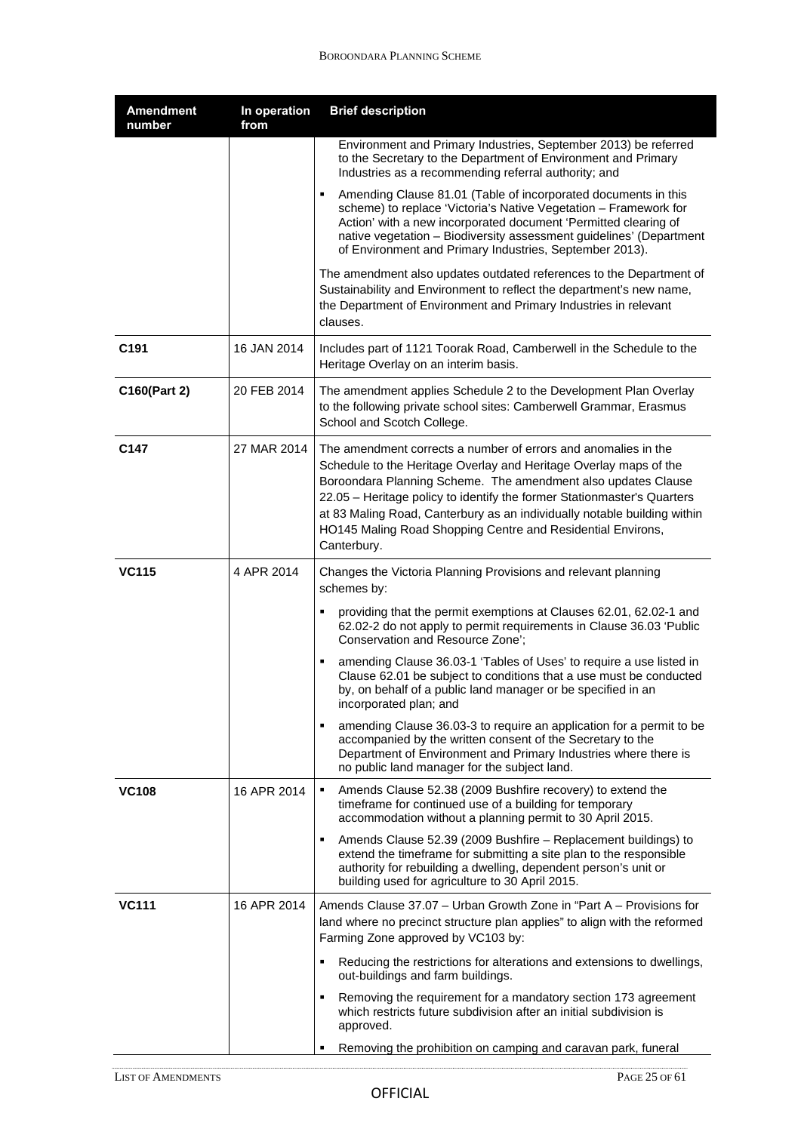| <b>Amendment</b><br>number | In operation<br>from | <b>Brief description</b>                                                                                                                                                                                                                                                                                                                                                                                                                                                                                                                                                                                                                                                                                                                                            |
|----------------------------|----------------------|---------------------------------------------------------------------------------------------------------------------------------------------------------------------------------------------------------------------------------------------------------------------------------------------------------------------------------------------------------------------------------------------------------------------------------------------------------------------------------------------------------------------------------------------------------------------------------------------------------------------------------------------------------------------------------------------------------------------------------------------------------------------|
|                            |                      | Environment and Primary Industries, September 2013) be referred<br>to the Secretary to the Department of Environment and Primary<br>Industries as a recommending referral authority; and                                                                                                                                                                                                                                                                                                                                                                                                                                                                                                                                                                            |
|                            |                      | Amending Clause 81.01 (Table of incorporated documents in this<br>scheme) to replace 'Victoria's Native Vegetation - Framework for<br>Action' with a new incorporated document 'Permitted clearing of<br>native vegetation - Biodiversity assessment guidelines' (Department<br>of Environment and Primary Industries, September 2013).                                                                                                                                                                                                                                                                                                                                                                                                                             |
|                            |                      | The amendment also updates outdated references to the Department of<br>Sustainability and Environment to reflect the department's new name,<br>the Department of Environment and Primary Industries in relevant<br>clauses.                                                                                                                                                                                                                                                                                                                                                                                                                                                                                                                                         |
| C <sub>191</sub>           | 16 JAN 2014          | Includes part of 1121 Toorak Road, Camberwell in the Schedule to the<br>Heritage Overlay on an interim basis.                                                                                                                                                                                                                                                                                                                                                                                                                                                                                                                                                                                                                                                       |
| C160(Part 2)               | 20 FEB 2014          | The amendment applies Schedule 2 to the Development Plan Overlay<br>to the following private school sites: Camberwell Grammar, Erasmus<br>School and Scotch College.                                                                                                                                                                                                                                                                                                                                                                                                                                                                                                                                                                                                |
| C147                       | 27 MAR 2014          | The amendment corrects a number of errors and anomalies in the<br>Schedule to the Heritage Overlay and Heritage Overlay maps of the<br>Boroondara Planning Scheme. The amendment also updates Clause<br>22.05 - Heritage policy to identify the former Stationmaster's Quarters<br>at 83 Maling Road, Canterbury as an individually notable building within<br>HO145 Maling Road Shopping Centre and Residential Environs,<br>Canterbury.                                                                                                                                                                                                                                                                                                                           |
| <b>VC115</b>               | 4 APR 2014           | Changes the Victoria Planning Provisions and relevant planning<br>schemes by:<br>providing that the permit exemptions at Clauses 62.01, 62.02-1 and<br>62.02-2 do not apply to permit requirements in Clause 36.03 'Public<br>Conservation and Resource Zone';<br>amending Clause 36.03-1 'Tables of Uses' to require a use listed in<br>Clause 62.01 be subject to conditions that a use must be conducted<br>by, on behalf of a public land manager or be specified in an<br>incorporated plan; and<br>amending Clause 36.03-3 to require an application for a permit to be<br>٠<br>accompanied by the written consent of the Secretary to the<br>Department of Environment and Primary Industries where there is<br>no public land manager for the subject land. |
| <b>VC108</b>               | 16 APR 2014          | Amends Clause 52.38 (2009 Bushfire recovery) to extend the<br>$\blacksquare$<br>timeframe for continued use of a building for temporary<br>accommodation without a planning permit to 30 April 2015.<br>Amends Clause 52.39 (2009 Bushfire - Replacement buildings) to<br>extend the timeframe for submitting a site plan to the responsible<br>authority for rebuilding a dwelling, dependent person's unit or<br>building used for agriculture to 30 April 2015.                                                                                                                                                                                                                                                                                                  |
| <b>VC111</b>               | 16 APR 2014          | Amends Clause 37.07 - Urban Growth Zone in "Part A - Provisions for<br>land where no precinct structure plan applies" to align with the reformed<br>Farming Zone approved by VC103 by:<br>Reducing the restrictions for alterations and extensions to dwellings,<br>out-buildings and farm buildings.<br>Removing the requirement for a mandatory section 173 agreement<br>٠<br>which restricts future subdivision after an initial subdivision is<br>approved.<br>Removing the prohibition on camping and caravan park, funeral<br>٠                                                                                                                                                                                                                               |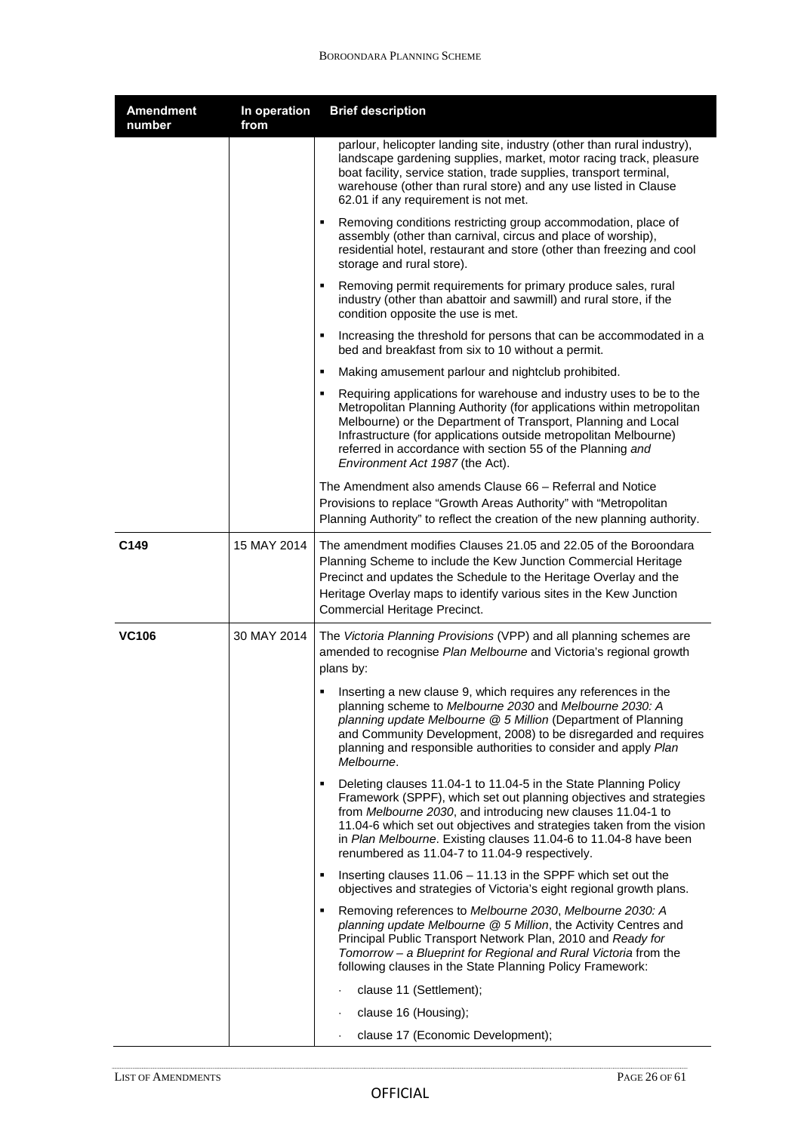| <b>Amendment</b><br>number | In operation<br>from | <b>Brief description</b>                                                                                                                                                                                                                                                                                                                                                                                  |
|----------------------------|----------------------|-----------------------------------------------------------------------------------------------------------------------------------------------------------------------------------------------------------------------------------------------------------------------------------------------------------------------------------------------------------------------------------------------------------|
|                            |                      | parlour, helicopter landing site, industry (other than rural industry),<br>landscape gardening supplies, market, motor racing track, pleasure<br>boat facility, service station, trade supplies, transport terminal,<br>warehouse (other than rural store) and any use listed in Clause<br>62.01 if any requirement is not met.                                                                           |
|                            |                      | Removing conditions restricting group accommodation, place of<br>٠<br>assembly (other than carnival, circus and place of worship),<br>residential hotel, restaurant and store (other than freezing and cool<br>storage and rural store).                                                                                                                                                                  |
|                            |                      | Removing permit requirements for primary produce sales, rural<br>industry (other than abattoir and sawmill) and rural store, if the<br>condition opposite the use is met.                                                                                                                                                                                                                                 |
|                            |                      | Increasing the threshold for persons that can be accommodated in a<br>٠<br>bed and breakfast from six to 10 without a permit.                                                                                                                                                                                                                                                                             |
|                            |                      | Making amusement parlour and nightclub prohibited.<br>٠                                                                                                                                                                                                                                                                                                                                                   |
|                            |                      | Requiring applications for warehouse and industry uses to be to the<br>٠<br>Metropolitan Planning Authority (for applications within metropolitan<br>Melbourne) or the Department of Transport, Planning and Local<br>Infrastructure (for applications outside metropolitan Melbourne)<br>referred in accordance with section 55 of the Planning and<br>Environment Act 1987 (the Act).                   |
|                            |                      | The Amendment also amends Clause 66 – Referral and Notice<br>Provisions to replace "Growth Areas Authority" with "Metropolitan<br>Planning Authority" to reflect the creation of the new planning authority.                                                                                                                                                                                              |
| C149                       | 15 MAY 2014          | The amendment modifies Clauses 21.05 and 22.05 of the Boroondara<br>Planning Scheme to include the Kew Junction Commercial Heritage<br>Precinct and updates the Schedule to the Heritage Overlay and the<br>Heritage Overlay maps to identify various sites in the Kew Junction<br>Commercial Heritage Precinct.                                                                                          |
| <b>VC106</b>               | 30 MAY 2014          | The Victoria Planning Provisions (VPP) and all planning schemes are<br>amended to recognise Plan Melbourne and Victoria's regional growth<br>plans by:                                                                                                                                                                                                                                                    |
|                            |                      | Inserting a new clause 9, which requires any references in the<br>planning scheme to <i>Melbourne 2030</i> and <i>Melbourne 2030: A</i><br>planning update Melbourne @ 5 Million (Department of Planning<br>and Community Development, 2008) to be disregarded and requires<br>planning and responsible authorities to consider and apply Plan<br>Melbourne.                                              |
|                            |                      | Deleting clauses 11.04-1 to 11.04-5 in the State Planning Policy<br>٠<br>Framework (SPPF), which set out planning objectives and strategies<br>from Melbourne 2030, and introducing new clauses 11.04-1 to<br>11.04-6 which set out objectives and strategies taken from the vision<br>in Plan Melbourne. Existing clauses 11.04-6 to 11.04-8 have been<br>renumbered as 11.04-7 to 11.04-9 respectively. |
|                            |                      | Inserting clauses $11.06 - 11.13$ in the SPPF which set out the<br>٠<br>objectives and strategies of Victoria's eight regional growth plans.                                                                                                                                                                                                                                                              |
|                            |                      | Removing references to Melbourne 2030, Melbourne 2030: A<br>٠<br>planning update Melbourne @ 5 Million, the Activity Centres and<br>Principal Public Transport Network Plan, 2010 and Ready for<br>Tomorrow - a Blueprint for Regional and Rural Victoria from the<br>following clauses in the State Planning Policy Framework:                                                                           |
|                            |                      | clause 11 (Settlement);                                                                                                                                                                                                                                                                                                                                                                                   |
|                            |                      | clause 16 (Housing);<br>$\bullet$                                                                                                                                                                                                                                                                                                                                                                         |
|                            |                      | clause 17 (Economic Development);<br>$\ddot{\phantom{0}}$                                                                                                                                                                                                                                                                                                                                                 |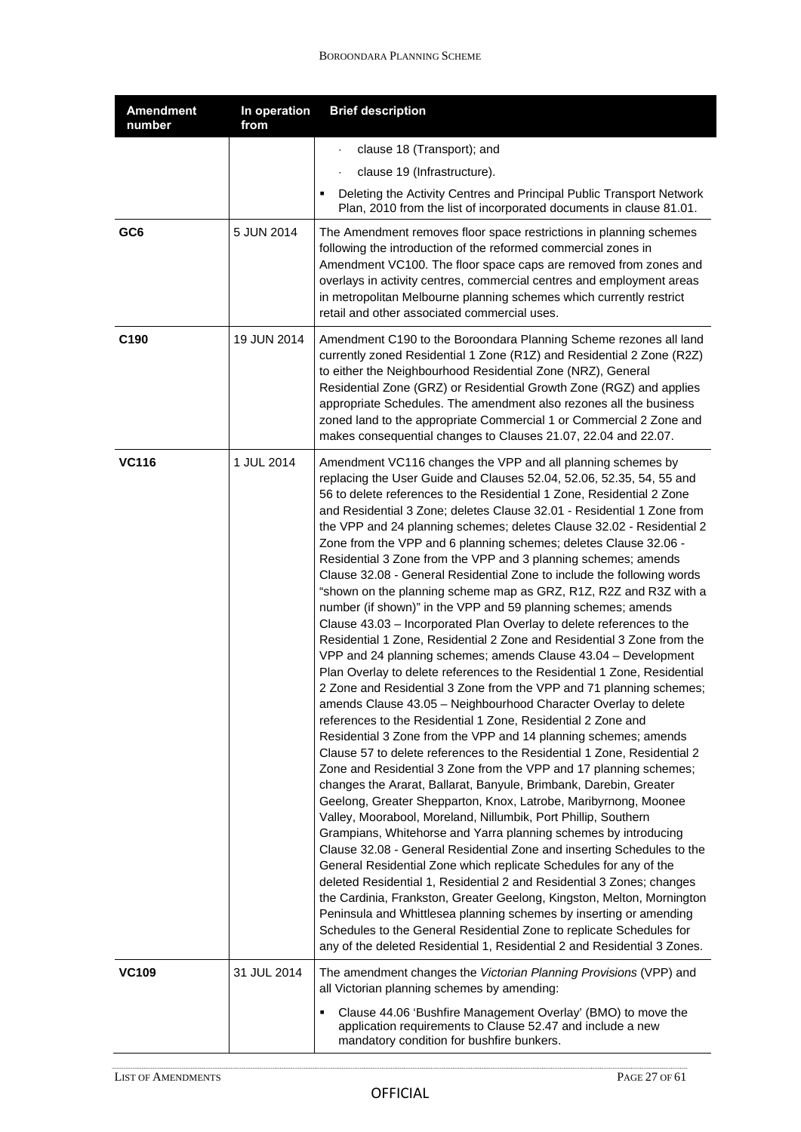| <b>Amendment</b><br>number | In operation<br>from | <b>Brief description</b>                                                                                                                                                                                                                                                                                                                                                                                                                                                                                                                                                                                                                                                                                                                                                                                                                                                                                                                                                                                                                                                                                                                                                                                                                                                                                                                                                                                                                                                                                                                                                                                                                                                                                                                                                                                                                                                                                                                                                                                                                                                                                                                                                                                                                                    |
|----------------------------|----------------------|-------------------------------------------------------------------------------------------------------------------------------------------------------------------------------------------------------------------------------------------------------------------------------------------------------------------------------------------------------------------------------------------------------------------------------------------------------------------------------------------------------------------------------------------------------------------------------------------------------------------------------------------------------------------------------------------------------------------------------------------------------------------------------------------------------------------------------------------------------------------------------------------------------------------------------------------------------------------------------------------------------------------------------------------------------------------------------------------------------------------------------------------------------------------------------------------------------------------------------------------------------------------------------------------------------------------------------------------------------------------------------------------------------------------------------------------------------------------------------------------------------------------------------------------------------------------------------------------------------------------------------------------------------------------------------------------------------------------------------------------------------------------------------------------------------------------------------------------------------------------------------------------------------------------------------------------------------------------------------------------------------------------------------------------------------------------------------------------------------------------------------------------------------------------------------------------------------------------------------------------------------------|
|                            |                      | clause 18 (Transport); and<br>$\ddot{\phantom{0}}$                                                                                                                                                                                                                                                                                                                                                                                                                                                                                                                                                                                                                                                                                                                                                                                                                                                                                                                                                                                                                                                                                                                                                                                                                                                                                                                                                                                                                                                                                                                                                                                                                                                                                                                                                                                                                                                                                                                                                                                                                                                                                                                                                                                                          |
|                            |                      | clause 19 (Infrastructure).                                                                                                                                                                                                                                                                                                                                                                                                                                                                                                                                                                                                                                                                                                                                                                                                                                                                                                                                                                                                                                                                                                                                                                                                                                                                                                                                                                                                                                                                                                                                                                                                                                                                                                                                                                                                                                                                                                                                                                                                                                                                                                                                                                                                                                 |
|                            |                      | Deleting the Activity Centres and Principal Public Transport Network<br>Plan, 2010 from the list of incorporated documents in clause 81.01.                                                                                                                                                                                                                                                                                                                                                                                                                                                                                                                                                                                                                                                                                                                                                                                                                                                                                                                                                                                                                                                                                                                                                                                                                                                                                                                                                                                                                                                                                                                                                                                                                                                                                                                                                                                                                                                                                                                                                                                                                                                                                                                 |
| GC <sub>6</sub>            | 5 JUN 2014           | The Amendment removes floor space restrictions in planning schemes<br>following the introduction of the reformed commercial zones in<br>Amendment VC100. The floor space caps are removed from zones and<br>overlays in activity centres, commercial centres and employment areas<br>in metropolitan Melbourne planning schemes which currently restrict<br>retail and other associated commercial uses.                                                                                                                                                                                                                                                                                                                                                                                                                                                                                                                                                                                                                                                                                                                                                                                                                                                                                                                                                                                                                                                                                                                                                                                                                                                                                                                                                                                                                                                                                                                                                                                                                                                                                                                                                                                                                                                    |
| C190                       | 19 JUN 2014          | Amendment C190 to the Boroondara Planning Scheme rezones all land<br>currently zoned Residential 1 Zone (R1Z) and Residential 2 Zone (R2Z)<br>to either the Neighbourhood Residential Zone (NRZ), General<br>Residential Zone (GRZ) or Residential Growth Zone (RGZ) and applies<br>appropriate Schedules. The amendment also rezones all the business<br>zoned land to the appropriate Commercial 1 or Commercial 2 Zone and<br>makes consequential changes to Clauses 21.07, 22.04 and 22.07.                                                                                                                                                                                                                                                                                                                                                                                                                                                                                                                                                                                                                                                                                                                                                                                                                                                                                                                                                                                                                                                                                                                                                                                                                                                                                                                                                                                                                                                                                                                                                                                                                                                                                                                                                             |
| <b>VC116</b>               | 1 JUL 2014           | Amendment VC116 changes the VPP and all planning schemes by<br>replacing the User Guide and Clauses 52.04, 52.06, 52.35, 54, 55 and<br>56 to delete references to the Residential 1 Zone, Residential 2 Zone<br>and Residential 3 Zone; deletes Clause 32.01 - Residential 1 Zone from<br>the VPP and 24 planning schemes; deletes Clause 32.02 - Residential 2<br>Zone from the VPP and 6 planning schemes; deletes Clause 32.06 -<br>Residential 3 Zone from the VPP and 3 planning schemes; amends<br>Clause 32.08 - General Residential Zone to include the following words<br>"shown on the planning scheme map as GRZ, R1Z, R2Z and R3Z with a<br>number (if shown)" in the VPP and 59 planning schemes; amends<br>Clause 43.03 - Incorporated Plan Overlay to delete references to the<br>Residential 1 Zone, Residential 2 Zone and Residential 3 Zone from the<br>VPP and 24 planning schemes; amends Clause 43.04 - Development<br>Plan Overlay to delete references to the Residential 1 Zone, Residential<br>2 Zone and Residential 3 Zone from the VPP and 71 planning schemes;<br>amends Clause 43.05 - Neighbourhood Character Overlay to delete<br>references to the Residential 1 Zone, Residential 2 Zone and<br>Residential 3 Zone from the VPP and 14 planning schemes; amends<br>Clause 57 to delete references to the Residential 1 Zone, Residential 2<br>Zone and Residential 3 Zone from the VPP and 17 planning schemes;<br>changes the Ararat, Ballarat, Banyule, Brimbank, Darebin, Greater<br>Geelong, Greater Shepparton, Knox, Latrobe, Maribyrnong, Moonee<br>Valley, Moorabool, Moreland, Nillumbik, Port Phillip, Southern<br>Grampians, Whitehorse and Yarra planning schemes by introducing<br>Clause 32.08 - General Residential Zone and inserting Schedules to the<br>General Residential Zone which replicate Schedules for any of the<br>deleted Residential 1, Residential 2 and Residential 3 Zones; changes<br>the Cardinia, Frankston, Greater Geelong, Kingston, Melton, Mornington<br>Peninsula and Whittlesea planning schemes by inserting or amending<br>Schedules to the General Residential Zone to replicate Schedules for<br>any of the deleted Residential 1, Residential 2 and Residential 3 Zones. |
| <b>VC109</b>               | 31 JUL 2014          | The amendment changes the Victorian Planning Provisions (VPP) and<br>all Victorian planning schemes by amending:                                                                                                                                                                                                                                                                                                                                                                                                                                                                                                                                                                                                                                                                                                                                                                                                                                                                                                                                                                                                                                                                                                                                                                                                                                                                                                                                                                                                                                                                                                                                                                                                                                                                                                                                                                                                                                                                                                                                                                                                                                                                                                                                            |
|                            |                      | Clause 44.06 'Bushfire Management Overlay' (BMO) to move the<br>application requirements to Clause 52.47 and include a new<br>mandatory condition for bushfire bunkers.                                                                                                                                                                                                                                                                                                                                                                                                                                                                                                                                                                                                                                                                                                                                                                                                                                                                                                                                                                                                                                                                                                                                                                                                                                                                                                                                                                                                                                                                                                                                                                                                                                                                                                                                                                                                                                                                                                                                                                                                                                                                                     |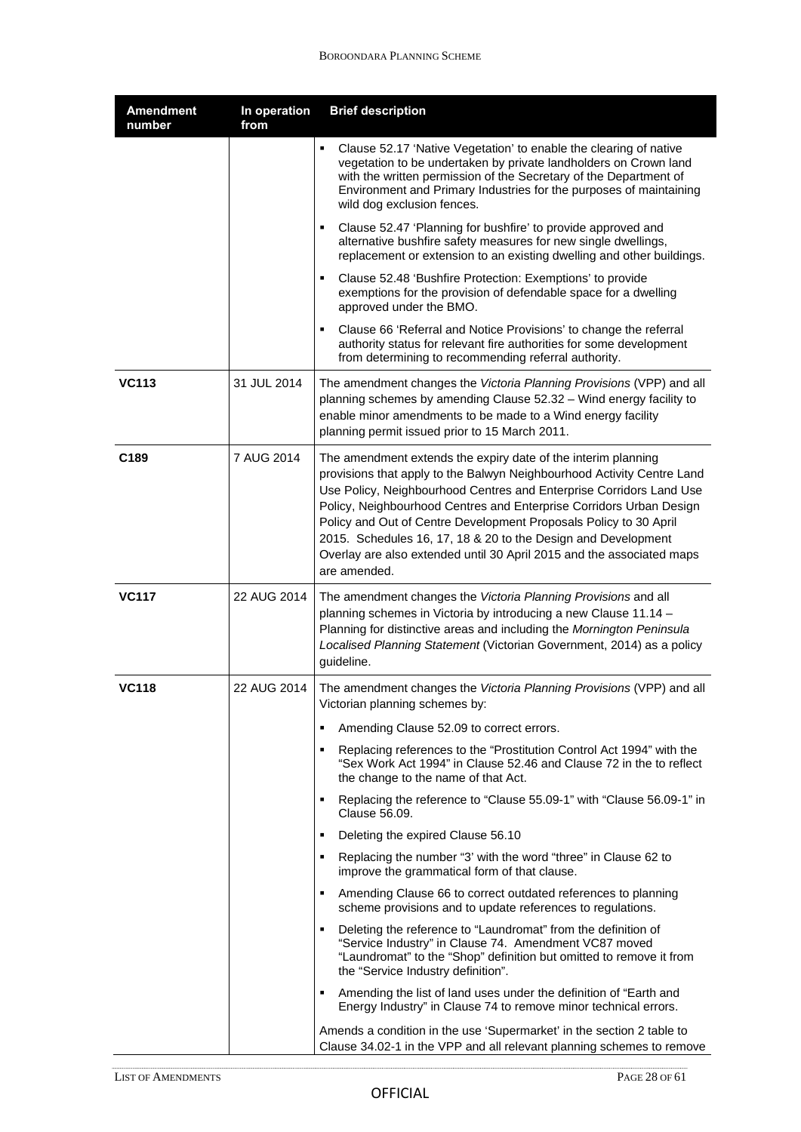| <b>Amendment</b><br>number | In operation<br>from | <b>Brief description</b>                                                                                                                                                                                                                                                                                                                                                                                                                                                                                             |
|----------------------------|----------------------|----------------------------------------------------------------------------------------------------------------------------------------------------------------------------------------------------------------------------------------------------------------------------------------------------------------------------------------------------------------------------------------------------------------------------------------------------------------------------------------------------------------------|
|                            |                      | Clause 52.17 'Native Vegetation' to enable the clearing of native<br>vegetation to be undertaken by private landholders on Crown land<br>with the written permission of the Secretary of the Department of<br>Environment and Primary Industries for the purposes of maintaining<br>wild dog exclusion fences.                                                                                                                                                                                                       |
|                            |                      | Clause 52.47 'Planning for bushfire' to provide approved and<br>alternative bushfire safety measures for new single dwellings,<br>replacement or extension to an existing dwelling and other buildings.                                                                                                                                                                                                                                                                                                              |
|                            |                      | Clause 52.48 'Bushfire Protection: Exemptions' to provide<br>exemptions for the provision of defendable space for a dwelling<br>approved under the BMO.                                                                                                                                                                                                                                                                                                                                                              |
|                            |                      | Clause 66 'Referral and Notice Provisions' to change the referral<br>authority status for relevant fire authorities for some development<br>from determining to recommending referral authority.                                                                                                                                                                                                                                                                                                                     |
| <b>VC113</b>               | 31 JUL 2014          | The amendment changes the Victoria Planning Provisions (VPP) and all<br>planning schemes by amending Clause 52.32 - Wind energy facility to<br>enable minor amendments to be made to a Wind energy facility<br>planning permit issued prior to 15 March 2011.                                                                                                                                                                                                                                                        |
| C <sub>189</sub>           | 7 AUG 2014           | The amendment extends the expiry date of the interim planning<br>provisions that apply to the Balwyn Neighbourhood Activity Centre Land<br>Use Policy, Neighbourhood Centres and Enterprise Corridors Land Use<br>Policy, Neighbourhood Centres and Enterprise Corridors Urban Design<br>Policy and Out of Centre Development Proposals Policy to 30 April<br>2015. Schedules 16, 17, 18 & 20 to the Design and Development<br>Overlay are also extended until 30 April 2015 and the associated maps<br>are amended. |
| <b>VC117</b>               | 22 AUG 2014          | The amendment changes the Victoria Planning Provisions and all<br>planning schemes in Victoria by introducing a new Clause 11.14 -<br>Planning for distinctive areas and including the Mornington Peninsula<br>Localised Planning Statement (Victorian Government, 2014) as a policy<br>guideline.                                                                                                                                                                                                                   |
| <b>VC118</b>               | 22 AUG 2014          | The amendment changes the Victoria Planning Provisions (VPP) and all<br>Victorian planning schemes by:                                                                                                                                                                                                                                                                                                                                                                                                               |
|                            |                      | Amending Clause 52.09 to correct errors.<br>٠                                                                                                                                                                                                                                                                                                                                                                                                                                                                        |
|                            |                      | Replacing references to the "Prostitution Control Act 1994" with the<br>٠<br>"Sex Work Act 1994" in Clause 52.46 and Clause 72 in the to reflect<br>the change to the name of that Act.                                                                                                                                                                                                                                                                                                                              |
|                            |                      | Replacing the reference to "Clause 55.09-1" with "Clause 56.09-1" in<br>٠<br>Clause 56.09.                                                                                                                                                                                                                                                                                                                                                                                                                           |
|                            |                      | Deleting the expired Clause 56.10<br>٠                                                                                                                                                                                                                                                                                                                                                                                                                                                                               |
|                            |                      | Replacing the number "3' with the word "three" in Clause 62 to<br>٠<br>improve the grammatical form of that clause.                                                                                                                                                                                                                                                                                                                                                                                                  |
|                            |                      | ٠<br>Amending Clause 66 to correct outdated references to planning<br>scheme provisions and to update references to regulations.                                                                                                                                                                                                                                                                                                                                                                                     |
|                            |                      | Deleting the reference to "Laundromat" from the definition of<br>٠.<br>"Service Industry" in Clause 74. Amendment VC87 moved<br>"Laundromat" to the "Shop" definition but omitted to remove it from<br>the "Service Industry definition".                                                                                                                                                                                                                                                                            |
|                            |                      | Amending the list of land uses under the definition of "Earth and<br>Energy Industry" in Clause 74 to remove minor technical errors.                                                                                                                                                                                                                                                                                                                                                                                 |
|                            |                      | Amends a condition in the use 'Supermarket' in the section 2 table to<br>Clause 34.02-1 in the VPP and all relevant planning schemes to remove                                                                                                                                                                                                                                                                                                                                                                       |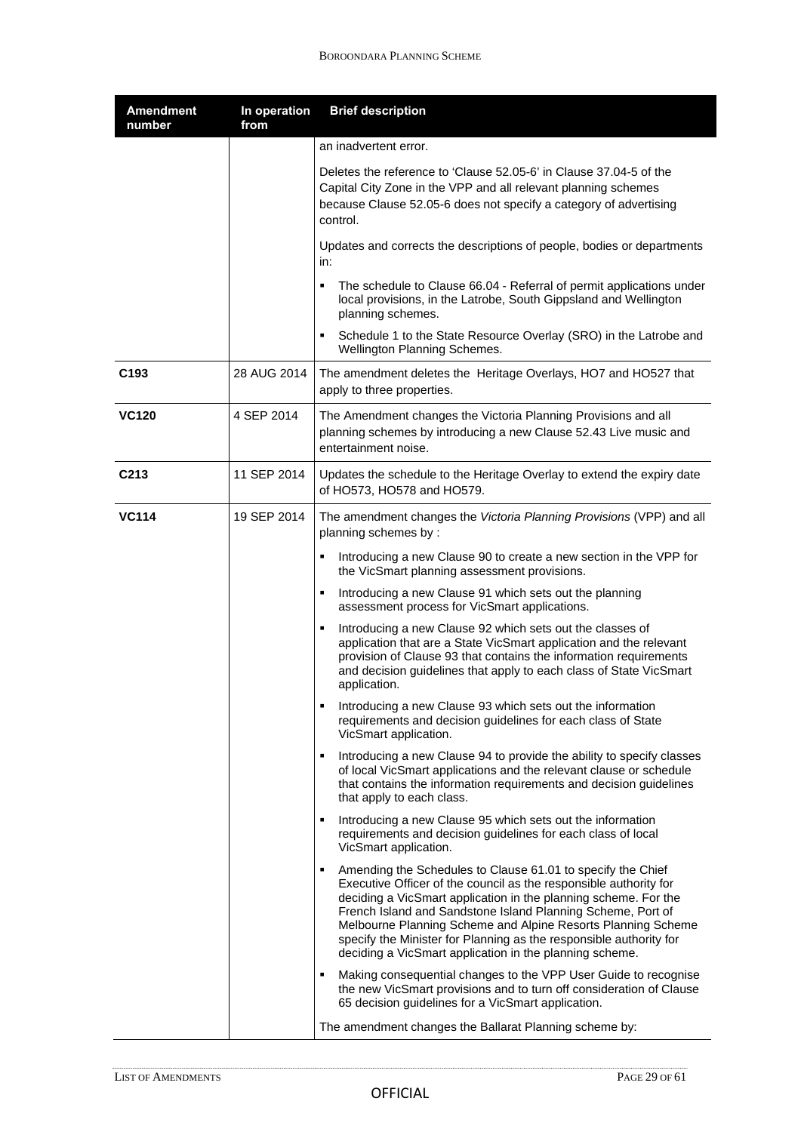| <b>Amendment</b><br>number | In operation<br>from | <b>Brief description</b>                                                                                                                                                                                                                                                                                                                                                                                                                                                 |
|----------------------------|----------------------|--------------------------------------------------------------------------------------------------------------------------------------------------------------------------------------------------------------------------------------------------------------------------------------------------------------------------------------------------------------------------------------------------------------------------------------------------------------------------|
|                            |                      | an inadvertent error.                                                                                                                                                                                                                                                                                                                                                                                                                                                    |
|                            |                      | Deletes the reference to 'Clause 52.05-6' in Clause 37.04-5 of the<br>Capital City Zone in the VPP and all relevant planning schemes<br>because Clause 52.05-6 does not specify a category of advertising<br>control.                                                                                                                                                                                                                                                    |
|                            |                      | Updates and corrects the descriptions of people, bodies or departments<br>in:                                                                                                                                                                                                                                                                                                                                                                                            |
|                            |                      | The schedule to Clause 66.04 - Referral of permit applications under<br>٠<br>local provisions, in the Latrobe, South Gippsland and Wellington<br>planning schemes.                                                                                                                                                                                                                                                                                                       |
|                            |                      | Schedule 1 to the State Resource Overlay (SRO) in the Latrobe and<br>٠<br>Wellington Planning Schemes.                                                                                                                                                                                                                                                                                                                                                                   |
| C <sub>193</sub>           | 28 AUG 2014          | The amendment deletes the Heritage Overlays, HO7 and HO527 that<br>apply to three properties.                                                                                                                                                                                                                                                                                                                                                                            |
| <b>VC120</b>               | 4 SEP 2014           | The Amendment changes the Victoria Planning Provisions and all<br>planning schemes by introducing a new Clause 52.43 Live music and<br>entertainment noise.                                                                                                                                                                                                                                                                                                              |
| C <sub>213</sub>           | 11 SEP 2014          | Updates the schedule to the Heritage Overlay to extend the expiry date<br>of HO573, HO578 and HO579.                                                                                                                                                                                                                                                                                                                                                                     |
| <b>VC114</b>               | 19 SEP 2014          | The amendment changes the Victoria Planning Provisions (VPP) and all<br>planning schemes by:                                                                                                                                                                                                                                                                                                                                                                             |
|                            |                      | Introducing a new Clause 90 to create a new section in the VPP for<br>the VicSmart planning assessment provisions.                                                                                                                                                                                                                                                                                                                                                       |
|                            |                      | Introducing a new Clause 91 which sets out the planning<br>٠<br>assessment process for VicSmart applications.                                                                                                                                                                                                                                                                                                                                                            |
|                            |                      | Introducing a new Clause 92 which sets out the classes of<br>application that are a State VicSmart application and the relevant<br>provision of Clause 93 that contains the information requirements<br>and decision guidelines that apply to each class of State VicSmart<br>application.                                                                                                                                                                               |
|                            |                      | Introducing a new Clause 93 which sets out the information<br>٠<br>requirements and decision guidelines for each class of State<br>VicSmart application.                                                                                                                                                                                                                                                                                                                 |
|                            |                      | Introducing a new Clause 94 to provide the ability to specify classes<br>$\blacksquare$<br>of local VicSmart applications and the relevant clause or schedule<br>that contains the information requirements and decision guidelines<br>that apply to each class.                                                                                                                                                                                                         |
|                            |                      | Introducing a new Clause 95 which sets out the information<br>٠,<br>requirements and decision guidelines for each class of local<br>VicSmart application.                                                                                                                                                                                                                                                                                                                |
|                            |                      | Amending the Schedules to Clause 61.01 to specify the Chief<br>٠<br>Executive Officer of the council as the responsible authority for<br>deciding a VicSmart application in the planning scheme. For the<br>French Island and Sandstone Island Planning Scheme, Port of<br>Melbourne Planning Scheme and Alpine Resorts Planning Scheme<br>specify the Minister for Planning as the responsible authority for<br>deciding a VicSmart application in the planning scheme. |
|                            |                      | Making consequential changes to the VPP User Guide to recognise<br>the new VicSmart provisions and to turn off consideration of Clause<br>65 decision guidelines for a VicSmart application.                                                                                                                                                                                                                                                                             |
|                            |                      | The amendment changes the Ballarat Planning scheme by:                                                                                                                                                                                                                                                                                                                                                                                                                   |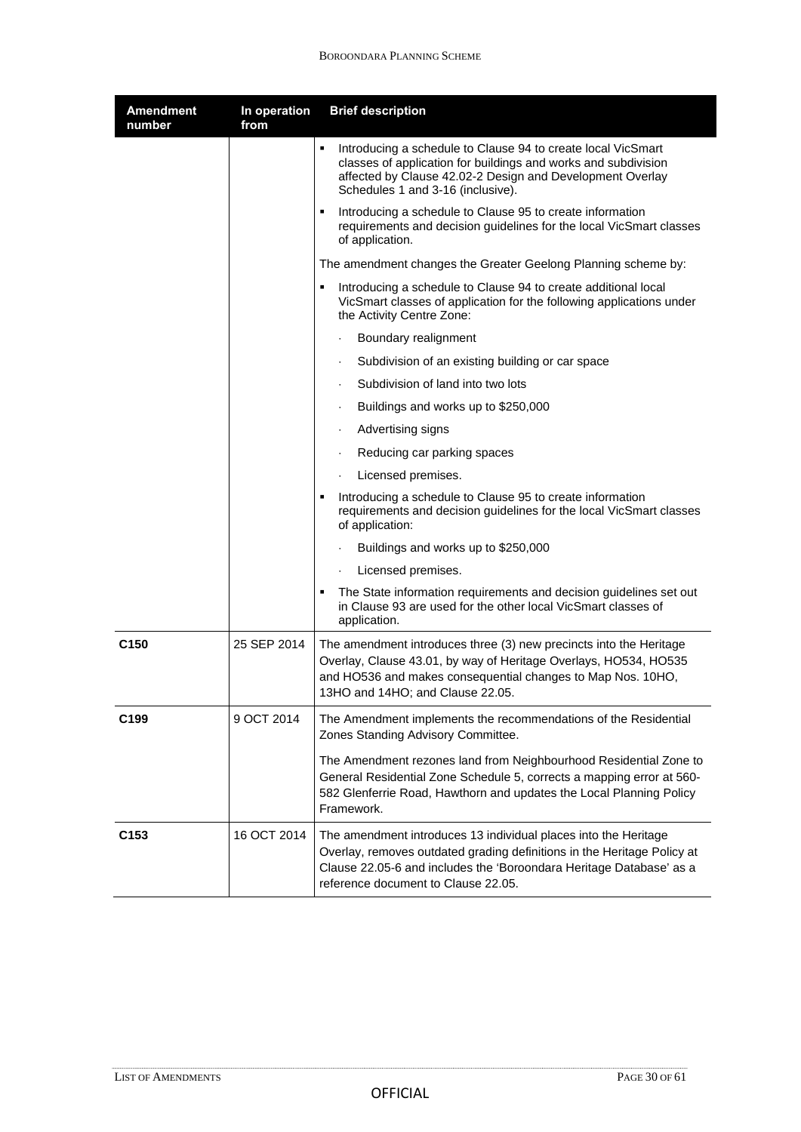| <b>Amendment</b><br>number | In operation<br>from | <b>Brief description</b>                                                                                                                                                                                                                                 |
|----------------------------|----------------------|----------------------------------------------------------------------------------------------------------------------------------------------------------------------------------------------------------------------------------------------------------|
|                            |                      | Introducing a schedule to Clause 94 to create local VicSmart<br>٠<br>classes of application for buildings and works and subdivision<br>affected by Clause 42.02-2 Design and Development Overlay<br>Schedules 1 and 3-16 (inclusive).                    |
|                            |                      | Introducing a schedule to Clause 95 to create information<br>٠<br>requirements and decision guidelines for the local VicSmart classes<br>of application.                                                                                                 |
|                            |                      | The amendment changes the Greater Geelong Planning scheme by:                                                                                                                                                                                            |
|                            |                      | Introducing a schedule to Clause 94 to create additional local<br>٠<br>VicSmart classes of application for the following applications under<br>the Activity Centre Zone:                                                                                 |
|                            |                      | Boundary realignment                                                                                                                                                                                                                                     |
|                            |                      | Subdivision of an existing building or car space                                                                                                                                                                                                         |
|                            |                      | Subdivision of land into two lots                                                                                                                                                                                                                        |
|                            |                      | Buildings and works up to \$250,000<br>$\ddot{\phantom{0}}$                                                                                                                                                                                              |
|                            |                      | Advertising signs<br>$\ddot{\phantom{0}}$                                                                                                                                                                                                                |
|                            |                      | Reducing car parking spaces                                                                                                                                                                                                                              |
|                            |                      | Licensed premises.                                                                                                                                                                                                                                       |
|                            |                      | Introducing a schedule to Clause 95 to create information<br>٠<br>requirements and decision guidelines for the local VicSmart classes<br>of application:                                                                                                 |
|                            |                      | Buildings and works up to \$250,000                                                                                                                                                                                                                      |
|                            |                      | Licensed premises.<br>$\ddot{\phantom{0}}$                                                                                                                                                                                                               |
|                            |                      | The State information requirements and decision guidelines set out<br>٠<br>in Clause 93 are used for the other local VicSmart classes of<br>application.                                                                                                 |
| C <sub>150</sub>           | 25 SEP 2014          | The amendment introduces three (3) new precincts into the Heritage<br>Overlay, Clause 43.01, by way of Heritage Overlays, HO534, HO535<br>and HO536 and makes consequential changes to Map Nos. 10HO,<br>13HO and 14HO; and Clause 22.05.                |
| C <sub>199</sub>           | 9 OCT 2014           | The Amendment implements the recommendations of the Residential<br>Zones Standing Advisory Committee.                                                                                                                                                    |
|                            |                      | The Amendment rezones land from Neighbourhood Residential Zone to<br>General Residential Zone Schedule 5, corrects a mapping error at 560-<br>582 Glenferrie Road, Hawthorn and updates the Local Planning Policy<br>Framework.                          |
| C <sub>153</sub>           | 16 OCT 2014          | The amendment introduces 13 individual places into the Heritage<br>Overlay, removes outdated grading definitions in the Heritage Policy at<br>Clause 22.05-6 and includes the 'Boroondara Heritage Database' as a<br>reference document to Clause 22.05. |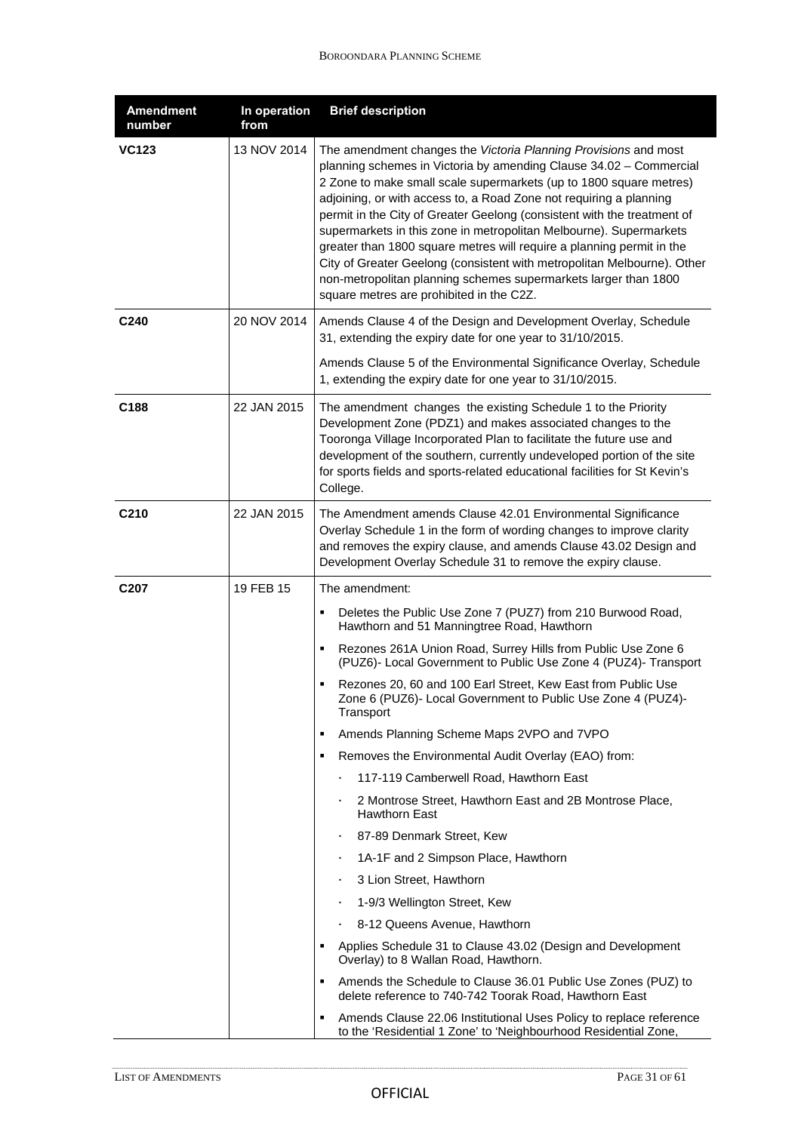| <b>Amendment</b><br>number | In operation<br>from | <b>Brief description</b>                                                                                                                                                                                                                                                                                                                                                                                                                                                                                                                                                                                                                                                                              |
|----------------------------|----------------------|-------------------------------------------------------------------------------------------------------------------------------------------------------------------------------------------------------------------------------------------------------------------------------------------------------------------------------------------------------------------------------------------------------------------------------------------------------------------------------------------------------------------------------------------------------------------------------------------------------------------------------------------------------------------------------------------------------|
| <b>VC123</b>               | 13 NOV 2014          | The amendment changes the Victoria Planning Provisions and most<br>planning schemes in Victoria by amending Clause 34.02 - Commercial<br>2 Zone to make small scale supermarkets (up to 1800 square metres)<br>adjoining, or with access to, a Road Zone not requiring a planning<br>permit in the City of Greater Geelong (consistent with the treatment of<br>supermarkets in this zone in metropolitan Melbourne). Supermarkets<br>greater than 1800 square metres will require a planning permit in the<br>City of Greater Geelong (consistent with metropolitan Melbourne). Other<br>non-metropolitan planning schemes supermarkets larger than 1800<br>square metres are prohibited in the C2Z. |
| C <sub>240</sub>           | 20 NOV 2014          | Amends Clause 4 of the Design and Development Overlay, Schedule<br>31, extending the expiry date for one year to 31/10/2015.                                                                                                                                                                                                                                                                                                                                                                                                                                                                                                                                                                          |
|                            |                      | Amends Clause 5 of the Environmental Significance Overlay, Schedule<br>1, extending the expiry date for one year to 31/10/2015.                                                                                                                                                                                                                                                                                                                                                                                                                                                                                                                                                                       |
| C <sub>188</sub>           | 22 JAN 2015          | The amendment changes the existing Schedule 1 to the Priority<br>Development Zone (PDZ1) and makes associated changes to the<br>Tooronga Village Incorporated Plan to facilitate the future use and<br>development of the southern, currently undeveloped portion of the site<br>for sports fields and sports-related educational facilities for St Kevin's<br>College.                                                                                                                                                                                                                                                                                                                               |
| C <sub>210</sub>           | 22 JAN 2015          | The Amendment amends Clause 42.01 Environmental Significance<br>Overlay Schedule 1 in the form of wording changes to improve clarity<br>and removes the expiry clause, and amends Clause 43.02 Design and<br>Development Overlay Schedule 31 to remove the expiry clause.                                                                                                                                                                                                                                                                                                                                                                                                                             |
| C <sub>207</sub>           | 19 FEB 15            | The amendment:                                                                                                                                                                                                                                                                                                                                                                                                                                                                                                                                                                                                                                                                                        |
|                            |                      | Deletes the Public Use Zone 7 (PUZ7) from 210 Burwood Road,<br>٠<br>Hawthorn and 51 Manningtree Road, Hawthorn                                                                                                                                                                                                                                                                                                                                                                                                                                                                                                                                                                                        |
|                            |                      | Rezones 261A Union Road, Surrey Hills from Public Use Zone 6<br>٠<br>(PUZ6)- Local Government to Public Use Zone 4 (PUZ4)- Transport                                                                                                                                                                                                                                                                                                                                                                                                                                                                                                                                                                  |
|                            |                      | Rezones 20, 60 and 100 Earl Street, Kew East from Public Use<br>Zone 6 (PUZ6)- Local Government to Public Use Zone 4 (PUZ4)-<br>Transport                                                                                                                                                                                                                                                                                                                                                                                                                                                                                                                                                             |
|                            |                      | Amends Planning Scheme Maps 2VPO and 7VPO<br>٠                                                                                                                                                                                                                                                                                                                                                                                                                                                                                                                                                                                                                                                        |
|                            |                      | Removes the Environmental Audit Overlay (EAO) from:<br>٠                                                                                                                                                                                                                                                                                                                                                                                                                                                                                                                                                                                                                                              |
|                            |                      | 117-119 Camberwell Road, Hawthorn East                                                                                                                                                                                                                                                                                                                                                                                                                                                                                                                                                                                                                                                                |
|                            |                      | 2 Montrose Street, Hawthorn East and 2B Montrose Place,<br>Hawthorn East                                                                                                                                                                                                                                                                                                                                                                                                                                                                                                                                                                                                                              |
|                            |                      | 87-89 Denmark Street, Kew<br>٠                                                                                                                                                                                                                                                                                                                                                                                                                                                                                                                                                                                                                                                                        |
|                            |                      | 1A-1F and 2 Simpson Place, Hawthorn                                                                                                                                                                                                                                                                                                                                                                                                                                                                                                                                                                                                                                                                   |
|                            |                      | 3 Lion Street, Hawthorn                                                                                                                                                                                                                                                                                                                                                                                                                                                                                                                                                                                                                                                                               |
|                            |                      | 1-9/3 Wellington Street, Kew                                                                                                                                                                                                                                                                                                                                                                                                                                                                                                                                                                                                                                                                          |
|                            |                      | 8-12 Queens Avenue, Hawthorn                                                                                                                                                                                                                                                                                                                                                                                                                                                                                                                                                                                                                                                                          |
|                            |                      | Applies Schedule 31 to Clause 43.02 (Design and Development<br>٠<br>Overlay) to 8 Wallan Road, Hawthorn.                                                                                                                                                                                                                                                                                                                                                                                                                                                                                                                                                                                              |
|                            |                      | Amends the Schedule to Clause 36.01 Public Use Zones (PUZ) to<br>٠<br>delete reference to 740-742 Toorak Road, Hawthorn East                                                                                                                                                                                                                                                                                                                                                                                                                                                                                                                                                                          |
|                            |                      | Amends Clause 22.06 Institutional Uses Policy to replace reference<br>٠<br>to the 'Residential 1 Zone' to 'Neighbourhood Residential Zone,                                                                                                                                                                                                                                                                                                                                                                                                                                                                                                                                                            |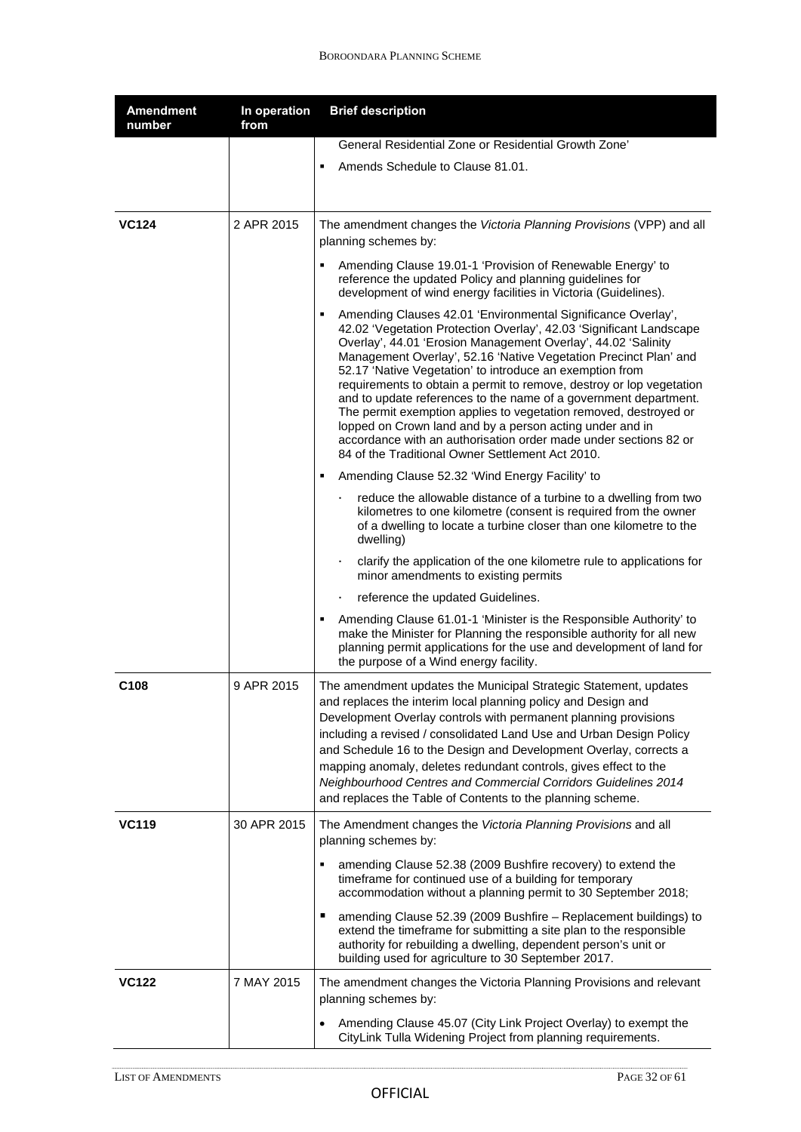| <b>Amendment</b><br>number | In operation<br>from | <b>Brief description</b>                                                                                                                                                                                                                                                                                                                                                                                                                                                                                                                                                                                                                                                                                                                      |
|----------------------------|----------------------|-----------------------------------------------------------------------------------------------------------------------------------------------------------------------------------------------------------------------------------------------------------------------------------------------------------------------------------------------------------------------------------------------------------------------------------------------------------------------------------------------------------------------------------------------------------------------------------------------------------------------------------------------------------------------------------------------------------------------------------------------|
|                            |                      | General Residential Zone or Residential Growth Zone'                                                                                                                                                                                                                                                                                                                                                                                                                                                                                                                                                                                                                                                                                          |
|                            |                      | Amends Schedule to Clause 81.01.<br>٠                                                                                                                                                                                                                                                                                                                                                                                                                                                                                                                                                                                                                                                                                                         |
| <b>VC124</b>               | 2 APR 2015           | The amendment changes the Victoria Planning Provisions (VPP) and all<br>planning schemes by:                                                                                                                                                                                                                                                                                                                                                                                                                                                                                                                                                                                                                                                  |
|                            |                      | Amending Clause 19.01-1 'Provision of Renewable Energy' to<br>reference the updated Policy and planning guidelines for<br>development of wind energy facilities in Victoria (Guidelines).                                                                                                                                                                                                                                                                                                                                                                                                                                                                                                                                                     |
|                            |                      | Amending Clauses 42.01 'Environmental Significance Overlay',<br>٠<br>42.02 'Vegetation Protection Overlay', 42.03 'Significant Landscape<br>Overlay', 44.01 'Erosion Management Overlay', 44.02 'Salinity<br>Management Overlay', 52.16 'Native Vegetation Precinct Plan' and<br>52.17 'Native Vegetation' to introduce an exemption from<br>requirements to obtain a permit to remove, destroy or lop vegetation<br>and to update references to the name of a government department.<br>The permit exemption applies to vegetation removed, destroyed or<br>lopped on Crown land and by a person acting under and in<br>accordance with an authorisation order made under sections 82 or<br>84 of the Traditional Owner Settlement Act 2010. |
|                            |                      | Amending Clause 52.32 'Wind Energy Facility' to<br>٠                                                                                                                                                                                                                                                                                                                                                                                                                                                                                                                                                                                                                                                                                          |
|                            |                      | reduce the allowable distance of a turbine to a dwelling from two<br>kilometres to one kilometre (consent is required from the owner<br>of a dwelling to locate a turbine closer than one kilometre to the<br>dwelling)                                                                                                                                                                                                                                                                                                                                                                                                                                                                                                                       |
|                            |                      | clarify the application of the one kilometre rule to applications for<br>minor amendments to existing permits                                                                                                                                                                                                                                                                                                                                                                                                                                                                                                                                                                                                                                 |
|                            |                      | reference the updated Guidelines.                                                                                                                                                                                                                                                                                                                                                                                                                                                                                                                                                                                                                                                                                                             |
|                            |                      | Amending Clause 61.01-1 'Minister is the Responsible Authority' to<br>make the Minister for Planning the responsible authority for all new<br>planning permit applications for the use and development of land for<br>the purpose of a Wind energy facility.                                                                                                                                                                                                                                                                                                                                                                                                                                                                                  |
| C <sub>108</sub>           | 9 APR 2015           | The amendment updates the Municipal Strategic Statement, updates<br>and replaces the interim local planning policy and Design and<br>Development Overlay controls with permanent planning provisions<br>including a revised / consolidated Land Use and Urban Design Policy<br>and Schedule 16 to the Design and Development Overlay, corrects a<br>mapping anomaly, deletes redundant controls, gives effect to the<br>Neighbourhood Centres and Commercial Corridors Guidelines 2014<br>and replaces the Table of Contents to the planning scheme.                                                                                                                                                                                          |
| <b>VC119</b>               | 30 APR 2015          | The Amendment changes the Victoria Planning Provisions and all<br>planning schemes by:                                                                                                                                                                                                                                                                                                                                                                                                                                                                                                                                                                                                                                                        |
|                            |                      | amending Clause 52.38 (2009 Bushfire recovery) to extend the<br>timeframe for continued use of a building for temporary<br>accommodation without a planning permit to 30 September 2018;                                                                                                                                                                                                                                                                                                                                                                                                                                                                                                                                                      |
|                            |                      | amending Clause 52.39 (2009 Bushfire - Replacement buildings) to<br>extend the timeframe for submitting a site plan to the responsible<br>authority for rebuilding a dwelling, dependent person's unit or<br>building used for agriculture to 30 September 2017.                                                                                                                                                                                                                                                                                                                                                                                                                                                                              |
| <b>VC122</b>               | 7 MAY 2015           | The amendment changes the Victoria Planning Provisions and relevant<br>planning schemes by:                                                                                                                                                                                                                                                                                                                                                                                                                                                                                                                                                                                                                                                   |
|                            |                      | Amending Clause 45.07 (City Link Project Overlay) to exempt the<br>CityLink Tulla Widening Project from planning requirements.                                                                                                                                                                                                                                                                                                                                                                                                                                                                                                                                                                                                                |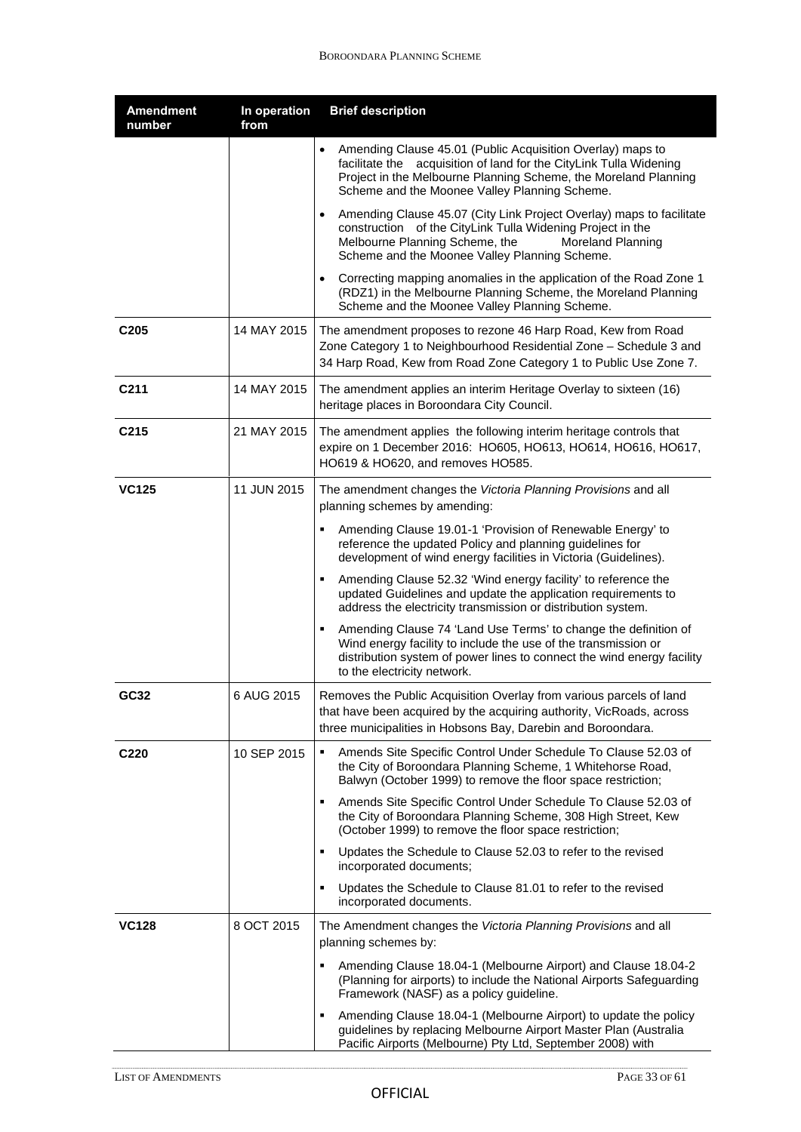| <b>Amendment</b><br>number | In operation<br>from | <b>Brief description</b>                                                                                                                                                                                                                                |
|----------------------------|----------------------|---------------------------------------------------------------------------------------------------------------------------------------------------------------------------------------------------------------------------------------------------------|
|                            |                      | Amending Clause 45.01 (Public Acquisition Overlay) maps to<br>facilitate the acquisition of land for the CityLink Tulla Widening<br>Project in the Melbourne Planning Scheme, the Moreland Planning<br>Scheme and the Moonee Valley Planning Scheme.    |
|                            |                      | Amending Clause 45.07 (City Link Project Overlay) maps to facilitate<br>$\bullet$<br>construction of the CityLink Tulla Widening Project in the<br>Melbourne Planning Scheme, the<br>Moreland Planning<br>Scheme and the Moonee Valley Planning Scheme. |
|                            |                      | Correcting mapping anomalies in the application of the Road Zone 1<br>(RDZ1) in the Melbourne Planning Scheme, the Moreland Planning<br>Scheme and the Moonee Valley Planning Scheme.                                                                   |
| C <sub>205</sub>           | 14 MAY 2015          | The amendment proposes to rezone 46 Harp Road, Kew from Road<br>Zone Category 1 to Neighbourhood Residential Zone - Schedule 3 and<br>34 Harp Road, Kew from Road Zone Category 1 to Public Use Zone 7.                                                 |
| C <sub>211</sub>           | 14 MAY 2015          | The amendment applies an interim Heritage Overlay to sixteen (16)<br>heritage places in Boroondara City Council.                                                                                                                                        |
| C <sub>215</sub>           | 21 MAY 2015          | The amendment applies the following interim heritage controls that<br>expire on 1 December 2016: HO605, HO613, HO614, HO616, HO617,<br>HO619 & HO620, and removes HO585.                                                                                |
| <b>VC125</b>               | 11 JUN 2015          | The amendment changes the Victoria Planning Provisions and all<br>planning schemes by amending:                                                                                                                                                         |
|                            |                      | Amending Clause 19.01-1 'Provision of Renewable Energy' to<br>reference the updated Policy and planning guidelines for<br>development of wind energy facilities in Victoria (Guidelines).                                                               |
|                            |                      | Amending Clause 52.32 'Wind energy facility' to reference the<br>updated Guidelines and update the application requirements to<br>address the electricity transmission or distribution system.                                                          |
|                            |                      | Amending Clause 74 'Land Use Terms' to change the definition of<br>Wind energy facility to include the use of the transmission or<br>distribution system of power lines to connect the wind energy facility<br>to the electricity network.              |
| GC32                       | 6 AUG 2015           | Removes the Public Acquisition Overlay from various parcels of land<br>that have been acquired by the acquiring authority, VicRoads, across<br>three municipalities in Hobsons Bay, Darebin and Boroondara.                                             |
| C <sub>220</sub>           | 10 SEP 2015          | Amends Site Specific Control Under Schedule To Clause 52.03 of<br>٠<br>the City of Boroondara Planning Scheme, 1 Whitehorse Road,<br>Balwyn (October 1999) to remove the floor space restriction;                                                       |
|                            |                      | Amends Site Specific Control Under Schedule To Clause 52.03 of<br>the City of Boroondara Planning Scheme, 308 High Street, Kew<br>(October 1999) to remove the floor space restriction;                                                                 |
|                            |                      | Updates the Schedule to Clause 52.03 to refer to the revised<br>٠<br>incorporated documents;                                                                                                                                                            |
|                            |                      | Updates the Schedule to Clause 81.01 to refer to the revised<br>٠<br>incorporated documents.                                                                                                                                                            |
| <b>VC128</b>               | 8 OCT 2015           | The Amendment changes the Victoria Planning Provisions and all<br>planning schemes by:                                                                                                                                                                  |
|                            |                      | Amending Clause 18.04-1 (Melbourne Airport) and Clause 18.04-2<br>٠<br>(Planning for airports) to include the National Airports Safeguarding<br>Framework (NASF) as a policy guideline.                                                                 |
|                            |                      | Amending Clause 18.04-1 (Melbourne Airport) to update the policy<br>٠<br>guidelines by replacing Melbourne Airport Master Plan (Australia<br>Pacific Airports (Melbourne) Pty Ltd, September 2008) with                                                 |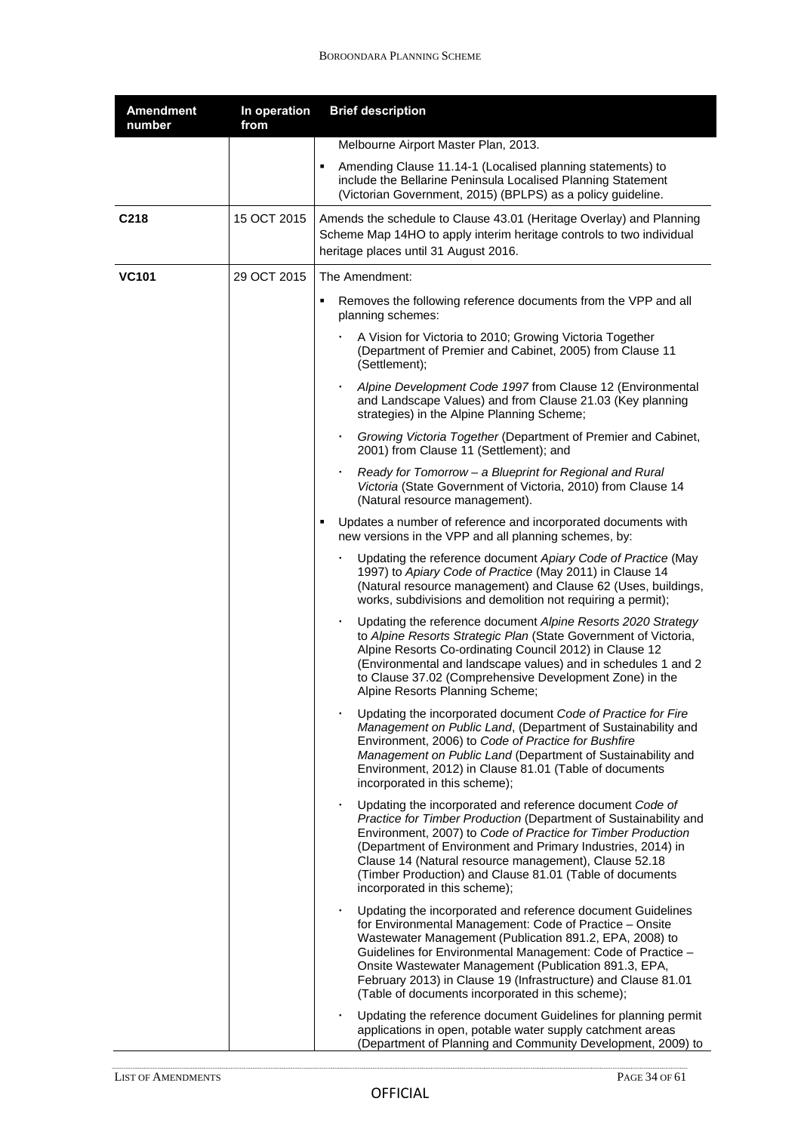| <b>Amendment</b><br>number | In operation<br>from | <b>Brief description</b>                                                                                                                                                                                                                                                                                                                                                                                                             |
|----------------------------|----------------------|--------------------------------------------------------------------------------------------------------------------------------------------------------------------------------------------------------------------------------------------------------------------------------------------------------------------------------------------------------------------------------------------------------------------------------------|
|                            |                      | Melbourne Airport Master Plan, 2013.                                                                                                                                                                                                                                                                                                                                                                                                 |
|                            |                      | Amending Clause 11.14-1 (Localised planning statements) to<br>٠<br>include the Bellarine Peninsula Localised Planning Statement<br>(Victorian Government, 2015) (BPLPS) as a policy guideline.                                                                                                                                                                                                                                       |
| C218                       | 15 OCT 2015          | Amends the schedule to Clause 43.01 (Heritage Overlay) and Planning<br>Scheme Map 14HO to apply interim heritage controls to two individual<br>heritage places until 31 August 2016.                                                                                                                                                                                                                                                 |
| <b>VC101</b>               | 29 OCT 2015          | The Amendment:                                                                                                                                                                                                                                                                                                                                                                                                                       |
|                            |                      | Removes the following reference documents from the VPP and all<br>٠<br>planning schemes:                                                                                                                                                                                                                                                                                                                                             |
|                            |                      | A Vision for Victoria to 2010; Growing Victoria Together<br>(Department of Premier and Cabinet, 2005) from Clause 11<br>(Settlement);                                                                                                                                                                                                                                                                                                |
|                            |                      | Alpine Development Code 1997 from Clause 12 (Environmental<br>and Landscape Values) and from Clause 21.03 (Key planning<br>strategies) in the Alpine Planning Scheme;                                                                                                                                                                                                                                                                |
|                            |                      | Growing Victoria Together (Department of Premier and Cabinet,<br>2001) from Clause 11 (Settlement); and                                                                                                                                                                                                                                                                                                                              |
|                            |                      | Ready for Tomorrow - a Blueprint for Regional and Rural<br>٠<br>Victoria (State Government of Victoria, 2010) from Clause 14<br>(Natural resource management).                                                                                                                                                                                                                                                                       |
|                            |                      | Updates a number of reference and incorporated documents with<br>٠<br>new versions in the VPP and all planning schemes, by:                                                                                                                                                                                                                                                                                                          |
|                            |                      | Updating the reference document Apiary Code of Practice (May<br>1997) to Apiary Code of Practice (May 2011) in Clause 14<br>(Natural resource management) and Clause 62 (Uses, buildings,<br>works, subdivisions and demolition not requiring a permit);                                                                                                                                                                             |
|                            |                      | Updating the reference document Alpine Resorts 2020 Strategy<br>to Alpine Resorts Strategic Plan (State Government of Victoria,<br>Alpine Resorts Co-ordinating Council 2012) in Clause 12<br>(Environmental and landscape values) and in schedules 1 and 2<br>to Clause 37.02 (Comprehensive Development Zone) in the<br>Alpine Resorts Planning Scheme;                                                                            |
|                            |                      | Updating the incorporated document Code of Practice for Fire<br>Management on Public Land, (Department of Sustainability and<br>Environment, 2006) to Code of Practice for Bushfire<br>Management on Public Land (Department of Sustainability and<br>Environment, 2012) in Clause 81.01 (Table of documents<br>incorporated in this scheme);                                                                                        |
|                            |                      | Updating the incorporated and reference document Code of<br>Practice for Timber Production (Department of Sustainability and<br>Environment, 2007) to Code of Practice for Timber Production<br>(Department of Environment and Primary Industries, 2014) in<br>Clause 14 (Natural resource management), Clause 52.18<br>(Timber Production) and Clause 81.01 (Table of documents<br>incorporated in this scheme);                    |
|                            |                      | Updating the incorporated and reference document Guidelines<br>٠<br>for Environmental Management: Code of Practice - Onsite<br>Wastewater Management (Publication 891.2, EPA, 2008) to<br>Guidelines for Environmental Management: Code of Practice -<br>Onsite Wastewater Management (Publication 891.3, EPA,<br>February 2013) in Clause 19 (Infrastructure) and Clause 81.01<br>(Table of documents incorporated in this scheme); |
|                            |                      | Updating the reference document Guidelines for planning permit<br>applications in open, potable water supply catchment areas<br>(Department of Planning and Community Development, 2009) to                                                                                                                                                                                                                                          |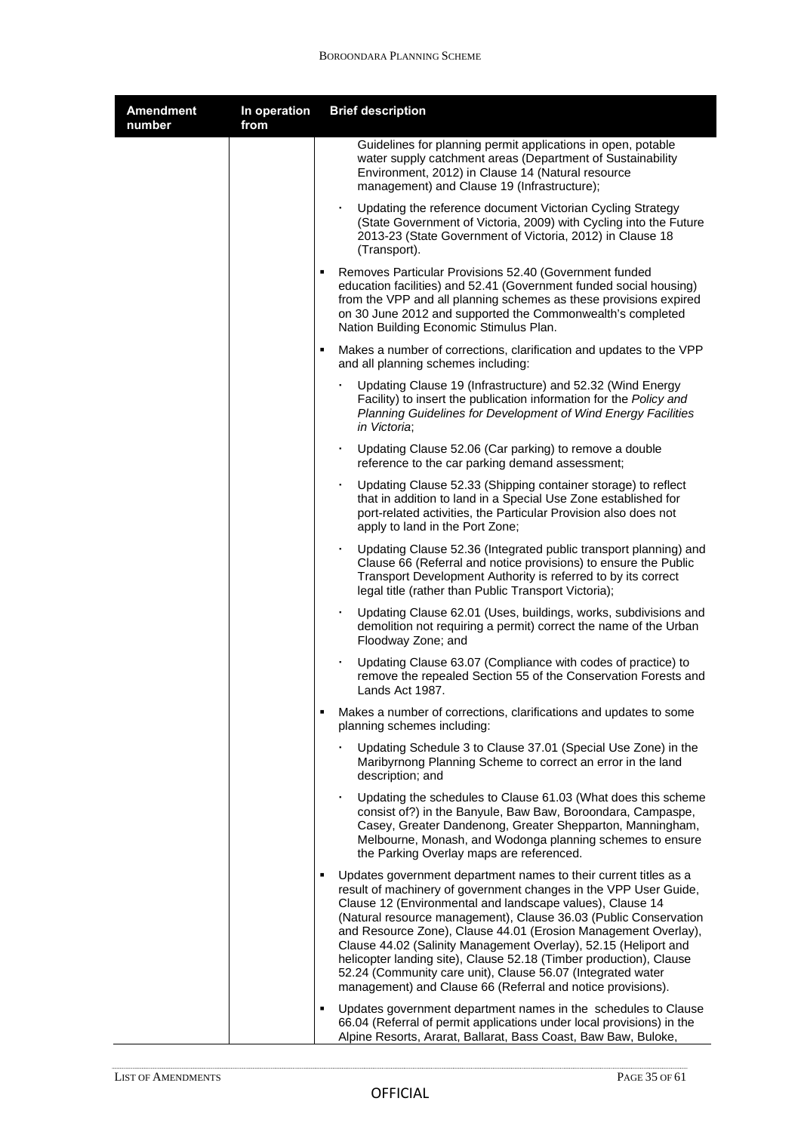| <b>Amendment</b><br>number | In operation<br>from | <b>Brief description</b>                                                                                                                                                                                                                                                                                                                                                                                                                                                                                                                                                                                            |
|----------------------------|----------------------|---------------------------------------------------------------------------------------------------------------------------------------------------------------------------------------------------------------------------------------------------------------------------------------------------------------------------------------------------------------------------------------------------------------------------------------------------------------------------------------------------------------------------------------------------------------------------------------------------------------------|
|                            |                      | Guidelines for planning permit applications in open, potable<br>water supply catchment areas (Department of Sustainability<br>Environment, 2012) in Clause 14 (Natural resource<br>management) and Clause 19 (Infrastructure);                                                                                                                                                                                                                                                                                                                                                                                      |
|                            |                      | Updating the reference document Victorian Cycling Strategy<br>٠<br>(State Government of Victoria, 2009) with Cycling into the Future<br>2013-23 (State Government of Victoria, 2012) in Clause 18<br>(Transport).                                                                                                                                                                                                                                                                                                                                                                                                   |
|                            |                      | Removes Particular Provisions 52.40 (Government funded<br>education facilities) and 52.41 (Government funded social housing)<br>from the VPP and all planning schemes as these provisions expired<br>on 30 June 2012 and supported the Commonwealth's completed<br>Nation Building Economic Stimulus Plan.                                                                                                                                                                                                                                                                                                          |
|                            |                      | $\blacksquare$<br>Makes a number of corrections, clarification and updates to the VPP<br>and all planning schemes including:                                                                                                                                                                                                                                                                                                                                                                                                                                                                                        |
|                            |                      | Updating Clause 19 (Infrastructure) and 52.32 (Wind Energy<br>Facility) to insert the publication information for the Policy and<br>Planning Guidelines for Development of Wind Energy Facilities<br>in Victoria;                                                                                                                                                                                                                                                                                                                                                                                                   |
|                            |                      | Updating Clause 52.06 (Car parking) to remove a double<br>reference to the car parking demand assessment;                                                                                                                                                                                                                                                                                                                                                                                                                                                                                                           |
|                            |                      | Updating Clause 52.33 (Shipping container storage) to reflect<br>that in addition to land in a Special Use Zone established for<br>port-related activities, the Particular Provision also does not<br>apply to land in the Port Zone;                                                                                                                                                                                                                                                                                                                                                                               |
|                            |                      | Updating Clause 52.36 (Integrated public transport planning) and<br>٠<br>Clause 66 (Referral and notice provisions) to ensure the Public<br>Transport Development Authority is referred to by its correct<br>legal title (rather than Public Transport Victoria);                                                                                                                                                                                                                                                                                                                                                   |
|                            |                      | Updating Clause 62.01 (Uses, buildings, works, subdivisions and<br>demolition not requiring a permit) correct the name of the Urban<br>Floodway Zone; and                                                                                                                                                                                                                                                                                                                                                                                                                                                           |
|                            |                      | Updating Clause 63.07 (Compliance with codes of practice) to<br>remove the repealed Section 55 of the Conservation Forests and<br>Lands Act 1987.                                                                                                                                                                                                                                                                                                                                                                                                                                                                   |
|                            |                      | $\blacksquare$<br>Makes a number of corrections, clarifications and updates to some<br>planning schemes including:                                                                                                                                                                                                                                                                                                                                                                                                                                                                                                  |
|                            |                      | Updating Schedule 3 to Clause 37.01 (Special Use Zone) in the<br>Maribyrnong Planning Scheme to correct an error in the land<br>description; and                                                                                                                                                                                                                                                                                                                                                                                                                                                                    |
|                            |                      | Updating the schedules to Clause 61.03 (What does this scheme<br>consist of?) in the Banyule, Baw Baw, Boroondara, Campaspe,<br>Casey, Greater Dandenong, Greater Shepparton, Manningham,<br>Melbourne, Monash, and Wodonga planning schemes to ensure<br>the Parking Overlay maps are referenced.                                                                                                                                                                                                                                                                                                                  |
|                            |                      | Updates government department names to their current titles as a<br>٠<br>result of machinery of government changes in the VPP User Guide,<br>Clause 12 (Environmental and landscape values), Clause 14<br>(Natural resource management), Clause 36.03 (Public Conservation<br>and Resource Zone), Clause 44.01 (Erosion Management Overlay),<br>Clause 44.02 (Salinity Management Overlay), 52.15 (Heliport and<br>helicopter landing site), Clause 52.18 (Timber production), Clause<br>52.24 (Community care unit), Clause 56.07 (Integrated water<br>management) and Clause 66 (Referral and notice provisions). |
|                            |                      | Updates government department names in the schedules to Clause<br>٠<br>66.04 (Referral of permit applications under local provisions) in the<br>Alpine Resorts, Ararat, Ballarat, Bass Coast, Baw Baw, Buloke,                                                                                                                                                                                                                                                                                                                                                                                                      |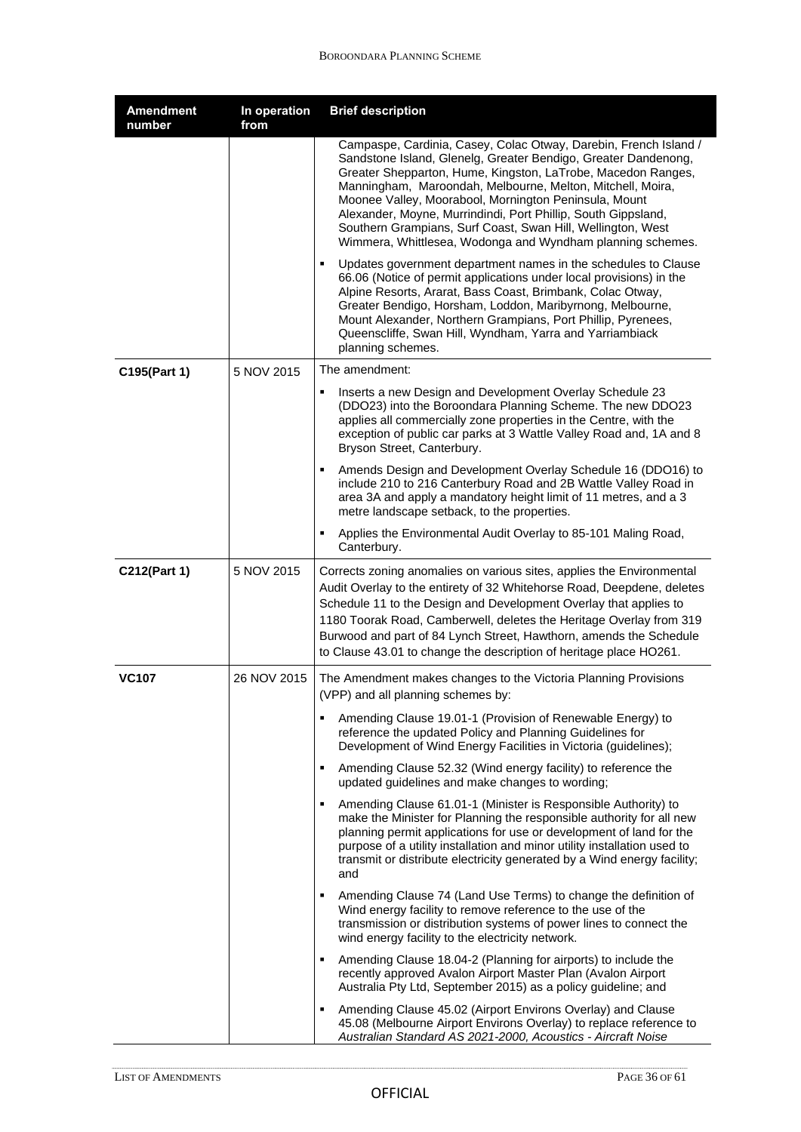| <b>Amendment</b><br>number | In operation<br>from | <b>Brief description</b>                                                                                                                                                                                                                                                                                                                                                                                                                                                                                                |
|----------------------------|----------------------|-------------------------------------------------------------------------------------------------------------------------------------------------------------------------------------------------------------------------------------------------------------------------------------------------------------------------------------------------------------------------------------------------------------------------------------------------------------------------------------------------------------------------|
|                            |                      | Campaspe, Cardinia, Casey, Colac Otway, Darebin, French Island /<br>Sandstone Island, Glenelg, Greater Bendigo, Greater Dandenong,<br>Greater Shepparton, Hume, Kingston, LaTrobe, Macedon Ranges,<br>Manningham, Maroondah, Melbourne, Melton, Mitchell, Moira,<br>Moonee Valley, Moorabool, Mornington Peninsula, Mount<br>Alexander, Moyne, Murrindindi, Port Phillip, South Gippsland,<br>Southern Grampians, Surf Coast, Swan Hill, Wellington, West<br>Wimmera, Whittlesea, Wodonga and Wyndham planning schemes. |
|                            |                      | Updates government department names in the schedules to Clause<br>66.06 (Notice of permit applications under local provisions) in the<br>Alpine Resorts, Ararat, Bass Coast, Brimbank, Colac Otway,<br>Greater Bendigo, Horsham, Loddon, Maribyrnong, Melbourne,<br>Mount Alexander, Northern Grampians, Port Phillip, Pyrenees,<br>Queenscliffe, Swan Hill, Wyndham, Yarra and Yarriambiack<br>planning schemes.                                                                                                       |
| C195(Part 1)               | 5 NOV 2015           | The amendment:                                                                                                                                                                                                                                                                                                                                                                                                                                                                                                          |
|                            |                      | Inserts a new Design and Development Overlay Schedule 23<br>٠<br>(DDO23) into the Boroondara Planning Scheme. The new DDO23<br>applies all commercially zone properties in the Centre, with the<br>exception of public car parks at 3 Wattle Valley Road and, 1A and 8<br>Bryson Street, Canterbury.                                                                                                                                                                                                                    |
|                            |                      | Amends Design and Development Overlay Schedule 16 (DDO16) to<br>include 210 to 216 Canterbury Road and 2B Wattle Valley Road in<br>area 3A and apply a mandatory height limit of 11 metres, and a 3<br>metre landscape setback, to the properties.                                                                                                                                                                                                                                                                      |
|                            |                      | Applies the Environmental Audit Overlay to 85-101 Maling Road,<br>٠<br>Canterbury.                                                                                                                                                                                                                                                                                                                                                                                                                                      |
| C212(Part 1)               | 5 NOV 2015           | Corrects zoning anomalies on various sites, applies the Environmental<br>Audit Overlay to the entirety of 32 Whitehorse Road, Deepdene, deletes<br>Schedule 11 to the Design and Development Overlay that applies to<br>1180 Toorak Road, Camberwell, deletes the Heritage Overlay from 319<br>Burwood and part of 84 Lynch Street, Hawthorn, amends the Schedule<br>to Clause 43.01 to change the description of heritage place HO261.                                                                                 |
| <b>VC107</b>               | 26 NOV 2015          | The Amendment makes changes to the Victoria Planning Provisions<br>(VPP) and all planning schemes by:                                                                                                                                                                                                                                                                                                                                                                                                                   |
|                            |                      | ٠<br>Amending Clause 19.01-1 (Provision of Renewable Energy) to<br>reference the updated Policy and Planning Guidelines for<br>Development of Wind Energy Facilities in Victoria (guidelines);                                                                                                                                                                                                                                                                                                                          |
|                            |                      | Amending Clause 52.32 (Wind energy facility) to reference the<br>٠<br>updated guidelines and make changes to wording;                                                                                                                                                                                                                                                                                                                                                                                                   |
|                            |                      | Amending Clause 61.01-1 (Minister is Responsible Authority) to<br>٠<br>make the Minister for Planning the responsible authority for all new<br>planning permit applications for use or development of land for the<br>purpose of a utility installation and minor utility installation used to<br>transmit or distribute electricity generated by a Wind energy facility;<br>and                                                                                                                                        |
|                            |                      | Amending Clause 74 (Land Use Terms) to change the definition of<br>٠<br>Wind energy facility to remove reference to the use of the<br>transmission or distribution systems of power lines to connect the<br>wind energy facility to the electricity network.                                                                                                                                                                                                                                                            |
|                            |                      | Amending Clause 18.04-2 (Planning for airports) to include the<br>recently approved Avalon Airport Master Plan (Avalon Airport<br>Australia Pty Ltd, September 2015) as a policy guideline; and                                                                                                                                                                                                                                                                                                                         |
|                            |                      | Amending Clause 45.02 (Airport Environs Overlay) and Clause<br>٠<br>45.08 (Melbourne Airport Environs Overlay) to replace reference to<br>Australian Standard AS 2021-2000, Acoustics - Aircraft Noise                                                                                                                                                                                                                                                                                                                  |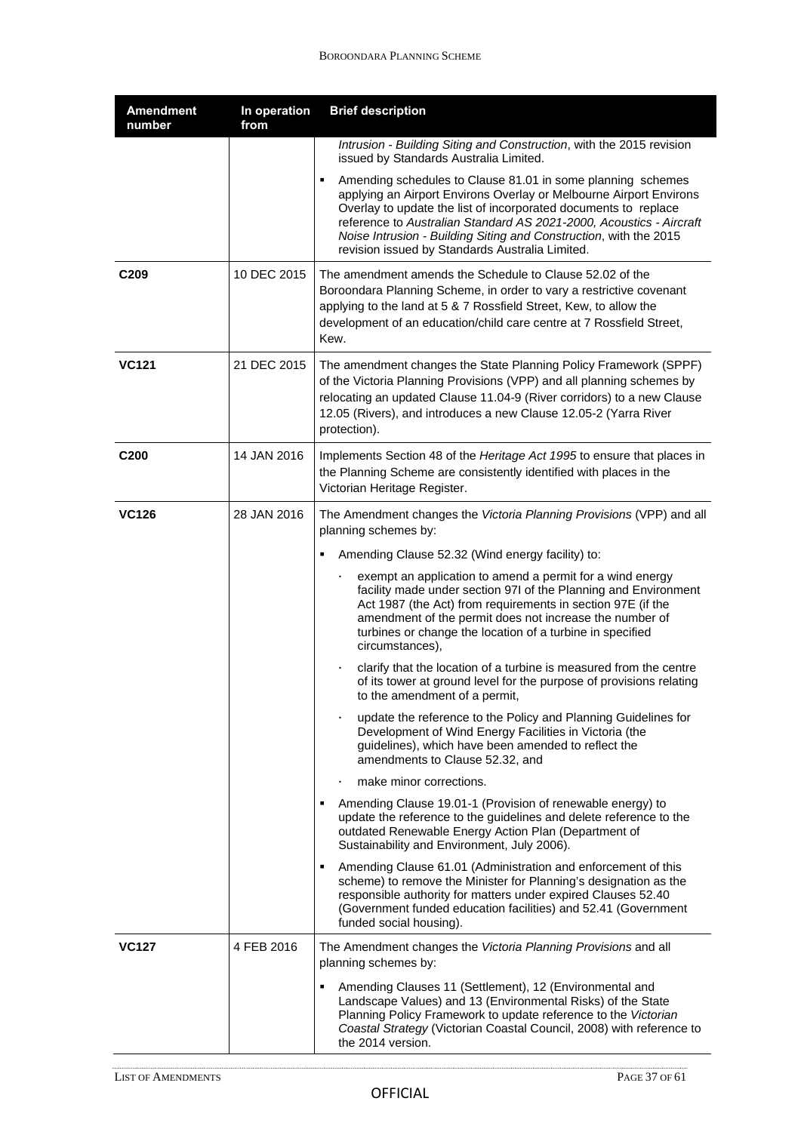| <b>Amendment</b><br>number | In operation<br>from | <b>Brief description</b>                                                                                                                                                                                                                                                                                                                                                                            |
|----------------------------|----------------------|-----------------------------------------------------------------------------------------------------------------------------------------------------------------------------------------------------------------------------------------------------------------------------------------------------------------------------------------------------------------------------------------------------|
|                            |                      | Intrusion - Building Siting and Construction, with the 2015 revision<br>issued by Standards Australia Limited.                                                                                                                                                                                                                                                                                      |
|                            |                      | Amending schedules to Clause 81.01 in some planning schemes<br>applying an Airport Environs Overlay or Melbourne Airport Environs<br>Overlay to update the list of incorporated documents to replace<br>reference to Australian Standard AS 2021-2000, Acoustics - Aircraft<br>Noise Intrusion - Building Siting and Construction, with the 2015<br>revision issued by Standards Australia Limited. |
| C <sub>209</sub>           | 10 DEC 2015          | The amendment amends the Schedule to Clause 52.02 of the<br>Boroondara Planning Scheme, in order to vary a restrictive covenant<br>applying to the land at 5 & 7 Rossfield Street, Kew, to allow the<br>development of an education/child care centre at 7 Rossfield Street,<br>Kew.                                                                                                                |
| <b>VC121</b>               | 21 DEC 2015          | The amendment changes the State Planning Policy Framework (SPPF)<br>of the Victoria Planning Provisions (VPP) and all planning schemes by<br>relocating an updated Clause 11.04-9 (River corridors) to a new Clause<br>12.05 (Rivers), and introduces a new Clause 12.05-2 (Yarra River<br>protection).                                                                                             |
| C <sub>200</sub>           | 14 JAN 2016          | Implements Section 48 of the Heritage Act 1995 to ensure that places in<br>the Planning Scheme are consistently identified with places in the<br>Victorian Heritage Register.                                                                                                                                                                                                                       |
| <b>VC126</b>               | 28 JAN 2016          | The Amendment changes the Victoria Planning Provisions (VPP) and all<br>planning schemes by:                                                                                                                                                                                                                                                                                                        |
|                            |                      | Amending Clause 52.32 (Wind energy facility) to:                                                                                                                                                                                                                                                                                                                                                    |
|                            |                      | exempt an application to amend a permit for a wind energy<br>facility made under section 97I of the Planning and Environment<br>Act 1987 (the Act) from requirements in section 97E (if the<br>amendment of the permit does not increase the number of<br>turbines or change the location of a turbine in specified<br>circumstances),                                                              |
|                            |                      | clarify that the location of a turbine is measured from the centre<br>٠<br>of its tower at ground level for the purpose of provisions relating<br>to the amendment of a permit,                                                                                                                                                                                                                     |
|                            |                      | update the reference to the Policy and Planning Guidelines for<br>٠<br>Development of Wind Energy Facilities in Victoria (the<br>guidelines), which have been amended to reflect the<br>amendments to Clause 52.32, and                                                                                                                                                                             |
|                            |                      | make minor corrections.                                                                                                                                                                                                                                                                                                                                                                             |
|                            |                      | Amending Clause 19.01-1 (Provision of renewable energy) to<br>update the reference to the guidelines and delete reference to the<br>outdated Renewable Energy Action Plan (Department of<br>Sustainability and Environment, July 2006).                                                                                                                                                             |
|                            |                      | Amending Clause 61.01 (Administration and enforcement of this<br>scheme) to remove the Minister for Planning's designation as the<br>responsible authority for matters under expired Clauses 52.40<br>(Government funded education facilities) and 52.41 (Government<br>funded social housing).                                                                                                     |
| <b>VC127</b>               | 4 FEB 2016           | The Amendment changes the Victoria Planning Provisions and all<br>planning schemes by:                                                                                                                                                                                                                                                                                                              |
|                            |                      | Amending Clauses 11 (Settlement), 12 (Environmental and<br>Landscape Values) and 13 (Environmental Risks) of the State<br>Planning Policy Framework to update reference to the Victorian<br>Coastal Strategy (Victorian Coastal Council, 2008) with reference to<br>the 2014 version.                                                                                                               |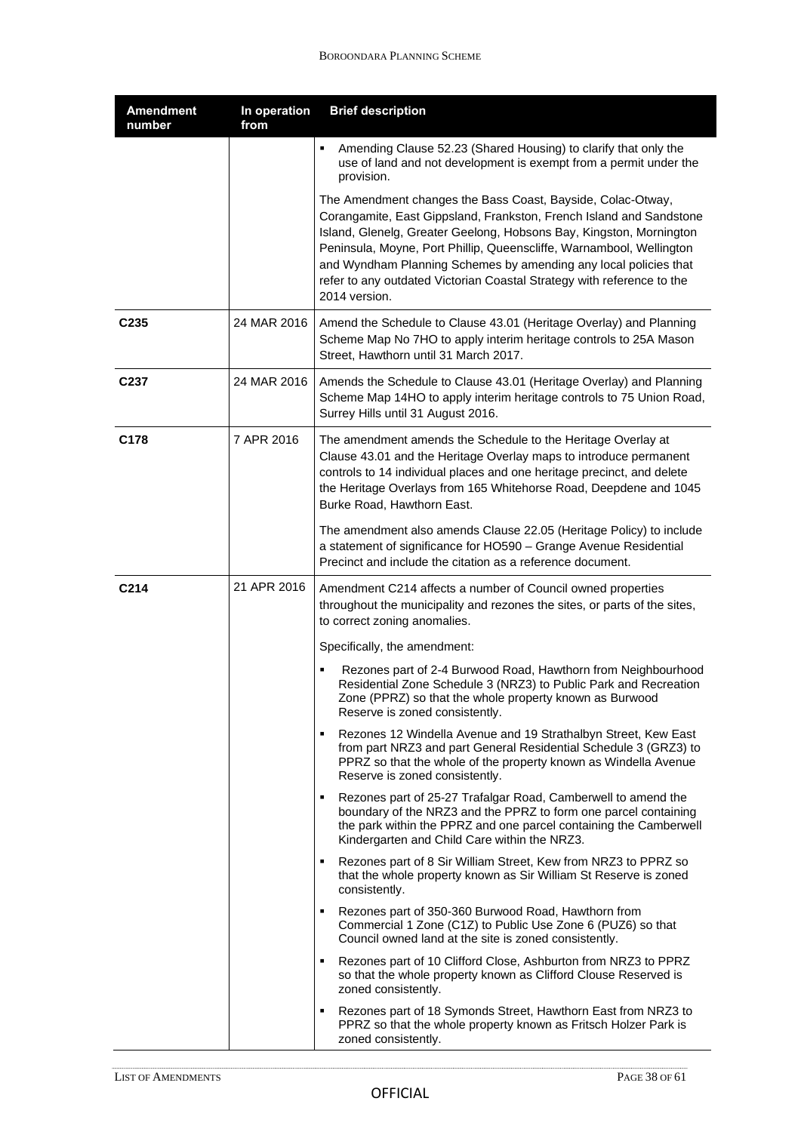| <b>Amendment</b><br>number | In operation<br>from | <b>Brief description</b>                                                                                                                                                                                                                                                                                                                                                                                                                         |
|----------------------------|----------------------|--------------------------------------------------------------------------------------------------------------------------------------------------------------------------------------------------------------------------------------------------------------------------------------------------------------------------------------------------------------------------------------------------------------------------------------------------|
|                            |                      | Amending Clause 52.23 (Shared Housing) to clarify that only the<br>٠<br>use of land and not development is exempt from a permit under the<br>provision.                                                                                                                                                                                                                                                                                          |
|                            |                      | The Amendment changes the Bass Coast, Bayside, Colac-Otway,<br>Corangamite, East Gippsland, Frankston, French Island and Sandstone<br>Island, Glenelg, Greater Geelong, Hobsons Bay, Kingston, Mornington<br>Peninsula, Moyne, Port Phillip, Queenscliffe, Warnambool, Wellington<br>and Wyndham Planning Schemes by amending any local policies that<br>refer to any outdated Victorian Coastal Strategy with reference to the<br>2014 version. |
| C <sub>235</sub>           | 24 MAR 2016          | Amend the Schedule to Clause 43.01 (Heritage Overlay) and Planning<br>Scheme Map No 7HO to apply interim heritage controls to 25A Mason<br>Street, Hawthorn until 31 March 2017.                                                                                                                                                                                                                                                                 |
| C237                       | 24 MAR 2016          | Amends the Schedule to Clause 43.01 (Heritage Overlay) and Planning<br>Scheme Map 14HO to apply interim heritage controls to 75 Union Road,<br>Surrey Hills until 31 August 2016.                                                                                                                                                                                                                                                                |
| C178                       | 7 APR 2016           | The amendment amends the Schedule to the Heritage Overlay at<br>Clause 43.01 and the Heritage Overlay maps to introduce permanent<br>controls to 14 individual places and one heritage precinct, and delete<br>the Heritage Overlays from 165 Whitehorse Road, Deepdene and 1045<br>Burke Road, Hawthorn East.                                                                                                                                   |
|                            |                      | The amendment also amends Clause 22.05 (Heritage Policy) to include<br>a statement of significance for HO590 - Grange Avenue Residential<br>Precinct and include the citation as a reference document.                                                                                                                                                                                                                                           |
| C214                       | 21 APR 2016          | Amendment C214 affects a number of Council owned properties<br>throughout the municipality and rezones the sites, or parts of the sites,<br>to correct zoning anomalies.                                                                                                                                                                                                                                                                         |
|                            |                      | Specifically, the amendment:                                                                                                                                                                                                                                                                                                                                                                                                                     |
|                            |                      | Rezones part of 2-4 Burwood Road, Hawthorn from Neighbourhood<br>Residential Zone Schedule 3 (NRZ3) to Public Park and Recreation<br>Zone (PPRZ) so that the whole property known as Burwood<br>Reserve is zoned consistently.                                                                                                                                                                                                                   |
|                            |                      | Rezones 12 Windella Avenue and 19 Strathalbyn Street, Kew East<br>from part NRZ3 and part General Residential Schedule 3 (GRZ3) to<br>PPRZ so that the whole of the property known as Windella Avenue<br>Reserve is zoned consistently.                                                                                                                                                                                                          |
|                            |                      | • Rezones part of 25-27 Trafalgar Road, Camberwell to amend the<br>boundary of the NRZ3 and the PPRZ to form one parcel containing<br>the park within the PPRZ and one parcel containing the Camberwell<br>Kindergarten and Child Care within the NRZ3.                                                                                                                                                                                          |
|                            |                      | Rezones part of 8 Sir William Street, Kew from NRZ3 to PPRZ so<br>٠.<br>that the whole property known as Sir William St Reserve is zoned<br>consistently.                                                                                                                                                                                                                                                                                        |
|                            |                      | Rezones part of 350-360 Burwood Road, Hawthorn from<br>Commercial 1 Zone (C1Z) to Public Use Zone 6 (PUZ6) so that<br>Council owned land at the site is zoned consistently.                                                                                                                                                                                                                                                                      |
|                            |                      | • Rezones part of 10 Clifford Close, Ashburton from NRZ3 to PPRZ<br>so that the whole property known as Clifford Clouse Reserved is<br>zoned consistently.                                                                                                                                                                                                                                                                                       |
|                            |                      | Rezones part of 18 Symonds Street, Hawthorn East from NRZ3 to<br>٠<br>PPRZ so that the whole property known as Fritsch Holzer Park is<br>zoned consistently.                                                                                                                                                                                                                                                                                     |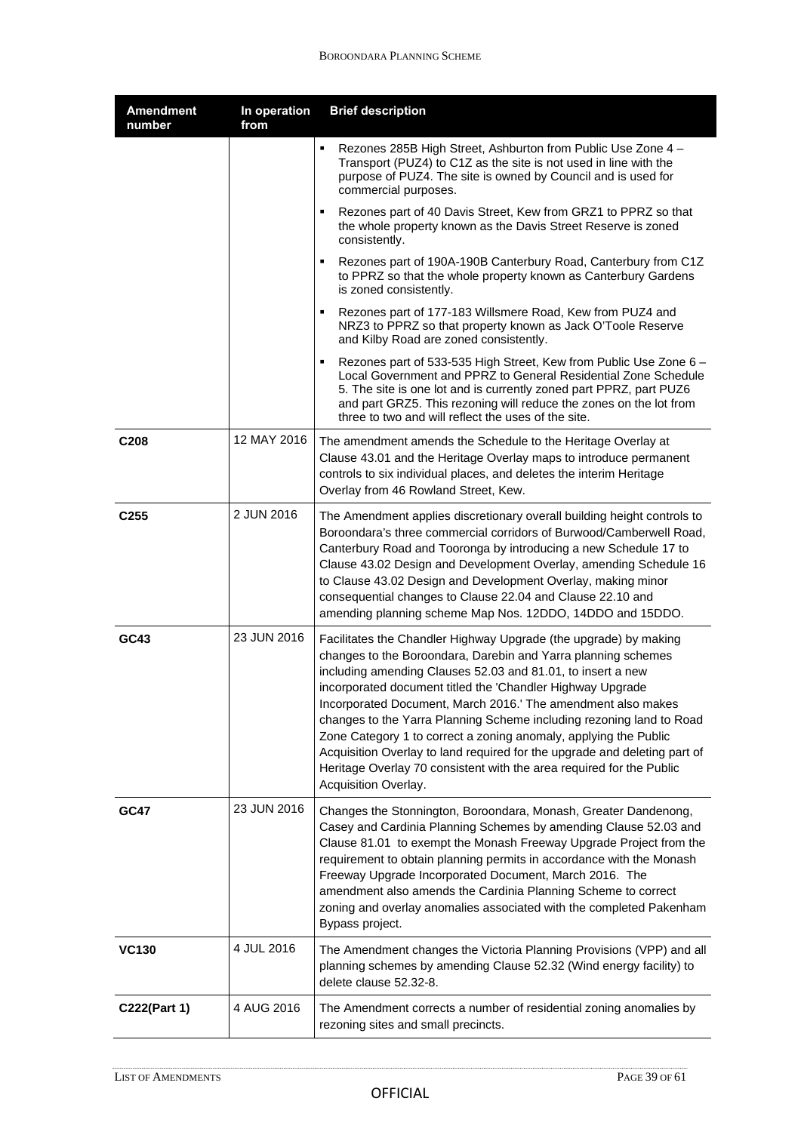| <b>Amendment</b><br>number | In operation<br>from | <b>Brief description</b>                                                                                                                                                                                                                                                                                                                                                                                                                                                                                                                                                                                                                                |
|----------------------------|----------------------|---------------------------------------------------------------------------------------------------------------------------------------------------------------------------------------------------------------------------------------------------------------------------------------------------------------------------------------------------------------------------------------------------------------------------------------------------------------------------------------------------------------------------------------------------------------------------------------------------------------------------------------------------------|
|                            |                      | Rezones 285B High Street, Ashburton from Public Use Zone 4 -<br>Transport (PUZ4) to C1Z as the site is not used in line with the<br>purpose of PUZ4. The site is owned by Council and is used for<br>commercial purposes.                                                                                                                                                                                                                                                                                                                                                                                                                               |
|                            |                      | Rezones part of 40 Davis Street, Kew from GRZ1 to PPRZ so that<br>the whole property known as the Davis Street Reserve is zoned<br>consistently.                                                                                                                                                                                                                                                                                                                                                                                                                                                                                                        |
|                            |                      | Rezones part of 190A-190B Canterbury Road, Canterbury from C1Z<br>٠<br>to PPRZ so that the whole property known as Canterbury Gardens<br>is zoned consistently.                                                                                                                                                                                                                                                                                                                                                                                                                                                                                         |
|                            |                      | Rezones part of 177-183 Willsmere Road, Kew from PUZ4 and<br>٠<br>NRZ3 to PPRZ so that property known as Jack O'Toole Reserve<br>and Kilby Road are zoned consistently.                                                                                                                                                                                                                                                                                                                                                                                                                                                                                 |
|                            |                      | Rezones part of 533-535 High Street, Kew from Public Use Zone 6 -<br>$\blacksquare$<br>Local Government and PPRZ to General Residential Zone Schedule<br>5. The site is one lot and is currently zoned part PPRZ, part PUZ6<br>and part GRZ5. This rezoning will reduce the zones on the lot from<br>three to two and will reflect the uses of the site.                                                                                                                                                                                                                                                                                                |
| C <sub>208</sub>           | 12 MAY 2016          | The amendment amends the Schedule to the Heritage Overlay at<br>Clause 43.01 and the Heritage Overlay maps to introduce permanent<br>controls to six individual places, and deletes the interim Heritage<br>Overlay from 46 Rowland Street, Kew.                                                                                                                                                                                                                                                                                                                                                                                                        |
| C <sub>255</sub>           | 2 JUN 2016           | The Amendment applies discretionary overall building height controls to<br>Boroondara's three commercial corridors of Burwood/Camberwell Road,<br>Canterbury Road and Tooronga by introducing a new Schedule 17 to<br>Clause 43.02 Design and Development Overlay, amending Schedule 16<br>to Clause 43.02 Design and Development Overlay, making minor<br>consequential changes to Clause 22.04 and Clause 22.10 and<br>amending planning scheme Map Nos. 12DDO, 14DDO and 15DDO.                                                                                                                                                                      |
| GC43                       | 23 JUN 2016          | Facilitates the Chandler Highway Upgrade (the upgrade) by making<br>changes to the Boroondara, Darebin and Yarra planning schemes<br>including amending Clauses 52.03 and 81.01, to insert a new<br>incorporated document titled the 'Chandler Highway Upgrade<br>Incorporated Document, March 2016.' The amendment also makes<br>changes to the Yarra Planning Scheme including rezoning land to Road<br>Zone Category 1 to correct a zoning anomaly, applying the Public<br>Acquisition Overlay to land required for the upgrade and deleting part of<br>Heritage Overlay 70 consistent with the area required for the Public<br>Acquisition Overlay. |
| <b>GC47</b>                | 23 JUN 2016          | Changes the Stonnington, Boroondara, Monash, Greater Dandenong,<br>Casey and Cardinia Planning Schemes by amending Clause 52.03 and<br>Clause 81.01 to exempt the Monash Freeway Upgrade Project from the<br>requirement to obtain planning permits in accordance with the Monash<br>Freeway Upgrade Incorporated Document, March 2016. The<br>amendment also amends the Cardinia Planning Scheme to correct<br>zoning and overlay anomalies associated with the completed Pakenham<br>Bypass project.                                                                                                                                                  |
| <b>VC130</b>               | 4 JUL 2016           | The Amendment changes the Victoria Planning Provisions (VPP) and all<br>planning schemes by amending Clause 52.32 (Wind energy facility) to<br>delete clause 52.32-8.                                                                                                                                                                                                                                                                                                                                                                                                                                                                                   |
| C222(Part 1)               | 4 AUG 2016           | The Amendment corrects a number of residential zoning anomalies by<br>rezoning sites and small precincts.                                                                                                                                                                                                                                                                                                                                                                                                                                                                                                                                               |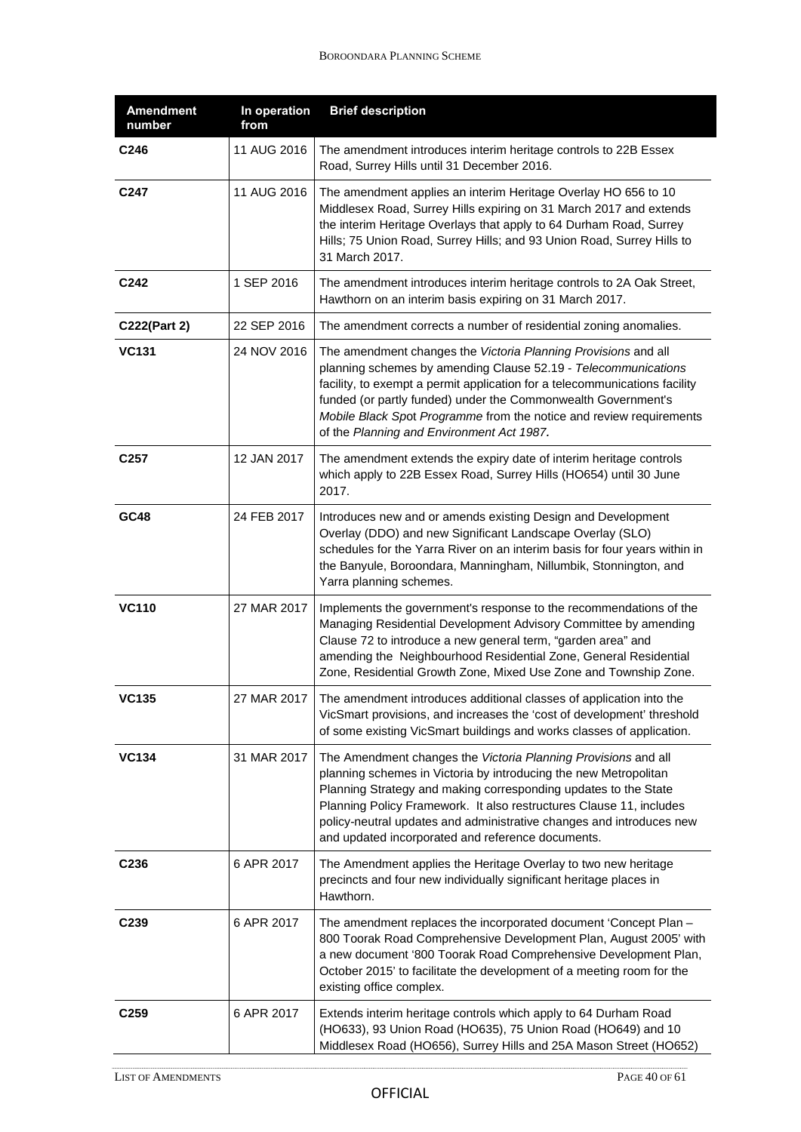| <b>Amendment</b><br>number | In operation<br>from | <b>Brief description</b>                                                                                                                                                                                                                                                                                                                                                                                  |
|----------------------------|----------------------|-----------------------------------------------------------------------------------------------------------------------------------------------------------------------------------------------------------------------------------------------------------------------------------------------------------------------------------------------------------------------------------------------------------|
| C246                       | 11 AUG 2016          | The amendment introduces interim heritage controls to 22B Essex<br>Road, Surrey Hills until 31 December 2016.                                                                                                                                                                                                                                                                                             |
| C247                       | 11 AUG 2016          | The amendment applies an interim Heritage Overlay HO 656 to 10<br>Middlesex Road, Surrey Hills expiring on 31 March 2017 and extends<br>the interim Heritage Overlays that apply to 64 Durham Road, Surrey<br>Hills; 75 Union Road, Surrey Hills; and 93 Union Road, Surrey Hills to<br>31 March 2017.                                                                                                    |
| C242                       | 1 SEP 2016           | The amendment introduces interim heritage controls to 2A Oak Street,<br>Hawthorn on an interim basis expiring on 31 March 2017.                                                                                                                                                                                                                                                                           |
| C222(Part 2)               | 22 SEP 2016          | The amendment corrects a number of residential zoning anomalies.                                                                                                                                                                                                                                                                                                                                          |
| <b>VC131</b>               | 24 NOV 2016          | The amendment changes the Victoria Planning Provisions and all<br>planning schemes by amending Clause 52.19 - Telecommunications<br>facility, to exempt a permit application for a telecommunications facility<br>funded (or partly funded) under the Commonwealth Government's<br>Mobile Black Spot Programme from the notice and review requirements<br>of the Planning and Environment Act 1987.       |
| C <sub>257</sub>           | 12 JAN 2017          | The amendment extends the expiry date of interim heritage controls<br>which apply to 22B Essex Road, Surrey Hills (HO654) until 30 June<br>2017.                                                                                                                                                                                                                                                          |
| GC48                       | 24 FEB 2017          | Introduces new and or amends existing Design and Development<br>Overlay (DDO) and new Significant Landscape Overlay (SLO)<br>schedules for the Yarra River on an interim basis for four years within in<br>the Banyule, Boroondara, Manningham, Nillumbik, Stonnington, and<br>Yarra planning schemes.                                                                                                    |
| <b>VC110</b>               | 27 MAR 2017          | Implements the government's response to the recommendations of the<br>Managing Residential Development Advisory Committee by amending<br>Clause 72 to introduce a new general term, "garden area" and<br>amending the Neighbourhood Residential Zone, General Residential<br>Zone, Residential Growth Zone, Mixed Use Zone and Township Zone.                                                             |
| VC135                      |                      | 27 MAR 2017 The amendment introduces additional classes of application into the<br>VicSmart provisions, and increases the 'cost of development' threshold<br>of some existing VicSmart buildings and works classes of application.                                                                                                                                                                        |
| <b>VC134</b>               | 31 MAR 2017          | The Amendment changes the Victoria Planning Provisions and all<br>planning schemes in Victoria by introducing the new Metropolitan<br>Planning Strategy and making corresponding updates to the State<br>Planning Policy Framework. It also restructures Clause 11, includes<br>policy-neutral updates and administrative changes and introduces new<br>and updated incorporated and reference documents. |
| C236                       | 6 APR 2017           | The Amendment applies the Heritage Overlay to two new heritage<br>precincts and four new individually significant heritage places in<br>Hawthorn.                                                                                                                                                                                                                                                         |
| C239                       | 6 APR 2017           | The amendment replaces the incorporated document 'Concept Plan -<br>800 Toorak Road Comprehensive Development Plan, August 2005' with<br>a new document '800 Toorak Road Comprehensive Development Plan,<br>October 2015' to facilitate the development of a meeting room for the<br>existing office complex.                                                                                             |
| C <sub>259</sub>           | 6 APR 2017           | Extends interim heritage controls which apply to 64 Durham Road<br>(HO633), 93 Union Road (HO635), 75 Union Road (HO649) and 10<br>Middlesex Road (HO656), Surrey Hills and 25A Mason Street (HO652)                                                                                                                                                                                                      |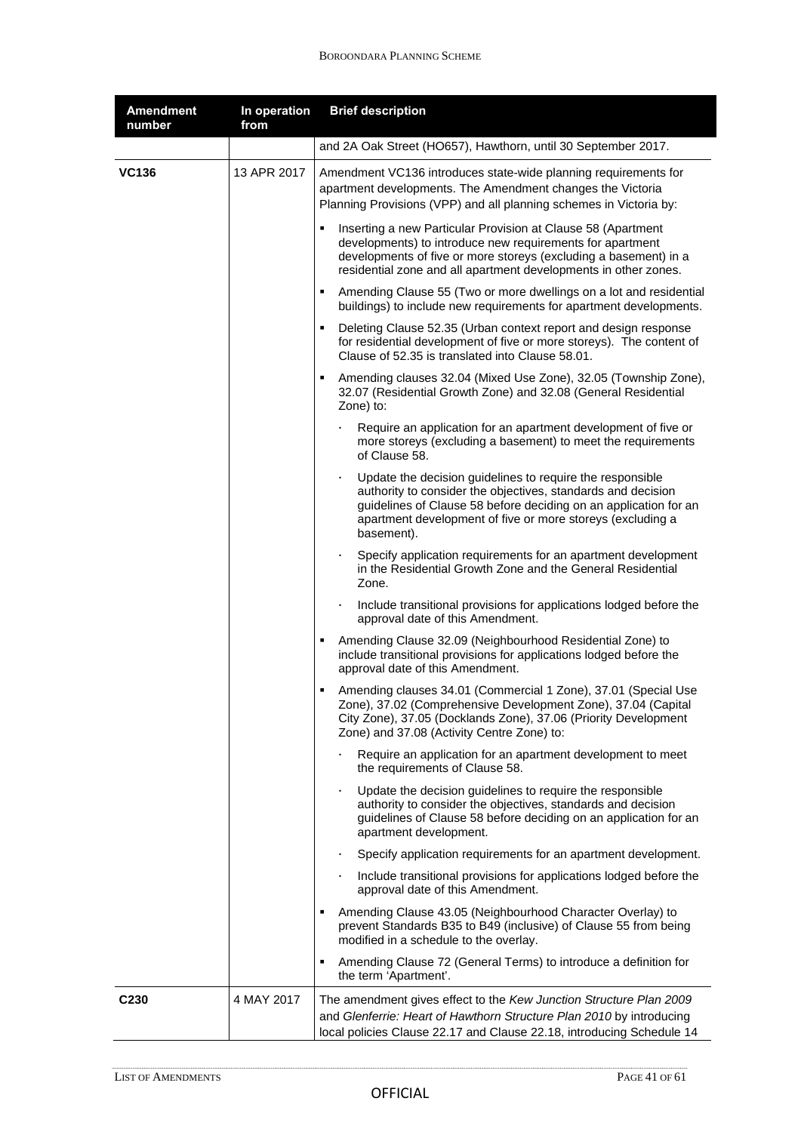| <b>Amendment</b><br>number | In operation<br>from | <b>Brief description</b>                                                                                                                                                                                                                                                  |
|----------------------------|----------------------|---------------------------------------------------------------------------------------------------------------------------------------------------------------------------------------------------------------------------------------------------------------------------|
|                            |                      | and 2A Oak Street (HO657), Hawthorn, until 30 September 2017.                                                                                                                                                                                                             |
| <b>VC136</b>               | 13 APR 2017          | Amendment VC136 introduces state-wide planning requirements for<br>apartment developments. The Amendment changes the Victoria<br>Planning Provisions (VPP) and all planning schemes in Victoria by:                                                                       |
|                            |                      | Inserting a new Particular Provision at Clause 58 (Apartment<br>٠<br>developments) to introduce new requirements for apartment<br>developments of five or more storeys (excluding a basement) in a<br>residential zone and all apartment developments in other zones.     |
|                            |                      | Amending Clause 55 (Two or more dwellings on a lot and residential<br>٠<br>buildings) to include new requirements for apartment developments.                                                                                                                             |
|                            |                      | Deleting Clause 52.35 (Urban context report and design response<br>٠<br>for residential development of five or more storeys). The content of<br>Clause of 52.35 is translated into Clause 58.01.                                                                          |
|                            |                      | Amending clauses 32.04 (Mixed Use Zone), 32.05 (Township Zone),<br>٠<br>32.07 (Residential Growth Zone) and 32.08 (General Residential<br>Zone) to:                                                                                                                       |
|                            |                      | Require an application for an apartment development of five or<br>more storeys (excluding a basement) to meet the requirements<br>of Clause 58.                                                                                                                           |
|                            |                      | Update the decision guidelines to require the responsible<br>authority to consider the objectives, standards and decision<br>guidelines of Clause 58 before deciding on an application for an<br>apartment development of five or more storeys (excluding a<br>basement). |
|                            |                      | Specify application requirements for an apartment development<br>٠<br>in the Residential Growth Zone and the General Residential<br>Zone.                                                                                                                                 |
|                            |                      | Include transitional provisions for applications lodged before the<br>٠<br>approval date of this Amendment.                                                                                                                                                               |
|                            |                      | Amending Clause 32.09 (Neighbourhood Residential Zone) to<br>٠<br>include transitional provisions for applications lodged before the<br>approval date of this Amendment.                                                                                                  |
|                            |                      | Amending clauses 34.01 (Commercial 1 Zone), 37.01 (Special Use<br>٠<br>Zone), 37.02 (Comprehensive Development Zone), 37.04 (Capital<br>City Zone), 37.05 (Docklands Zone), 37.06 (Priority Development<br>Zone) and 37.08 (Activity Centre Zone) to:                     |
|                            |                      | Require an application for an apartment development to meet<br>ł,<br>the requirements of Clause 58.                                                                                                                                                                       |
|                            |                      | Update the decision guidelines to require the responsible<br>٠<br>authority to consider the objectives, standards and decision<br>guidelines of Clause 58 before deciding on an application for an<br>apartment development.                                              |
|                            |                      | Specify application requirements for an apartment development.<br>٠                                                                                                                                                                                                       |
|                            |                      | Include transitional provisions for applications lodged before the<br>٠<br>approval date of this Amendment.                                                                                                                                                               |
|                            |                      | Amending Clause 43.05 (Neighbourhood Character Overlay) to<br>٠<br>prevent Standards B35 to B49 (inclusive) of Clause 55 from being<br>modified in a schedule to the overlay.                                                                                             |
|                            |                      | Amending Clause 72 (General Terms) to introduce a definition for<br>٠<br>the term 'Apartment'.                                                                                                                                                                            |
| C <sub>230</sub>           | 4 MAY 2017           | The amendment gives effect to the Kew Junction Structure Plan 2009<br>and Glenferrie: Heart of Hawthorn Structure Plan 2010 by introducing<br>local policies Clause 22.17 and Clause 22.18, introducing Schedule 14                                                       |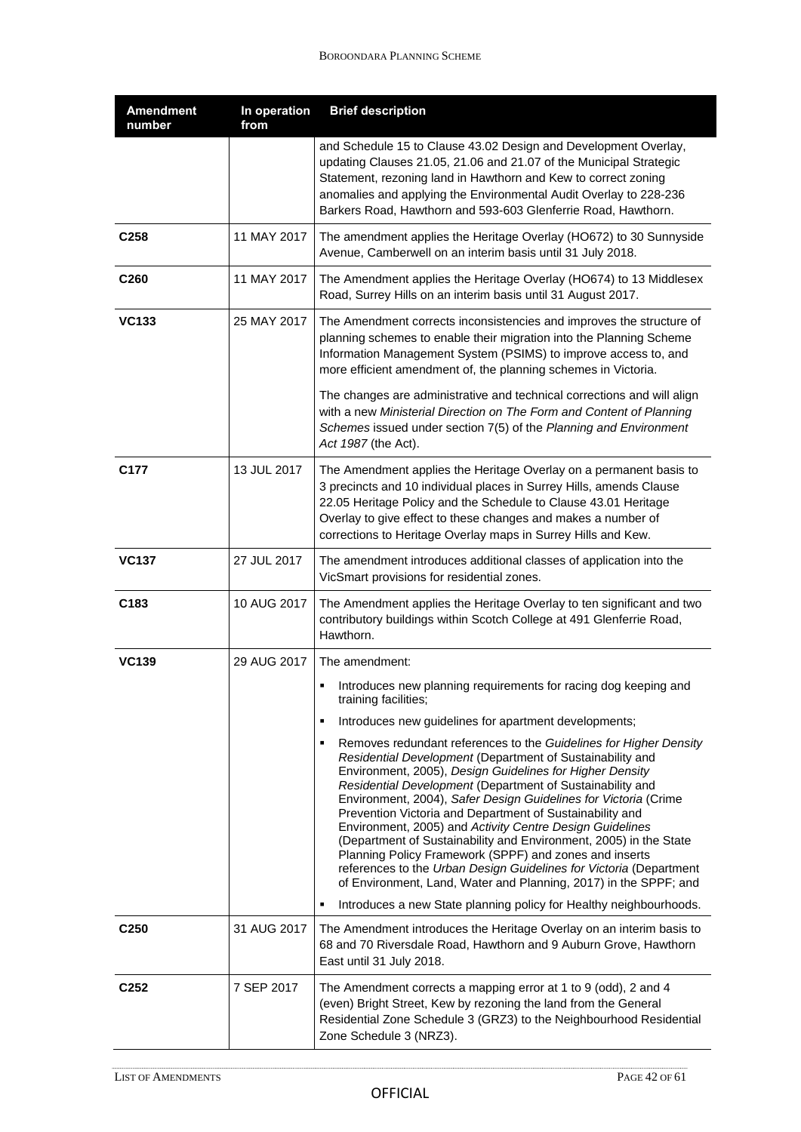| <b>Amendment</b><br>number | In operation<br>from | <b>Brief description</b>                                                                                                                                                                                                                                                                                                                                                                                                                                                                                                                                                                                                                                                                                                                                                                                    |
|----------------------------|----------------------|-------------------------------------------------------------------------------------------------------------------------------------------------------------------------------------------------------------------------------------------------------------------------------------------------------------------------------------------------------------------------------------------------------------------------------------------------------------------------------------------------------------------------------------------------------------------------------------------------------------------------------------------------------------------------------------------------------------------------------------------------------------------------------------------------------------|
|                            |                      | and Schedule 15 to Clause 43.02 Design and Development Overlay,<br>updating Clauses 21.05, 21.06 and 21.07 of the Municipal Strategic<br>Statement, rezoning land in Hawthorn and Kew to correct zoning<br>anomalies and applying the Environmental Audit Overlay to 228-236<br>Barkers Road, Hawthorn and 593-603 Glenferrie Road, Hawthorn.                                                                                                                                                                                                                                                                                                                                                                                                                                                               |
| C <sub>258</sub>           | 11 MAY 2017          | The amendment applies the Heritage Overlay (HO672) to 30 Sunnyside<br>Avenue, Camberwell on an interim basis until 31 July 2018.                                                                                                                                                                                                                                                                                                                                                                                                                                                                                                                                                                                                                                                                            |
| C260                       | 11 MAY 2017          | The Amendment applies the Heritage Overlay (HO674) to 13 Middlesex<br>Road, Surrey Hills on an interim basis until 31 August 2017.                                                                                                                                                                                                                                                                                                                                                                                                                                                                                                                                                                                                                                                                          |
| <b>VC133</b>               | 25 MAY 2017          | The Amendment corrects inconsistencies and improves the structure of<br>planning schemes to enable their migration into the Planning Scheme<br>Information Management System (PSIMS) to improve access to, and<br>more efficient amendment of, the planning schemes in Victoria.<br>The changes are administrative and technical corrections and will align<br>with a new Ministerial Direction on The Form and Content of Planning<br>Schemes issued under section 7(5) of the Planning and Environment                                                                                                                                                                                                                                                                                                    |
| C177                       | 13 JUL 2017          | Act 1987 (the Act).<br>The Amendment applies the Heritage Overlay on a permanent basis to<br>3 precincts and 10 individual places in Surrey Hills, amends Clause<br>22.05 Heritage Policy and the Schedule to Clause 43.01 Heritage                                                                                                                                                                                                                                                                                                                                                                                                                                                                                                                                                                         |
|                            |                      | Overlay to give effect to these changes and makes a number of<br>corrections to Heritage Overlay maps in Surrey Hills and Kew.                                                                                                                                                                                                                                                                                                                                                                                                                                                                                                                                                                                                                                                                              |
| <b>VC137</b>               | 27 JUL 2017          | The amendment introduces additional classes of application into the<br>VicSmart provisions for residential zones.                                                                                                                                                                                                                                                                                                                                                                                                                                                                                                                                                                                                                                                                                           |
| C183                       | 10 AUG 2017          | The Amendment applies the Heritage Overlay to ten significant and two<br>contributory buildings within Scotch College at 491 Glenferrie Road,<br>Hawthorn.                                                                                                                                                                                                                                                                                                                                                                                                                                                                                                                                                                                                                                                  |
| <b>VC139</b>               | 29 AUG 2017          | The amendment:                                                                                                                                                                                                                                                                                                                                                                                                                                                                                                                                                                                                                                                                                                                                                                                              |
|                            |                      | Introduces new planning requirements for racing dog keeping and<br>training facilities;                                                                                                                                                                                                                                                                                                                                                                                                                                                                                                                                                                                                                                                                                                                     |
|                            |                      | Introduces new guidelines for apartment developments;<br>٠                                                                                                                                                                                                                                                                                                                                                                                                                                                                                                                                                                                                                                                                                                                                                  |
|                            |                      | Removes redundant references to the Guidelines for Higher Density<br>٠<br>Residential Development (Department of Sustainability and<br>Environment, 2005), Design Guidelines for Higher Density<br>Residential Development (Department of Sustainability and<br>Environment, 2004), Safer Design Guidelines for Victoria (Crime<br>Prevention Victoria and Department of Sustainability and<br>Environment, 2005) and Activity Centre Design Guidelines<br>(Department of Sustainability and Environment, 2005) in the State<br>Planning Policy Framework (SPPF) and zones and inserts<br>references to the Urban Design Guidelines for Victoria (Department<br>of Environment, Land, Water and Planning, 2017) in the SPPF; and<br>Introduces a new State planning policy for Healthy neighbourhoods.<br>٠ |
|                            |                      |                                                                                                                                                                                                                                                                                                                                                                                                                                                                                                                                                                                                                                                                                                                                                                                                             |
| C <sub>250</sub>           | 31 AUG 2017          | The Amendment introduces the Heritage Overlay on an interim basis to<br>68 and 70 Riversdale Road, Hawthorn and 9 Auburn Grove, Hawthorn<br>East until 31 July 2018.                                                                                                                                                                                                                                                                                                                                                                                                                                                                                                                                                                                                                                        |
| C <sub>252</sub>           | 7 SEP 2017           | The Amendment corrects a mapping error at 1 to 9 (odd), 2 and 4<br>(even) Bright Street, Kew by rezoning the land from the General<br>Residential Zone Schedule 3 (GRZ3) to the Neighbourhood Residential<br>Zone Schedule 3 (NRZ3).                                                                                                                                                                                                                                                                                                                                                                                                                                                                                                                                                                        |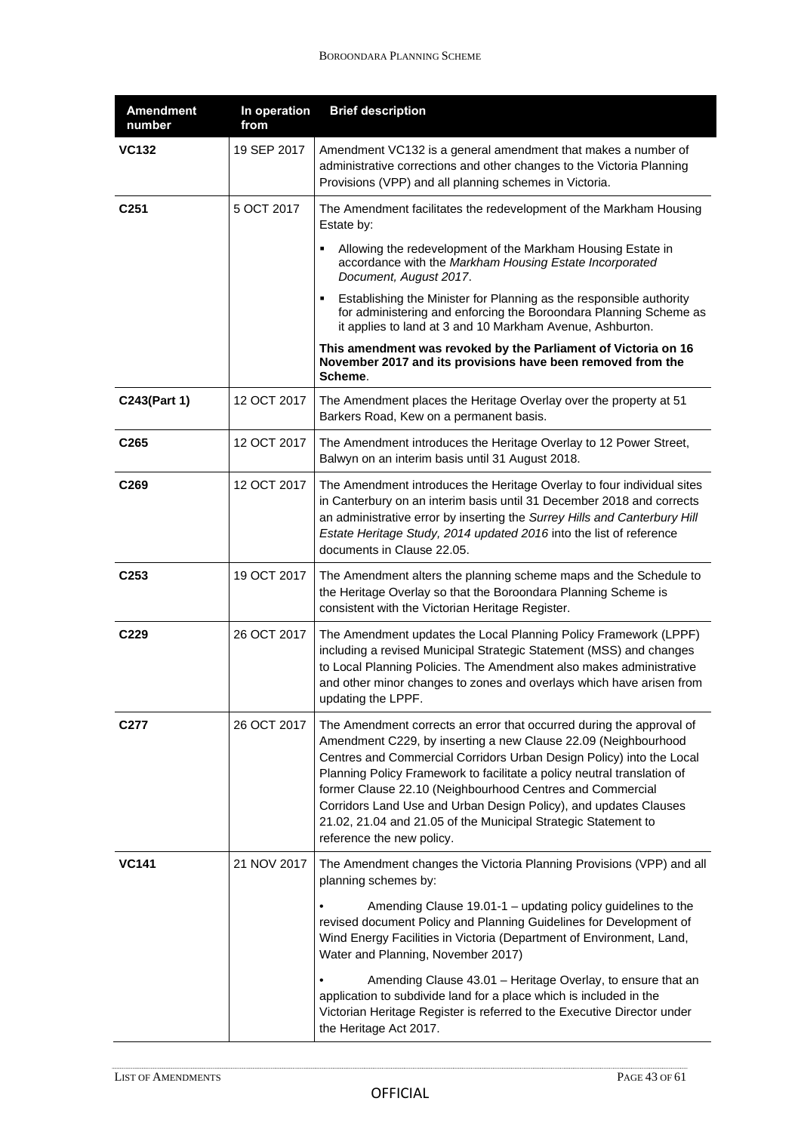| <b>Amendment</b><br>number | In operation<br>from | <b>Brief description</b>                                                                                                                                                                                                                                                                                                                                                                                                                                                                                                  |
|----------------------------|----------------------|---------------------------------------------------------------------------------------------------------------------------------------------------------------------------------------------------------------------------------------------------------------------------------------------------------------------------------------------------------------------------------------------------------------------------------------------------------------------------------------------------------------------------|
| VC132                      | 19 SEP 2017          | Amendment VC132 is a general amendment that makes a number of<br>administrative corrections and other changes to the Victoria Planning<br>Provisions (VPP) and all planning schemes in Victoria.                                                                                                                                                                                                                                                                                                                          |
| C <sub>251</sub>           | 5 OCT 2017           | The Amendment facilitates the redevelopment of the Markham Housing<br>Estate by:                                                                                                                                                                                                                                                                                                                                                                                                                                          |
|                            |                      | Allowing the redevelopment of the Markham Housing Estate in<br>٠<br>accordance with the Markham Housing Estate Incorporated<br>Document, August 2017.                                                                                                                                                                                                                                                                                                                                                                     |
|                            |                      | Establishing the Minister for Planning as the responsible authority<br>for administering and enforcing the Boroondara Planning Scheme as<br>it applies to land at 3 and 10 Markham Avenue, Ashburton.                                                                                                                                                                                                                                                                                                                     |
|                            |                      | This amendment was revoked by the Parliament of Victoria on 16<br>November 2017 and its provisions have been removed from the<br>Scheme.                                                                                                                                                                                                                                                                                                                                                                                  |
| C243(Part 1)               | 12 OCT 2017          | The Amendment places the Heritage Overlay over the property at 51<br>Barkers Road, Kew on a permanent basis.                                                                                                                                                                                                                                                                                                                                                                                                              |
| C <sub>265</sub>           | 12 OCT 2017          | The Amendment introduces the Heritage Overlay to 12 Power Street,<br>Balwyn on an interim basis until 31 August 2018.                                                                                                                                                                                                                                                                                                                                                                                                     |
| C269                       | 12 OCT 2017          | The Amendment introduces the Heritage Overlay to four individual sites<br>in Canterbury on an interim basis until 31 December 2018 and corrects<br>an administrative error by inserting the Surrey Hills and Canterbury Hill<br>Estate Heritage Study, 2014 updated 2016 into the list of reference<br>documents in Clause 22.05.                                                                                                                                                                                         |
| C <sub>253</sub>           | 19 OCT 2017          | The Amendment alters the planning scheme maps and the Schedule to<br>the Heritage Overlay so that the Boroondara Planning Scheme is<br>consistent with the Victorian Heritage Register.                                                                                                                                                                                                                                                                                                                                   |
| C229                       | 26 OCT 2017          | The Amendment updates the Local Planning Policy Framework (LPPF)<br>including a revised Municipal Strategic Statement (MSS) and changes<br>to Local Planning Policies. The Amendment also makes administrative<br>and other minor changes to zones and overlays which have arisen from<br>updating the LPPF.                                                                                                                                                                                                              |
| C277                       | 26 OCT 2017          | The Amendment corrects an error that occurred during the approval of<br>Amendment C229, by inserting a new Clause 22.09 (Neighbourhood<br>Centres and Commercial Corridors Urban Design Policy) into the Local<br>Planning Policy Framework to facilitate a policy neutral translation of<br>former Clause 22.10 (Neighbourhood Centres and Commercial<br>Corridors Land Use and Urban Design Policy), and updates Clauses<br>21.02, 21.04 and 21.05 of the Municipal Strategic Statement to<br>reference the new policy. |
| VC141                      | 21 NOV 2017          | The Amendment changes the Victoria Planning Provisions (VPP) and all<br>planning schemes by:                                                                                                                                                                                                                                                                                                                                                                                                                              |
|                            |                      | Amending Clause 19.01-1 - updating policy guidelines to the<br>revised document Policy and Planning Guidelines for Development of<br>Wind Energy Facilities in Victoria (Department of Environment, Land,<br>Water and Planning, November 2017)                                                                                                                                                                                                                                                                           |
|                            |                      | Amending Clause 43.01 - Heritage Overlay, to ensure that an<br>application to subdivide land for a place which is included in the<br>Victorian Heritage Register is referred to the Executive Director under<br>the Heritage Act 2017.                                                                                                                                                                                                                                                                                    |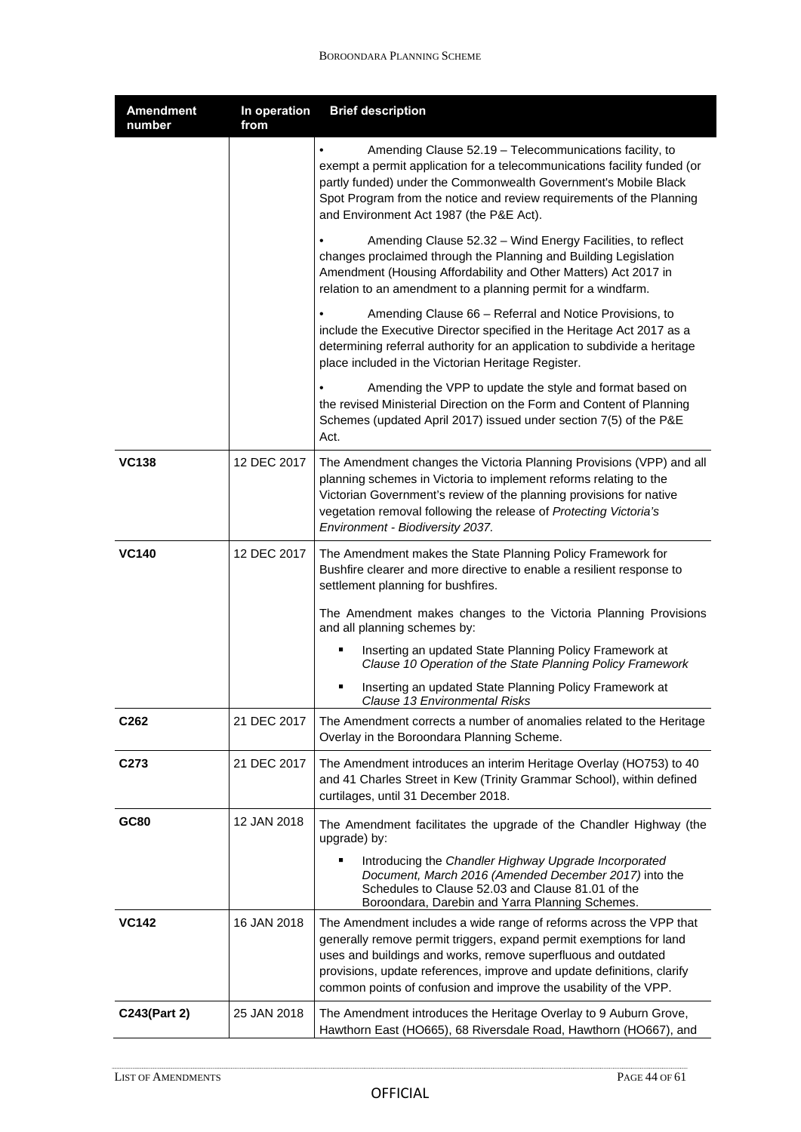| <b>Amendment</b><br>number | In operation<br>from | <b>Brief description</b>                                                                                                                                                                                                                                                                                                                                 |
|----------------------------|----------------------|----------------------------------------------------------------------------------------------------------------------------------------------------------------------------------------------------------------------------------------------------------------------------------------------------------------------------------------------------------|
|                            |                      | Amending Clause 52.19 - Telecommunications facility, to<br>exempt a permit application for a telecommunications facility funded (or<br>partly funded) under the Commonwealth Government's Mobile Black<br>Spot Program from the notice and review requirements of the Planning<br>and Environment Act 1987 (the P&E Act).                                |
|                            |                      | Amending Clause 52.32 - Wind Energy Facilities, to reflect<br>changes proclaimed through the Planning and Building Legislation<br>Amendment (Housing Affordability and Other Matters) Act 2017 in<br>relation to an amendment to a planning permit for a windfarm.                                                                                       |
|                            |                      | Amending Clause 66 - Referral and Notice Provisions, to<br>include the Executive Director specified in the Heritage Act 2017 as a<br>determining referral authority for an application to subdivide a heritage<br>place included in the Victorian Heritage Register.                                                                                     |
|                            |                      | Amending the VPP to update the style and format based on<br>the revised Ministerial Direction on the Form and Content of Planning<br>Schemes (updated April 2017) issued under section 7(5) of the P&E<br>Act.                                                                                                                                           |
| <b>VC138</b>               | 12 DEC 2017          | The Amendment changes the Victoria Planning Provisions (VPP) and all<br>planning schemes in Victoria to implement reforms relating to the<br>Victorian Government's review of the planning provisions for native<br>vegetation removal following the release of Protecting Victoria's<br>Environment - Biodiversity 2037.                                |
| <b>VC140</b>               | 12 DEC 2017          | The Amendment makes the State Planning Policy Framework for<br>Bushfire clearer and more directive to enable a resilient response to<br>settlement planning for bushfires.                                                                                                                                                                               |
|                            |                      | The Amendment makes changes to the Victoria Planning Provisions<br>and all planning schemes by:                                                                                                                                                                                                                                                          |
|                            |                      | Inserting an updated State Planning Policy Framework at<br>Clause 10 Operation of the State Planning Policy Framework                                                                                                                                                                                                                                    |
|                            |                      | Inserting an updated State Planning Policy Framework at<br>٠<br>Clause 13 Environmental Risks                                                                                                                                                                                                                                                            |
| C <sub>262</sub>           | 21 DEC 2017          | The Amendment corrects a number of anomalies related to the Heritage<br>Overlay in the Boroondara Planning Scheme.                                                                                                                                                                                                                                       |
| C <sub>273</sub>           | 21 DEC 2017          | The Amendment introduces an interim Heritage Overlay (HO753) to 40<br>and 41 Charles Street in Kew (Trinity Grammar School), within defined<br>curtilages, until 31 December 2018.                                                                                                                                                                       |
| GC80                       | 12 JAN 2018          | The Amendment facilitates the upgrade of the Chandler Highway (the<br>upgrade) by:                                                                                                                                                                                                                                                                       |
|                            |                      | Introducing the Chandler Highway Upgrade Incorporated<br>Document, March 2016 (Amended December 2017) into the<br>Schedules to Clause 52.03 and Clause 81.01 of the<br>Boroondara, Darebin and Yarra Planning Schemes.                                                                                                                                   |
| <b>VC142</b>               | 16 JAN 2018          | The Amendment includes a wide range of reforms across the VPP that<br>generally remove permit triggers, expand permit exemptions for land<br>uses and buildings and works, remove superfluous and outdated<br>provisions, update references, improve and update definitions, clarify<br>common points of confusion and improve the usability of the VPP. |
| C243(Part 2)               | 25 JAN 2018          | The Amendment introduces the Heritage Overlay to 9 Auburn Grove,<br>Hawthorn East (HO665), 68 Riversdale Road, Hawthorn (HO667), and                                                                                                                                                                                                                     |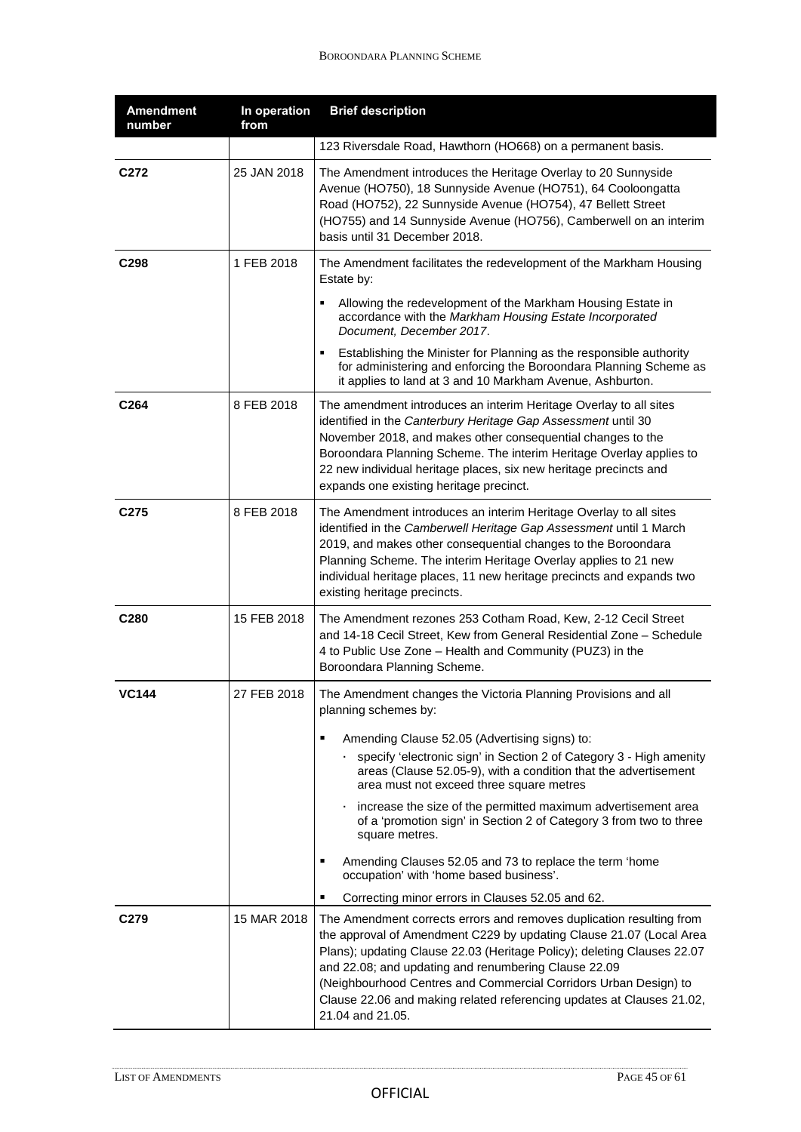| <b>Amendment</b><br>number | In operation<br>from | <b>Brief description</b>                                                                                                                                                                                                                                                                                                                                                                                                                        |
|----------------------------|----------------------|-------------------------------------------------------------------------------------------------------------------------------------------------------------------------------------------------------------------------------------------------------------------------------------------------------------------------------------------------------------------------------------------------------------------------------------------------|
|                            |                      | 123 Riversdale Road, Hawthorn (HO668) on a permanent basis.                                                                                                                                                                                                                                                                                                                                                                                     |
| C <sub>272</sub>           | 25 JAN 2018          | The Amendment introduces the Heritage Overlay to 20 Sunnyside<br>Avenue (HO750), 18 Sunnyside Avenue (HO751), 64 Cooloongatta<br>Road (HO752), 22 Sunnyside Avenue (HO754), 47 Bellett Street<br>(HO755) and 14 Sunnyside Avenue (HO756), Camberwell on an interim<br>basis until 31 December 2018.                                                                                                                                             |
| C <sub>298</sub>           | 1 FEB 2018           | The Amendment facilitates the redevelopment of the Markham Housing<br>Estate by:                                                                                                                                                                                                                                                                                                                                                                |
|                            |                      | Allowing the redevelopment of the Markham Housing Estate in<br>accordance with the Markham Housing Estate Incorporated<br>Document, December 2017.                                                                                                                                                                                                                                                                                              |
|                            |                      | Establishing the Minister for Planning as the responsible authority<br>for administering and enforcing the Boroondara Planning Scheme as<br>it applies to land at 3 and 10 Markham Avenue, Ashburton.                                                                                                                                                                                                                                           |
| C264                       | 8 FEB 2018           | The amendment introduces an interim Heritage Overlay to all sites<br>identified in the Canterbury Heritage Gap Assessment until 30<br>November 2018, and makes other consequential changes to the<br>Boroondara Planning Scheme. The interim Heritage Overlay applies to<br>22 new individual heritage places, six new heritage precincts and<br>expands one existing heritage precinct.                                                        |
| C275                       | 8 FEB 2018           | The Amendment introduces an interim Heritage Overlay to all sites<br>identified in the Camberwell Heritage Gap Assessment until 1 March<br>2019, and makes other consequential changes to the Boroondara<br>Planning Scheme. The interim Heritage Overlay applies to 21 new<br>individual heritage places, 11 new heritage precincts and expands two<br>existing heritage precincts.                                                            |
| C280                       | 15 FEB 2018          | The Amendment rezones 253 Cotham Road, Kew, 2-12 Cecil Street<br>and 14-18 Cecil Street, Kew from General Residential Zone - Schedule<br>4 to Public Use Zone - Health and Community (PUZ3) in the<br>Boroondara Planning Scheme.                                                                                                                                                                                                               |
| <b>VC144</b>               | 27 FEB 2018          | The Amendment changes the Victoria Planning Provisions and all<br>planning schemes by:<br>Amending Clause 52.05 (Advertising signs) to:<br>п                                                                                                                                                                                                                                                                                                    |
|                            |                      | specify 'electronic sign' in Section 2 of Category 3 - High amenity<br>areas (Clause 52.05-9), with a condition that the advertisement<br>area must not exceed three square metres                                                                                                                                                                                                                                                              |
|                            |                      | increase the size of the permitted maximum advertisement area<br>of a 'promotion sign' in Section 2 of Category 3 from two to three<br>square metres.                                                                                                                                                                                                                                                                                           |
|                            |                      | Amending Clauses 52.05 and 73 to replace the term 'home<br>٠<br>occupation' with 'home based business'.                                                                                                                                                                                                                                                                                                                                         |
|                            |                      | Correcting minor errors in Clauses 52.05 and 62.<br>п                                                                                                                                                                                                                                                                                                                                                                                           |
| C <sub>279</sub>           | 15 MAR 2018          | The Amendment corrects errors and removes duplication resulting from<br>the approval of Amendment C229 by updating Clause 21.07 (Local Area<br>Plans); updating Clause 22.03 (Heritage Policy); deleting Clauses 22.07<br>and 22.08; and updating and renumbering Clause 22.09<br>(Neighbourhood Centres and Commercial Corridors Urban Design) to<br>Clause 22.06 and making related referencing updates at Clauses 21.02,<br>21.04 and 21.05. |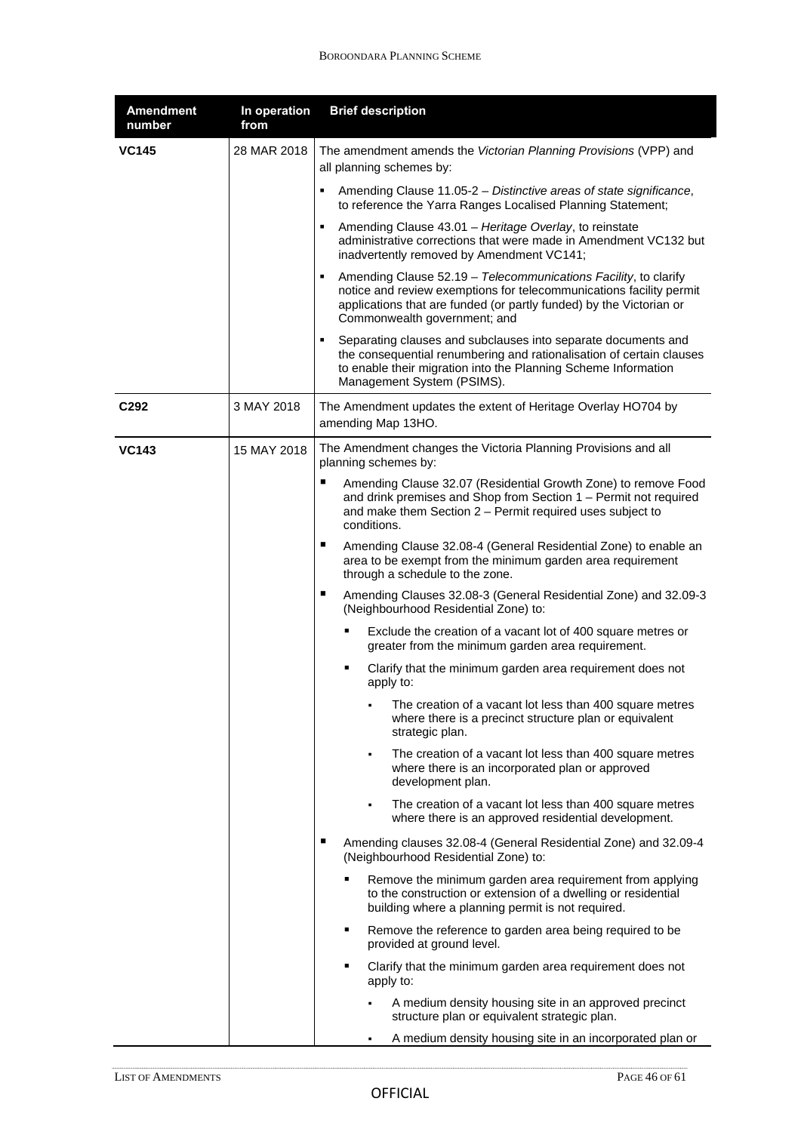| <b>Amendment</b><br>number | In operation<br>from | <b>Brief description</b>                                                                                                                                                                                                                                |
|----------------------------|----------------------|---------------------------------------------------------------------------------------------------------------------------------------------------------------------------------------------------------------------------------------------------------|
| <b>VC145</b>               | 28 MAR 2018          | The amendment amends the Victorian Planning Provisions (VPP) and<br>all planning schemes by:                                                                                                                                                            |
|                            |                      | ٠<br>Amending Clause 11.05-2 - Distinctive areas of state significance,<br>to reference the Yarra Ranges Localised Planning Statement;                                                                                                                  |
|                            |                      | ٠.<br>Amending Clause 43.01 - Heritage Overlay, to reinstate<br>administrative corrections that were made in Amendment VC132 but<br>inadvertently removed by Amendment VC141;                                                                           |
|                            |                      | Amending Clause 52.19 - Telecommunications Facility, to clarify<br>٠.<br>notice and review exemptions for telecommunications facility permit<br>applications that are funded (or partly funded) by the Victorian or<br>Commonwealth government; and     |
|                            |                      | Separating clauses and subclauses into separate documents and<br>$\blacksquare$<br>the consequential renumbering and rationalisation of certain clauses<br>to enable their migration into the Planning Scheme Information<br>Management System (PSIMS). |
| C <sub>292</sub>           | 3 MAY 2018           | The Amendment updates the extent of Heritage Overlay HO704 by<br>amending Map 13HO.                                                                                                                                                                     |
| <b>VC143</b>               | 15 MAY 2018          | The Amendment changes the Victoria Planning Provisions and all<br>planning schemes by:                                                                                                                                                                  |
|                            |                      | ٠<br>Amending Clause 32.07 (Residential Growth Zone) to remove Food<br>and drink premises and Shop from Section 1 - Permit not required<br>and make them Section $2$ – Permit required uses subject to<br>conditions.                                   |
|                            |                      | ٠<br>Amending Clause 32.08-4 (General Residential Zone) to enable an<br>area to be exempt from the minimum garden area requirement<br>through a schedule to the zone.                                                                                   |
|                            |                      | п<br>Amending Clauses 32.08-3 (General Residential Zone) and 32.09-3<br>(Neighbourhood Residential Zone) to:                                                                                                                                            |
|                            |                      | Exclude the creation of a vacant lot of 400 square metres or<br>greater from the minimum garden area requirement.                                                                                                                                       |
|                            |                      | Clarify that the minimum garden area requirement does not<br>٠<br>apply to:                                                                                                                                                                             |
|                            |                      | The creation of a vacant lot less than 400 square metres<br>٠<br>where there is a precinct structure plan or equivalent<br>strategic plan.                                                                                                              |
|                            |                      | The creation of a vacant lot less than 400 square metres<br>$\blacksquare$<br>where there is an incorporated plan or approved<br>development plan.                                                                                                      |
|                            |                      | The creation of a vacant lot less than 400 square metres<br>$\blacksquare$<br>where there is an approved residential development.                                                                                                                       |
|                            |                      | п<br>Amending clauses 32.08-4 (General Residential Zone) and 32.09-4<br>(Neighbourhood Residential Zone) to:                                                                                                                                            |
|                            |                      | Remove the minimum garden area requirement from applying<br>to the construction or extension of a dwelling or residential<br>building where a planning permit is not required.                                                                          |
|                            |                      | Remove the reference to garden area being required to be<br>٠<br>provided at ground level.                                                                                                                                                              |
|                            |                      | Clarify that the minimum garden area requirement does not<br>٠<br>apply to:                                                                                                                                                                             |
|                            |                      | A medium density housing site in an approved precinct<br>structure plan or equivalent strategic plan.                                                                                                                                                   |
|                            |                      | A medium density housing site in an incorporated plan or<br>$\blacksquare$                                                                                                                                                                              |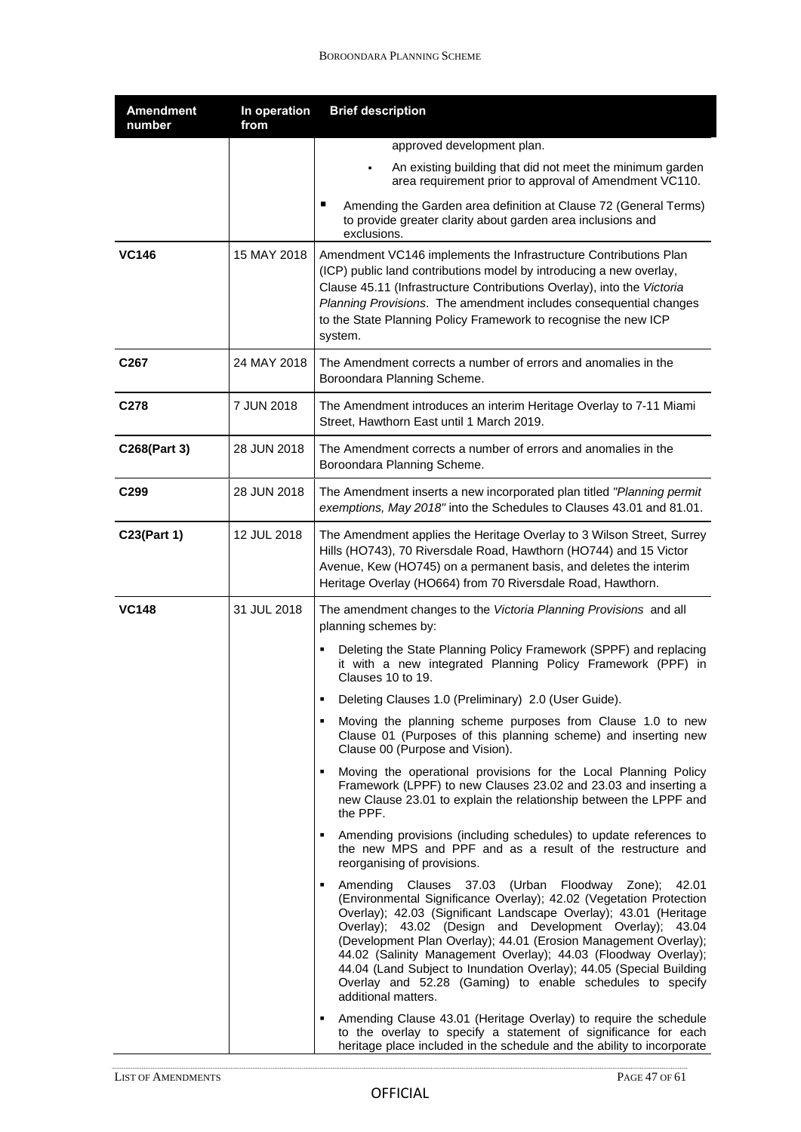| <b>Amendment</b><br>number | In operation<br>from | <b>Brief description</b>                                                                                                                                                                                                                                                                                                                                                                                                                                                                                                                                                                                                                                |
|----------------------------|----------------------|---------------------------------------------------------------------------------------------------------------------------------------------------------------------------------------------------------------------------------------------------------------------------------------------------------------------------------------------------------------------------------------------------------------------------------------------------------------------------------------------------------------------------------------------------------------------------------------------------------------------------------------------------------|
|                            |                      | approved development plan.                                                                                                                                                                                                                                                                                                                                                                                                                                                                                                                                                                                                                              |
|                            |                      | An existing building that did not meet the minimum garden<br>٠<br>area requirement prior to approval of Amendment VC110.                                                                                                                                                                                                                                                                                                                                                                                                                                                                                                                                |
|                            |                      | п<br>Amending the Garden area definition at Clause 72 (General Terms)<br>to provide greater clarity about garden area inclusions and<br>exclusions.                                                                                                                                                                                                                                                                                                                                                                                                                                                                                                     |
| <b>VC146</b>               | 15 MAY 2018          | Amendment VC146 implements the Infrastructure Contributions Plan<br>(ICP) public land contributions model by introducing a new overlay,<br>Clause 45.11 (Infrastructure Contributions Overlay), into the Victoria<br>Planning Provisions. The amendment includes consequential changes<br>to the State Planning Policy Framework to recognise the new ICP<br>system.                                                                                                                                                                                                                                                                                    |
| C <sub>267</sub>           | 24 MAY 2018          | The Amendment corrects a number of errors and anomalies in the<br>Boroondara Planning Scheme.                                                                                                                                                                                                                                                                                                                                                                                                                                                                                                                                                           |
| C <sub>278</sub>           | 7 JUN 2018           | The Amendment introduces an interim Heritage Overlay to 7-11 Miami<br>Street, Hawthorn East until 1 March 2019.                                                                                                                                                                                                                                                                                                                                                                                                                                                                                                                                         |
| C268(Part 3)               | 28 JUN 2018          | The Amendment corrects a number of errors and anomalies in the<br>Boroondara Planning Scheme.                                                                                                                                                                                                                                                                                                                                                                                                                                                                                                                                                           |
| C <sub>299</sub>           | 28 JUN 2018          | The Amendment inserts a new incorporated plan titled "Planning permit<br>exemptions, May 2018" into the Schedules to Clauses 43.01 and 81.01.                                                                                                                                                                                                                                                                                                                                                                                                                                                                                                           |
| C23(Part 1)                | 12 JUL 2018          | The Amendment applies the Heritage Overlay to 3 Wilson Street, Surrey<br>Hills (HO743), 70 Riversdale Road, Hawthorn (HO744) and 15 Victor<br>Avenue, Kew (HO745) on a permanent basis, and deletes the interim<br>Heritage Overlay (HO664) from 70 Riversdale Road, Hawthorn.                                                                                                                                                                                                                                                                                                                                                                          |
| <b>VC148</b>               | 31 JUL 2018          | The amendment changes to the Victoria Planning Provisions and all<br>planning schemes by:                                                                                                                                                                                                                                                                                                                                                                                                                                                                                                                                                               |
|                            |                      | Deleting the State Planning Policy Framework (SPPF) and replacing<br>it with a new integrated Planning Policy Framework (PPF) in<br>Clauses 10 to 19.                                                                                                                                                                                                                                                                                                                                                                                                                                                                                                   |
|                            |                      | Deleting Clauses 1.0 (Preliminary) 2.0 (User Guide).                                                                                                                                                                                                                                                                                                                                                                                                                                                                                                                                                                                                    |
|                            |                      | Moving the planning scheme purposes from Clause 1.0 to new<br>٠<br>Clause 01 (Purposes of this planning scheme) and inserting new<br>Clause 00 (Purpose and Vision).                                                                                                                                                                                                                                                                                                                                                                                                                                                                                    |
|                            |                      | Moving the operational provisions for the Local Planning Policy<br>$\blacksquare$<br>Framework (LPPF) to new Clauses 23.02 and 23.03 and inserting a<br>new Clause 23.01 to explain the relationship between the LPPF and<br>the PPF.                                                                                                                                                                                                                                                                                                                                                                                                                   |
|                            |                      | Amending provisions (including schedules) to update references to<br>$\blacksquare$<br>the new MPS and PPF and as a result of the restructure and<br>reorganising of provisions.                                                                                                                                                                                                                                                                                                                                                                                                                                                                        |
|                            |                      | Amending Clauses 37.03 (Urban Floodway Zone);<br>42.01<br>$\blacksquare$<br>(Environmental Significance Overlay); 42.02 (Vegetation Protection<br>Overlay); 42.03 (Significant Landscape Overlay); 43.01 (Heritage<br>Overlay); 43.02 (Design and Development Overlay); 43.04<br>(Development Plan Overlay); 44.01 (Erosion Management Overlay);<br>44.02 (Salinity Management Overlay); 44.03 (Floodway Overlay);<br>44.04 (Land Subject to Inundation Overlay); 44.05 (Special Building<br>Overlay and 52.28 (Gaming) to enable schedules to specify<br>additional matters.<br>Amending Clause 43.01 (Heritage Overlay) to require the schedule<br>п. |
|                            |                      | to the overlay to specify a statement of significance for each<br>heritage place included in the schedule and the ability to incorporate                                                                                                                                                                                                                                                                                                                                                                                                                                                                                                                |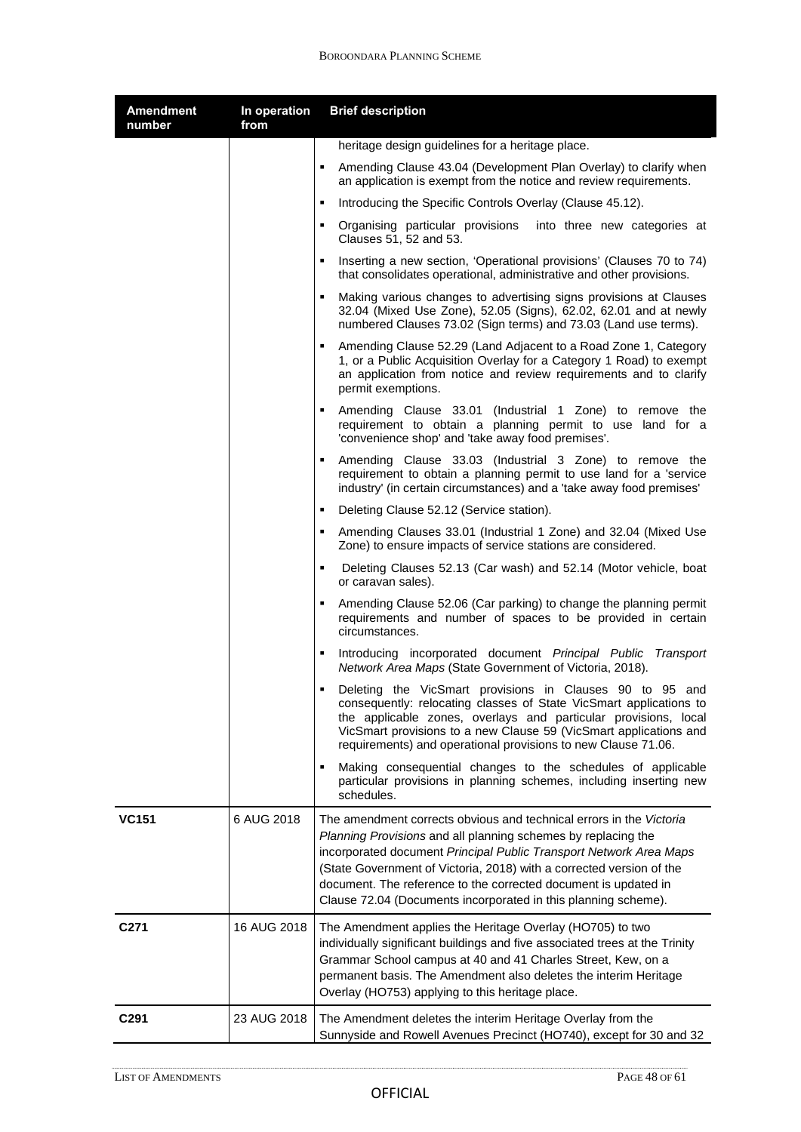| <b>Amendment</b><br>number | In operation<br>from | <b>Brief description</b>                                                                                                                                                                                                                                                                                                                                                                                                |
|----------------------------|----------------------|-------------------------------------------------------------------------------------------------------------------------------------------------------------------------------------------------------------------------------------------------------------------------------------------------------------------------------------------------------------------------------------------------------------------------|
|                            |                      | heritage design guidelines for a heritage place.                                                                                                                                                                                                                                                                                                                                                                        |
|                            |                      | Amending Clause 43.04 (Development Plan Overlay) to clarify when<br>٠.<br>an application is exempt from the notice and review requirements.                                                                                                                                                                                                                                                                             |
|                            |                      | Introducing the Specific Controls Overlay (Clause 45.12).                                                                                                                                                                                                                                                                                                                                                               |
|                            |                      | " Organising particular provisions into three new categories at<br>Clauses 51, 52 and 53.                                                                                                                                                                                                                                                                                                                               |
|                            |                      | Inserting a new section, 'Operational provisions' (Clauses 70 to 74)<br>٠<br>that consolidates operational, administrative and other provisions.                                                                                                                                                                                                                                                                        |
|                            |                      | Making various changes to advertising signs provisions at Clauses<br>$\blacksquare$<br>32.04 (Mixed Use Zone), 52.05 (Signs), 62.02, 62.01 and at newly<br>numbered Clauses 73.02 (Sign terms) and 73.03 (Land use terms).                                                                                                                                                                                              |
|                            |                      | Amending Clause 52.29 (Land Adjacent to a Road Zone 1, Category<br>1, or a Public Acquisition Overlay for a Category 1 Road) to exempt<br>an application from notice and review requirements and to clarify<br>permit exemptions.                                                                                                                                                                                       |
|                            |                      | Amending Clause 33.01 (Industrial 1 Zone) to remove the<br>requirement to obtain a planning permit to use land for a<br>'convenience shop' and 'take away food premises'.                                                                                                                                                                                                                                               |
|                            |                      | Amending Clause 33.03 (Industrial 3 Zone) to remove the<br>requirement to obtain a planning permit to use land for a 'service<br>industry' (in certain circumstances) and a 'take away food premises'                                                                                                                                                                                                                   |
|                            |                      | Deleting Clause 52.12 (Service station).<br>٠                                                                                                                                                                                                                                                                                                                                                                           |
|                            |                      | Amending Clauses 33.01 (Industrial 1 Zone) and 32.04 (Mixed Use<br>Zone) to ensure impacts of service stations are considered.                                                                                                                                                                                                                                                                                          |
|                            |                      | Deleting Clauses 52.13 (Car wash) and 52.14 (Motor vehicle, boat<br>٠<br>or caravan sales).                                                                                                                                                                                                                                                                                                                             |
|                            |                      | Amending Clause 52.06 (Car parking) to change the planning permit<br>٠.<br>requirements and number of spaces to be provided in certain<br>circumstances.                                                                                                                                                                                                                                                                |
|                            |                      | Introducing incorporated document Principal Public Transport<br>Network Area Maps (State Government of Victoria, 2018).                                                                                                                                                                                                                                                                                                 |
|                            |                      | Deleting the VicSmart provisions in Clauses 90 to 95 and<br>consequently: relocating classes of State VicSmart applications to<br>the applicable zones, overlays and particular provisions, local<br>VicSmart provisions to a new Clause 59 (VicSmart applications and<br>requirements) and operational provisions to new Clause 71.06.                                                                                 |
|                            |                      | Making consequential changes to the schedules of applicable<br>particular provisions in planning schemes, including inserting new<br>schedules.                                                                                                                                                                                                                                                                         |
| <b>VC151</b>               | 6 AUG 2018           | The amendment corrects obvious and technical errors in the Victoria<br>Planning Provisions and all planning schemes by replacing the<br>incorporated document Principal Public Transport Network Area Maps<br>(State Government of Victoria, 2018) with a corrected version of the<br>document. The reference to the corrected document is updated in<br>Clause 72.04 (Documents incorporated in this planning scheme). |
| C <sub>271</sub>           | 16 AUG 2018          | The Amendment applies the Heritage Overlay (HO705) to two<br>individually significant buildings and five associated trees at the Trinity<br>Grammar School campus at 40 and 41 Charles Street, Kew, on a<br>permanent basis. The Amendment also deletes the interim Heritage<br>Overlay (HO753) applying to this heritage place.                                                                                        |
| C <sub>291</sub>           | 23 AUG 2018          | The Amendment deletes the interim Heritage Overlay from the<br>Sunnyside and Rowell Avenues Precinct (HO740), except for 30 and 32                                                                                                                                                                                                                                                                                      |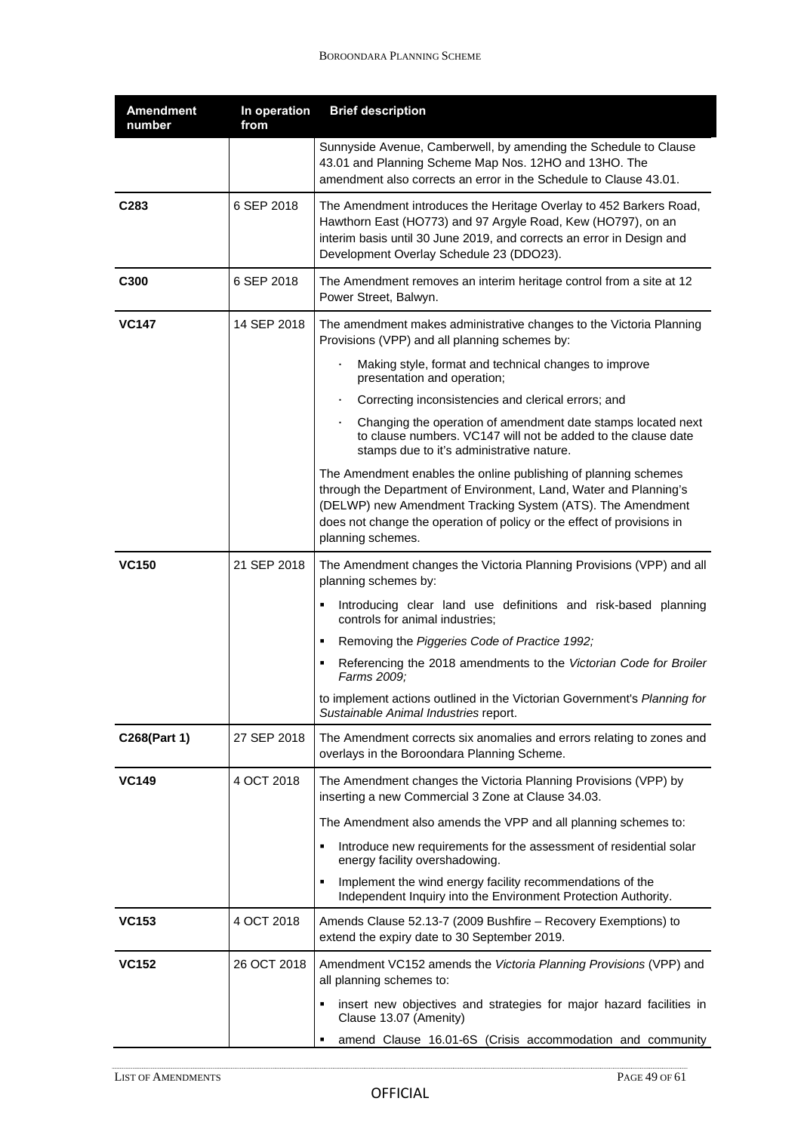| <b>Amendment</b><br>number | In operation<br>from | <b>Brief description</b>                                                                                                                                                                                                                                                                          |
|----------------------------|----------------------|---------------------------------------------------------------------------------------------------------------------------------------------------------------------------------------------------------------------------------------------------------------------------------------------------|
|                            |                      | Sunnyside Avenue, Camberwell, by amending the Schedule to Clause<br>43.01 and Planning Scheme Map Nos. 12HO and 13HO. The<br>amendment also corrects an error in the Schedule to Clause 43.01.                                                                                                    |
| C283                       | 6 SEP 2018           | The Amendment introduces the Heritage Overlay to 452 Barkers Road,<br>Hawthorn East (HO773) and 97 Argyle Road, Kew (HO797), on an<br>interim basis until 30 June 2019, and corrects an error in Design and<br>Development Overlay Schedule 23 (DDO23).                                           |
| C300                       | 6 SEP 2018           | The Amendment removes an interim heritage control from a site at 12<br>Power Street, Balwyn.                                                                                                                                                                                                      |
| <b>VC147</b>               | 14 SEP 2018          | The amendment makes administrative changes to the Victoria Planning<br>Provisions (VPP) and all planning schemes by:                                                                                                                                                                              |
|                            |                      | ×,<br>Making style, format and technical changes to improve<br>presentation and operation;                                                                                                                                                                                                        |
|                            |                      | Correcting inconsistencies and clerical errors; and<br>٠                                                                                                                                                                                                                                          |
|                            |                      | Changing the operation of amendment date stamps located next<br>to clause numbers. VC147 will not be added to the clause date<br>stamps due to it's administrative nature.                                                                                                                        |
|                            |                      | The Amendment enables the online publishing of planning schemes<br>through the Department of Environment, Land, Water and Planning's<br>(DELWP) new Amendment Tracking System (ATS). The Amendment<br>does not change the operation of policy or the effect of provisions in<br>planning schemes. |
| <b>VC150</b>               | 21 SEP 2018          | The Amendment changes the Victoria Planning Provisions (VPP) and all<br>planning schemes by:                                                                                                                                                                                                      |
|                            |                      | Introducing clear land use definitions and risk-based planning<br>controls for animal industries;                                                                                                                                                                                                 |
|                            |                      | Removing the Piggeries Code of Practice 1992;<br>٠                                                                                                                                                                                                                                                |
|                            |                      | Referencing the 2018 amendments to the Victorian Code for Broiler<br>Farms 2009;                                                                                                                                                                                                                  |
|                            |                      | to implement actions outlined in the Victorian Government's Planning for<br>Sustainable Animal Industries report.                                                                                                                                                                                 |
| C268(Part 1)               | 27 SEP 2018          | The Amendment corrects six anomalies and errors relating to zones and<br>overlays in the Boroondara Planning Scheme.                                                                                                                                                                              |
| <b>VC149</b>               | 4 OCT 2018           | The Amendment changes the Victoria Planning Provisions (VPP) by<br>inserting a new Commercial 3 Zone at Clause 34.03.                                                                                                                                                                             |
|                            |                      | The Amendment also amends the VPP and all planning schemes to:                                                                                                                                                                                                                                    |
|                            |                      | Introduce new requirements for the assessment of residential solar<br>energy facility overshadowing.                                                                                                                                                                                              |
|                            |                      | Implement the wind energy facility recommendations of the<br>Independent Inquiry into the Environment Protection Authority.                                                                                                                                                                       |
| <b>VC153</b>               | 4 OCT 2018           | Amends Clause 52.13-7 (2009 Bushfire – Recovery Exemptions) to<br>extend the expiry date to 30 September 2019.                                                                                                                                                                                    |
| <b>VC152</b>               | 26 OCT 2018          | Amendment VC152 amends the Victoria Planning Provisions (VPP) and<br>all planning schemes to:                                                                                                                                                                                                     |
|                            |                      | insert new objectives and strategies for major hazard facilities in<br>Clause 13.07 (Amenity)                                                                                                                                                                                                     |
|                            |                      | amend Clause 16.01-6S (Crisis accommodation and community                                                                                                                                                                                                                                         |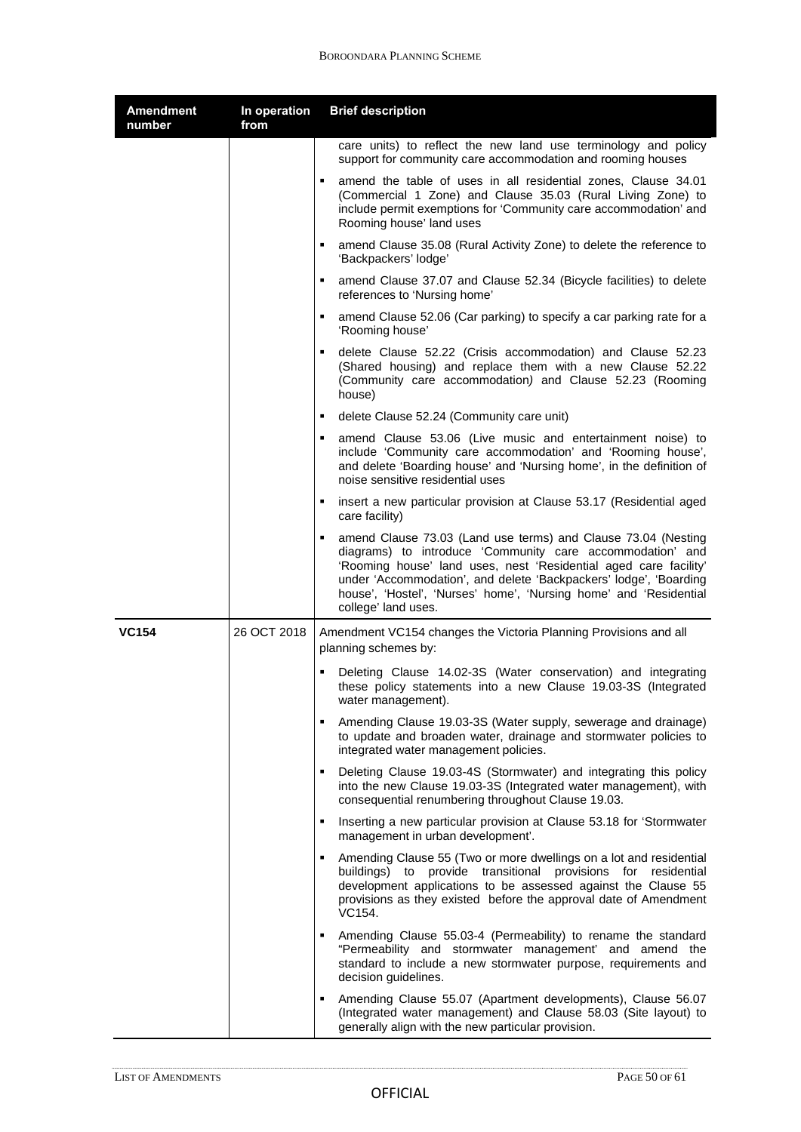| <b>Amendment</b><br>number | In operation<br>from | <b>Brief description</b>                                                                                                                                                                                                                                                                                                                                              |
|----------------------------|----------------------|-----------------------------------------------------------------------------------------------------------------------------------------------------------------------------------------------------------------------------------------------------------------------------------------------------------------------------------------------------------------------|
|                            |                      | care units) to reflect the new land use terminology and policy<br>support for community care accommodation and rooming houses                                                                                                                                                                                                                                         |
|                            |                      | amend the table of uses in all residential zones, Clause 34.01<br>(Commercial 1 Zone) and Clause 35.03 (Rural Living Zone) to<br>include permit exemptions for 'Community care accommodation' and<br>Rooming house' land uses                                                                                                                                         |
|                            |                      | amend Clause 35.08 (Rural Activity Zone) to delete the reference to<br>'Backpackers' lodge'                                                                                                                                                                                                                                                                           |
|                            |                      | amend Clause 37.07 and Clause 52.34 (Bicycle facilities) to delete<br>٠.<br>references to 'Nursing home'                                                                                                                                                                                                                                                              |
|                            |                      | amend Clause 52.06 (Car parking) to specify a car parking rate for a<br>٠<br>'Rooming house'                                                                                                                                                                                                                                                                          |
|                            |                      | delete Clause 52.22 (Crisis accommodation) and Clause 52.23<br>٠.<br>(Shared housing) and replace them with a new Clause 52.22<br>(Community care accommodation) and Clause 52.23 (Rooming<br>house)                                                                                                                                                                  |
|                            |                      | delete Clause 52.24 (Community care unit)<br>$\mathbf{E}$                                                                                                                                                                                                                                                                                                             |
|                            |                      | amend Clause 53.06 (Live music and entertainment noise) to<br>include 'Community care accommodation' and 'Rooming house',<br>and delete 'Boarding house' and 'Nursing home', in the definition of<br>noise sensitive residential uses                                                                                                                                 |
|                            |                      | insert a new particular provision at Clause 53.17 (Residential aged<br>care facility)                                                                                                                                                                                                                                                                                 |
|                            |                      | amend Clause 73.03 (Land use terms) and Clause 73.04 (Nesting<br>п.<br>diagrams) to introduce 'Community care accommodation' and<br>'Rooming house' land uses, nest 'Residential aged care facility'<br>under 'Accommodation', and delete 'Backpackers' lodge', 'Boarding<br>house', 'Hostel', 'Nurses' home', 'Nursing home' and 'Residential<br>college' land uses. |
| <b>VC154</b>               | 26 OCT 2018          | Amendment VC154 changes the Victoria Planning Provisions and all<br>planning schemes by:                                                                                                                                                                                                                                                                              |
|                            |                      | Deleting Clause 14.02-3S (Water conservation) and integrating<br>these policy statements into a new Clause 19.03-3S (Integrated<br>water management).                                                                                                                                                                                                                 |
|                            |                      | Amending Clause 19.03-3S (Water supply, sewerage and drainage)<br>٠,<br>to update and broaden water, drainage and stormwater policies to<br>integrated water management policies.                                                                                                                                                                                     |
|                            |                      | Deleting Clause 19.03-4S (Stormwater) and integrating this policy<br>$\mathbf{u}$ .<br>into the new Clause 19.03-3S (Integrated water management), with<br>consequential renumbering throughout Clause 19.03.                                                                                                                                                         |
|                            |                      | Inserting a new particular provision at Clause 53.18 for 'Stormwater<br>$\blacksquare$<br>management in urban development'.                                                                                                                                                                                                                                           |
|                            |                      | Amending Clause 55 (Two or more dwellings on a lot and residential<br>buildings) to provide transitional provisions for residential<br>development applications to be assessed against the Clause 55<br>provisions as they existed before the approval date of Amendment<br>VC154.                                                                                    |
|                            |                      | Amending Clause 55.03-4 (Permeability) to rename the standard<br>$\mathbf{u}$ .<br>"Permeability and stormwater management' and amend the<br>standard to include a new stormwater purpose, requirements and<br>decision guidelines.                                                                                                                                   |
|                            |                      | Amending Clause 55.07 (Apartment developments), Clause 56.07<br>$\blacksquare$<br>(Integrated water management) and Clause 58.03 (Site layout) to<br>generally align with the new particular provision.                                                                                                                                                               |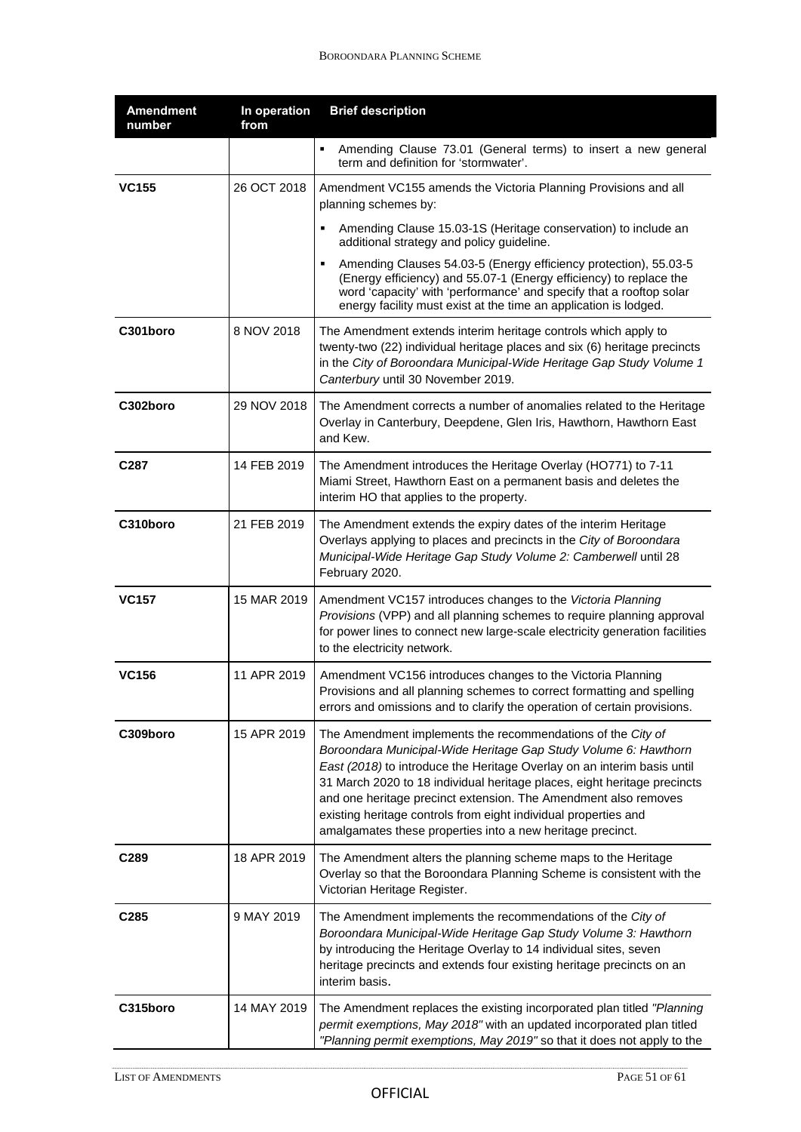| <b>Amendment</b><br>number | In operation<br>from | <b>Brief description</b>                                                                                                                                                                                                                                                                                                                                                                                                                                                                  |
|----------------------------|----------------------|-------------------------------------------------------------------------------------------------------------------------------------------------------------------------------------------------------------------------------------------------------------------------------------------------------------------------------------------------------------------------------------------------------------------------------------------------------------------------------------------|
|                            |                      | Amending Clause 73.01 (General terms) to insert a new general<br>term and definition for 'stormwater'.                                                                                                                                                                                                                                                                                                                                                                                    |
| <b>VC155</b>               | 26 OCT 2018          | Amendment VC155 amends the Victoria Planning Provisions and all<br>planning schemes by:                                                                                                                                                                                                                                                                                                                                                                                                   |
|                            |                      | Amending Clause 15.03-1S (Heritage conservation) to include an<br>additional strategy and policy guideline.                                                                                                                                                                                                                                                                                                                                                                               |
|                            |                      | Amending Clauses 54.03-5 (Energy efficiency protection), 55.03-5<br>(Energy efficiency) and 55.07-1 (Energy efficiency) to replace the<br>word 'capacity' with 'performance' and specify that a rooftop solar<br>energy facility must exist at the time an application is lodged.                                                                                                                                                                                                         |
| C301boro                   | 8 NOV 2018           | The Amendment extends interim heritage controls which apply to<br>twenty-two (22) individual heritage places and six (6) heritage precincts<br>in the City of Boroondara Municipal-Wide Heritage Gap Study Volume 1<br>Canterbury until 30 November 2019.                                                                                                                                                                                                                                 |
| C302boro                   | 29 NOV 2018          | The Amendment corrects a number of anomalies related to the Heritage<br>Overlay in Canterbury, Deepdene, Glen Iris, Hawthorn, Hawthorn East<br>and Kew.                                                                                                                                                                                                                                                                                                                                   |
| C287                       | 14 FEB 2019          | The Amendment introduces the Heritage Overlay (HO771) to 7-11<br>Miami Street, Hawthorn East on a permanent basis and deletes the<br>interim HO that applies to the property.                                                                                                                                                                                                                                                                                                             |
| C310boro                   | 21 FEB 2019          | The Amendment extends the expiry dates of the interim Heritage<br>Overlays applying to places and precincts in the City of Boroondara<br>Municipal-Wide Heritage Gap Study Volume 2: Camberwell until 28<br>February 2020.                                                                                                                                                                                                                                                                |
| VC157                      | 15 MAR 2019          | Amendment VC157 introduces changes to the Victoria Planning<br>Provisions (VPP) and all planning schemes to require planning approval<br>for power lines to connect new large-scale electricity generation facilities<br>to the electricity network.                                                                                                                                                                                                                                      |
| <b>VC156</b>               | 11 APR 2019          | Amendment VC156 introduces changes to the Victoria Planning<br>Provisions and all planning schemes to correct formatting and spelling<br>errors and omissions and to clarify the operation of certain provisions.                                                                                                                                                                                                                                                                         |
| C309boro                   | 15 APR 2019          | The Amendment implements the recommendations of the City of<br>Boroondara Municipal-Wide Heritage Gap Study Volume 6: Hawthorn<br>East (2018) to introduce the Heritage Overlay on an interim basis until<br>31 March 2020 to 18 individual heritage places, eight heritage precincts<br>and one heritage precinct extension. The Amendment also removes<br>existing heritage controls from eight individual properties and<br>amalgamates these properties into a new heritage precinct. |
| C289                       | 18 APR 2019          | The Amendment alters the planning scheme maps to the Heritage<br>Overlay so that the Boroondara Planning Scheme is consistent with the<br>Victorian Heritage Register.                                                                                                                                                                                                                                                                                                                    |
| C285                       | 9 MAY 2019           | The Amendment implements the recommendations of the City of<br>Boroondara Municipal-Wide Heritage Gap Study Volume 3: Hawthorn<br>by introducing the Heritage Overlay to 14 individual sites, seven<br>heritage precincts and extends four existing heritage precincts on an<br>interim basis.                                                                                                                                                                                            |
| C315boro                   | 14 MAY 2019          | The Amendment replaces the existing incorporated plan titled "Planning<br>permit exemptions, May 2018" with an updated incorporated plan titled<br>"Planning permit exemptions, May 2019" so that it does not apply to the                                                                                                                                                                                                                                                                |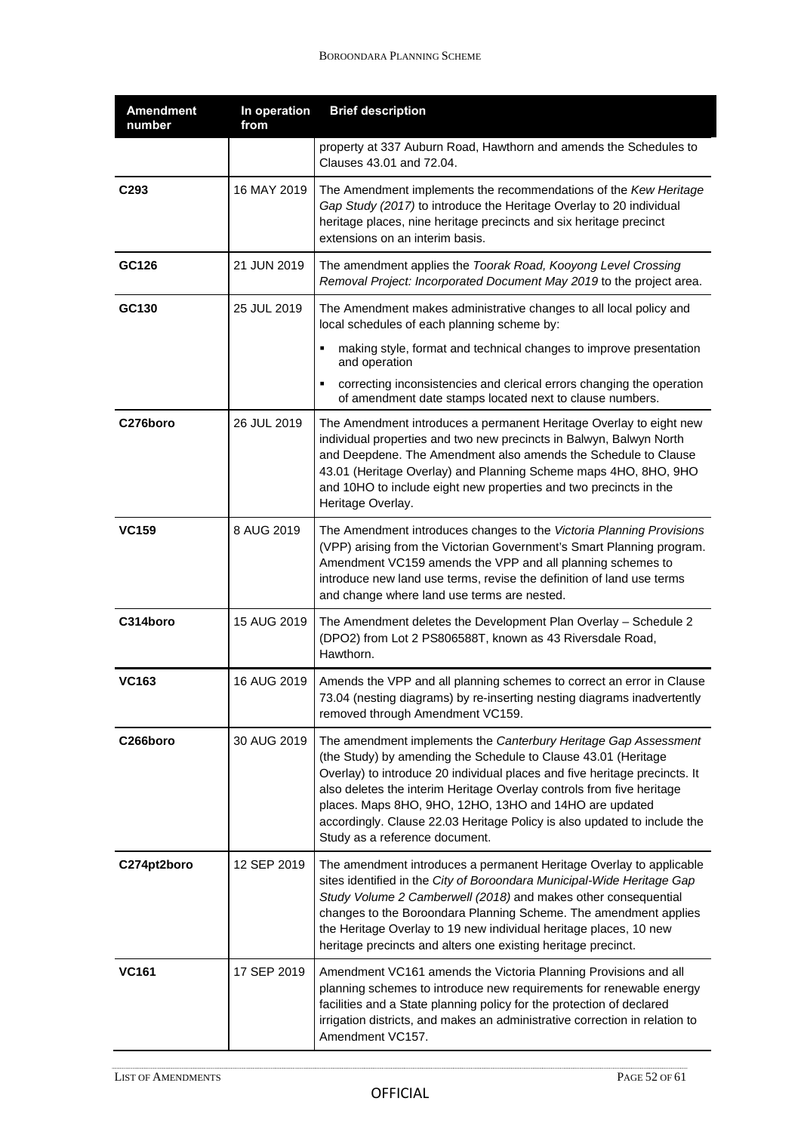| <b>Amendment</b><br>number | In operation<br>from | <b>Brief description</b>                                                                                                                                                                                                                                                                                                                                                                                                                                         |
|----------------------------|----------------------|------------------------------------------------------------------------------------------------------------------------------------------------------------------------------------------------------------------------------------------------------------------------------------------------------------------------------------------------------------------------------------------------------------------------------------------------------------------|
|                            |                      | property at 337 Auburn Road, Hawthorn and amends the Schedules to<br>Clauses 43.01 and 72.04.                                                                                                                                                                                                                                                                                                                                                                    |
| C293                       | 16 MAY 2019          | The Amendment implements the recommendations of the Kew Heritage<br>Gap Study (2017) to introduce the Heritage Overlay to 20 individual<br>heritage places, nine heritage precincts and six heritage precinct<br>extensions on an interim basis.                                                                                                                                                                                                                 |
| GC126                      | 21 JUN 2019          | The amendment applies the Toorak Road, Kooyong Level Crossing<br>Removal Project: Incorporated Document May 2019 to the project area.                                                                                                                                                                                                                                                                                                                            |
| GC130                      | 25 JUL 2019          | The Amendment makes administrative changes to all local policy and<br>local schedules of each planning scheme by:                                                                                                                                                                                                                                                                                                                                                |
|                            |                      | making style, format and technical changes to improve presentation<br>and operation                                                                                                                                                                                                                                                                                                                                                                              |
|                            |                      | correcting inconsistencies and clerical errors changing the operation<br>of amendment date stamps located next to clause numbers.                                                                                                                                                                                                                                                                                                                                |
| C276boro                   | 26 JUL 2019          | The Amendment introduces a permanent Heritage Overlay to eight new<br>individual properties and two new precincts in Balwyn, Balwyn North<br>and Deepdene. The Amendment also amends the Schedule to Clause<br>43.01 (Heritage Overlay) and Planning Scheme maps 4HO, 8HO, 9HO<br>and 10HO to include eight new properties and two precincts in the<br>Heritage Overlay.                                                                                         |
| <b>VC159</b>               | 8 AUG 2019           | The Amendment introduces changes to the Victoria Planning Provisions<br>(VPP) arising from the Victorian Government's Smart Planning program.<br>Amendment VC159 amends the VPP and all planning schemes to<br>introduce new land use terms, revise the definition of land use terms<br>and change where land use terms are nested.                                                                                                                              |
| C314boro                   | 15 AUG 2019          | The Amendment deletes the Development Plan Overlay - Schedule 2<br>(DPO2) from Lot 2 PS806588T, known as 43 Riversdale Road,<br>Hawthorn.                                                                                                                                                                                                                                                                                                                        |
| <b>VC163</b>               | 16 AUG 2019          | Amends the VPP and all planning schemes to correct an error in Clause<br>73.04 (nesting diagrams) by re-inserting nesting diagrams inadvertently<br>removed through Amendment VC159.                                                                                                                                                                                                                                                                             |
| C266boro                   | 30 AUG 2019          | The amendment implements the Canterbury Heritage Gap Assessment<br>(the Study) by amending the Schedule to Clause 43.01 (Heritage<br>Overlay) to introduce 20 individual places and five heritage precincts. It<br>also deletes the interim Heritage Overlay controls from five heritage<br>places. Maps 8HO, 9HO, 12HO, 13HO and 14HO are updated<br>accordingly. Clause 22.03 Heritage Policy is also updated to include the<br>Study as a reference document. |
| C274pt2boro                | 12 SEP 2019          | The amendment introduces a permanent Heritage Overlay to applicable<br>sites identified in the City of Boroondara Municipal-Wide Heritage Gap<br>Study Volume 2 Camberwell (2018) and makes other consequential<br>changes to the Boroondara Planning Scheme. The amendment applies<br>the Heritage Overlay to 19 new individual heritage places, 10 new<br>heritage precincts and alters one existing heritage precinct.                                        |
| <b>VC161</b>               | 17 SEP 2019          | Amendment VC161 amends the Victoria Planning Provisions and all<br>planning schemes to introduce new requirements for renewable energy<br>facilities and a State planning policy for the protection of declared<br>irrigation districts, and makes an administrative correction in relation to<br>Amendment VC157.                                                                                                                                               |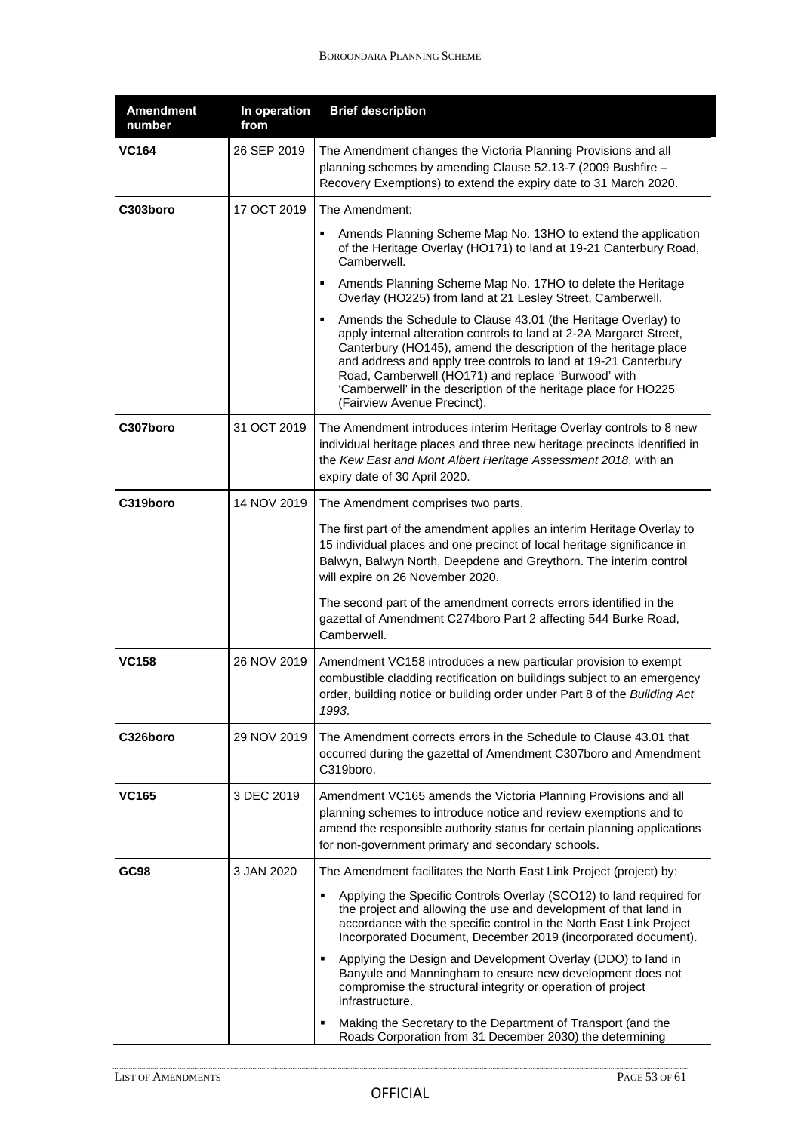| <b>Amendment</b><br>number | In operation<br>from | <b>Brief description</b>                                                                                                                                                                                                                                                                                                                                                                                                                 |
|----------------------------|----------------------|------------------------------------------------------------------------------------------------------------------------------------------------------------------------------------------------------------------------------------------------------------------------------------------------------------------------------------------------------------------------------------------------------------------------------------------|
| <b>VC164</b>               | 26 SEP 2019          | The Amendment changes the Victoria Planning Provisions and all<br>planning schemes by amending Clause 52.13-7 (2009 Bushfire -<br>Recovery Exemptions) to extend the expiry date to 31 March 2020.                                                                                                                                                                                                                                       |
| C303boro                   | 17 OCT 2019          | The Amendment:                                                                                                                                                                                                                                                                                                                                                                                                                           |
|                            |                      | Amends Planning Scheme Map No. 13HO to extend the application<br>٠<br>of the Heritage Overlay (HO171) to land at 19-21 Canterbury Road,<br>Camberwell.                                                                                                                                                                                                                                                                                   |
|                            |                      | Amends Planning Scheme Map No. 17HO to delete the Heritage<br>Overlay (HO225) from land at 21 Lesley Street, Camberwell.                                                                                                                                                                                                                                                                                                                 |
|                            |                      | Amends the Schedule to Clause 43.01 (the Heritage Overlay) to<br>٠<br>apply internal alteration controls to land at 2-2A Margaret Street,<br>Canterbury (HO145), amend the description of the heritage place<br>and address and apply tree controls to land at 19-21 Canterbury<br>Road, Camberwell (HO171) and replace 'Burwood' with<br>'Camberwell' in the description of the heritage place for HO225<br>(Fairview Avenue Precinct). |
| C307boro                   | 31 OCT 2019          | The Amendment introduces interim Heritage Overlay controls to 8 new<br>individual heritage places and three new heritage precincts identified in<br>the Kew East and Mont Albert Heritage Assessment 2018, with an<br>expiry date of 30 April 2020.                                                                                                                                                                                      |
| C319boro                   | 14 NOV 2019          | The Amendment comprises two parts.                                                                                                                                                                                                                                                                                                                                                                                                       |
|                            |                      | The first part of the amendment applies an interim Heritage Overlay to<br>15 individual places and one precinct of local heritage significance in<br>Balwyn, Balwyn North, Deepdene and Greythorn. The interim control<br>will expire on 26 November 2020.                                                                                                                                                                               |
|                            |                      | The second part of the amendment corrects errors identified in the<br>gazettal of Amendment C274boro Part 2 affecting 544 Burke Road,<br>Camberwell.                                                                                                                                                                                                                                                                                     |
| <b>VC158</b>               | 26 NOV 2019          | Amendment VC158 introduces a new particular provision to exempt<br>combustible cladding rectification on buildings subject to an emergency<br>order, building notice or building order under Part 8 of the Building Act<br>1993.                                                                                                                                                                                                         |
| C326boro                   | 29 NOV 2019          | The Amendment corrects errors in the Schedule to Clause 43.01 that<br>occurred during the gazettal of Amendment C307boro and Amendment<br>C319boro.                                                                                                                                                                                                                                                                                      |
| <b>VC165</b>               | 3 DEC 2019           | Amendment VC165 amends the Victoria Planning Provisions and all<br>planning schemes to introduce notice and review exemptions and to<br>amend the responsible authority status for certain planning applications<br>for non-government primary and secondary schools.                                                                                                                                                                    |
| GC98                       | 3 JAN 2020           | The Amendment facilitates the North East Link Project (project) by:                                                                                                                                                                                                                                                                                                                                                                      |
|                            |                      | Applying the Specific Controls Overlay (SCO12) to land required for<br>٠<br>the project and allowing the use and development of that land in<br>accordance with the specific control in the North East Link Project<br>Incorporated Document, December 2019 (incorporated document).                                                                                                                                                     |
|                            |                      | Applying the Design and Development Overlay (DDO) to land in<br>٠<br>Banyule and Manningham to ensure new development does not<br>compromise the structural integrity or operation of project<br>infrastructure.                                                                                                                                                                                                                         |
|                            |                      | Making the Secretary to the Department of Transport (and the<br>Roads Corporation from 31 December 2030) the determining                                                                                                                                                                                                                                                                                                                 |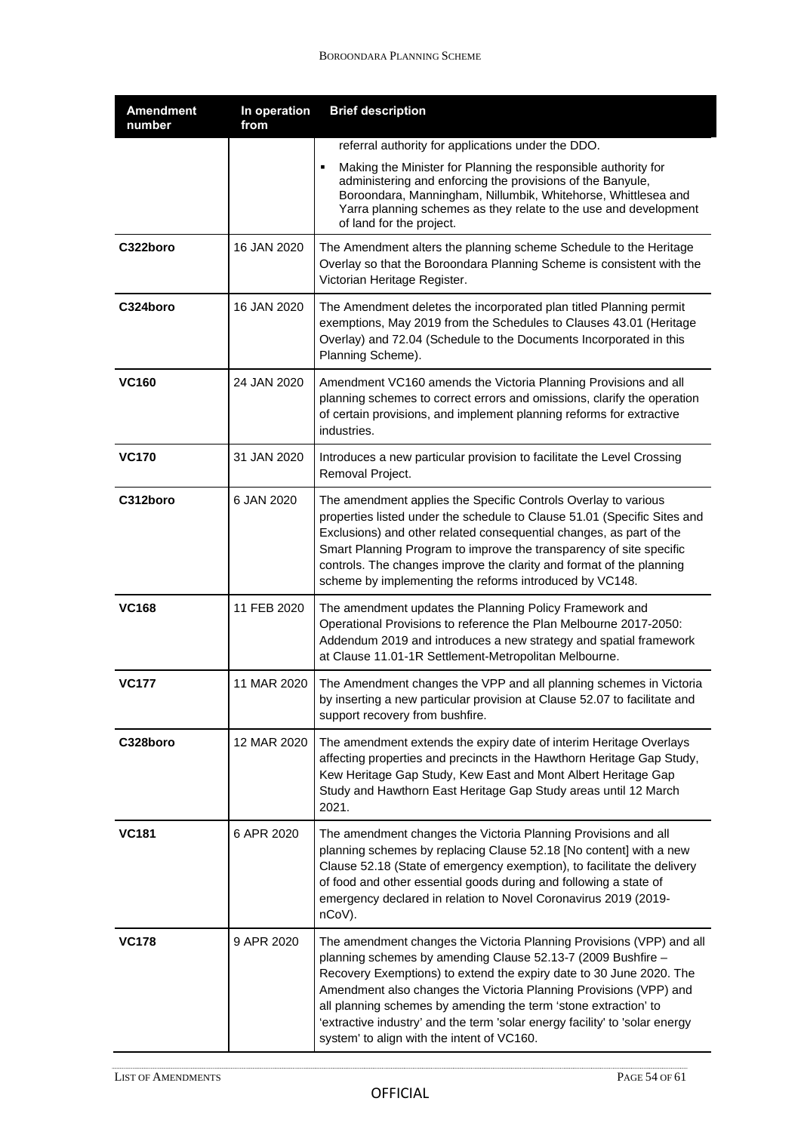| <b>Amendment</b><br>number | In operation<br>from | <b>Brief description</b>                                                                                                                                                                                                                                                                                                                                                                                                                                                         |
|----------------------------|----------------------|----------------------------------------------------------------------------------------------------------------------------------------------------------------------------------------------------------------------------------------------------------------------------------------------------------------------------------------------------------------------------------------------------------------------------------------------------------------------------------|
|                            |                      | referral authority for applications under the DDO.                                                                                                                                                                                                                                                                                                                                                                                                                               |
|                            |                      | Making the Minister for Planning the responsible authority for<br>administering and enforcing the provisions of the Banyule,<br>Boroondara, Manningham, Nillumbik, Whitehorse, Whittlesea and<br>Yarra planning schemes as they relate to the use and development<br>of land for the project.                                                                                                                                                                                    |
| C322boro                   | 16 JAN 2020          | The Amendment alters the planning scheme Schedule to the Heritage<br>Overlay so that the Boroondara Planning Scheme is consistent with the<br>Victorian Heritage Register.                                                                                                                                                                                                                                                                                                       |
| C324boro                   | 16 JAN 2020          | The Amendment deletes the incorporated plan titled Planning permit<br>exemptions, May 2019 from the Schedules to Clauses 43.01 (Heritage<br>Overlay) and 72.04 (Schedule to the Documents Incorporated in this<br>Planning Scheme).                                                                                                                                                                                                                                              |
| <b>VC160</b>               | 24 JAN 2020          | Amendment VC160 amends the Victoria Planning Provisions and all<br>planning schemes to correct errors and omissions, clarify the operation<br>of certain provisions, and implement planning reforms for extractive<br>industries.                                                                                                                                                                                                                                                |
| <b>VC170</b>               | 31 JAN 2020          | Introduces a new particular provision to facilitate the Level Crossing<br>Removal Project.                                                                                                                                                                                                                                                                                                                                                                                       |
| C312boro                   | 6 JAN 2020           | The amendment applies the Specific Controls Overlay to various<br>properties listed under the schedule to Clause 51.01 (Specific Sites and<br>Exclusions) and other related consequential changes, as part of the<br>Smart Planning Program to improve the transparency of site specific<br>controls. The changes improve the clarity and format of the planning<br>scheme by implementing the reforms introduced by VC148.                                                      |
| <b>VC168</b>               | 11 FEB 2020          | The amendment updates the Planning Policy Framework and<br>Operational Provisions to reference the Plan Melbourne 2017-2050:<br>Addendum 2019 and introduces a new strategy and spatial framework<br>at Clause 11.01-1R Settlement-Metropolitan Melbourne.                                                                                                                                                                                                                       |
| <b>VC177</b>               | 11 MAR 2020          | The Amendment changes the VPP and all planning schemes in Victoria<br>by inserting a new particular provision at Clause 52.07 to facilitate and<br>support recovery from bushfire.                                                                                                                                                                                                                                                                                               |
| C328boro                   | 12 MAR 2020          | The amendment extends the expiry date of interim Heritage Overlays<br>affecting properties and precincts in the Hawthorn Heritage Gap Study,<br>Kew Heritage Gap Study, Kew East and Mont Albert Heritage Gap<br>Study and Hawthorn East Heritage Gap Study areas until 12 March<br>2021.                                                                                                                                                                                        |
| <b>VC181</b>               | 6 APR 2020           | The amendment changes the Victoria Planning Provisions and all<br>planning schemes by replacing Clause 52.18 [No content] with a new<br>Clause 52.18 (State of emergency exemption), to facilitate the delivery<br>of food and other essential goods during and following a state of<br>emergency declared in relation to Novel Coronavirus 2019 (2019-<br>nCoV).                                                                                                                |
| <b>VC178</b>               | 9 APR 2020           | The amendment changes the Victoria Planning Provisions (VPP) and all<br>planning schemes by amending Clause 52.13-7 (2009 Bushfire -<br>Recovery Exemptions) to extend the expiry date to 30 June 2020. The<br>Amendment also changes the Victoria Planning Provisions (VPP) and<br>all planning schemes by amending the term 'stone extraction' to<br>'extractive industry' and the term 'solar energy facility' to 'solar energy<br>system' to align with the intent of VC160. |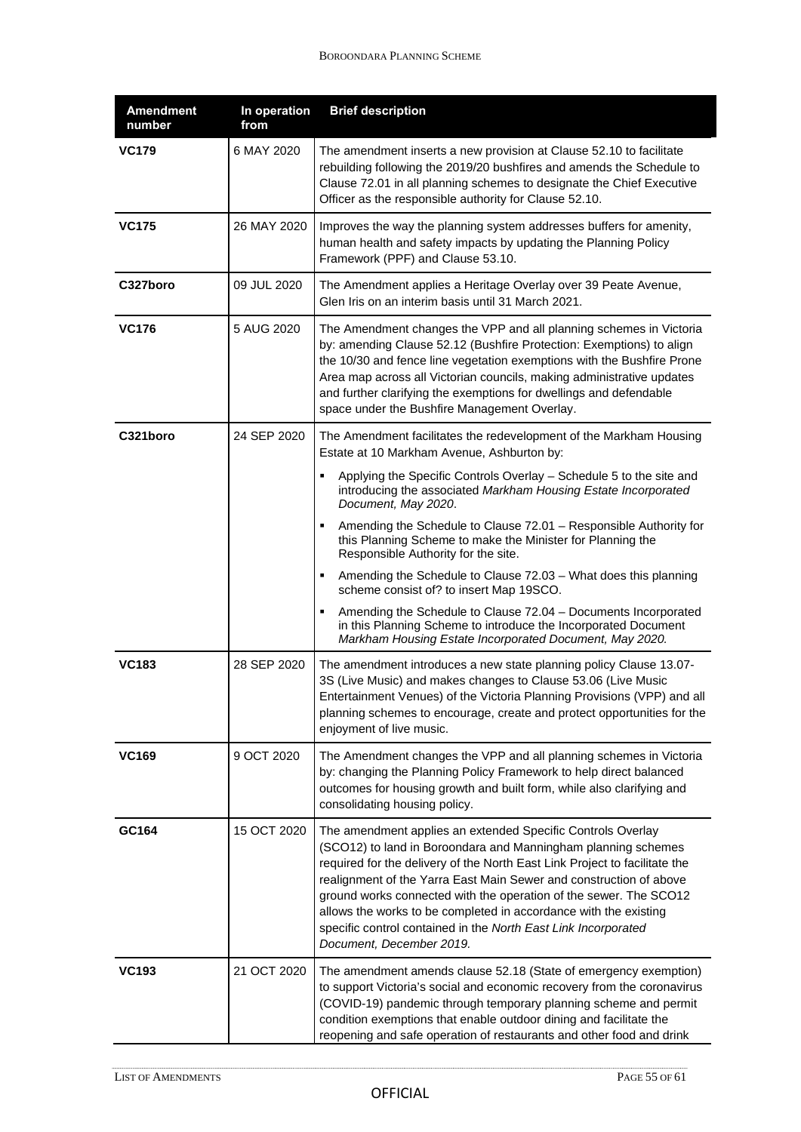| <b>Amendment</b><br>number | In operation<br>from | <b>Brief description</b>                                                                                                                                                                                                                                                                                                                                                                                                                                                                                                |
|----------------------------|----------------------|-------------------------------------------------------------------------------------------------------------------------------------------------------------------------------------------------------------------------------------------------------------------------------------------------------------------------------------------------------------------------------------------------------------------------------------------------------------------------------------------------------------------------|
| <b>VC179</b>               | 6 MAY 2020           | The amendment inserts a new provision at Clause 52.10 to facilitate<br>rebuilding following the 2019/20 bushfires and amends the Schedule to<br>Clause 72.01 in all planning schemes to designate the Chief Executive<br>Officer as the responsible authority for Clause 52.10.                                                                                                                                                                                                                                         |
| <b>VC175</b>               | 26 MAY 2020          | Improves the way the planning system addresses buffers for amenity,<br>human health and safety impacts by updating the Planning Policy<br>Framework (PPF) and Clause 53.10.                                                                                                                                                                                                                                                                                                                                             |
| C327boro                   | 09 JUL 2020          | The Amendment applies a Heritage Overlay over 39 Peate Avenue,<br>Glen Iris on an interim basis until 31 March 2021.                                                                                                                                                                                                                                                                                                                                                                                                    |
| <b>VC176</b>               | 5 AUG 2020           | The Amendment changes the VPP and all planning schemes in Victoria<br>by: amending Clause 52.12 (Bushfire Protection: Exemptions) to align<br>the 10/30 and fence line vegetation exemptions with the Bushfire Prone<br>Area map across all Victorian councils, making administrative updates<br>and further clarifying the exemptions for dwellings and defendable<br>space under the Bushfire Management Overlay.                                                                                                     |
| C321boro                   | 24 SEP 2020          | The Amendment facilitates the redevelopment of the Markham Housing<br>Estate at 10 Markham Avenue, Ashburton by:                                                                                                                                                                                                                                                                                                                                                                                                        |
|                            |                      | Applying the Specific Controls Overlay – Schedule 5 to the site and<br>٠<br>introducing the associated Markham Housing Estate Incorporated<br>Document, May 2020.                                                                                                                                                                                                                                                                                                                                                       |
|                            |                      | Amending the Schedule to Clause 72.01 - Responsible Authority for<br>this Planning Scheme to make the Minister for Planning the<br>Responsible Authority for the site.                                                                                                                                                                                                                                                                                                                                                  |
|                            |                      | Amending the Schedule to Clause 72.03 - What does this planning<br>scheme consist of? to insert Map 19SCO.                                                                                                                                                                                                                                                                                                                                                                                                              |
|                            |                      | Amending the Schedule to Clause 72.04 - Documents Incorporated<br>٠<br>in this Planning Scheme to introduce the Incorporated Document<br>Markham Housing Estate Incorporated Document, May 2020.                                                                                                                                                                                                                                                                                                                        |
| <b>VC183</b>               | 28 SEP 2020          | The amendment introduces a new state planning policy Clause 13.07-<br>3S (Live Music) and makes changes to Clause 53.06 (Live Music<br>Entertainment Venues) of the Victoria Planning Provisions (VPP) and all<br>planning schemes to encourage, create and protect opportunities for the<br>enjoyment of live music.                                                                                                                                                                                                   |
| <b>VC169</b>               | 9 OCT 2020           | The Amendment changes the VPP and all planning schemes in Victoria<br>by: changing the Planning Policy Framework to help direct balanced<br>outcomes for housing growth and built form, while also clarifying and<br>consolidating housing policy.                                                                                                                                                                                                                                                                      |
| GC164                      | 15 OCT 2020          | The amendment applies an extended Specific Controls Overlay<br>(SCO12) to land in Boroondara and Manningham planning schemes<br>required for the delivery of the North East Link Project to facilitate the<br>realignment of the Yarra East Main Sewer and construction of above<br>ground works connected with the operation of the sewer. The SCO12<br>allows the works to be completed in accordance with the existing<br>specific control contained in the North East Link Incorporated<br>Document, December 2019. |
| <b>VC193</b>               | 21 OCT 2020          | The amendment amends clause 52.18 (State of emergency exemption)<br>to support Victoria's social and economic recovery from the coronavirus<br>(COVID-19) pandemic through temporary planning scheme and permit<br>condition exemptions that enable outdoor dining and facilitate the<br>reopening and safe operation of restaurants and other food and drink                                                                                                                                                           |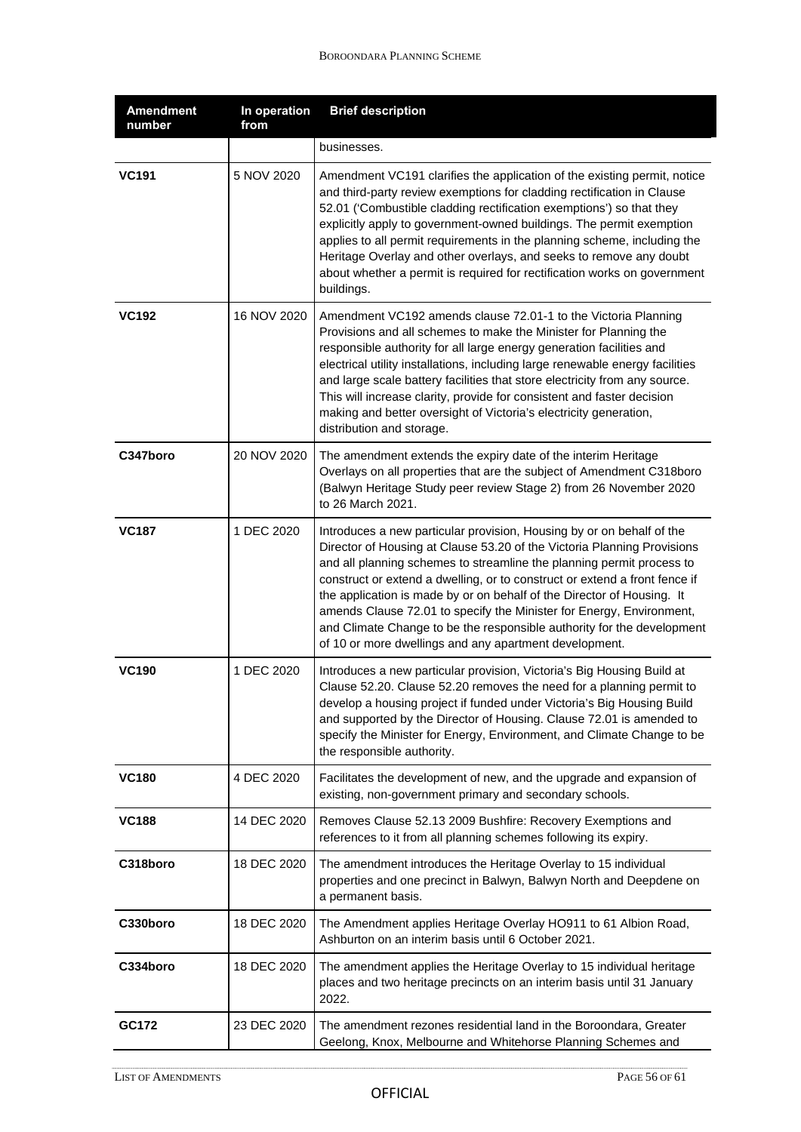| <b>Amendment</b><br>number | In operation<br>from | <b>Brief description</b>                                                                                                                                                                                                                                                                                                                                                                                                                                                                                                                                                                      |
|----------------------------|----------------------|-----------------------------------------------------------------------------------------------------------------------------------------------------------------------------------------------------------------------------------------------------------------------------------------------------------------------------------------------------------------------------------------------------------------------------------------------------------------------------------------------------------------------------------------------------------------------------------------------|
|                            |                      | businesses.                                                                                                                                                                                                                                                                                                                                                                                                                                                                                                                                                                                   |
| <b>VC191</b>               | 5 NOV 2020           | Amendment VC191 clarifies the application of the existing permit, notice<br>and third-party review exemptions for cladding rectification in Clause<br>52.01 ('Combustible cladding rectification exemptions') so that they<br>explicitly apply to government-owned buildings. The permit exemption<br>applies to all permit requirements in the planning scheme, including the<br>Heritage Overlay and other overlays, and seeks to remove any doubt<br>about whether a permit is required for rectification works on government<br>buildings.                                                |
| <b>VC192</b>               | 16 NOV 2020          | Amendment VC192 amends clause 72.01-1 to the Victoria Planning<br>Provisions and all schemes to make the Minister for Planning the<br>responsible authority for all large energy generation facilities and<br>electrical utility installations, including large renewable energy facilities<br>and large scale battery facilities that store electricity from any source.<br>This will increase clarity, provide for consistent and faster decision<br>making and better oversight of Victoria's electricity generation,<br>distribution and storage.                                         |
| C347boro                   | 20 NOV 2020          | The amendment extends the expiry date of the interim Heritage<br>Overlays on all properties that are the subject of Amendment C318boro<br>(Balwyn Heritage Study peer review Stage 2) from 26 November 2020<br>to 26 March 2021.                                                                                                                                                                                                                                                                                                                                                              |
| <b>VC187</b>               | 1 DEC 2020           | Introduces a new particular provision, Housing by or on behalf of the<br>Director of Housing at Clause 53.20 of the Victoria Planning Provisions<br>and all planning schemes to streamline the planning permit process to<br>construct or extend a dwelling, or to construct or extend a front fence if<br>the application is made by or on behalf of the Director of Housing. It<br>amends Clause 72.01 to specify the Minister for Energy, Environment,<br>and Climate Change to be the responsible authority for the development<br>of 10 or more dwellings and any apartment development. |
| <b>VC190</b>               | 1 DEC 2020           | Introduces a new particular provision, Victoria's Big Housing Build at<br>Clause 52.20. Clause 52.20 removes the need for a planning permit to<br>develop a housing project if funded under Victoria's Big Housing Build<br>and supported by the Director of Housing. Clause 72.01 is amended to<br>specify the Minister for Energy, Environment, and Climate Change to be<br>the responsible authority.                                                                                                                                                                                      |
| <b>VC180</b>               | 4 DEC 2020           | Facilitates the development of new, and the upgrade and expansion of<br>existing, non-government primary and secondary schools.                                                                                                                                                                                                                                                                                                                                                                                                                                                               |
| <b>VC188</b>               | 14 DEC 2020          | Removes Clause 52.13 2009 Bushfire: Recovery Exemptions and<br>references to it from all planning schemes following its expiry.                                                                                                                                                                                                                                                                                                                                                                                                                                                               |
| C318boro                   | 18 DEC 2020          | The amendment introduces the Heritage Overlay to 15 individual<br>properties and one precinct in Balwyn, Balwyn North and Deepdene on<br>a permanent basis.                                                                                                                                                                                                                                                                                                                                                                                                                                   |
| C330boro                   | 18 DEC 2020          | The Amendment applies Heritage Overlay HO911 to 61 Albion Road,<br>Ashburton on an interim basis until 6 October 2021.                                                                                                                                                                                                                                                                                                                                                                                                                                                                        |
| C334boro                   | 18 DEC 2020          | The amendment applies the Heritage Overlay to 15 individual heritage<br>places and two heritage precincts on an interim basis until 31 January<br>2022.                                                                                                                                                                                                                                                                                                                                                                                                                                       |
| GC172                      | 23 DEC 2020          | The amendment rezones residential land in the Boroondara, Greater<br>Geelong, Knox, Melbourne and Whitehorse Planning Schemes and                                                                                                                                                                                                                                                                                                                                                                                                                                                             |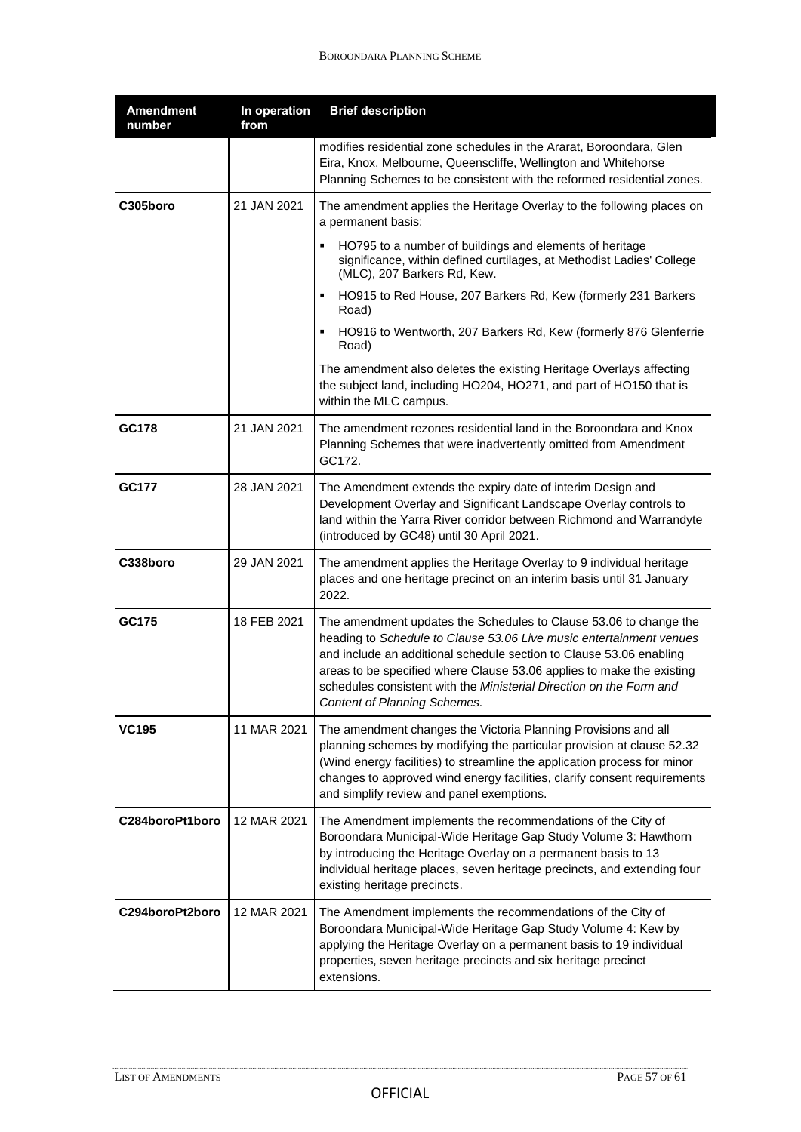| <b>Amendment</b><br>number | In operation<br>from | <b>Brief description</b>                                                                                                                                                                                                                                                                                                                                                                        |
|----------------------------|----------------------|-------------------------------------------------------------------------------------------------------------------------------------------------------------------------------------------------------------------------------------------------------------------------------------------------------------------------------------------------------------------------------------------------|
|                            |                      | modifies residential zone schedules in the Ararat, Boroondara, Glen<br>Eira, Knox, Melbourne, Queenscliffe, Wellington and Whitehorse<br>Planning Schemes to be consistent with the reformed residential zones.                                                                                                                                                                                 |
| C305boro                   | 21 JAN 2021          | The amendment applies the Heritage Overlay to the following places on<br>a permanent basis:                                                                                                                                                                                                                                                                                                     |
|                            |                      | HO795 to a number of buildings and elements of heritage<br>significance, within defined curtilages, at Methodist Ladies' College<br>(MLC), 207 Barkers Rd, Kew.                                                                                                                                                                                                                                 |
|                            |                      | HO915 to Red House, 207 Barkers Rd, Kew (formerly 231 Barkers<br>Road)                                                                                                                                                                                                                                                                                                                          |
|                            |                      | HO916 to Wentworth, 207 Barkers Rd, Kew (formerly 876 Glenferrie<br>Road)                                                                                                                                                                                                                                                                                                                       |
|                            |                      | The amendment also deletes the existing Heritage Overlays affecting<br>the subject land, including HO204, HO271, and part of HO150 that is<br>within the MLC campus.                                                                                                                                                                                                                            |
| GC178                      | 21 JAN 2021          | The amendment rezones residential land in the Boroondara and Knox<br>Planning Schemes that were inadvertently omitted from Amendment<br>GC172.                                                                                                                                                                                                                                                  |
| <b>GC177</b>               | 28 JAN 2021          | The Amendment extends the expiry date of interim Design and<br>Development Overlay and Significant Landscape Overlay controls to<br>land within the Yarra River corridor between Richmond and Warrandyte<br>(introduced by GC48) until 30 April 2021.                                                                                                                                           |
| C338boro                   | 29 JAN 2021          | The amendment applies the Heritage Overlay to 9 individual heritage<br>places and one heritage precinct on an interim basis until 31 January<br>2022.                                                                                                                                                                                                                                           |
| GC175                      | 18 FEB 2021          | The amendment updates the Schedules to Clause 53.06 to change the<br>heading to Schedule to Clause 53.06 Live music entertainment venues<br>and include an additional schedule section to Clause 53.06 enabling<br>areas to be specified where Clause 53.06 applies to make the existing<br>schedules consistent with the Ministerial Direction on the Form and<br>Content of Planning Schemes. |
| <b>VC195</b>               | 11 MAR 2021          | The amendment changes the Victoria Planning Provisions and all<br>planning schemes by modifying the particular provision at clause 52.32<br>(Wind energy facilities) to streamline the application process for minor<br>changes to approved wind energy facilities, clarify consent requirements<br>and simplify review and panel exemptions.                                                   |
| C284boroPt1boro            | 12 MAR 2021          | The Amendment implements the recommendations of the City of<br>Boroondara Municipal-Wide Heritage Gap Study Volume 3: Hawthorn<br>by introducing the Heritage Overlay on a permanent basis to 13<br>individual heritage places, seven heritage precincts, and extending four<br>existing heritage precincts.                                                                                    |
| C294boroPt2boro            | 12 MAR 2021          | The Amendment implements the recommendations of the City of<br>Boroondara Municipal-Wide Heritage Gap Study Volume 4: Kew by<br>applying the Heritage Overlay on a permanent basis to 19 individual<br>properties, seven heritage precincts and six heritage precinct<br>extensions.                                                                                                            |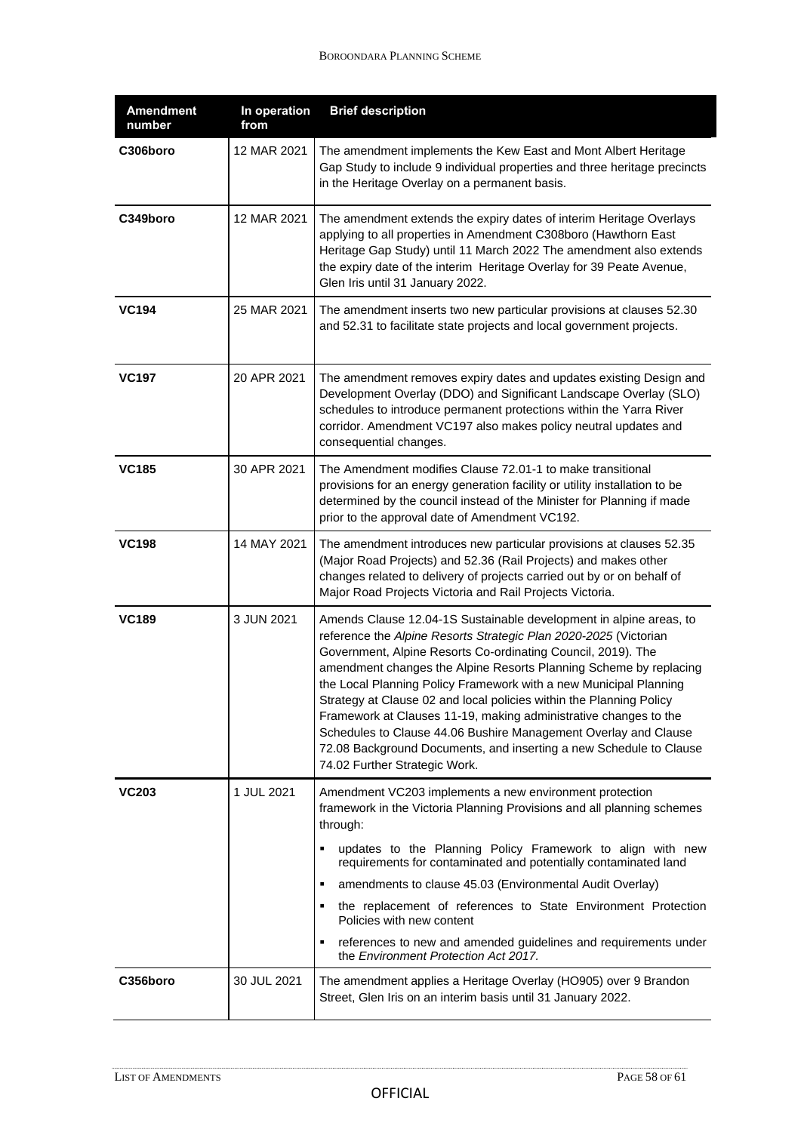| <b>Amendment</b><br>number | In operation<br>from | <b>Brief description</b>                                                                                                                                                                                                                                                                                                                                                                                                                                                                                                                                                                                                                                              |
|----------------------------|----------------------|-----------------------------------------------------------------------------------------------------------------------------------------------------------------------------------------------------------------------------------------------------------------------------------------------------------------------------------------------------------------------------------------------------------------------------------------------------------------------------------------------------------------------------------------------------------------------------------------------------------------------------------------------------------------------|
| C306boro                   | 12 MAR 2021          | The amendment implements the Kew East and Mont Albert Heritage<br>Gap Study to include 9 individual properties and three heritage precincts<br>in the Heritage Overlay on a permanent basis.                                                                                                                                                                                                                                                                                                                                                                                                                                                                          |
| C349boro                   | 12 MAR 2021          | The amendment extends the expiry dates of interim Heritage Overlays<br>applying to all properties in Amendment C308boro (Hawthorn East<br>Heritage Gap Study) until 11 March 2022 The amendment also extends<br>the expiry date of the interim Heritage Overlay for 39 Peate Avenue,<br>Glen Iris until 31 January 2022.                                                                                                                                                                                                                                                                                                                                              |
| <b>VC194</b>               | 25 MAR 2021          | The amendment inserts two new particular provisions at clauses 52.30<br>and 52.31 to facilitate state projects and local government projects.                                                                                                                                                                                                                                                                                                                                                                                                                                                                                                                         |
| <b>VC197</b>               | 20 APR 2021          | The amendment removes expiry dates and updates existing Design and<br>Development Overlay (DDO) and Significant Landscape Overlay (SLO)<br>schedules to introduce permanent protections within the Yarra River<br>corridor. Amendment VC197 also makes policy neutral updates and<br>consequential changes.                                                                                                                                                                                                                                                                                                                                                           |
| <b>VC185</b>               | 30 APR 2021          | The Amendment modifies Clause 72.01-1 to make transitional<br>provisions for an energy generation facility or utility installation to be<br>determined by the council instead of the Minister for Planning if made<br>prior to the approval date of Amendment VC192.                                                                                                                                                                                                                                                                                                                                                                                                  |
| <b>VC198</b>               | 14 MAY 2021          | The amendment introduces new particular provisions at clauses 52.35<br>(Major Road Projects) and 52.36 (Rail Projects) and makes other<br>changes related to delivery of projects carried out by or on behalf of<br>Major Road Projects Victoria and Rail Projects Victoria.                                                                                                                                                                                                                                                                                                                                                                                          |
| <b>VC189</b>               | 3 JUN 2021           | Amends Clause 12.04-1S Sustainable development in alpine areas, to<br>reference the Alpine Resorts Strategic Plan 2020-2025 (Victorian<br>Government, Alpine Resorts Co-ordinating Council, 2019). The<br>amendment changes the Alpine Resorts Planning Scheme by replacing<br>the Local Planning Policy Framework with a new Municipal Planning<br>Strategy at Clause 02 and local policies within the Planning Policy<br>Framework at Clauses 11-19, making administrative changes to the<br>Schedules to Clause 44.06 Bushire Management Overlay and Clause<br>72.08 Background Documents, and inserting a new Schedule to Clause<br>74.02 Further Strategic Work. |
| <b>VC203</b>               | 1 JUL 2021           | Amendment VC203 implements a new environment protection<br>framework in the Victoria Planning Provisions and all planning schemes<br>through:<br>updates to the Planning Policy Framework to align with new<br>requirements for contaminated and potentially contaminated land<br>amendments to clause 45.03 (Environmental Audit Overlay)<br>٠<br>the replacement of references to State Environment Protection<br>Policies with new content<br>references to new and amended guidelines and requirements under<br>the Environment Protection Act 2017.                                                                                                              |
| C356boro                   | 30 JUL 2021          | The amendment applies a Heritage Overlay (HO905) over 9 Brandon<br>Street, Glen Iris on an interim basis until 31 January 2022.                                                                                                                                                                                                                                                                                                                                                                                                                                                                                                                                       |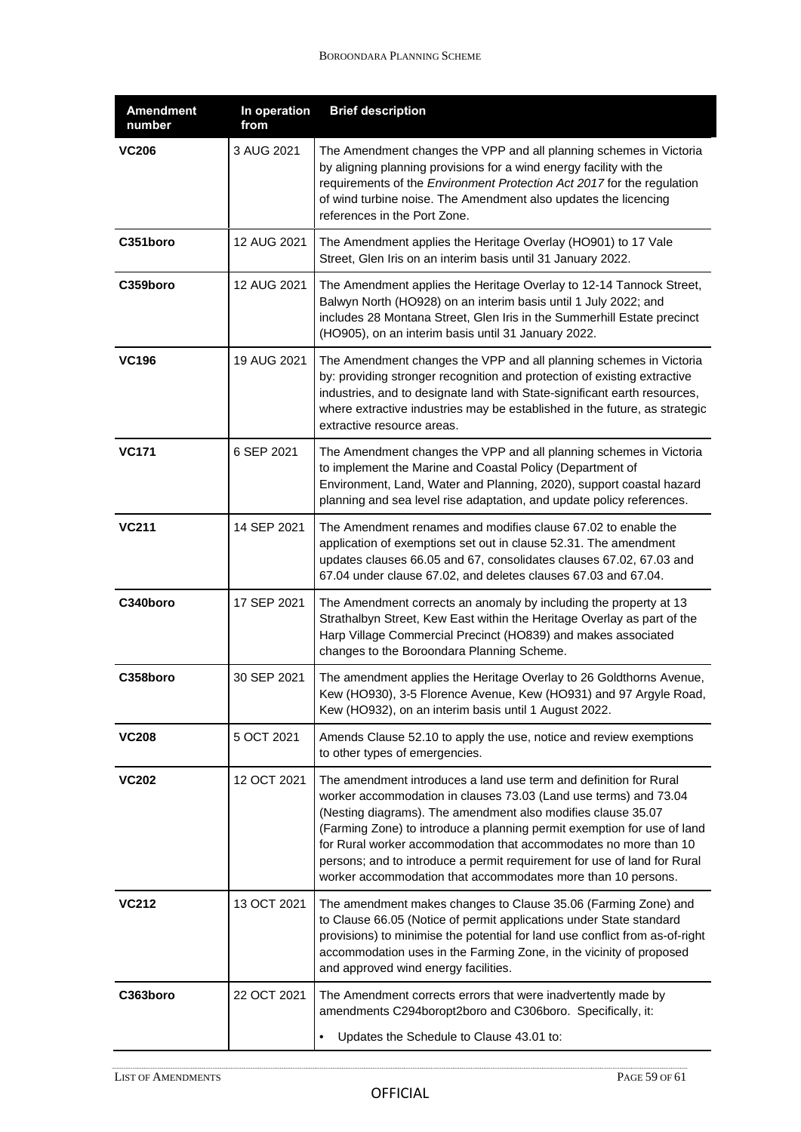| <b>Amendment</b><br>number | In operation<br>from | <b>Brief description</b>                                                                                                                                                                                                                                                                                                                                                                                                                                                                         |
|----------------------------|----------------------|--------------------------------------------------------------------------------------------------------------------------------------------------------------------------------------------------------------------------------------------------------------------------------------------------------------------------------------------------------------------------------------------------------------------------------------------------------------------------------------------------|
| <b>VC206</b>               | 3 AUG 2021           | The Amendment changes the VPP and all planning schemes in Victoria<br>by aligning planning provisions for a wind energy facility with the<br>requirements of the Environment Protection Act 2017 for the regulation<br>of wind turbine noise. The Amendment also updates the licencing<br>references in the Port Zone.                                                                                                                                                                           |
| C351boro                   | 12 AUG 2021          | The Amendment applies the Heritage Overlay (HO901) to 17 Vale<br>Street, Glen Iris on an interim basis until 31 January 2022.                                                                                                                                                                                                                                                                                                                                                                    |
| C359boro                   | 12 AUG 2021          | The Amendment applies the Heritage Overlay to 12-14 Tannock Street,<br>Balwyn North (HO928) on an interim basis until 1 July 2022; and<br>includes 28 Montana Street, Glen Iris in the Summerhill Estate precinct<br>(HO905), on an interim basis until 31 January 2022.                                                                                                                                                                                                                         |
| <b>VC196</b>               | 19 AUG 2021          | The Amendment changes the VPP and all planning schemes in Victoria<br>by: providing stronger recognition and protection of existing extractive<br>industries, and to designate land with State-significant earth resources,<br>where extractive industries may be established in the future, as strategic<br>extractive resource areas.                                                                                                                                                          |
| <b>VC171</b>               | 6 SEP 2021           | The Amendment changes the VPP and all planning schemes in Victoria<br>to implement the Marine and Coastal Policy (Department of<br>Environment, Land, Water and Planning, 2020), support coastal hazard<br>planning and sea level rise adaptation, and update policy references.                                                                                                                                                                                                                 |
| <b>VC211</b>               | 14 SEP 2021          | The Amendment renames and modifies clause 67.02 to enable the<br>application of exemptions set out in clause 52.31. The amendment<br>updates clauses 66.05 and 67, consolidates clauses 67.02, 67.03 and<br>67.04 under clause 67.02, and deletes clauses 67.03 and 67.04.                                                                                                                                                                                                                       |
| C340boro                   | 17 SEP 2021          | The Amendment corrects an anomaly by including the property at 13<br>Strathalbyn Street, Kew East within the Heritage Overlay as part of the<br>Harp Village Commercial Precinct (HO839) and makes associated<br>changes to the Boroondara Planning Scheme.                                                                                                                                                                                                                                      |
| C358boro                   | 30 SEP 2021          | The amendment applies the Heritage Overlay to 26 Goldthorns Avenue,<br>Kew (HO930), 3-5 Florence Avenue, Kew (HO931) and 97 Argyle Road,<br>Kew (HO932), on an interim basis until 1 August 2022.                                                                                                                                                                                                                                                                                                |
| <b>VC208</b>               | 5 OCT 2021           | Amends Clause 52.10 to apply the use, notice and review exemptions<br>to other types of emergencies.                                                                                                                                                                                                                                                                                                                                                                                             |
| <b>VC202</b>               | 12 OCT 2021          | The amendment introduces a land use term and definition for Rural<br>worker accommodation in clauses 73.03 (Land use terms) and 73.04<br>(Nesting diagrams). The amendment also modifies clause 35.07<br>(Farming Zone) to introduce a planning permit exemption for use of land<br>for Rural worker accommodation that accommodates no more than 10<br>persons; and to introduce a permit requirement for use of land for Rural<br>worker accommodation that accommodates more than 10 persons. |
| <b>VC212</b>               | 13 OCT 2021          | The amendment makes changes to Clause 35.06 (Farming Zone) and<br>to Clause 66.05 (Notice of permit applications under State standard<br>provisions) to minimise the potential for land use conflict from as-of-right<br>accommodation uses in the Farming Zone, in the vicinity of proposed<br>and approved wind energy facilities.                                                                                                                                                             |
| C363boro                   | 22 OCT 2021          | The Amendment corrects errors that were inadvertently made by<br>amendments C294boropt2boro and C306boro. Specifically, it:                                                                                                                                                                                                                                                                                                                                                                      |
|                            |                      | Updates the Schedule to Clause 43.01 to:<br>$\bullet$                                                                                                                                                                                                                                                                                                                                                                                                                                            |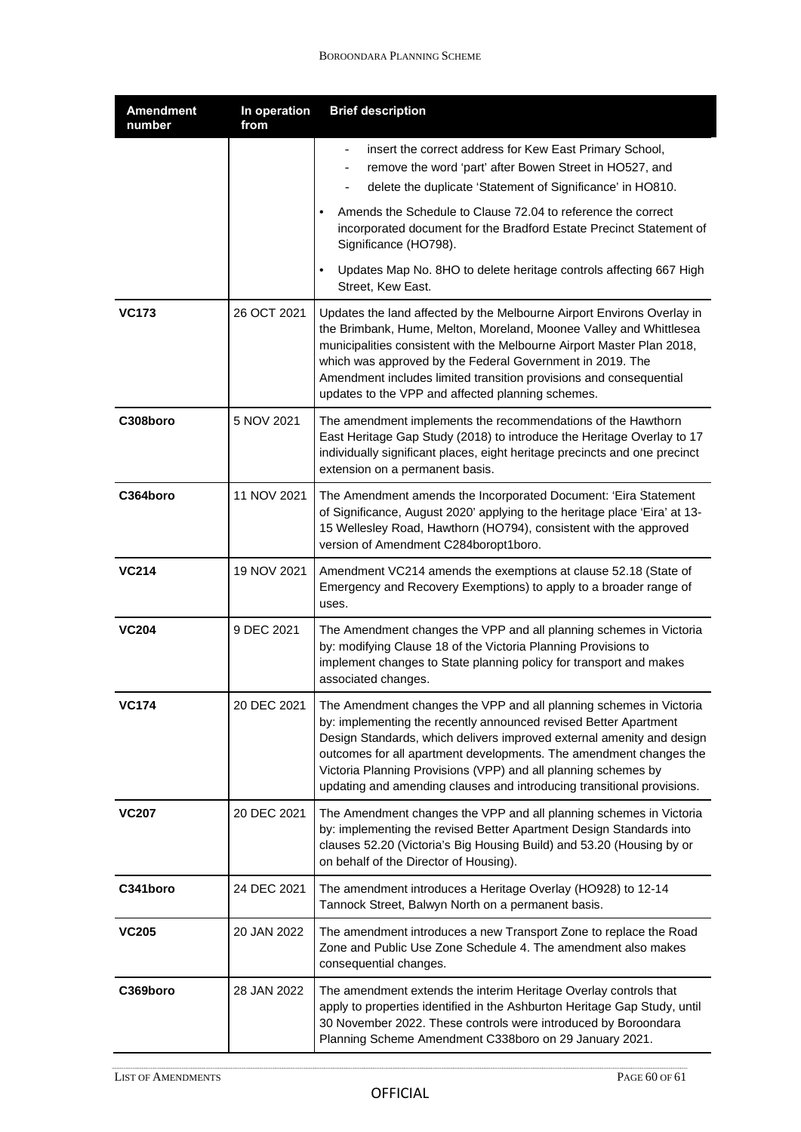| <b>Amendment</b><br>number | In operation<br>from | <b>Brief description</b>                                                                                                                                                                                                                                                                                                                                                                                                          |
|----------------------------|----------------------|-----------------------------------------------------------------------------------------------------------------------------------------------------------------------------------------------------------------------------------------------------------------------------------------------------------------------------------------------------------------------------------------------------------------------------------|
|                            |                      | insert the correct address for Kew East Primary School,<br>remove the word 'part' after Bowen Street in HO527, and<br>delete the duplicate 'Statement of Significance' in HO810.                                                                                                                                                                                                                                                  |
|                            |                      | Amends the Schedule to Clause 72.04 to reference the correct<br>incorporated document for the Bradford Estate Precinct Statement of<br>Significance (HO798).                                                                                                                                                                                                                                                                      |
|                            |                      | Updates Map No. 8HO to delete heritage controls affecting 667 High<br>Street, Kew East.                                                                                                                                                                                                                                                                                                                                           |
| <b>VC173</b>               | 26 OCT 2021          | Updates the land affected by the Melbourne Airport Environs Overlay in<br>the Brimbank, Hume, Melton, Moreland, Moonee Valley and Whittlesea<br>municipalities consistent with the Melbourne Airport Master Plan 2018,<br>which was approved by the Federal Government in 2019. The<br>Amendment includes limited transition provisions and consequential<br>updates to the VPP and affected planning schemes.                    |
| C308boro                   | 5 NOV 2021           | The amendment implements the recommendations of the Hawthorn<br>East Heritage Gap Study (2018) to introduce the Heritage Overlay to 17<br>individually significant places, eight heritage precincts and one precinct<br>extension on a permanent basis.                                                                                                                                                                           |
| C364boro                   | 11 NOV 2021          | The Amendment amends the Incorporated Document: 'Eira Statement<br>of Significance, August 2020' applying to the heritage place 'Eira' at 13-<br>15 Wellesley Road, Hawthorn (HO794), consistent with the approved<br>version of Amendment C284boropt1boro.                                                                                                                                                                       |
| <b>VC214</b>               | 19 NOV 2021          | Amendment VC214 amends the exemptions at clause 52.18 (State of<br>Emergency and Recovery Exemptions) to apply to a broader range of<br>uses.                                                                                                                                                                                                                                                                                     |
| <b>VC204</b>               | 9 DEC 2021           | The Amendment changes the VPP and all planning schemes in Victoria<br>by: modifying Clause 18 of the Victoria Planning Provisions to<br>implement changes to State planning policy for transport and makes<br>associated changes.                                                                                                                                                                                                 |
| VC174                      | 20 DEC 2021          | The Amendment changes the VPP and all planning schemes in Victoria<br>by: implementing the recently announced revised Better Apartment<br>Design Standards, which delivers improved external amenity and design<br>outcomes for all apartment developments. The amendment changes the<br>Victoria Planning Provisions (VPP) and all planning schemes by<br>updating and amending clauses and introducing transitional provisions. |
| <b>VC207</b>               | 20 DEC 2021          | The Amendment changes the VPP and all planning schemes in Victoria<br>by: implementing the revised Better Apartment Design Standards into<br>clauses 52.20 (Victoria's Big Housing Build) and 53.20 (Housing by or<br>on behalf of the Director of Housing).                                                                                                                                                                      |
| C341boro                   | 24 DEC 2021          | The amendment introduces a Heritage Overlay (HO928) to 12-14<br>Tannock Street, Balwyn North on a permanent basis.                                                                                                                                                                                                                                                                                                                |
| <b>VC205</b>               | 20 JAN 2022          | The amendment introduces a new Transport Zone to replace the Road<br>Zone and Public Use Zone Schedule 4. The amendment also makes<br>consequential changes.                                                                                                                                                                                                                                                                      |
| C369boro                   | 28 JAN 2022          | The amendment extends the interim Heritage Overlay controls that<br>apply to properties identified in the Ashburton Heritage Gap Study, until<br>30 November 2022. These controls were introduced by Boroondara<br>Planning Scheme Amendment C338boro on 29 January 2021.                                                                                                                                                         |